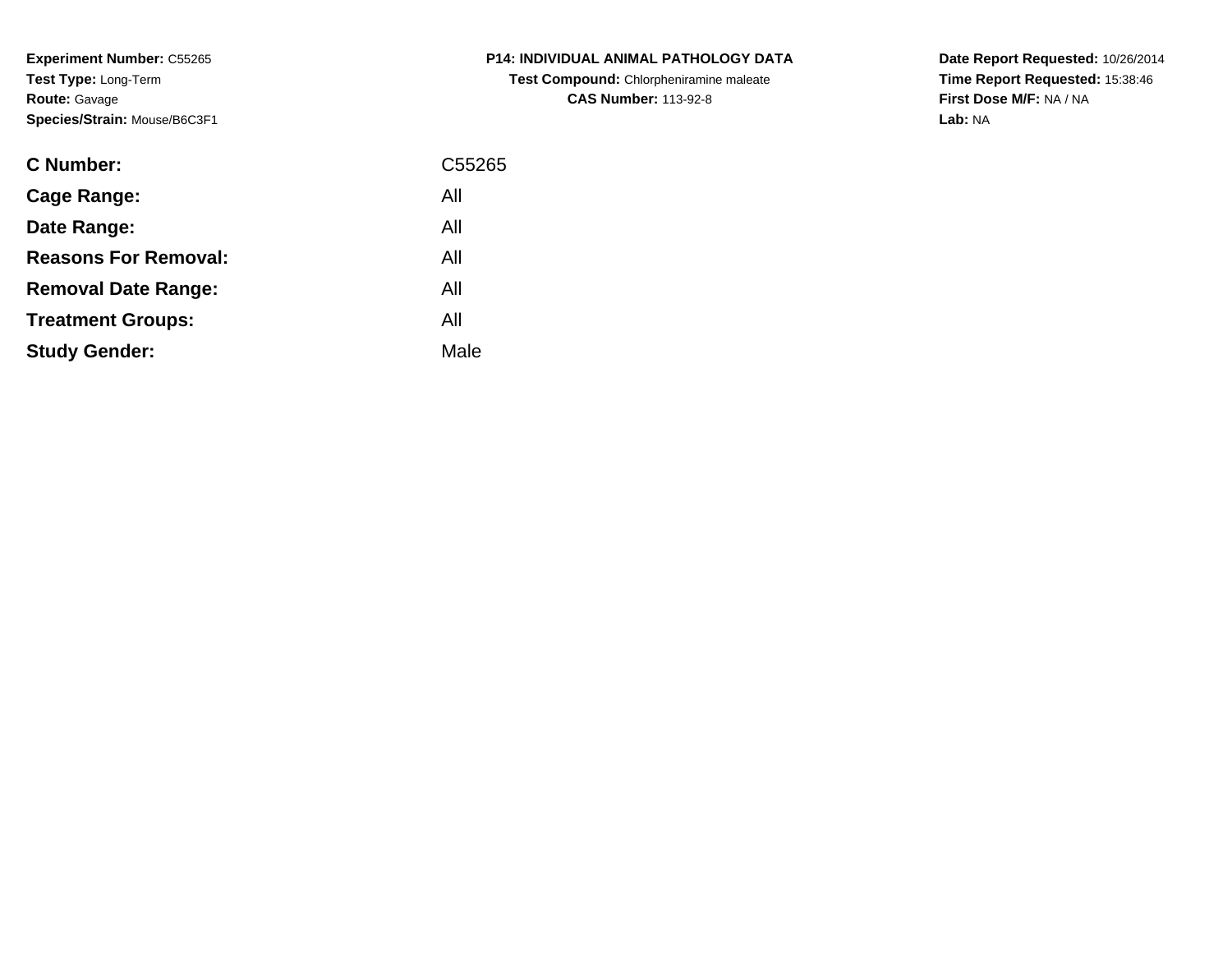**Experiment Number:** C55265**Test Type:** Long-Term**Route:** Gavage**Species/Strain:** Mouse/B6C3F1

| <b>C Number:</b>            | C <sub>55265</sub> |
|-----------------------------|--------------------|
| <b>Cage Range:</b>          | All                |
| Date Range:                 | All                |
| <b>Reasons For Removal:</b> | All                |
| <b>Removal Date Range:</b>  | All                |
| <b>Treatment Groups:</b>    | All                |
| <b>Study Gender:</b>        | Male               |
|                             |                    |

# **P14: INDIVIDUAL ANIMAL PATHOLOGY DATATest Compound:** Chlorpheniramine maleate**CAS Number:** 113-92-8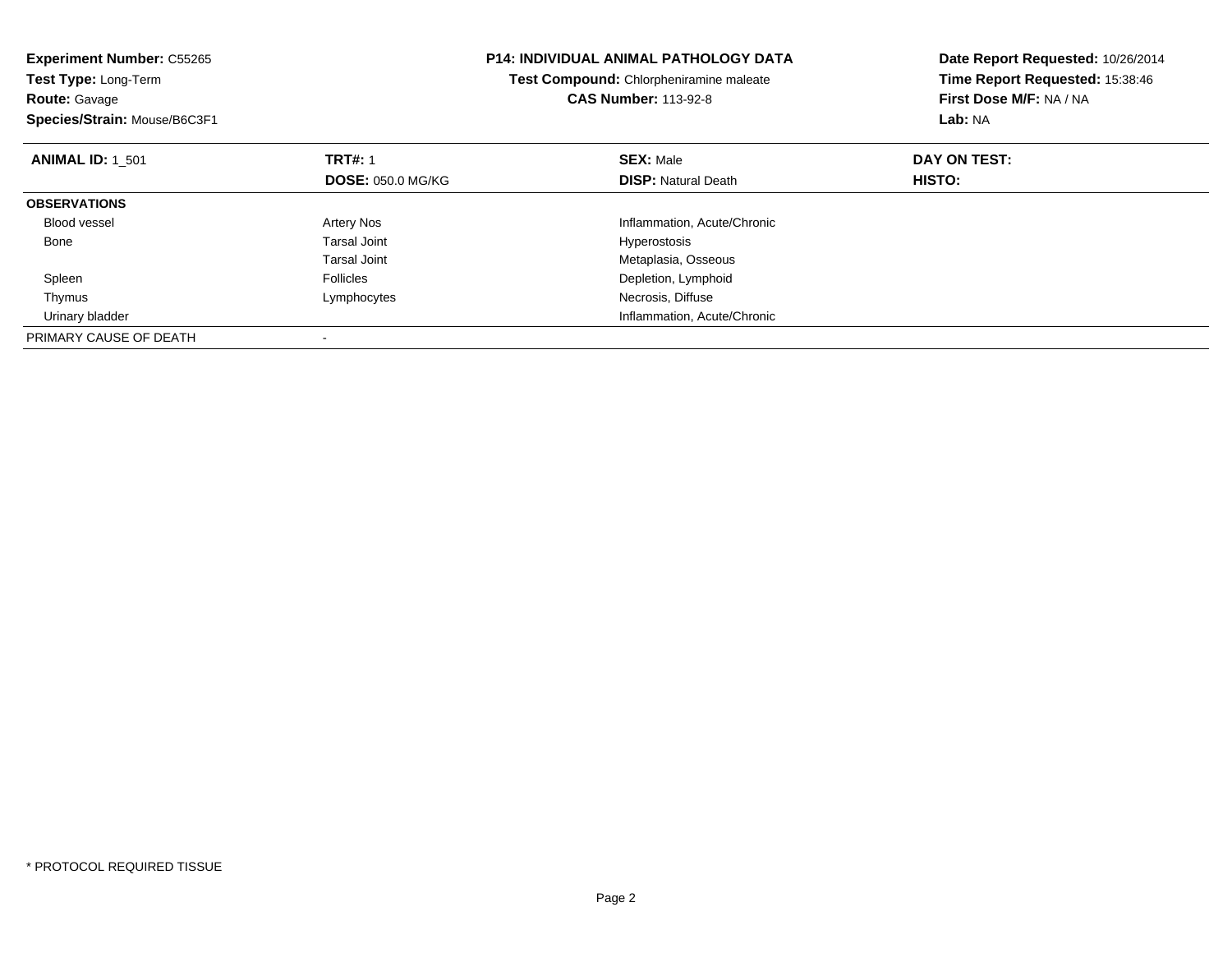| <b>Experiment Number: C55265</b><br><b>P14: INDIVIDUAL ANIMAL PATHOLOGY DATA</b><br>Test Compound: Chlorpheniramine maleate<br>Test Type: Long-Term<br><b>CAS Number: 113-92-8</b><br><b>Route: Gavage</b> |                          |  | Date Report Requested: 10/26/2014<br>Time Report Requested: 15:38:46<br>First Dose M/F: NA / NA |               |
|------------------------------------------------------------------------------------------------------------------------------------------------------------------------------------------------------------|--------------------------|--|-------------------------------------------------------------------------------------------------|---------------|
| Species/Strain: Mouse/B6C3F1                                                                                                                                                                               |                          |  |                                                                                                 | Lab: NA       |
| <b>ANIMAL ID: 1 501</b>                                                                                                                                                                                    | <b>TRT#: 1</b>           |  | <b>SEX: Male</b>                                                                                | DAY ON TEST:  |
|                                                                                                                                                                                                            | <b>DOSE: 050.0 MG/KG</b> |  | <b>DISP: Natural Death</b>                                                                      | <b>HISTO:</b> |
| <b>OBSERVATIONS</b>                                                                                                                                                                                        |                          |  |                                                                                                 |               |
| <b>Blood vessel</b>                                                                                                                                                                                        | Artery Nos               |  | Inflammation, Acute/Chronic                                                                     |               |
| Bone                                                                                                                                                                                                       | Tarsal Joint             |  | <b>Hyperostosis</b>                                                                             |               |
|                                                                                                                                                                                                            | Tarsal Joint             |  | Metaplasia, Osseous                                                                             |               |
| Spleen                                                                                                                                                                                                     | <b>Follicles</b>         |  | Depletion, Lymphoid                                                                             |               |
| Thymus                                                                                                                                                                                                     | Lymphocytes              |  | Necrosis, Diffuse                                                                               |               |
| Urinary bladder                                                                                                                                                                                            |                          |  | Inflammation, Acute/Chronic                                                                     |               |
| PRIMARY CAUSE OF DEATH                                                                                                                                                                                     |                          |  |                                                                                                 |               |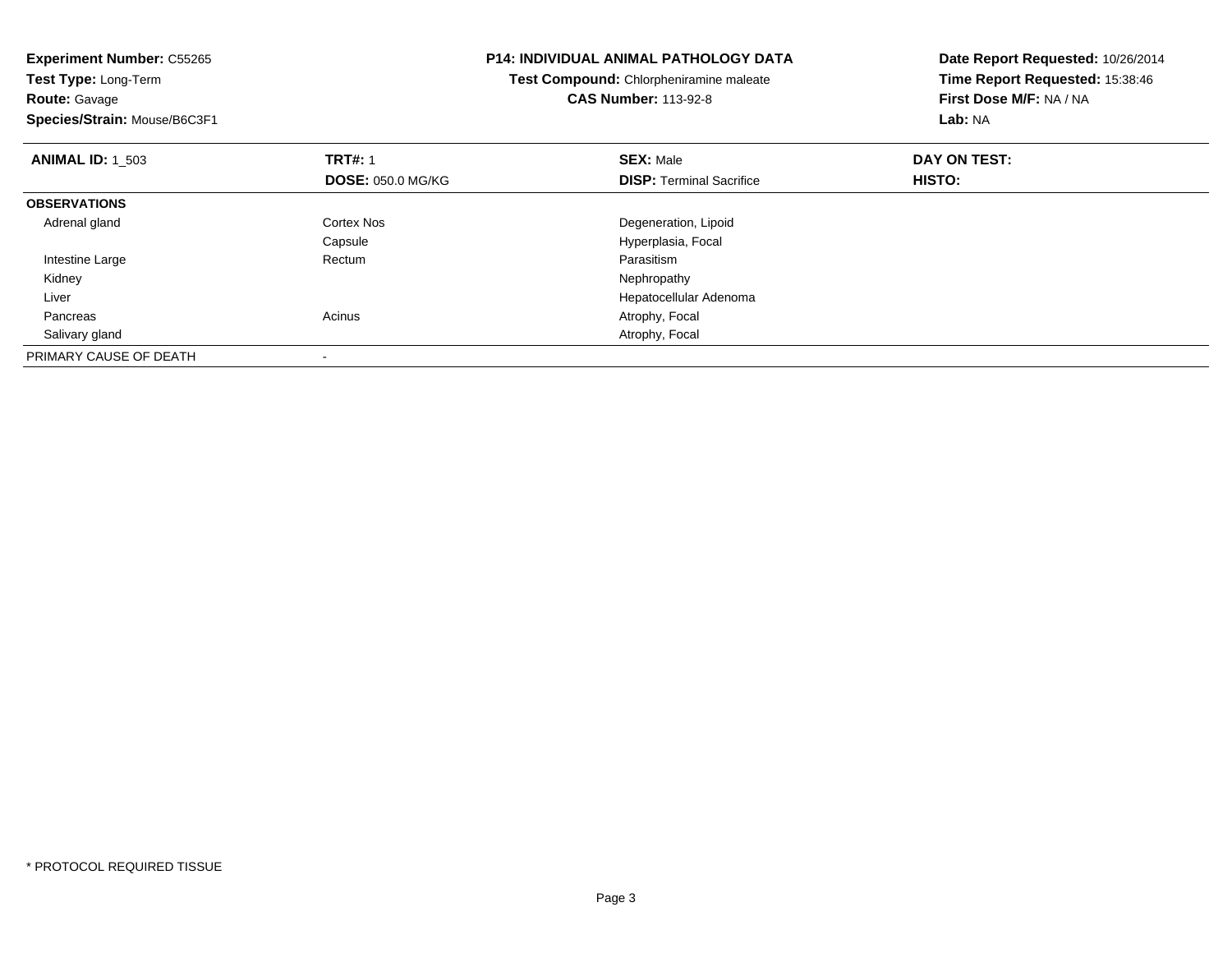| <b>Experiment Number: C55265</b><br>Test Type: Long-Term |                          | <b>P14: INDIVIDUAL ANIMAL PATHOLOGY DATA</b> | Date Report Requested: 10/26/2014 |  |
|----------------------------------------------------------|--------------------------|----------------------------------------------|-----------------------------------|--|
|                                                          |                          | Test Compound: Chlorpheniramine maleate      | Time Report Requested: 15:38:46   |  |
| <b>Route: Gavage</b>                                     |                          | <b>CAS Number: 113-92-8</b>                  | First Dose M/F: NA / NA           |  |
| Species/Strain: Mouse/B6C3F1                             |                          |                                              | Lab: NA                           |  |
| <b>ANIMAL ID: 1 503</b>                                  | <b>TRT#: 1</b>           | <b>SEX: Male</b>                             | DAY ON TEST:                      |  |
|                                                          | <b>DOSE: 050.0 MG/KG</b> | <b>DISP:</b> Terminal Sacrifice              | HISTO:                            |  |
| <b>OBSERVATIONS</b>                                      |                          |                                              |                                   |  |
| Adrenal gland                                            | <b>Cortex Nos</b>        | Degeneration, Lipoid                         |                                   |  |
|                                                          | Capsule                  | Hyperplasia, Focal                           |                                   |  |
| Intestine Large                                          | Rectum                   | Parasitism                                   |                                   |  |
| Kidney                                                   |                          | Nephropathy                                  |                                   |  |
| Liver                                                    |                          | Hepatocellular Adenoma                       |                                   |  |
| Pancreas                                                 | Acinus                   | Atrophy, Focal                               |                                   |  |
| Salivary gland                                           |                          | Atrophy, Focal                               |                                   |  |
| PRIMARY CAUSE OF DEATH                                   |                          |                                              |                                   |  |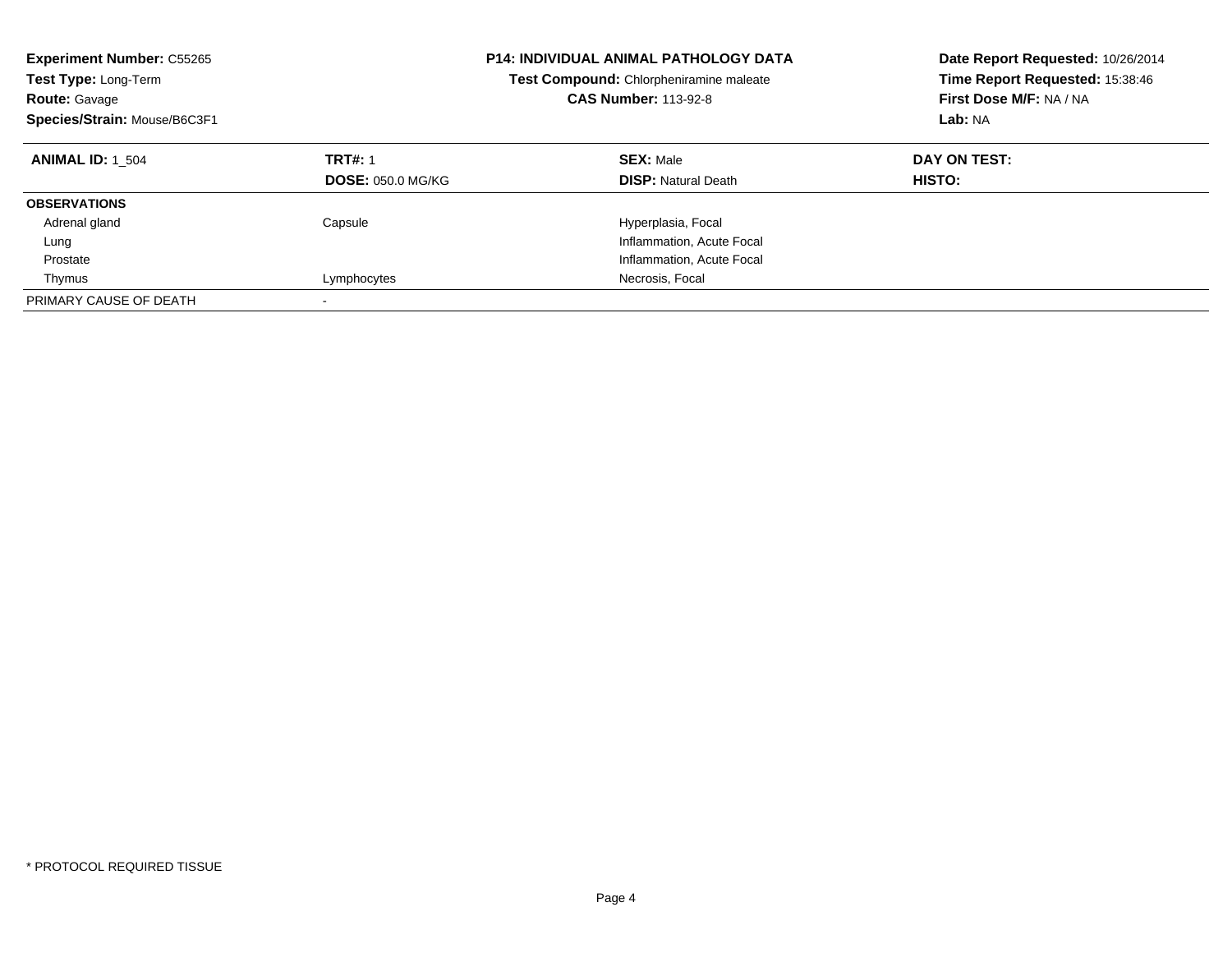| <b>Experiment Number: C55265</b><br>Test Type: Long-Term<br><b>Route: Gavage</b><br>Species/Strain: Mouse/B6C3F1 | <b>P14: INDIVIDUAL ANIMAL PATHOLOGY DATA</b><br>Test Compound: Chlorpheniramine maleate<br><b>CAS Number: 113-92-8</b> |                                                | Date Report Requested: 10/26/2014<br>Time Report Requested: 15:38:46<br>First Dose M/F: NA / NA<br>Lab: NA |
|------------------------------------------------------------------------------------------------------------------|------------------------------------------------------------------------------------------------------------------------|------------------------------------------------|------------------------------------------------------------------------------------------------------------|
| <b>ANIMAL ID: 1 504</b>                                                                                          | <b>TRT#: 1</b><br><b>DOSE: 050.0 MG/KG</b>                                                                             | <b>SEX: Male</b><br><b>DISP:</b> Natural Death | DAY ON TEST:<br>HISTO:                                                                                     |
| <b>OBSERVATIONS</b>                                                                                              |                                                                                                                        |                                                |                                                                                                            |
| Adrenal gland                                                                                                    | Capsule                                                                                                                | Hyperplasia, Focal                             |                                                                                                            |
| Lung                                                                                                             |                                                                                                                        | Inflammation, Acute Focal                      |                                                                                                            |
| Prostate                                                                                                         |                                                                                                                        | Inflammation, Acute Focal                      |                                                                                                            |
| Thymus                                                                                                           | Lymphocytes                                                                                                            | Necrosis, Focal                                |                                                                                                            |
| PRIMARY CAUSE OF DEATH                                                                                           | $\overline{\phantom{a}}$                                                                                               |                                                |                                                                                                            |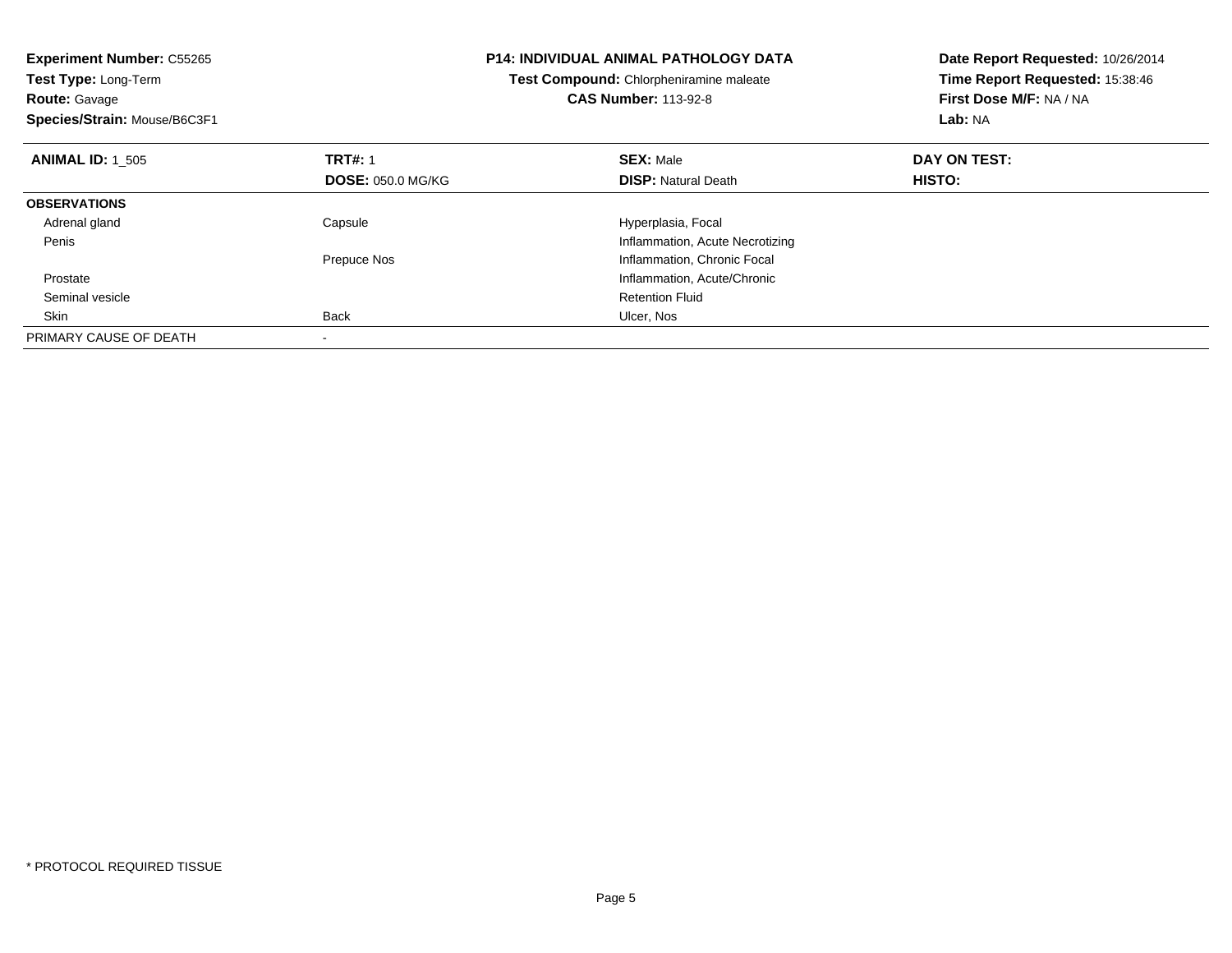| <b>Experiment Number: C55265</b><br>Test Type: Long-Term<br><b>Route: Gavage</b><br>Species/Strain: Mouse/B6C3F1 |                          | <b>P14: INDIVIDUAL ANIMAL PATHOLOGY DATA</b><br>Test Compound: Chlorpheniramine maleate<br><b>CAS Number: 113-92-8</b> | Date Report Requested: 10/26/2014<br>Time Report Requested: 15:38:46<br>First Dose M/F: NA / NA<br>Lab: NA |
|------------------------------------------------------------------------------------------------------------------|--------------------------|------------------------------------------------------------------------------------------------------------------------|------------------------------------------------------------------------------------------------------------|
| <b>ANIMAL ID: 1 505</b>                                                                                          | <b>TRT#: 1</b>           | <b>SEX: Male</b>                                                                                                       | DAY ON TEST:                                                                                               |
|                                                                                                                  | <b>DOSE: 050.0 MG/KG</b> | <b>DISP: Natural Death</b>                                                                                             | <b>HISTO:</b>                                                                                              |
| <b>OBSERVATIONS</b>                                                                                              |                          |                                                                                                                        |                                                                                                            |
| Adrenal gland                                                                                                    | Capsule                  | Hyperplasia, Focal                                                                                                     |                                                                                                            |
| Penis                                                                                                            |                          | Inflammation, Acute Necrotizing                                                                                        |                                                                                                            |
|                                                                                                                  | Prepuce Nos              | Inflammation, Chronic Focal                                                                                            |                                                                                                            |
| Prostate                                                                                                         |                          | Inflammation, Acute/Chronic                                                                                            |                                                                                                            |
| Seminal vesicle                                                                                                  |                          | <b>Retention Fluid</b>                                                                                                 |                                                                                                            |
| Skin                                                                                                             | <b>Back</b>              | Ulcer, Nos                                                                                                             |                                                                                                            |
| PRIMARY CAUSE OF DEATH                                                                                           |                          |                                                                                                                        |                                                                                                            |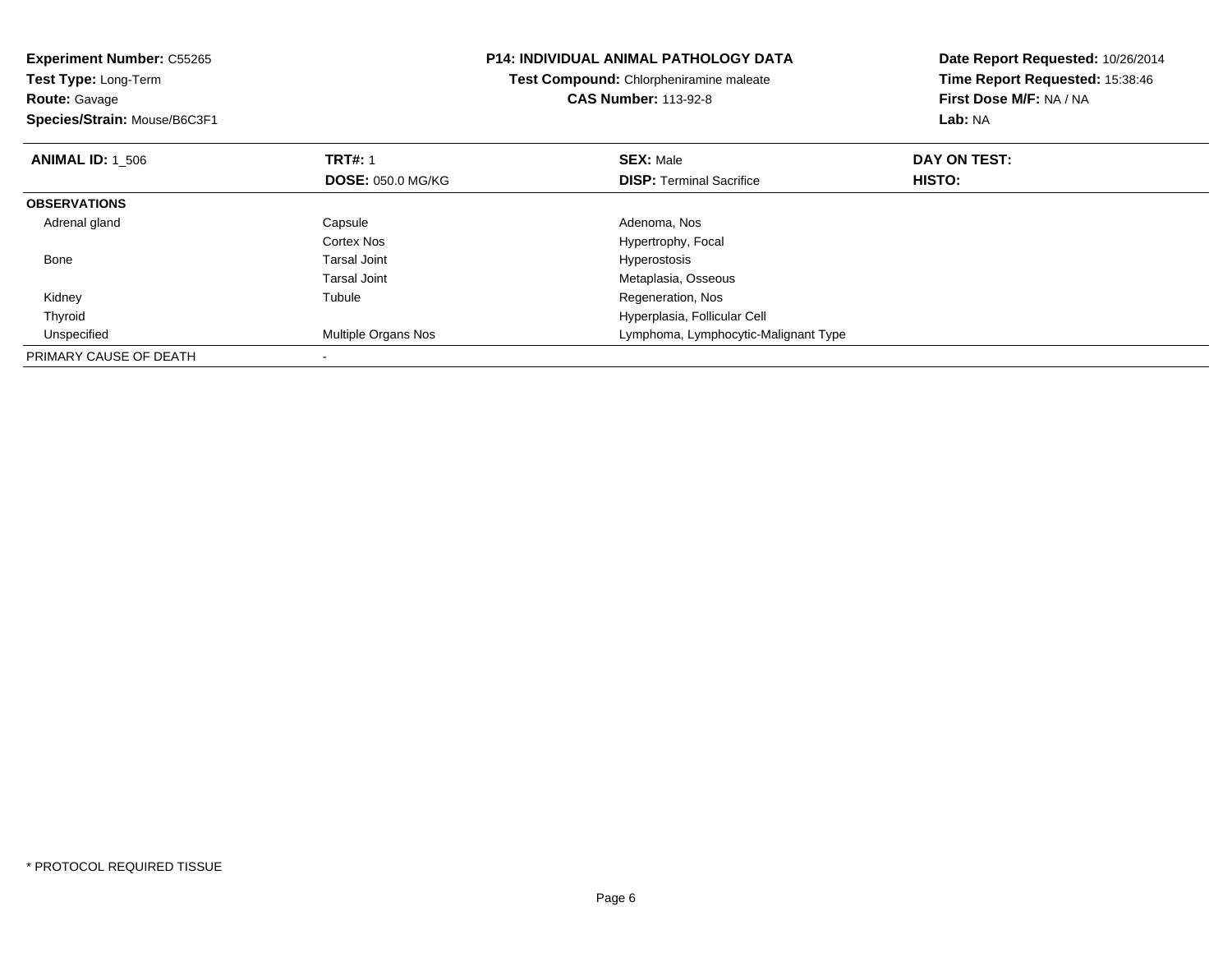| <b>Experiment Number: C55265</b><br>Test Type: Long-Term<br><b>Route: Gavage</b><br>Species/Strain: Mouse/B6C3F1 |                                            | <b>P14: INDIVIDUAL ANIMAL PATHOLOGY DATA</b><br>Test Compound: Chlorpheniramine maleate<br><b>CAS Number: 113-92-8</b> | Date Report Requested: 10/26/2014<br>Time Report Requested: 15:38:46<br>First Dose M/F: NA / NA<br>Lab: NA |
|------------------------------------------------------------------------------------------------------------------|--------------------------------------------|------------------------------------------------------------------------------------------------------------------------|------------------------------------------------------------------------------------------------------------|
| <b>ANIMAL ID: 1 506</b>                                                                                          | <b>TRT#: 1</b><br><b>DOSE: 050.0 MG/KG</b> | <b>SEX: Male</b><br><b>DISP:</b> Terminal Sacrifice                                                                    | DAY ON TEST:<br>HISTO:                                                                                     |
| <b>OBSERVATIONS</b>                                                                                              |                                            |                                                                                                                        |                                                                                                            |
| Adrenal gland                                                                                                    | Capsule<br>Cortex Nos                      | Adenoma, Nos<br>Hypertrophy, Focal                                                                                     |                                                                                                            |
| Bone                                                                                                             | Tarsal Joint<br>Tarsal Joint               | Hyperostosis<br>Metaplasia, Osseous                                                                                    |                                                                                                            |
| Kidney                                                                                                           | Tubule                                     | Regeneration, Nos                                                                                                      |                                                                                                            |
| Thyroid                                                                                                          |                                            | Hyperplasia, Follicular Cell                                                                                           |                                                                                                            |
| Unspecified                                                                                                      | Multiple Organs Nos                        | Lymphoma, Lymphocytic-Malignant Type                                                                                   |                                                                                                            |
| PRIMARY CAUSE OF DEATH                                                                                           |                                            |                                                                                                                        |                                                                                                            |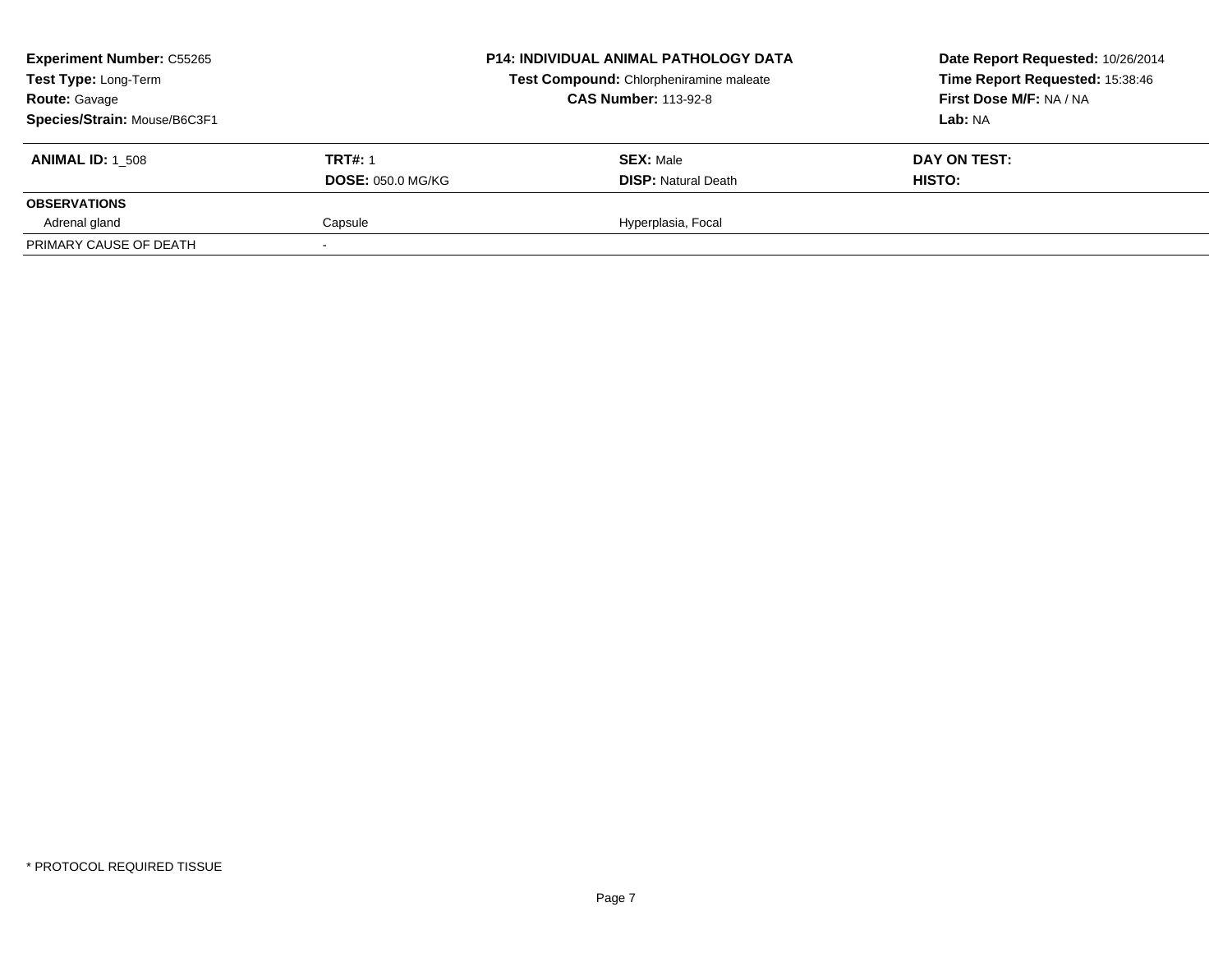| <b>Experiment Number: C55265</b><br>Test Type: Long-Term<br><b>Route: Gavage</b><br>Species/Strain: Mouse/B6C3F1 |                                            | <b>P14: INDIVIDUAL ANIMAL PATHOLOGY DATA</b><br>Test Compound: Chlorpheniramine maleate<br><b>CAS Number: 113-92-8</b> | Date Report Requested: 10/26/2014<br>Time Report Requested: 15:38:46<br>First Dose M/F: NA / NA<br><b>Lab:</b> NA |
|------------------------------------------------------------------------------------------------------------------|--------------------------------------------|------------------------------------------------------------------------------------------------------------------------|-------------------------------------------------------------------------------------------------------------------|
| <b>ANIMAL ID: 1 508</b>                                                                                          | <b>TRT#: 1</b><br><b>DOSE: 050.0 MG/KG</b> | <b>SEX: Male</b><br><b>DISP:</b> Natural Death                                                                         | DAY ON TEST:<br><b>HISTO:</b>                                                                                     |
| <b>OBSERVATIONS</b>                                                                                              |                                            |                                                                                                                        |                                                                                                                   |
| Adrenal gland                                                                                                    | Capsule                                    | Hyperplasia, Focal                                                                                                     |                                                                                                                   |
| PRIMARY CAUSE OF DEATH                                                                                           |                                            |                                                                                                                        |                                                                                                                   |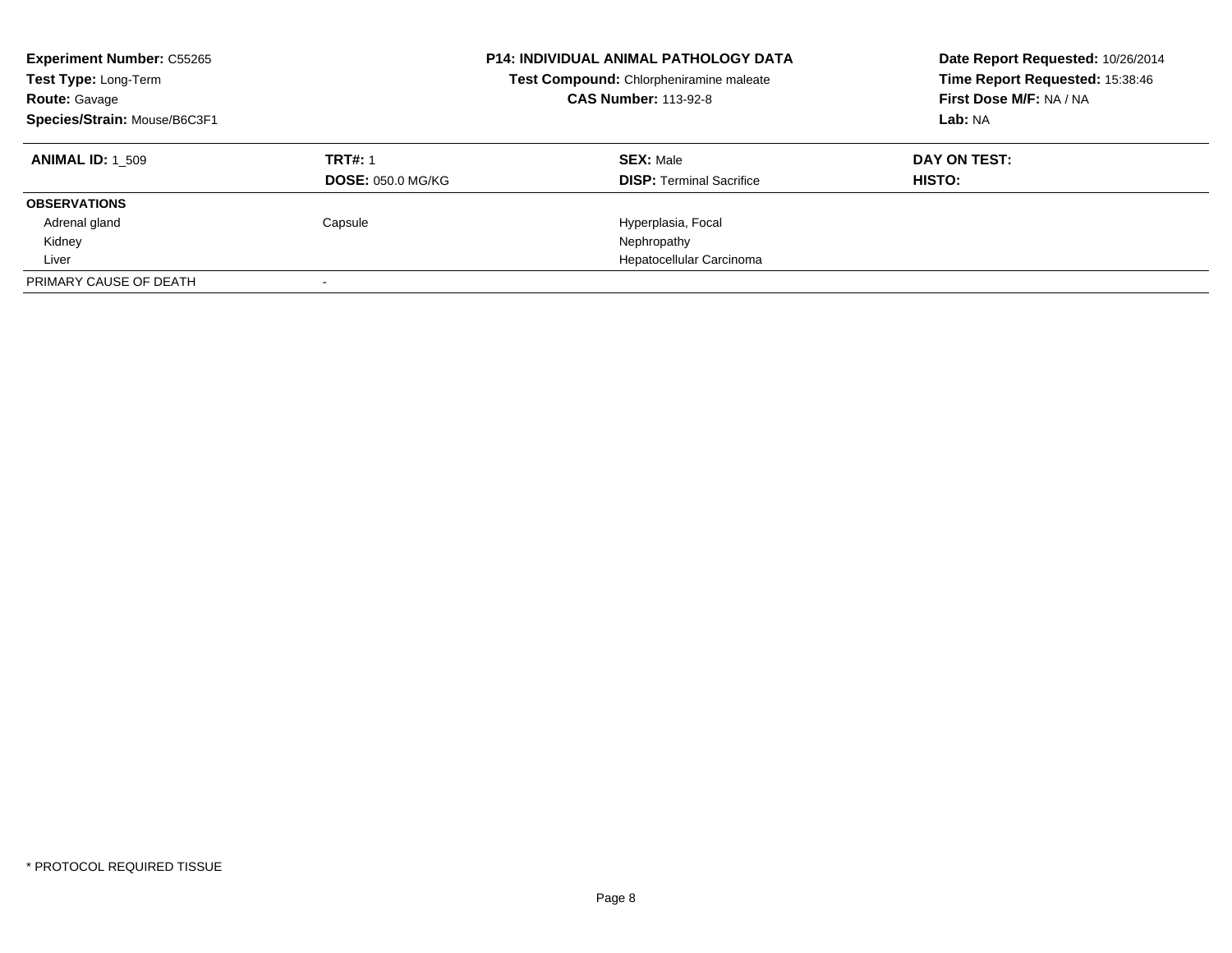| <b>Experiment Number: C55265</b><br>Test Type: Long-Term<br><b>Route: Gavage</b><br>Species/Strain: Mouse/B6C3F1 |                          | <b>P14: INDIVIDUAL ANIMAL PATHOLOGY DATA</b><br>Test Compound: Chlorpheniramine maleate<br><b>CAS Number: 113-92-8</b> | Date Report Requested: 10/26/2014<br>Time Report Requested: 15:38:46<br>First Dose M/F: NA / NA<br>Lab: NA |
|------------------------------------------------------------------------------------------------------------------|--------------------------|------------------------------------------------------------------------------------------------------------------------|------------------------------------------------------------------------------------------------------------|
| <b>ANIMAL ID:</b> 1 509                                                                                          | <b>TRT#: 1</b>           | <b>SEX: Male</b>                                                                                                       | DAY ON TEST:                                                                                               |
|                                                                                                                  | <b>DOSE: 050.0 MG/KG</b> | <b>DISP:</b> Terminal Sacrifice                                                                                        | <b>HISTO:</b>                                                                                              |
| <b>OBSERVATIONS</b>                                                                                              |                          |                                                                                                                        |                                                                                                            |
| Adrenal gland                                                                                                    | Capsule                  | Hyperplasia, Focal                                                                                                     |                                                                                                            |
| Kidney                                                                                                           |                          | Nephropathy                                                                                                            |                                                                                                            |
| Liver                                                                                                            |                          | Hepatocellular Carcinoma                                                                                               |                                                                                                            |
| PRIMARY CAUSE OF DEATH                                                                                           |                          |                                                                                                                        |                                                                                                            |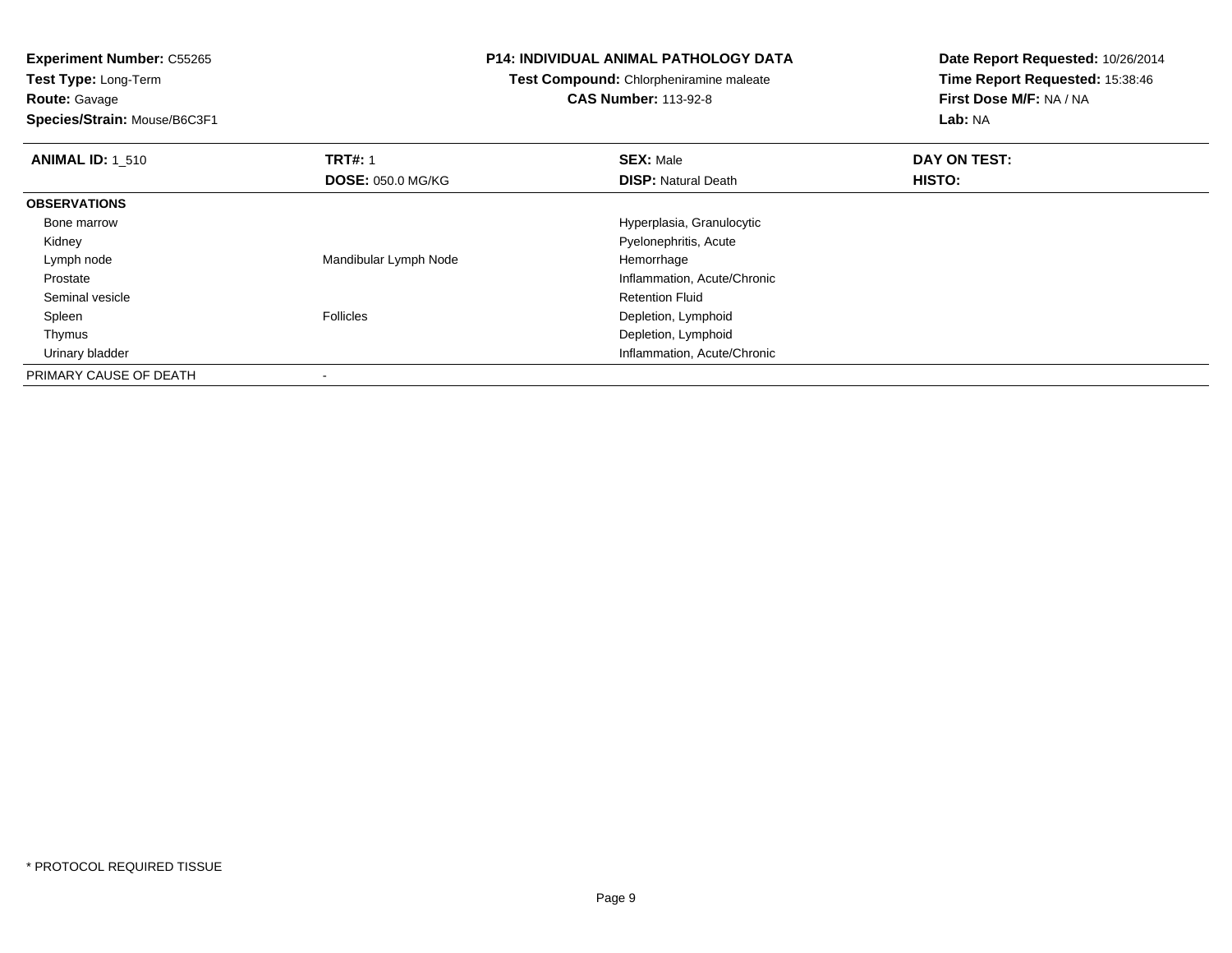**Test Type:** Long-Term**Route:** Gavage

**Species/Strain:** Mouse/B6C3F1

# **P14: INDIVIDUAL ANIMAL PATHOLOGY DATA**

**Test Compound:** Chlorpheniramine maleate

**CAS Number:** 113-92-8

| <b>ANIMAL ID: 1 510</b> | <b>TRT#: 1</b>           | <b>SEX: Male</b>            | DAY ON TEST:  |  |
|-------------------------|--------------------------|-----------------------------|---------------|--|
|                         | <b>DOSE: 050.0 MG/KG</b> | <b>DISP: Natural Death</b>  | <b>HISTO:</b> |  |
| <b>OBSERVATIONS</b>     |                          |                             |               |  |
| Bone marrow             |                          | Hyperplasia, Granulocytic   |               |  |
| Kidney                  |                          | Pyelonephritis, Acute       |               |  |
| Lymph node              | Mandibular Lymph Node    | Hemorrhage                  |               |  |
| Prostate                |                          | Inflammation, Acute/Chronic |               |  |
| Seminal vesicle         |                          | <b>Retention Fluid</b>      |               |  |
| Spleen                  | <b>Follicles</b>         | Depletion, Lymphoid         |               |  |
| Thymus                  |                          | Depletion, Lymphoid         |               |  |
| Urinary bladder         |                          | Inflammation, Acute/Chronic |               |  |
| PRIMARY CAUSE OF DEATH  |                          |                             |               |  |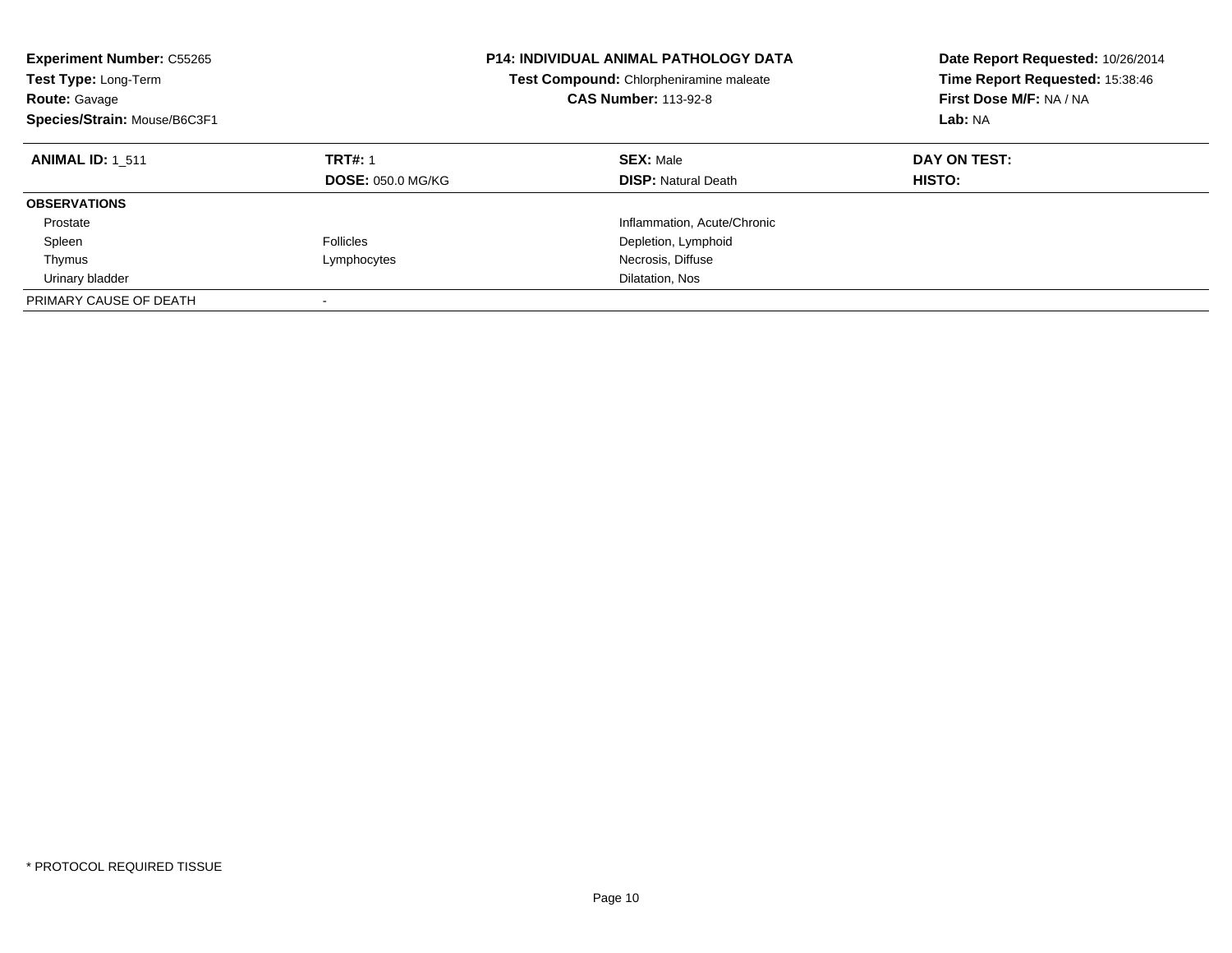| <b>Experiment Number: C55265</b><br>Test Type: Long-Term<br><b>Route: Gavage</b><br>Species/Strain: Mouse/B6C3F1 |                                            | <b>P14: INDIVIDUAL ANIMAL PATHOLOGY DATA</b><br>Test Compound: Chlorpheniramine maleate<br><b>CAS Number: 113-92-8</b> | Date Report Requested: 10/26/2014<br>Time Report Requested: 15:38:46<br>First Dose M/F: NA / NA<br>Lab: NA |
|------------------------------------------------------------------------------------------------------------------|--------------------------------------------|------------------------------------------------------------------------------------------------------------------------|------------------------------------------------------------------------------------------------------------|
| <b>ANIMAL ID: 1 511</b>                                                                                          | <b>TRT#: 1</b><br><b>DOSE: 050.0 MG/KG</b> | <b>SEX: Male</b><br><b>DISP:</b> Natural Death                                                                         | DAY ON TEST:<br>HISTO:                                                                                     |
| <b>OBSERVATIONS</b>                                                                                              |                                            |                                                                                                                        |                                                                                                            |
| Prostate                                                                                                         |                                            | Inflammation, Acute/Chronic                                                                                            |                                                                                                            |
| Spleen                                                                                                           | <b>Follicles</b>                           | Depletion, Lymphoid                                                                                                    |                                                                                                            |
| Thymus                                                                                                           | Lymphocytes                                | Necrosis, Diffuse                                                                                                      |                                                                                                            |
| Urinary bladder                                                                                                  |                                            | Dilatation, Nos                                                                                                        |                                                                                                            |
| PRIMARY CAUSE OF DEATH                                                                                           |                                            |                                                                                                                        |                                                                                                            |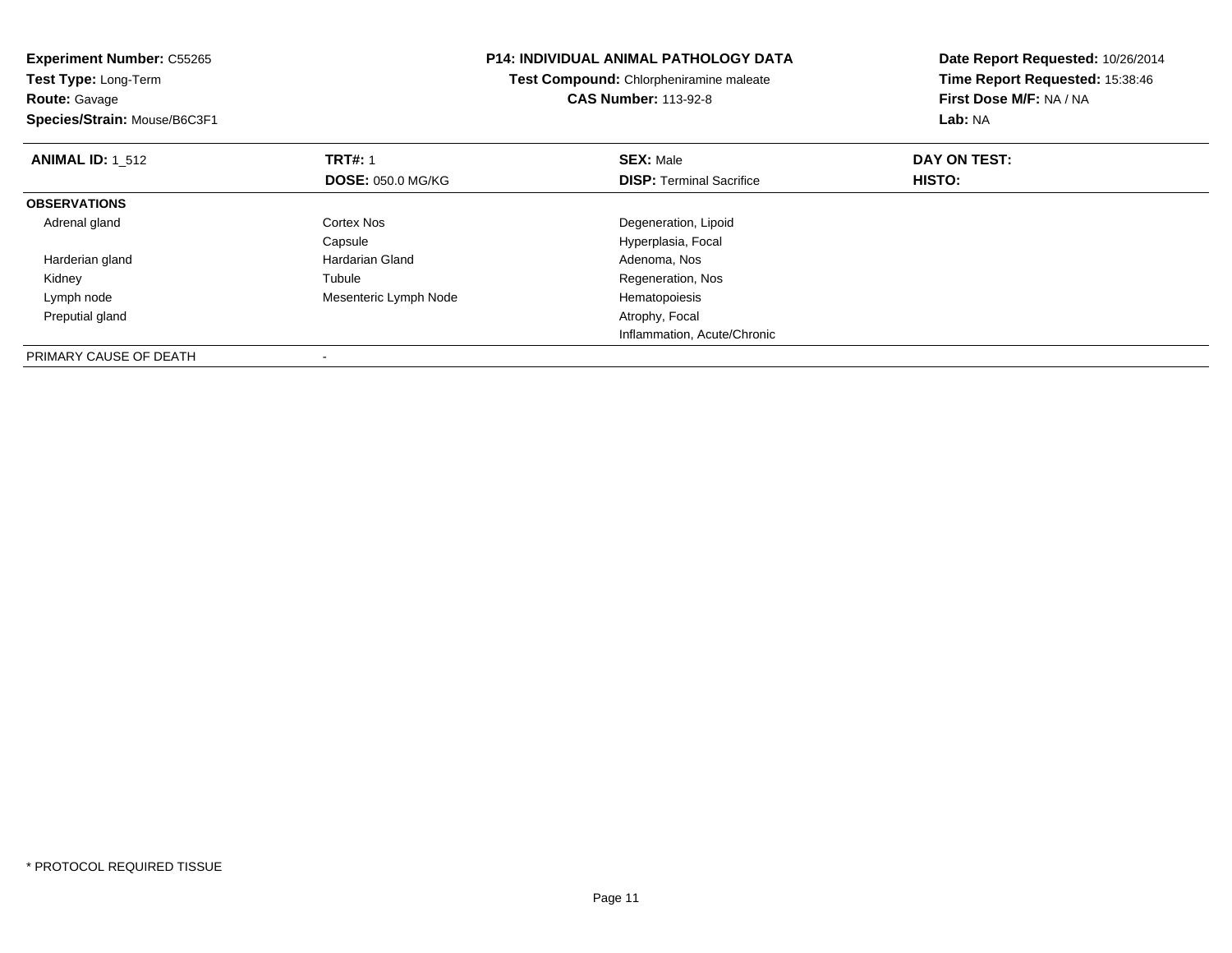| <b>Experiment Number: C55265</b><br>Test Type: Long-Term |                          | P14: INDIVIDUAL ANIMAL PATHOLOGY DATA   | Date Report Requested: 10/26/2014<br>Time Report Requested: 15:38:46 |  |
|----------------------------------------------------------|--------------------------|-----------------------------------------|----------------------------------------------------------------------|--|
|                                                          |                          | Test Compound: Chlorpheniramine maleate |                                                                      |  |
| <b>Route: Gavage</b>                                     |                          | <b>CAS Number: 113-92-8</b>             | First Dose M/F: NA / NA                                              |  |
| Species/Strain: Mouse/B6C3F1                             |                          |                                         | Lab: NA                                                              |  |
| <b>ANIMAL ID: 1 512</b>                                  | <b>TRT#: 1</b>           | <b>SEX: Male</b>                        | DAY ON TEST:                                                         |  |
|                                                          | <b>DOSE: 050.0 MG/KG</b> | <b>DISP:</b> Terminal Sacrifice         | HISTO:                                                               |  |
| <b>OBSERVATIONS</b>                                      |                          |                                         |                                                                      |  |
| Adrenal gland                                            | Cortex Nos               | Degeneration, Lipoid                    |                                                                      |  |
|                                                          | Capsule                  | Hyperplasia, Focal                      |                                                                      |  |
| Harderian gland                                          | <b>Hardarian Gland</b>   | Adenoma, Nos                            |                                                                      |  |
| Kidney                                                   | Tubule                   | Regeneration, Nos                       |                                                                      |  |
| Lymph node                                               | Mesenteric Lymph Node    | Hematopoiesis                           |                                                                      |  |
| Preputial gland                                          |                          | Atrophy, Focal                          |                                                                      |  |
|                                                          |                          | Inflammation, Acute/Chronic             |                                                                      |  |
| PRIMARY CAUSE OF DEATH                                   |                          |                                         |                                                                      |  |

-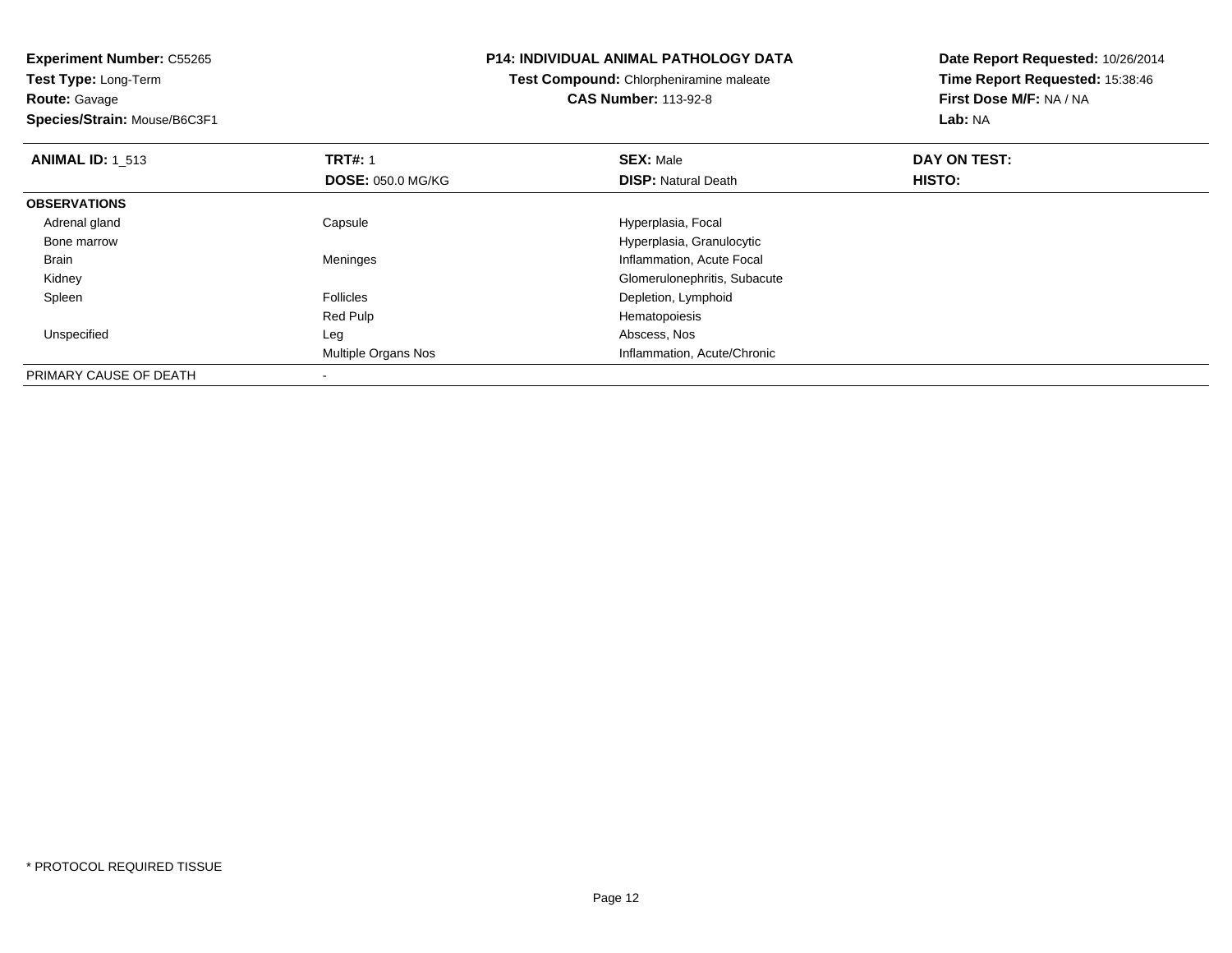**Route:** Gavage

**Species/Strain:** Mouse/B6C3F1

#### **P14: INDIVIDUAL ANIMAL PATHOLOGY DATA**

**Test Compound:** Chlorpheniramine maleate**CAS Number:** 113-92-8

| <b>ANIMAL ID: 1 513</b> | <b>TRT#: 1</b>           | <b>SEX: Male</b>             | DAY ON TEST:<br>HISTO: |  |
|-------------------------|--------------------------|------------------------------|------------------------|--|
|                         | <b>DOSE: 050.0 MG/KG</b> | <b>DISP: Natural Death</b>   |                        |  |
| <b>OBSERVATIONS</b>     |                          |                              |                        |  |
| Adrenal gland           | Capsule                  | Hyperplasia, Focal           |                        |  |
| Bone marrow             |                          | Hyperplasia, Granulocytic    |                        |  |
| Brain                   | Meninges                 | Inflammation, Acute Focal    |                        |  |
| Kidney                  |                          | Glomerulonephritis, Subacute |                        |  |
| Spleen                  | <b>Follicles</b>         | Depletion, Lymphoid          |                        |  |
|                         | Red Pulp                 | Hematopoiesis                |                        |  |
| Unspecified             | Leg                      | Abscess, Nos                 |                        |  |
|                         | Multiple Organs Nos      | Inflammation, Acute/Chronic  |                        |  |
| PRIMARY CAUSE OF DEATH  |                          |                              |                        |  |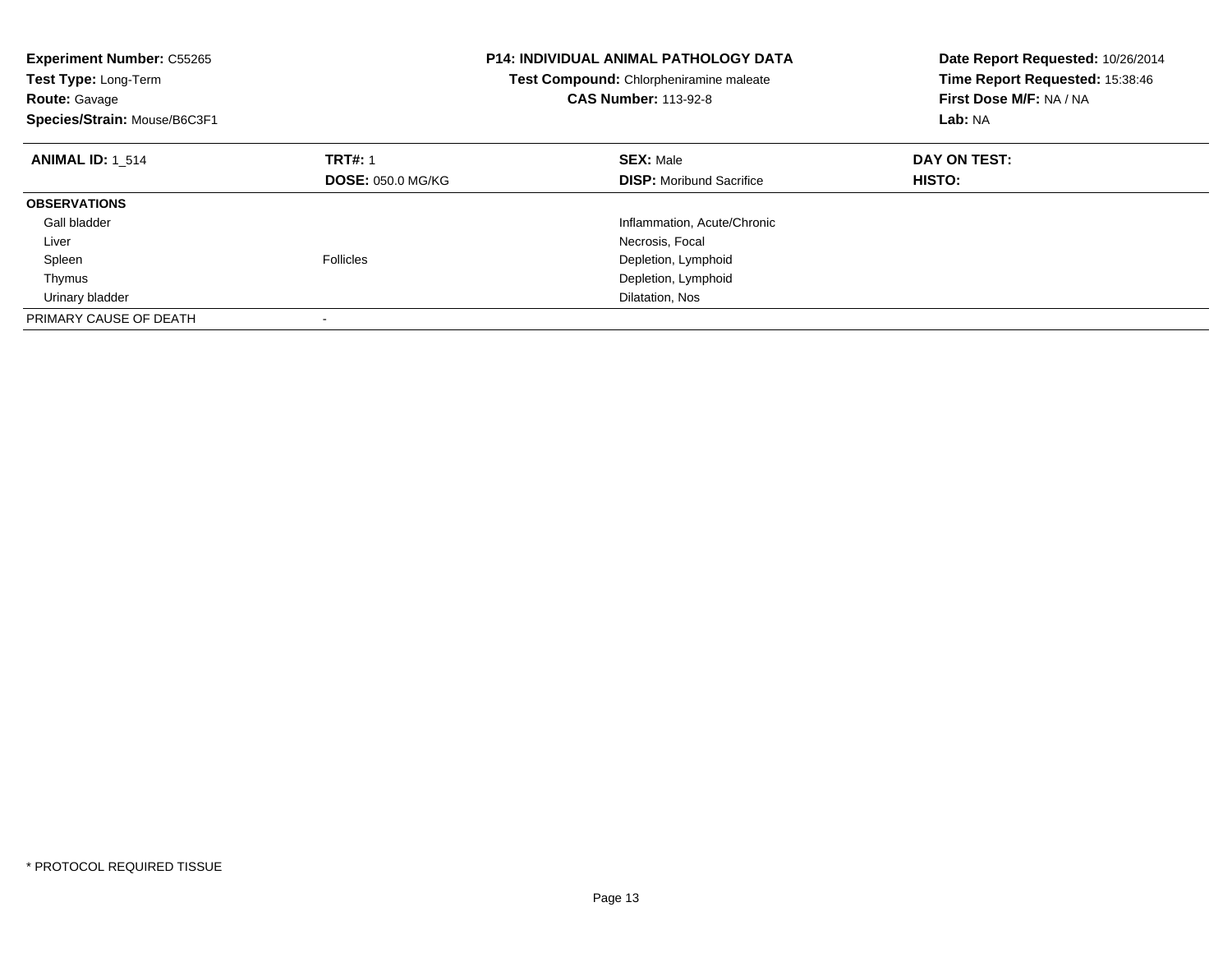| <b>Experiment Number: C55265</b><br>Test Type: Long-Term<br><b>Route: Gavage</b><br>Species/Strain: Mouse/B6C3F1 |                          | <b>P14: INDIVIDUAL ANIMAL PATHOLOGY DATA</b><br><b>Test Compound:</b> Chlorpheniramine maleate<br><b>CAS Number: 113-92-8</b> | Date Report Requested: 10/26/2014<br>Time Report Requested: 15:38:46<br>First Dose M/F: NA / NA<br>Lab: NA |
|------------------------------------------------------------------------------------------------------------------|--------------------------|-------------------------------------------------------------------------------------------------------------------------------|------------------------------------------------------------------------------------------------------------|
| <b>ANIMAL ID: 1 514</b>                                                                                          | <b>TRT#: 1</b>           | <b>SEX: Male</b>                                                                                                              | DAY ON TEST:                                                                                               |
|                                                                                                                  | <b>DOSE: 050.0 MG/KG</b> | <b>DISP:</b> Moribund Sacrifice                                                                                               | <b>HISTO:</b>                                                                                              |
| <b>OBSERVATIONS</b>                                                                                              |                          |                                                                                                                               |                                                                                                            |
| Gall bladder                                                                                                     |                          | Inflammation, Acute/Chronic                                                                                                   |                                                                                                            |
| Liver                                                                                                            |                          | Necrosis, Focal                                                                                                               |                                                                                                            |
| Spleen                                                                                                           | <b>Follicles</b>         | Depletion, Lymphoid                                                                                                           |                                                                                                            |
| Thymus                                                                                                           |                          | Depletion, Lymphoid                                                                                                           |                                                                                                            |
| Urinary bladder                                                                                                  |                          | Dilatation, Nos                                                                                                               |                                                                                                            |
| PRIMARY CAUSE OF DEATH                                                                                           |                          |                                                                                                                               |                                                                                                            |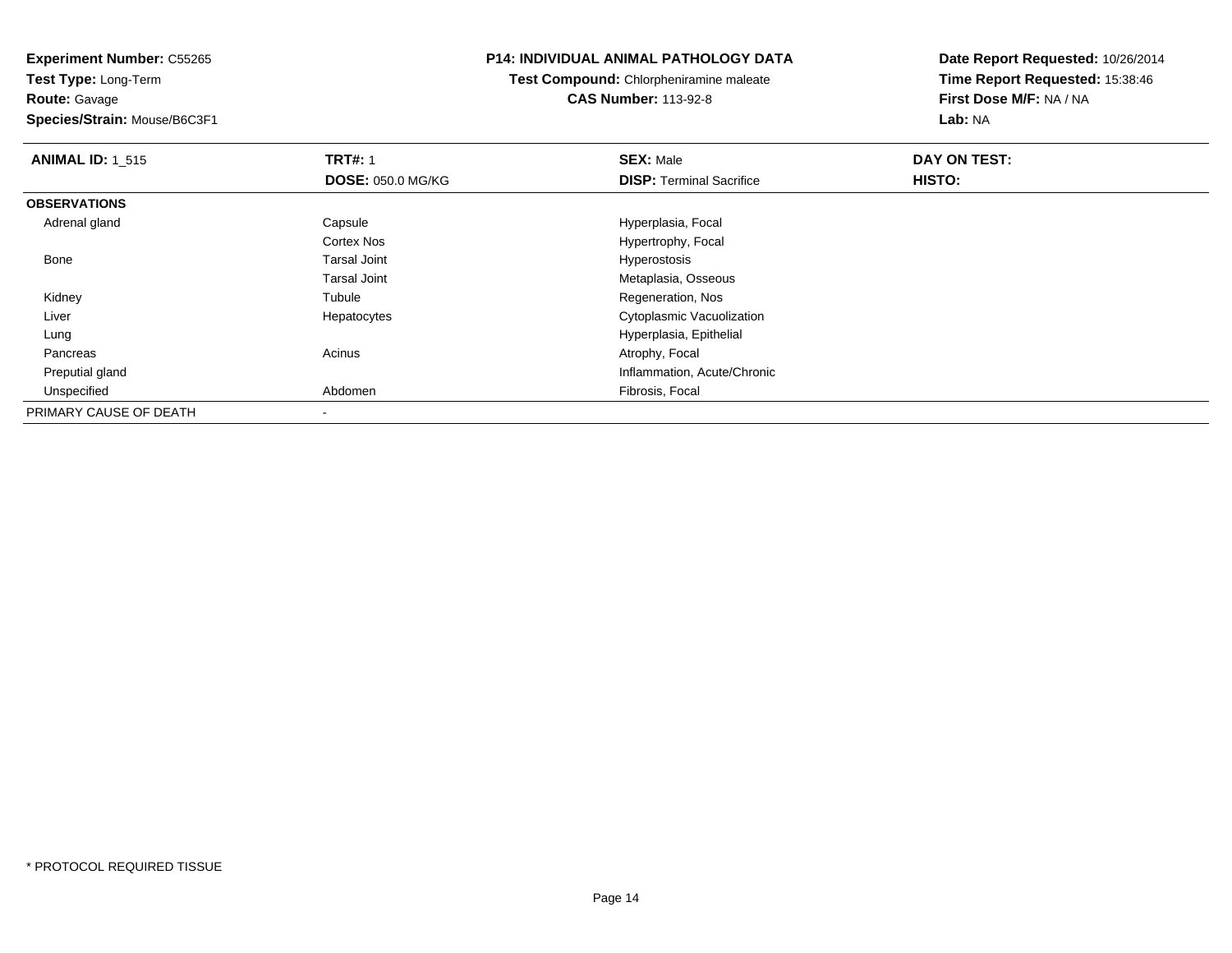**Route:** Gavage

**Species/Strain:** Mouse/B6C3F1

# **P14: INDIVIDUAL ANIMAL PATHOLOGY DATA**

**Test Compound:** Chlorpheniramine maleate**CAS Number:** 113-92-8

| <b>ANIMAL ID: 1 515</b> | <b>TRT#: 1</b>           | <b>SEX: Male</b>                | DAY ON TEST: |  |
|-------------------------|--------------------------|---------------------------------|--------------|--|
|                         | <b>DOSE: 050.0 MG/KG</b> | <b>DISP: Terminal Sacrifice</b> | HISTO:       |  |
| <b>OBSERVATIONS</b>     |                          |                                 |              |  |
| Adrenal gland           | Capsule                  | Hyperplasia, Focal              |              |  |
|                         | <b>Cortex Nos</b>        | Hypertrophy, Focal              |              |  |
| Bone                    | <b>Tarsal Joint</b>      | <b>Hyperostosis</b>             |              |  |
|                         | <b>Tarsal Joint</b>      | Metaplasia, Osseous             |              |  |
| Kidney                  | Tubule                   | Regeneration, Nos               |              |  |
| Liver                   | Hepatocytes              | Cytoplasmic Vacuolization       |              |  |
| Lung                    |                          | Hyperplasia, Epithelial         |              |  |
| Pancreas                | Acinus                   | Atrophy, Focal                  |              |  |
| Preputial gland         |                          | Inflammation, Acute/Chronic     |              |  |
| Unspecified             | Abdomen                  | Fibrosis, Focal                 |              |  |
| PRIMARY CAUSE OF DEATH  |                          |                                 |              |  |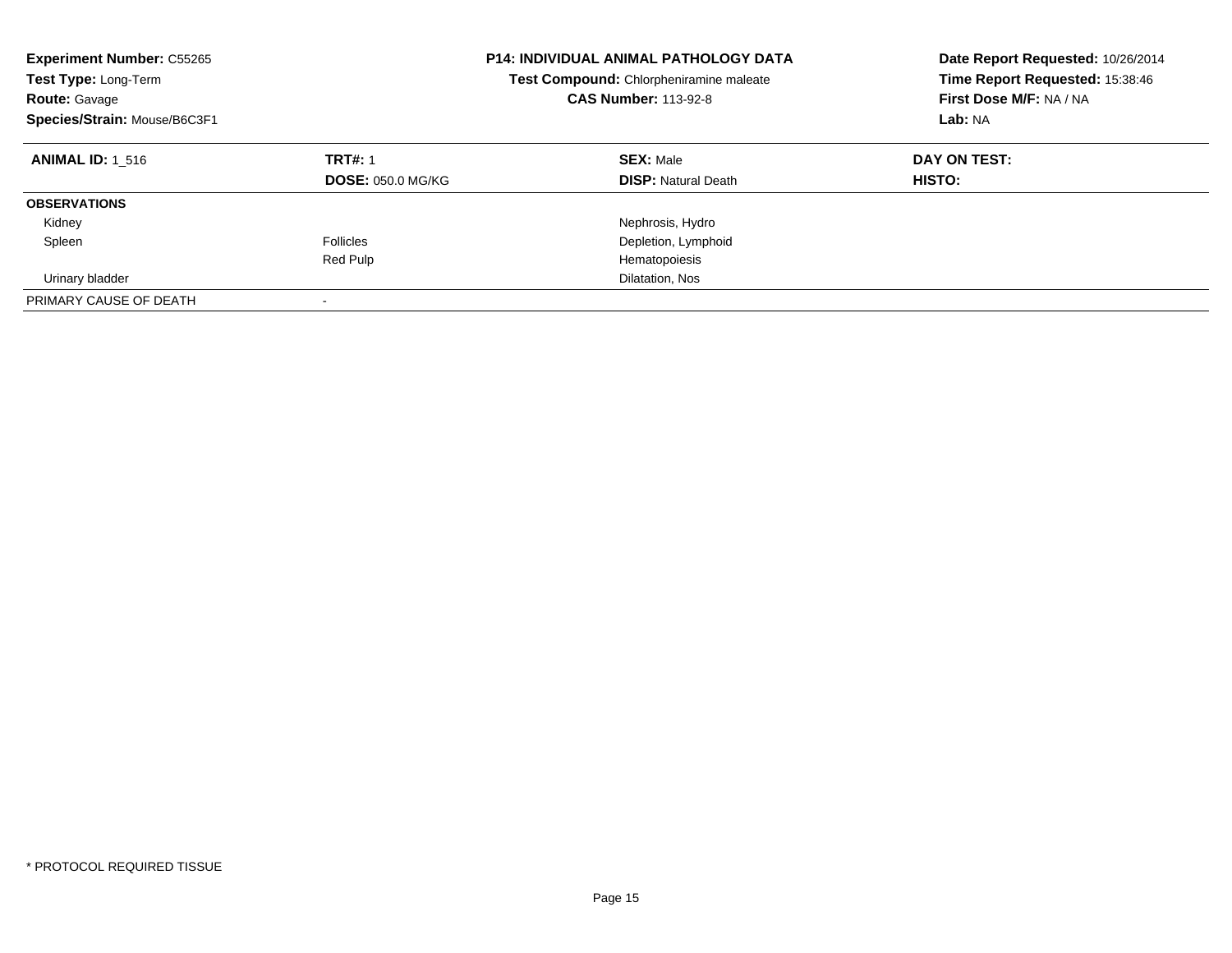| <b>Experiment Number: C55265</b><br>Test Type: Long-Term<br><b>Route: Gavage</b><br>Species/Strain: Mouse/B6C3F1 |                                            | <b>P14: INDIVIDUAL ANIMAL PATHOLOGY DATA</b><br>Test Compound: Chlorpheniramine maleate<br><b>CAS Number: 113-92-8</b> | Date Report Requested: 10/26/2014<br>Time Report Requested: 15:38:46<br>First Dose M/F: NA / NA<br>Lab: NA |
|------------------------------------------------------------------------------------------------------------------|--------------------------------------------|------------------------------------------------------------------------------------------------------------------------|------------------------------------------------------------------------------------------------------------|
| <b>ANIMAL ID: 1 516</b>                                                                                          | <b>TRT#: 1</b><br><b>DOSE: 050.0 MG/KG</b> | <b>SEX: Male</b><br><b>DISP:</b> Natural Death                                                                         | DAY ON TEST:<br><b>HISTO:</b>                                                                              |
| <b>OBSERVATIONS</b>                                                                                              |                                            |                                                                                                                        |                                                                                                            |
| Kidney                                                                                                           |                                            | Nephrosis, Hydro                                                                                                       |                                                                                                            |
| Spleen                                                                                                           | <b>Follicles</b>                           | Depletion, Lymphoid                                                                                                    |                                                                                                            |
|                                                                                                                  | Red Pulp                                   | Hematopoiesis                                                                                                          |                                                                                                            |
| Urinary bladder                                                                                                  |                                            | Dilatation, Nos                                                                                                        |                                                                                                            |
| PRIMARY CAUSE OF DEATH                                                                                           | $\overline{\phantom{a}}$                   |                                                                                                                        |                                                                                                            |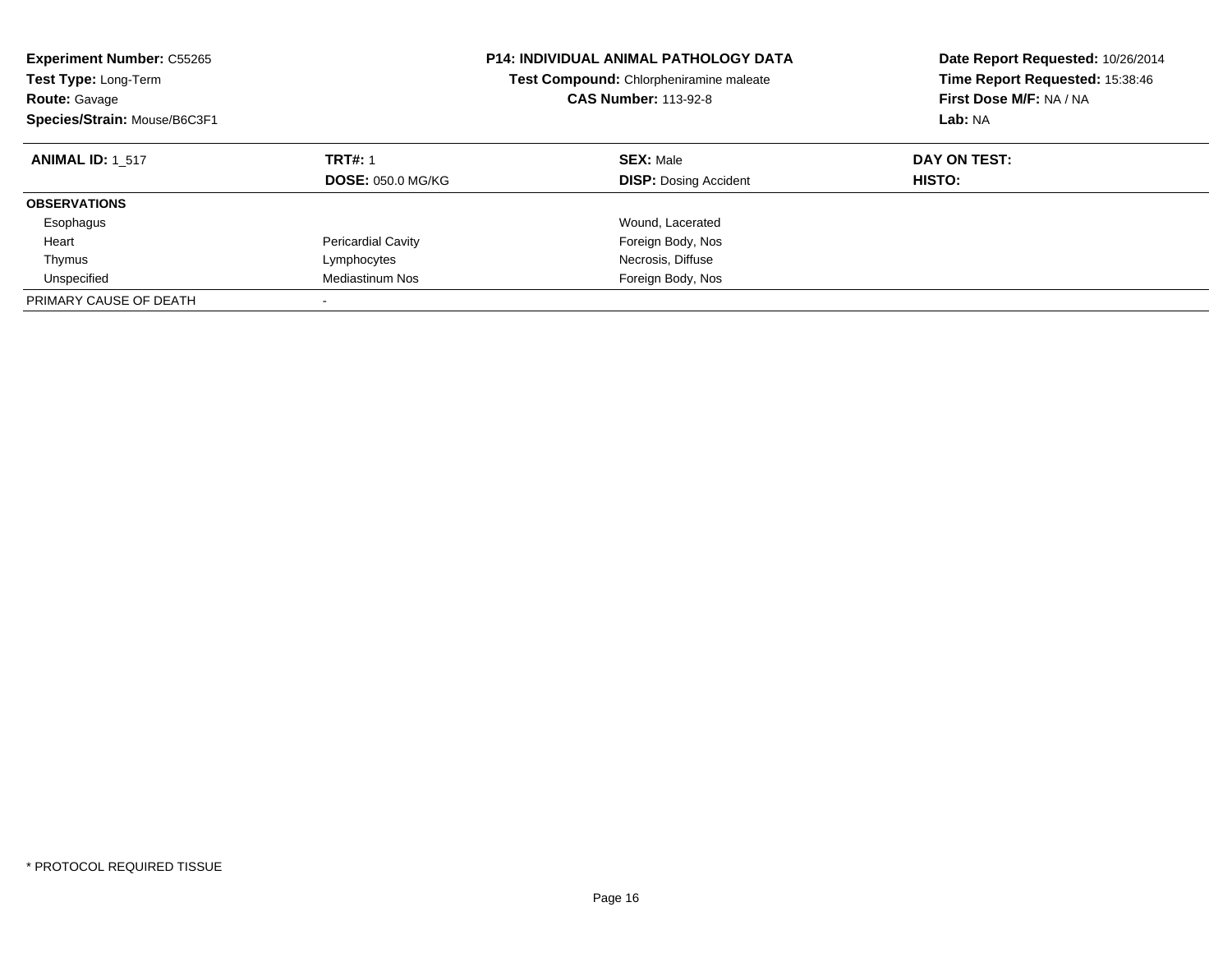| <b>Experiment Number: C55265</b><br>Test Type: Long-Term<br><b>Route: Gavage</b><br>Species/Strain: Mouse/B6C3F1 |                                            | <b>P14: INDIVIDUAL ANIMAL PATHOLOGY DATA</b><br>Test Compound: Chlorpheniramine maleate<br><b>CAS Number: 113-92-8</b> | Date Report Requested: 10/26/2014<br>Time Report Requested: 15:38:46<br>First Dose M/F: NA / NA<br>Lab: NA |
|------------------------------------------------------------------------------------------------------------------|--------------------------------------------|------------------------------------------------------------------------------------------------------------------------|------------------------------------------------------------------------------------------------------------|
| <b>ANIMAL ID: 1 517</b>                                                                                          | <b>TRT#: 1</b><br><b>DOSE: 050.0 MG/KG</b> | <b>SEX: Male</b><br><b>DISP:</b> Dosing Accident                                                                       | DAY ON TEST:<br>HISTO:                                                                                     |
| <b>OBSERVATIONS</b>                                                                                              |                                            |                                                                                                                        |                                                                                                            |
| Esophagus                                                                                                        |                                            | Wound, Lacerated                                                                                                       |                                                                                                            |
| Heart                                                                                                            | <b>Pericardial Cavity</b>                  | Foreign Body, Nos                                                                                                      |                                                                                                            |
| Thymus                                                                                                           | Lymphocytes                                | Necrosis, Diffuse                                                                                                      |                                                                                                            |
| Unspecified                                                                                                      | Mediastinum Nos                            | Foreign Body, Nos                                                                                                      |                                                                                                            |
| PRIMARY CAUSE OF DEATH                                                                                           |                                            |                                                                                                                        |                                                                                                            |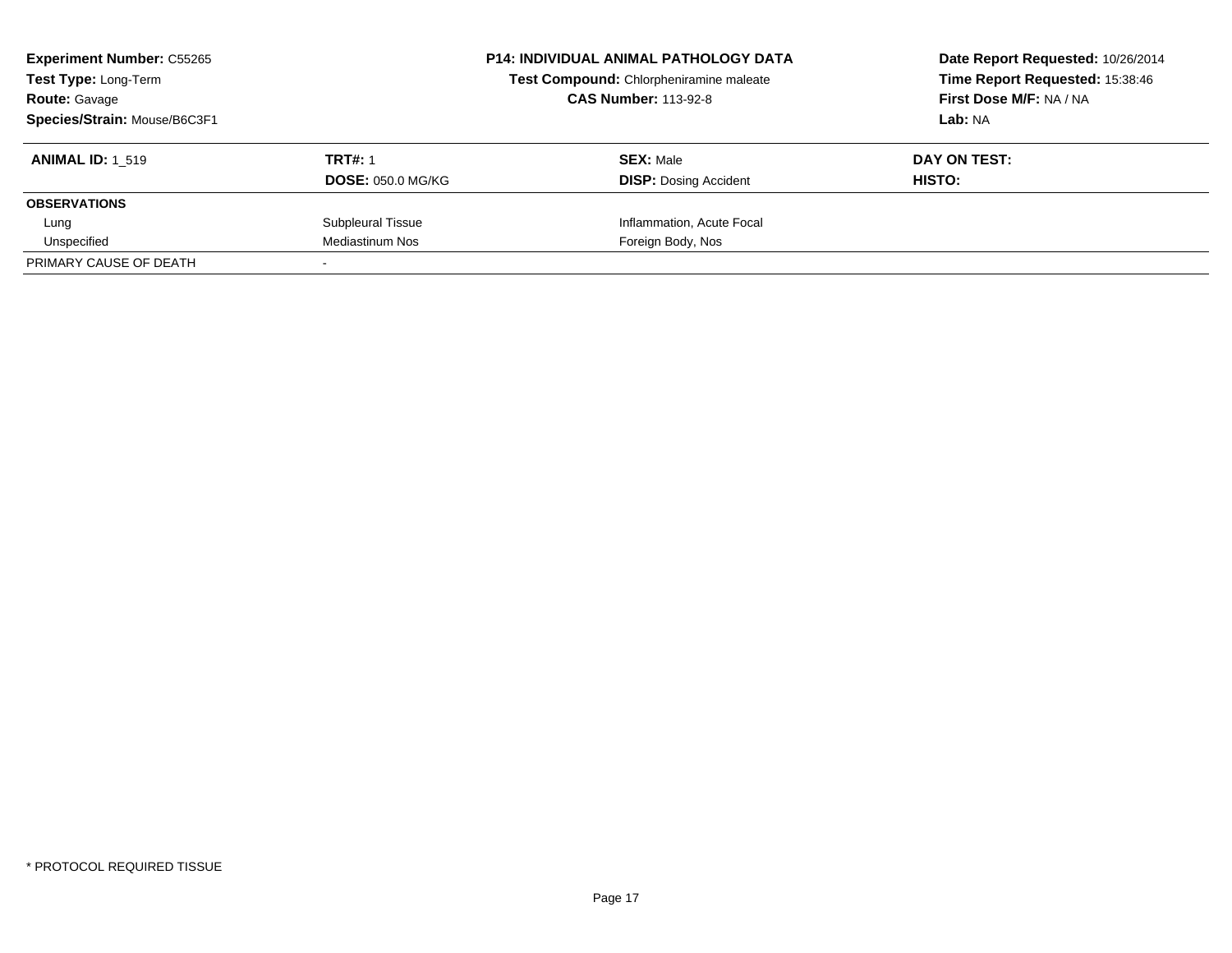| <b>Experiment Number: C55265</b><br><b>Test Type: Long-Term</b><br><b>Route: Gavage</b><br>Species/Strain: Mouse/B6C3F1 |                                            | <b>P14: INDIVIDUAL ANIMAL PATHOLOGY DATA</b><br>Test Compound: Chlorpheniramine maleate<br><b>CAS Number: 113-92-8</b> | Date Report Requested: 10/26/2014<br>Time Report Requested: 15:38:46<br>First Dose M/F: NA / NA<br>Lab: NA |
|-------------------------------------------------------------------------------------------------------------------------|--------------------------------------------|------------------------------------------------------------------------------------------------------------------------|------------------------------------------------------------------------------------------------------------|
| <b>ANIMAL ID: 1 519</b>                                                                                                 | <b>TRT#: 1</b><br><b>DOSE: 050.0 MG/KG</b> | <b>SEX: Male</b><br><b>DISP:</b> Dosing Accident                                                                       | DAY ON TEST:<br>HISTO:                                                                                     |
| <b>OBSERVATIONS</b>                                                                                                     |                                            |                                                                                                                        |                                                                                                            |
| Lung                                                                                                                    | Subpleural Tissue                          | Inflammation, Acute Focal                                                                                              |                                                                                                            |
| Unspecified                                                                                                             | Mediastinum Nos                            | Foreign Body, Nos                                                                                                      |                                                                                                            |
| PRIMARY CAUSE OF DEATH                                                                                                  |                                            |                                                                                                                        |                                                                                                            |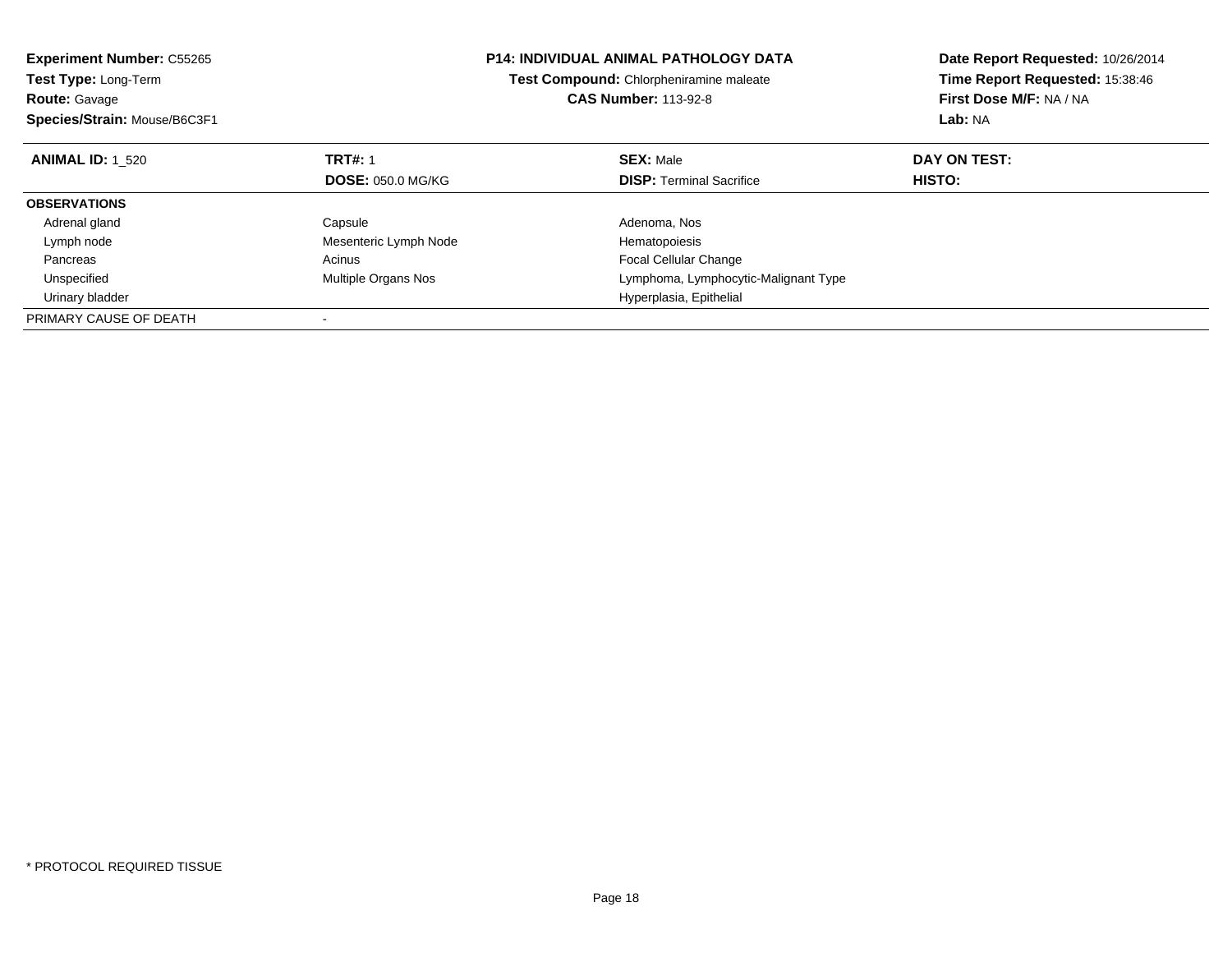| <b>Experiment Number: C55265</b><br>Test Type: Long-Term<br><b>Route: Gavage</b> |                          | <b>P14: INDIVIDUAL ANIMAL PATHOLOGY DATA</b><br>Test Compound: Chlorpheniramine maleate<br><b>CAS Number: 113-92-8</b> | Date Report Requested: 10/26/2014<br>Time Report Requested: 15:38:46<br>First Dose M/F: NA / NA |
|----------------------------------------------------------------------------------|--------------------------|------------------------------------------------------------------------------------------------------------------------|-------------------------------------------------------------------------------------------------|
| Species/Strain: Mouse/B6C3F1                                                     |                          |                                                                                                                        | Lab: NA                                                                                         |
| <b>ANIMAL ID: 1 520</b>                                                          | <b>TRT#: 1</b>           | <b>SEX: Male</b>                                                                                                       | DAY ON TEST:                                                                                    |
|                                                                                  | <b>DOSE: 050.0 MG/KG</b> | <b>DISP: Terminal Sacrifice</b>                                                                                        | HISTO:                                                                                          |
| <b>OBSERVATIONS</b>                                                              |                          |                                                                                                                        |                                                                                                 |
| Adrenal gland                                                                    | Capsule                  | Adenoma, Nos                                                                                                           |                                                                                                 |
| Lymph node                                                                       | Mesenteric Lymph Node    | Hematopoiesis                                                                                                          |                                                                                                 |
| Pancreas                                                                         | Acinus                   | <b>Focal Cellular Change</b>                                                                                           |                                                                                                 |
| Unspecified                                                                      | Multiple Organs Nos      | Lymphoma, Lymphocytic-Malignant Type                                                                                   |                                                                                                 |
| Urinary bladder                                                                  |                          | Hyperplasia, Epithelial                                                                                                |                                                                                                 |
| PRIMARY CAUSE OF DEATH                                                           |                          |                                                                                                                        |                                                                                                 |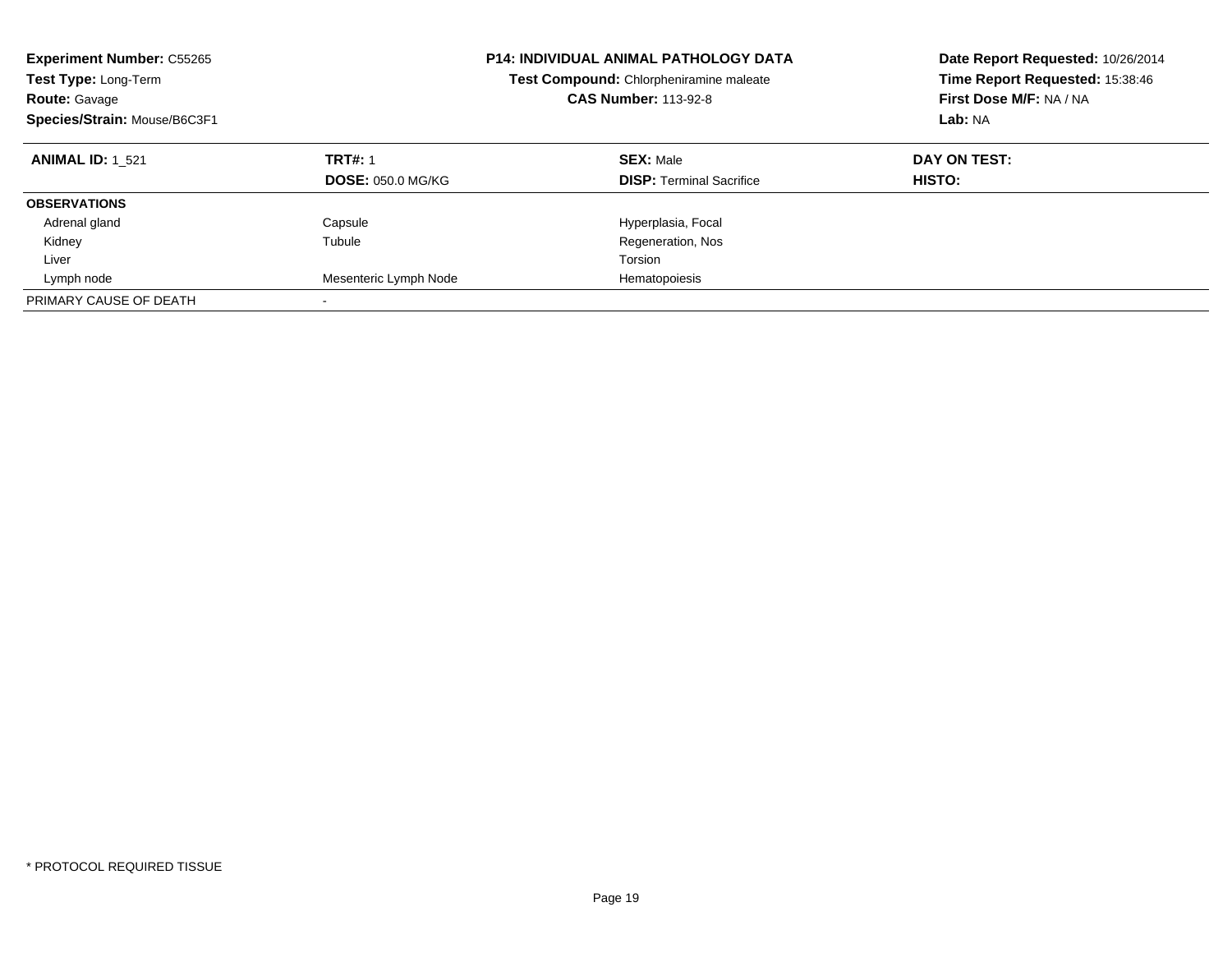| <b>Experiment Number: C55265</b><br>Test Type: Long-Term<br><b>Route: Gavage</b><br>Species/Strain: Mouse/B6C3F1 |                                            | <b>P14: INDIVIDUAL ANIMAL PATHOLOGY DATA</b><br>Test Compound: Chlorpheniramine maleate<br><b>CAS Number: 113-92-8</b> | Date Report Requested: 10/26/2014<br>Time Report Requested: 15:38:46<br>First Dose M/F: NA / NA<br>Lab: NA |  |
|------------------------------------------------------------------------------------------------------------------|--------------------------------------------|------------------------------------------------------------------------------------------------------------------------|------------------------------------------------------------------------------------------------------------|--|
| <b>ANIMAL ID: 1 521</b>                                                                                          | <b>TRT#: 1</b><br><b>DOSE: 050.0 MG/KG</b> | <b>SEX: Male</b><br><b>DISP:</b> Terminal Sacrifice                                                                    | DAY ON TEST:<br>HISTO:                                                                                     |  |
| <b>OBSERVATIONS</b>                                                                                              |                                            |                                                                                                                        |                                                                                                            |  |
| Adrenal gland                                                                                                    | Capsule                                    | Hyperplasia, Focal                                                                                                     |                                                                                                            |  |
| Kidney                                                                                                           | Tubule                                     | Regeneration, Nos                                                                                                      |                                                                                                            |  |
| Liver                                                                                                            |                                            | Torsion                                                                                                                |                                                                                                            |  |
| Lymph node                                                                                                       | Mesenteric Lymph Node                      | Hematopoiesis                                                                                                          |                                                                                                            |  |
| PRIMARY CAUSE OF DEATH                                                                                           |                                            |                                                                                                                        |                                                                                                            |  |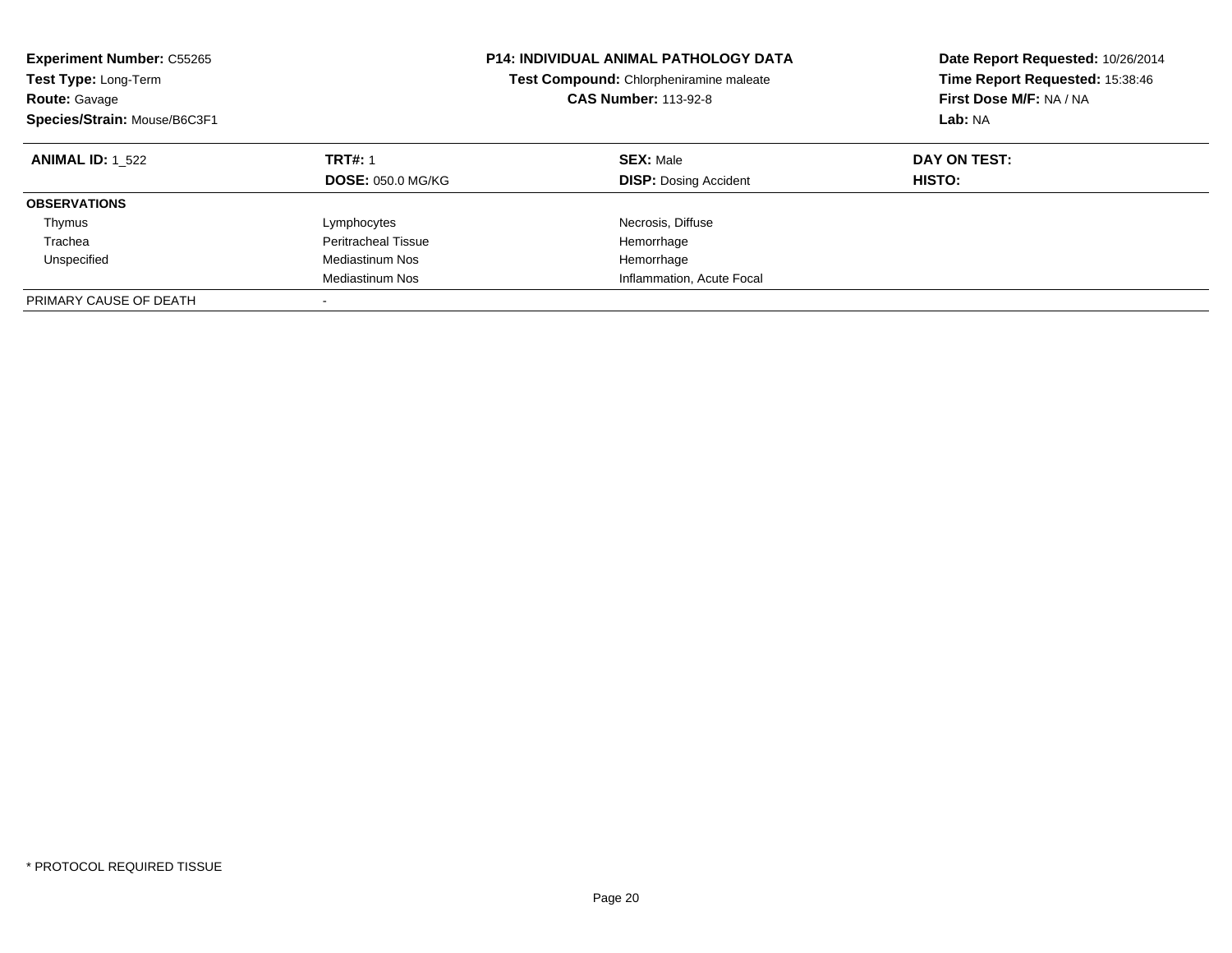| <b>Experiment Number: C55265</b><br><b>Test Type: Long-Term</b><br><b>Route: Gavage</b><br>Species/Strain: Mouse/B6C3F1 |                                            | <b>P14: INDIVIDUAL ANIMAL PATHOLOGY DATA</b><br>Test Compound: Chlorpheniramine maleate<br><b>CAS Number: 113-92-8</b> | Date Report Requested: 10/26/2014<br>Time Report Requested: 15:38:46<br>First Dose M/F: NA / NA<br>Lab: NA |
|-------------------------------------------------------------------------------------------------------------------------|--------------------------------------------|------------------------------------------------------------------------------------------------------------------------|------------------------------------------------------------------------------------------------------------|
| <b>ANIMAL ID: 1 522</b>                                                                                                 | <b>TRT#: 1</b><br><b>DOSE: 050.0 MG/KG</b> | <b>SEX: Male</b><br><b>DISP:</b> Dosing Accident                                                                       | DAY ON TEST:<br>HISTO:                                                                                     |
| <b>OBSERVATIONS</b>                                                                                                     |                                            |                                                                                                                        |                                                                                                            |
| Thymus                                                                                                                  | Lymphocytes                                | Necrosis, Diffuse                                                                                                      |                                                                                                            |
| Trachea                                                                                                                 | Peritracheal Tissue                        | Hemorrhage                                                                                                             |                                                                                                            |
| Unspecified                                                                                                             | Mediastinum Nos                            | Hemorrhage                                                                                                             |                                                                                                            |
|                                                                                                                         | Mediastinum Nos                            | Inflammation, Acute Focal                                                                                              |                                                                                                            |
| PRIMARY CAUSE OF DEATH                                                                                                  |                                            |                                                                                                                        |                                                                                                            |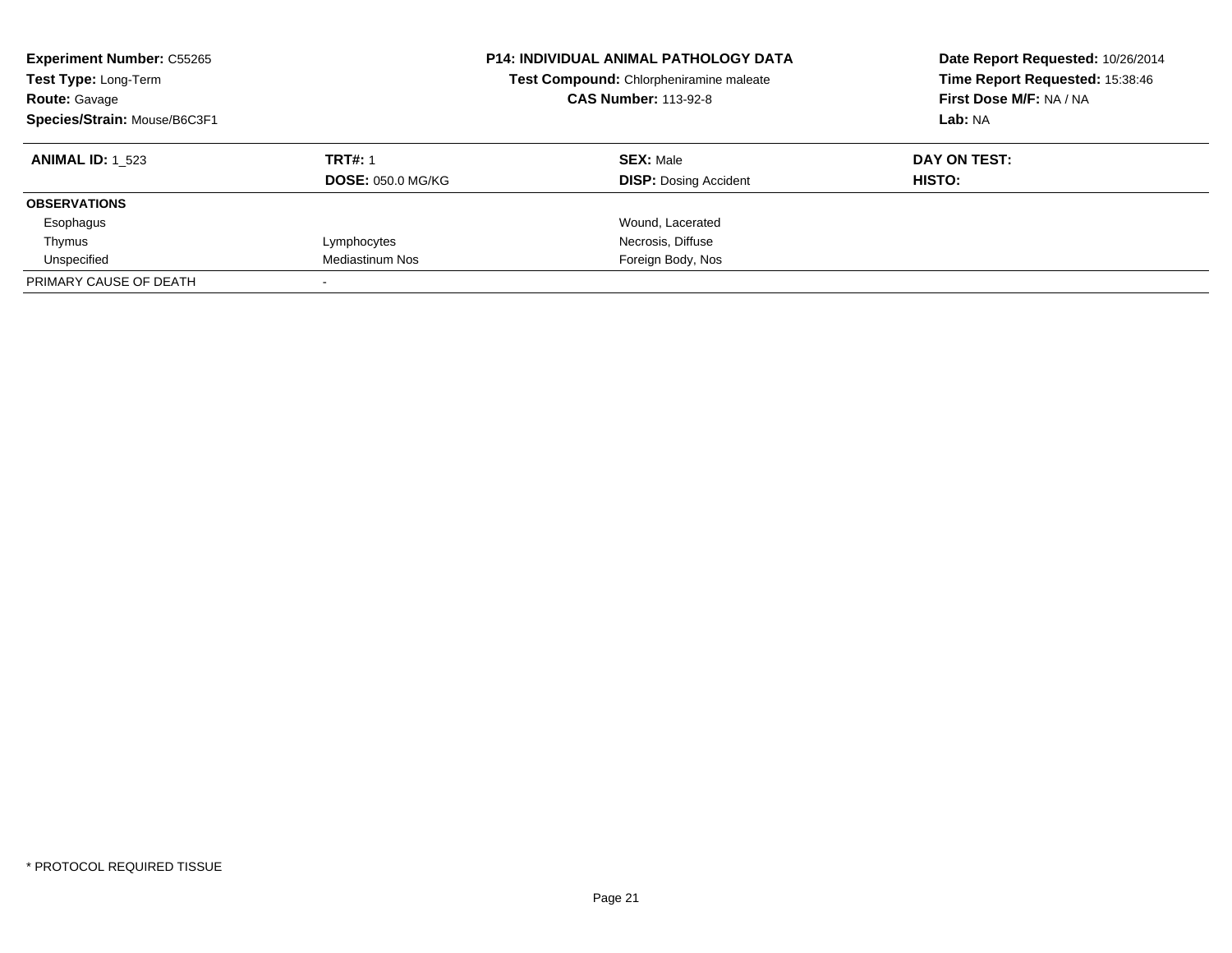| <b>Experiment Number: C55265</b><br>Test Type: Long-Term<br><b>Route: Gavage</b><br>Species/Strain: Mouse/B6C3F1 |                          | <b>P14: INDIVIDUAL ANIMAL PATHOLOGY DATA</b><br>Test Compound: Chlorpheniramine maleate<br><b>CAS Number: 113-92-8</b> | Date Report Requested: 10/26/2014<br>Time Report Requested: 15:38:46<br>First Dose M/F: NA / NA<br>Lab: NA |  |
|------------------------------------------------------------------------------------------------------------------|--------------------------|------------------------------------------------------------------------------------------------------------------------|------------------------------------------------------------------------------------------------------------|--|
| <b>ANIMAL ID: 1 523</b>                                                                                          | <b>TRT#: 1</b>           | <b>SEX: Male</b>                                                                                                       | DAY ON TEST:                                                                                               |  |
|                                                                                                                  | <b>DOSE: 050.0 MG/KG</b> | <b>DISP: Dosing Accident</b>                                                                                           | HISTO:                                                                                                     |  |
| <b>OBSERVATIONS</b>                                                                                              |                          |                                                                                                                        |                                                                                                            |  |
| Esophagus                                                                                                        |                          | Wound, Lacerated                                                                                                       |                                                                                                            |  |
| Thymus                                                                                                           | Lymphocytes              | Necrosis, Diffuse                                                                                                      |                                                                                                            |  |
| Unspecified                                                                                                      | Mediastinum Nos          | Foreign Body, Nos                                                                                                      |                                                                                                            |  |
| PRIMARY CAUSE OF DEATH                                                                                           |                          |                                                                                                                        |                                                                                                            |  |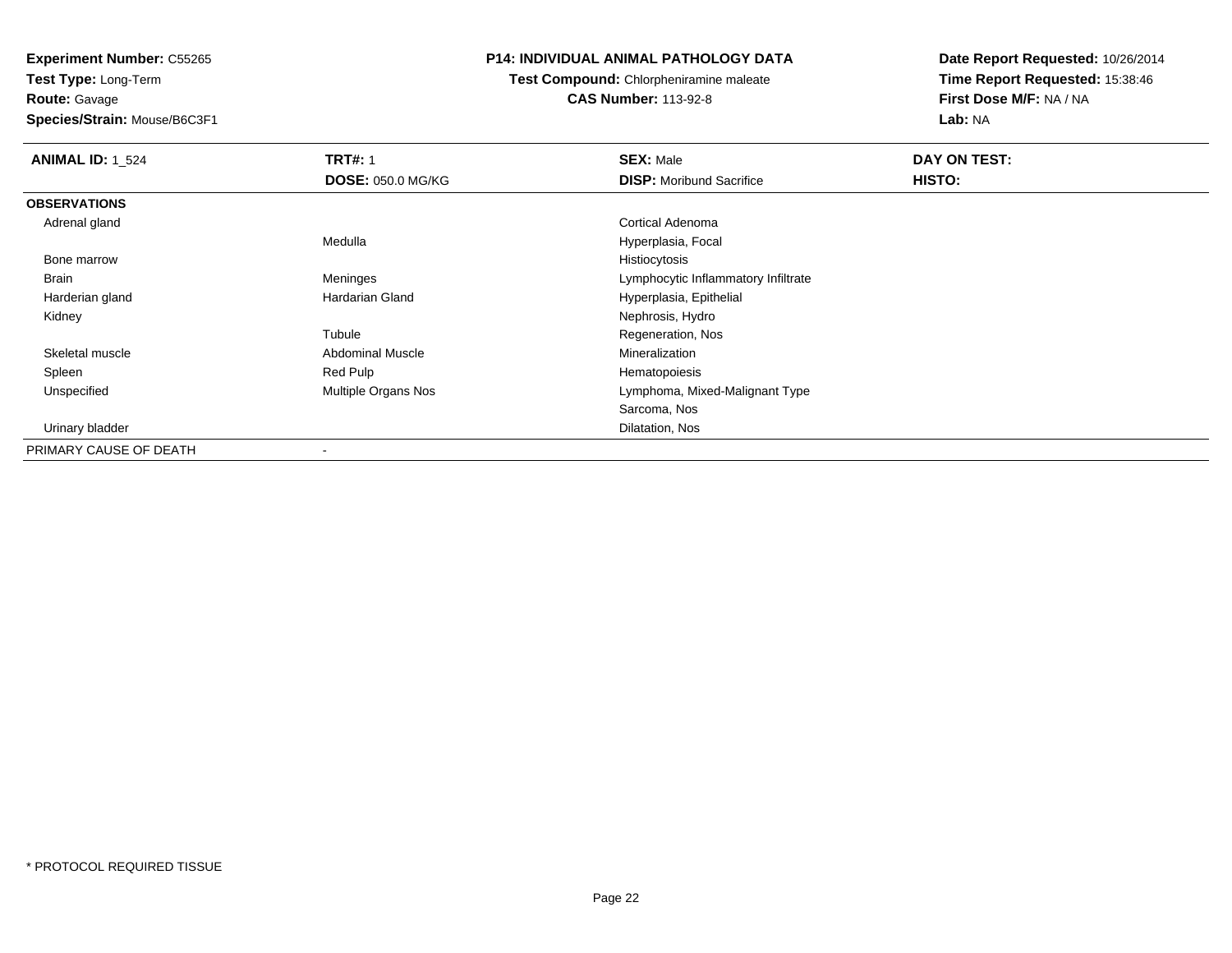**Test Type:** Long-Term**Route:** Gavage

**Species/Strain:** Mouse/B6C3F1

# **P14: INDIVIDUAL ANIMAL PATHOLOGY DATA**

**Test Compound:** Chlorpheniramine maleate**CAS Number:** 113-92-8

| <b>ANIMAL ID: 1_524</b> | <b>TRT#: 1</b>           | <b>SEX: Male</b>                    | DAY ON TEST: |  |
|-------------------------|--------------------------|-------------------------------------|--------------|--|
|                         | <b>DOSE: 050.0 MG/KG</b> | <b>DISP:</b> Moribund Sacrifice     | HISTO:       |  |
| <b>OBSERVATIONS</b>     |                          |                                     |              |  |
| Adrenal gland           |                          | Cortical Adenoma                    |              |  |
|                         | Medulla                  | Hyperplasia, Focal                  |              |  |
| Bone marrow             |                          | Histiocytosis                       |              |  |
| Brain                   | Meninges                 | Lymphocytic Inflammatory Infiltrate |              |  |
| Harderian gland         | Hardarian Gland          | Hyperplasia, Epithelial             |              |  |
| Kidney                  |                          | Nephrosis, Hydro                    |              |  |
|                         | Tubule                   | Regeneration, Nos                   |              |  |
| Skeletal muscle         | <b>Abdominal Muscle</b>  | Mineralization                      |              |  |
| Spleen                  | Red Pulp                 | Hematopoiesis                       |              |  |
| Unspecified             | Multiple Organs Nos      | Lymphoma, Mixed-Malignant Type      |              |  |
|                         |                          | Sarcoma, Nos                        |              |  |
| Urinary bladder         |                          | Dilatation, Nos                     |              |  |
| PRIMARY CAUSE OF DEATH  |                          |                                     |              |  |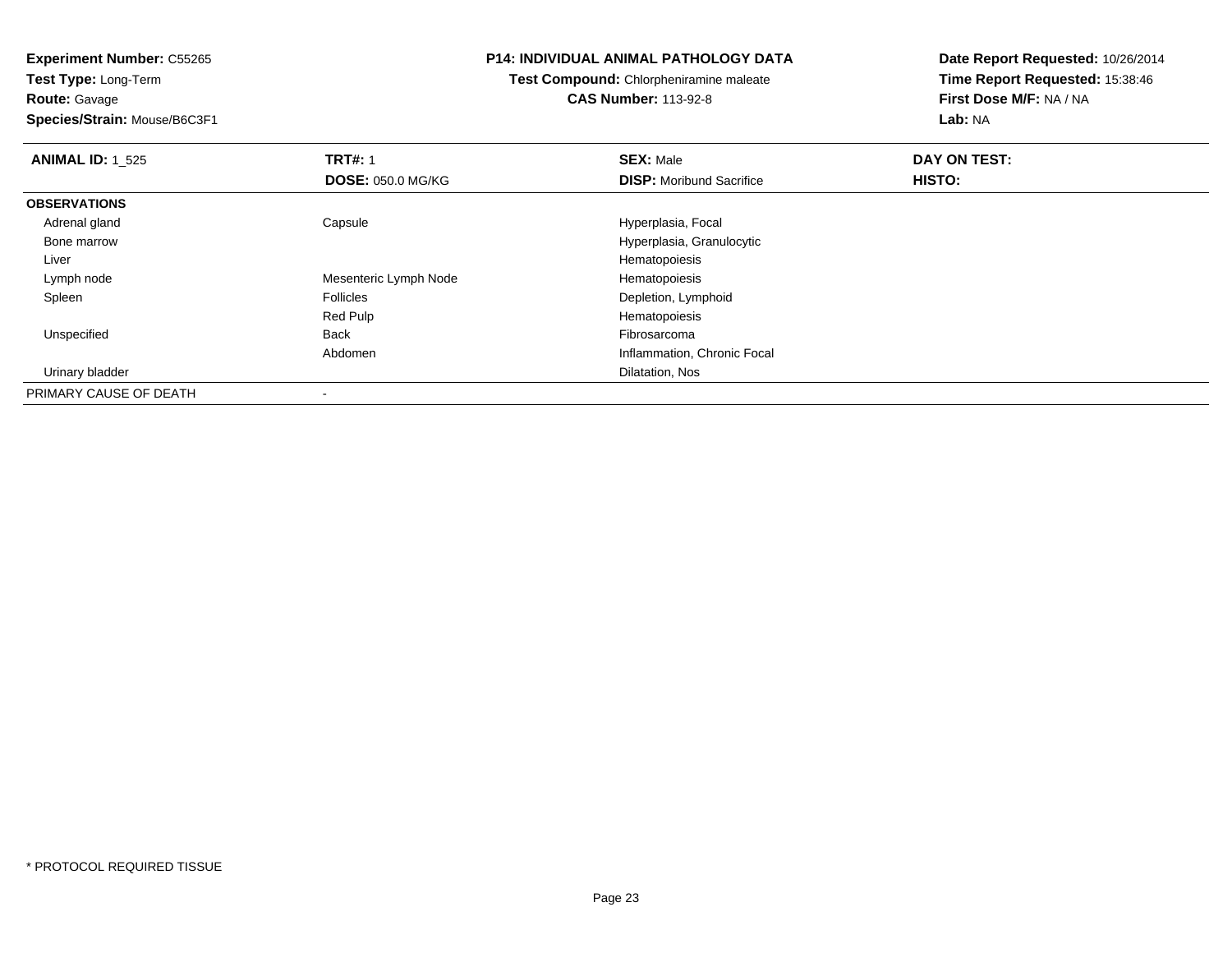**Route:** Gavage

**Species/Strain:** Mouse/B6C3F1

# **P14: INDIVIDUAL ANIMAL PATHOLOGY DATA**

**Test Compound:** Chlorpheniramine maleate**CAS Number:** 113-92-8

| <b>ANIMAL ID: 1 525</b> | <b>TRT#: 1</b>           | <b>SEX: Male</b>                | DAY ON TEST: |  |
|-------------------------|--------------------------|---------------------------------|--------------|--|
|                         | <b>DOSE: 050.0 MG/KG</b> | <b>DISP:</b> Moribund Sacrifice | HISTO:       |  |
| <b>OBSERVATIONS</b>     |                          |                                 |              |  |
| Adrenal gland           | Capsule                  | Hyperplasia, Focal              |              |  |
| Bone marrow             |                          | Hyperplasia, Granulocytic       |              |  |
| Liver                   |                          | Hematopoiesis                   |              |  |
| Lymph node              | Mesenteric Lymph Node    | Hematopoiesis                   |              |  |
| Spleen                  | <b>Follicles</b>         | Depletion, Lymphoid             |              |  |
|                         | Red Pulp                 | Hematopoiesis                   |              |  |
| Unspecified             | Back                     | Fibrosarcoma                    |              |  |
|                         | Abdomen                  | Inflammation, Chronic Focal     |              |  |
| Urinary bladder         |                          | Dilatation, Nos                 |              |  |
| PRIMARY CAUSE OF DEATH  | $\overline{\phantom{a}}$ |                                 |              |  |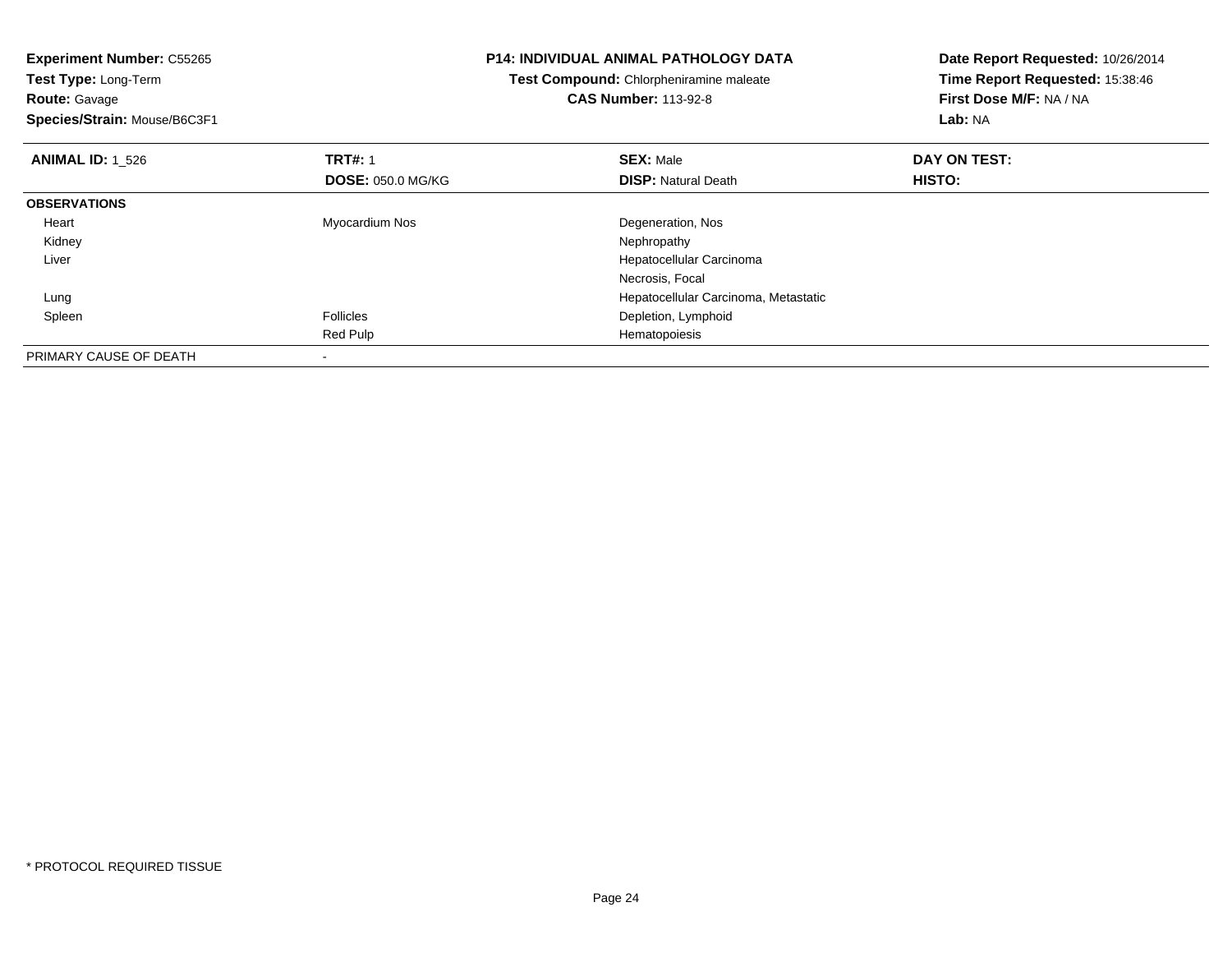| <b>Experiment Number: C55265</b> |                                         | <b>P14: INDIVIDUAL ANIMAL PATHOLOGY DATA</b> | Date Report Requested: 10/26/2014 |  |
|----------------------------------|-----------------------------------------|----------------------------------------------|-----------------------------------|--|
| Test Type: Long-Term             | Test Compound: Chlorpheniramine maleate |                                              | Time Report Requested: 15:38:46   |  |
| <b>Route: Gavage</b>             |                                         | <b>CAS Number: 113-92-8</b>                  | First Dose M/F: NA / NA           |  |
| Species/Strain: Mouse/B6C3F1     |                                         |                                              | Lab: NA                           |  |
| <b>ANIMAL ID: 1 526</b>          | <b>TRT#: 1</b>                          | <b>SEX: Male</b>                             | DAY ON TEST:                      |  |
|                                  | <b>DOSE: 050.0 MG/KG</b>                | <b>DISP:</b> Natural Death                   | HISTO:                            |  |
| <b>OBSERVATIONS</b>              |                                         |                                              |                                   |  |
| Heart                            | Myocardium Nos                          | Degeneration, Nos                            |                                   |  |
| Kidney                           |                                         | Nephropathy                                  |                                   |  |
| Liver                            |                                         | Hepatocellular Carcinoma                     |                                   |  |
|                                  |                                         | Necrosis, Focal                              |                                   |  |
| Lung                             |                                         | Hepatocellular Carcinoma, Metastatic         |                                   |  |
| Spleen                           | <b>Follicles</b>                        | Depletion, Lymphoid                          |                                   |  |
|                                  | Red Pulp                                | Hematopoiesis                                |                                   |  |
| PRIMARY CAUSE OF DEATH           |                                         |                                              |                                   |  |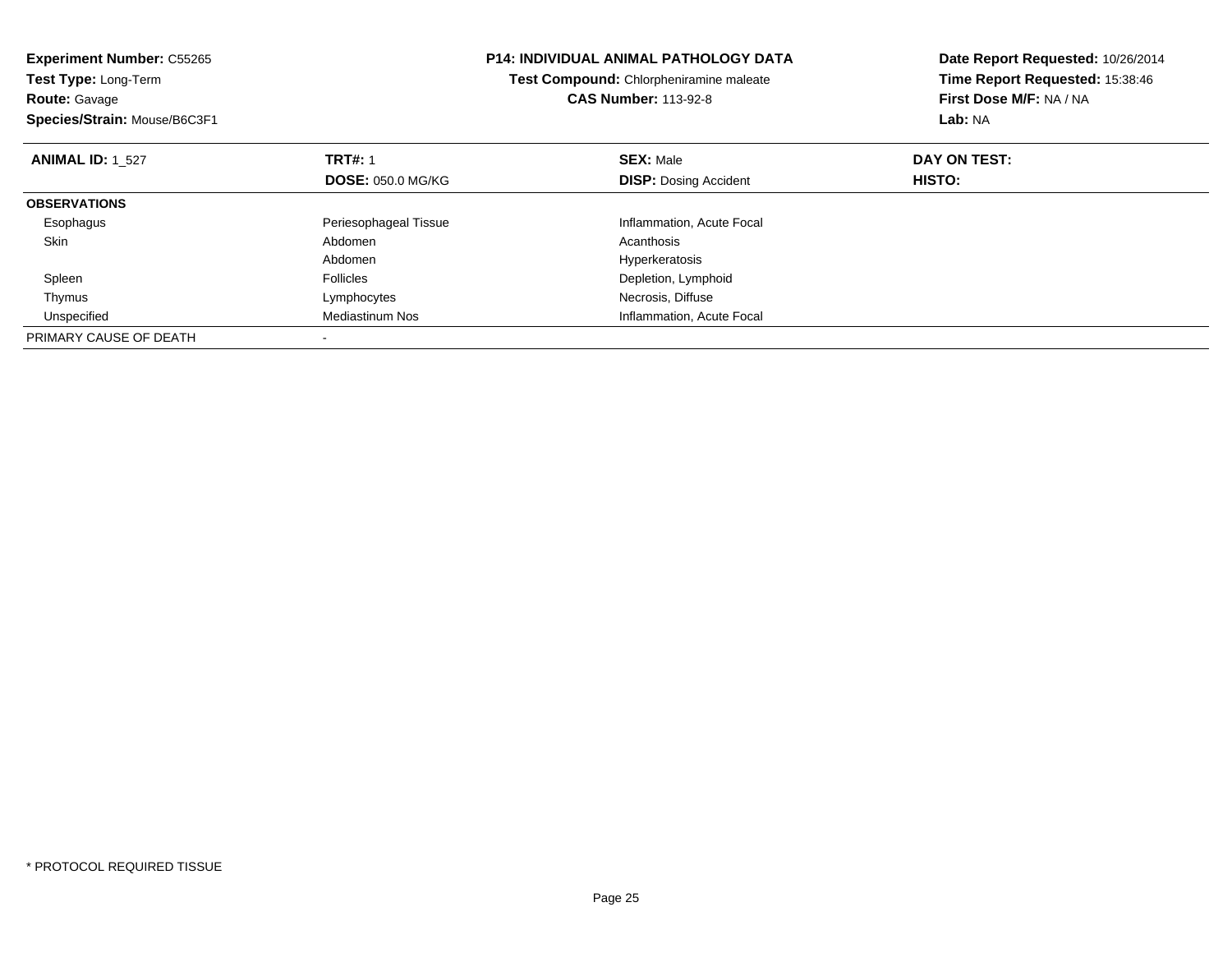| <b>Experiment Number: C55265</b><br>Test Type: Long-Term<br><b>Route: Gavage</b> |                          | <b>P14: INDIVIDUAL ANIMAL PATHOLOGY DATA</b><br>Test Compound: Chlorpheniramine maleate<br><b>CAS Number: 113-92-8</b> |                              | Date Report Requested: 10/26/2014<br>Time Report Requested: 15:38:46<br>First Dose M/F: NA / NA |
|----------------------------------------------------------------------------------|--------------------------|------------------------------------------------------------------------------------------------------------------------|------------------------------|-------------------------------------------------------------------------------------------------|
| Species/Strain: Mouse/B6C3F1                                                     |                          |                                                                                                                        |                              | Lab: NA                                                                                         |
| <b>ANIMAL ID: 1 527</b>                                                          | <b>TRT#: 1</b>           |                                                                                                                        | <b>SEX: Male</b>             | DAY ON TEST:                                                                                    |
|                                                                                  | <b>DOSE: 050.0 MG/KG</b> |                                                                                                                        | <b>DISP:</b> Dosing Accident | HISTO:                                                                                          |
| <b>OBSERVATIONS</b>                                                              |                          |                                                                                                                        |                              |                                                                                                 |
| Esophagus                                                                        | Periesophageal Tissue    |                                                                                                                        | Inflammation, Acute Focal    |                                                                                                 |
| Skin                                                                             | Abdomen                  |                                                                                                                        | Acanthosis                   |                                                                                                 |
|                                                                                  | Abdomen                  |                                                                                                                        | Hyperkeratosis               |                                                                                                 |
| Spleen                                                                           | <b>Follicles</b>         |                                                                                                                        | Depletion, Lymphoid          |                                                                                                 |
| Thymus                                                                           | Lymphocytes              |                                                                                                                        | Necrosis, Diffuse            |                                                                                                 |
| Unspecified                                                                      | Mediastinum Nos          |                                                                                                                        | Inflammation, Acute Focal    |                                                                                                 |
| PRIMARY CAUSE OF DEATH                                                           |                          |                                                                                                                        |                              |                                                                                                 |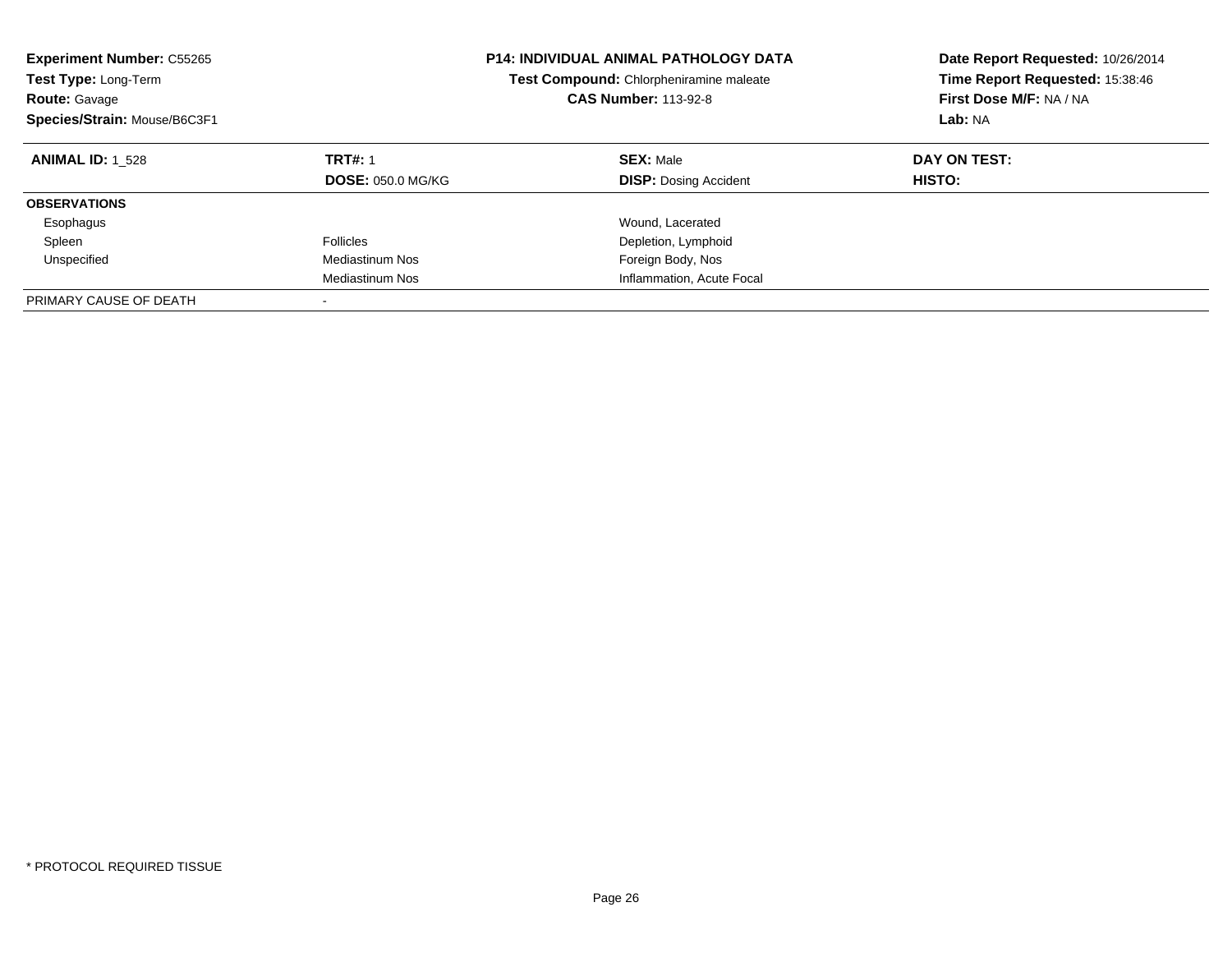| <b>Experiment Number: C55265</b><br>Test Type: Long-Term<br><b>Route: Gavage</b><br>Species/Strain: Mouse/B6C3F1 |                                            | <b>P14: INDIVIDUAL ANIMAL PATHOLOGY DATA</b><br>Test Compound: Chlorpheniramine maleate<br><b>CAS Number: 113-92-8</b> | Date Report Requested: 10/26/2014<br>Time Report Requested: 15:38:46<br>First Dose M/F: NA / NA<br>Lab: NA |
|------------------------------------------------------------------------------------------------------------------|--------------------------------------------|------------------------------------------------------------------------------------------------------------------------|------------------------------------------------------------------------------------------------------------|
| <b>ANIMAL ID: 1 528</b>                                                                                          | <b>TRT#: 1</b><br><b>DOSE: 050.0 MG/KG</b> | <b>SEX: Male</b><br><b>DISP:</b> Dosing Accident                                                                       | DAY ON TEST:<br>HISTO:                                                                                     |
| <b>OBSERVATIONS</b>                                                                                              |                                            |                                                                                                                        |                                                                                                            |
| Esophagus                                                                                                        |                                            | Wound, Lacerated                                                                                                       |                                                                                                            |
| Spleen                                                                                                           | <b>Follicles</b>                           | Depletion, Lymphoid                                                                                                    |                                                                                                            |
| Unspecified                                                                                                      | Mediastinum Nos                            | Foreign Body, Nos                                                                                                      |                                                                                                            |
|                                                                                                                  | Mediastinum Nos                            | Inflammation, Acute Focal                                                                                              |                                                                                                            |
| PRIMARY CAUSE OF DEATH                                                                                           |                                            |                                                                                                                        |                                                                                                            |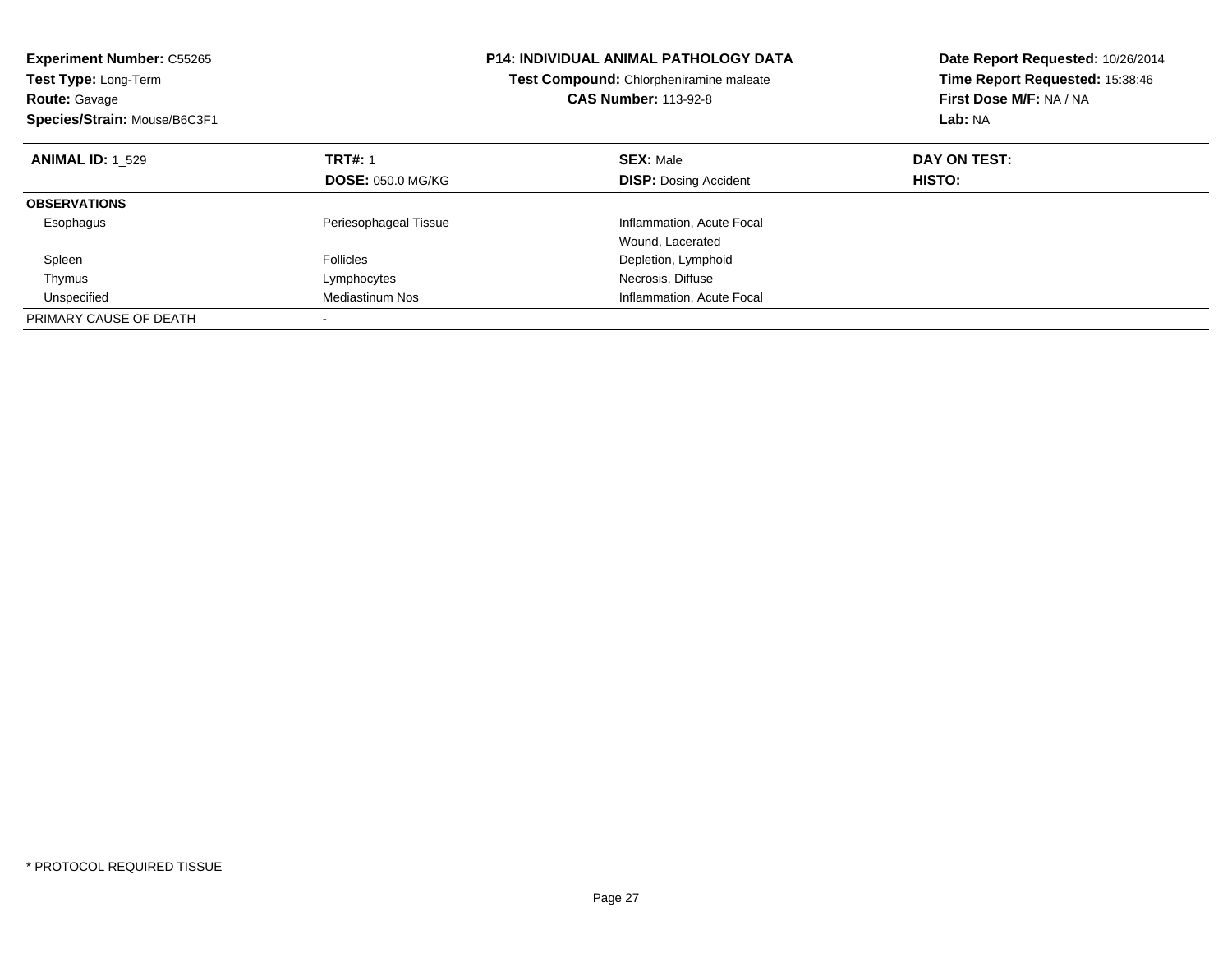| <b>Experiment Number: C55265</b><br>Test Type: Long-Term<br><b>Route: Gavage</b><br>Species/Strain: Mouse/B6C3F1 |                          | <b>P14: INDIVIDUAL ANIMAL PATHOLOGY DATA</b><br>Test Compound: Chlorpheniramine maleate<br><b>CAS Number: 113-92-8</b> | Date Report Requested: 10/26/2014<br>Time Report Requested: 15:38:46<br>First Dose M/F: NA / NA<br>Lab: NA |
|------------------------------------------------------------------------------------------------------------------|--------------------------|------------------------------------------------------------------------------------------------------------------------|------------------------------------------------------------------------------------------------------------|
| <b>ANIMAL ID: 1 529</b>                                                                                          | <b>TRT#: 1</b>           | <b>SEX: Male</b>                                                                                                       | DAY ON TEST:                                                                                               |
|                                                                                                                  | <b>DOSE: 050.0 MG/KG</b> | <b>DISP:</b> Dosing Accident                                                                                           | HISTO:                                                                                                     |
| <b>OBSERVATIONS</b>                                                                                              |                          |                                                                                                                        |                                                                                                            |
| Esophagus                                                                                                        | Periesophageal Tissue    | Inflammation, Acute Focal                                                                                              |                                                                                                            |
|                                                                                                                  |                          | Wound, Lacerated                                                                                                       |                                                                                                            |
| Spleen                                                                                                           | <b>Follicles</b>         | Depletion, Lymphoid                                                                                                    |                                                                                                            |
| Thymus                                                                                                           | Lymphocytes              | Necrosis, Diffuse                                                                                                      |                                                                                                            |
| Unspecified                                                                                                      | Mediastinum Nos          | Inflammation, Acute Focal                                                                                              |                                                                                                            |
| PRIMARY CAUSE OF DEATH                                                                                           |                          |                                                                                                                        |                                                                                                            |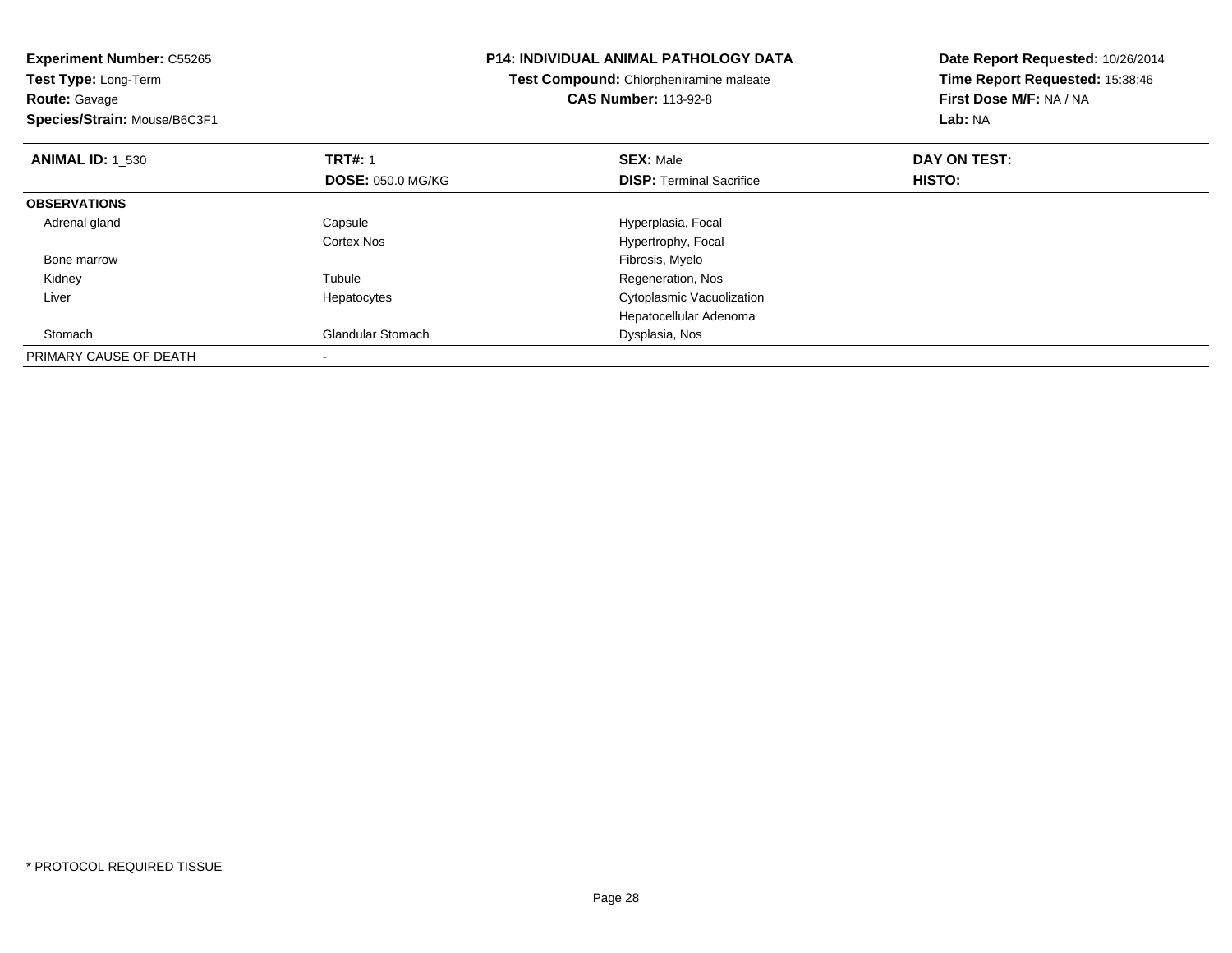| <b>Experiment Number: C55265</b><br>Test Type: Long-Term |                          | <b>P14: INDIVIDUAL ANIMAL PATHOLOGY DATA</b> | Date Report Requested: 10/26/2014 |
|----------------------------------------------------------|--------------------------|----------------------------------------------|-----------------------------------|
|                                                          |                          | Test Compound: Chlorpheniramine maleate      | Time Report Requested: 15:38:46   |
| <b>Route: Gavage</b>                                     |                          | <b>CAS Number: 113-92-8</b>                  | First Dose M/F: NA / NA           |
| Species/Strain: Mouse/B6C3F1                             |                          |                                              | <b>Lab: NA</b>                    |
| <b>ANIMAL ID: 1 530</b>                                  | <b>TRT#: 1</b>           | <b>SEX: Male</b>                             | DAY ON TEST:                      |
|                                                          | <b>DOSE: 050.0 MG/KG</b> | <b>DISP:</b> Terminal Sacrifice              | <b>HISTO:</b>                     |
| <b>OBSERVATIONS</b>                                      |                          |                                              |                                   |
| Adrenal gland                                            | Capsule                  | Hyperplasia, Focal                           |                                   |
|                                                          | Cortex Nos               | Hypertrophy, Focal                           |                                   |
| Bone marrow                                              |                          | Fibrosis, Myelo                              |                                   |
| Kidney                                                   | Tubule                   | Regeneration, Nos                            |                                   |
| Liver                                                    | Hepatocytes              | Cytoplasmic Vacuolization                    |                                   |
|                                                          |                          | Hepatocellular Adenoma                       |                                   |
| Stomach                                                  | Glandular Stomach        | Dysplasia, Nos                               |                                   |
| PRIMARY CAUSE OF DEATH                                   |                          |                                              |                                   |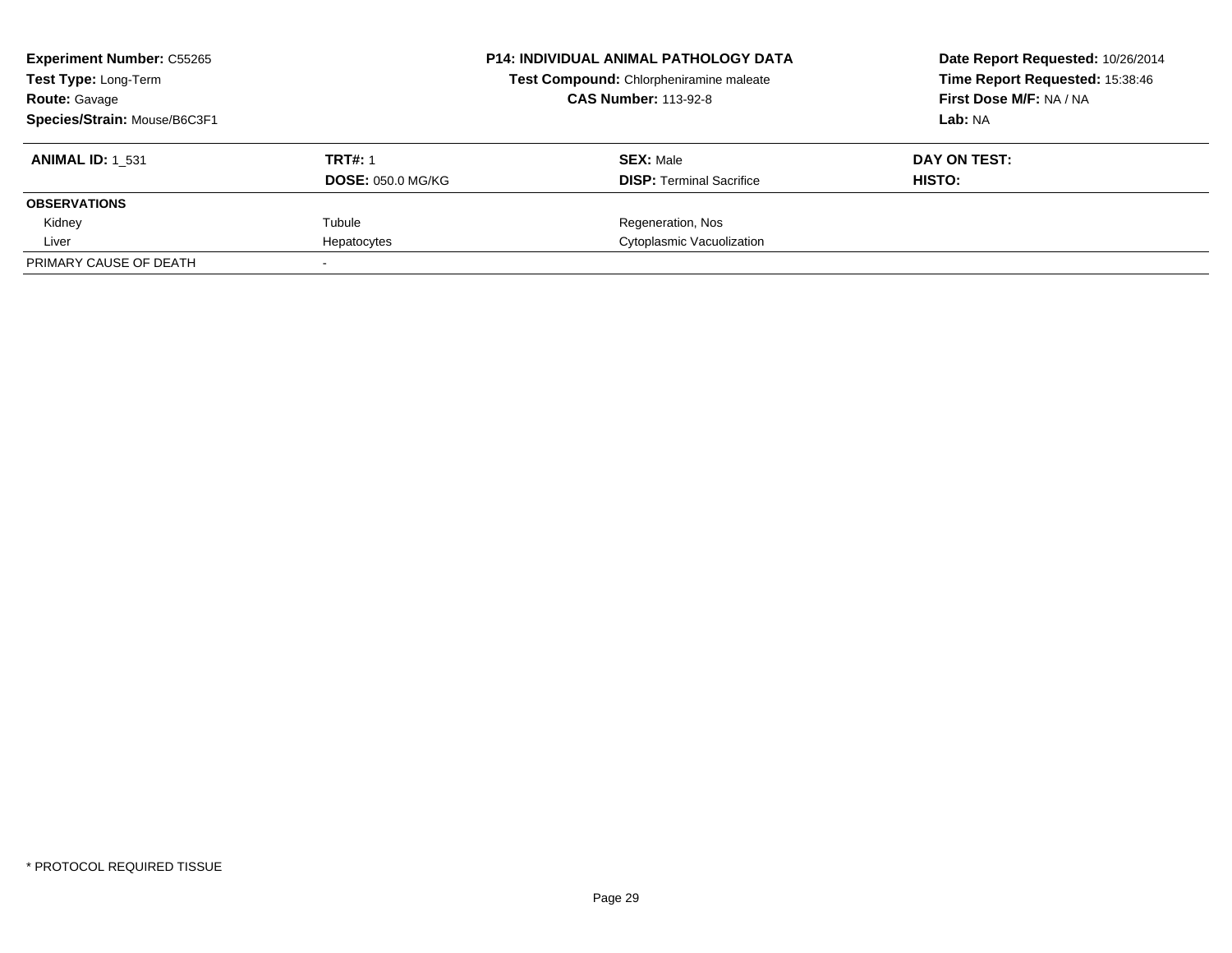| <b>Experiment Number: C55265</b><br><b>Test Type: Long-Term</b><br><b>Route: Gavage</b> |                          | <b>P14: INDIVIDUAL ANIMAL PATHOLOGY DATA</b><br>Test Compound: Chlorpheniramine maleate<br><b>CAS Number: 113-92-8</b> |                                 | Date Report Requested: 10/26/2014<br>Time Report Requested: 15:38:46<br>First Dose M/F: NA / NA |
|-----------------------------------------------------------------------------------------|--------------------------|------------------------------------------------------------------------------------------------------------------------|---------------------------------|-------------------------------------------------------------------------------------------------|
| Species/Strain: Mouse/B6C3F1                                                            |                          |                                                                                                                        |                                 | Lab: NA                                                                                         |
| <b>ANIMAL ID: 1 531</b>                                                                 | <b>TRT#: 1</b>           |                                                                                                                        | <b>SEX: Male</b>                | DAY ON TEST:                                                                                    |
|                                                                                         | <b>DOSE: 050.0 MG/KG</b> |                                                                                                                        | <b>DISP:</b> Terminal Sacrifice | HISTO:                                                                                          |
| <b>OBSERVATIONS</b>                                                                     |                          |                                                                                                                        |                                 |                                                                                                 |
| Kidney                                                                                  | Tubule                   |                                                                                                                        | Regeneration, Nos               |                                                                                                 |
| Liver                                                                                   | Hepatocytes              |                                                                                                                        | Cytoplasmic Vacuolization       |                                                                                                 |
| PRIMARY CAUSE OF DEATH                                                                  |                          |                                                                                                                        |                                 |                                                                                                 |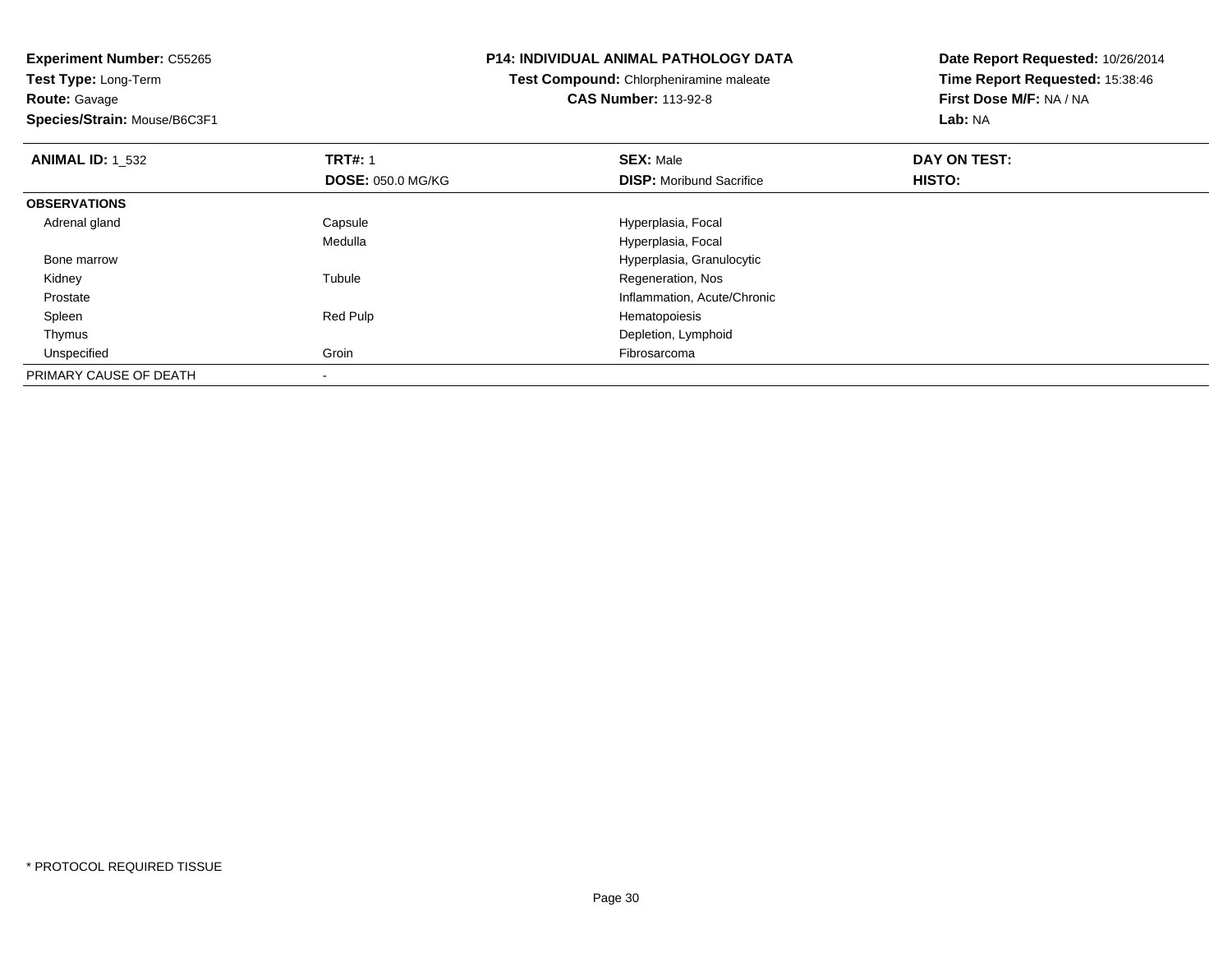**Route:** Gavage

**Species/Strain:** Mouse/B6C3F1

#### **P14: INDIVIDUAL ANIMAL PATHOLOGY DATA**

**Test Compound:** Chlorpheniramine maleate**CAS Number:** 113-92-8

| <b>ANIMAL ID: 1_532</b> | <b>TRT#: 1</b>           | <b>SEX: Male</b>                | DAY ON TEST: |  |
|-------------------------|--------------------------|---------------------------------|--------------|--|
|                         | <b>DOSE: 050.0 MG/KG</b> | <b>DISP:</b> Moribund Sacrifice | HISTO:       |  |
| <b>OBSERVATIONS</b>     |                          |                                 |              |  |
| Adrenal gland           | Capsule                  | Hyperplasia, Focal              |              |  |
|                         | Medulla                  | Hyperplasia, Focal              |              |  |
| Bone marrow             |                          | Hyperplasia, Granulocytic       |              |  |
| Kidney                  | Tubule                   | Regeneration, Nos               |              |  |
| Prostate                |                          | Inflammation, Acute/Chronic     |              |  |
| Spleen                  | Red Pulp                 | Hematopoiesis                   |              |  |
| Thymus                  |                          | Depletion, Lymphoid             |              |  |
| Unspecified             | Groin                    | Fibrosarcoma                    |              |  |
| PRIMARY CAUSE OF DEATH  |                          |                                 |              |  |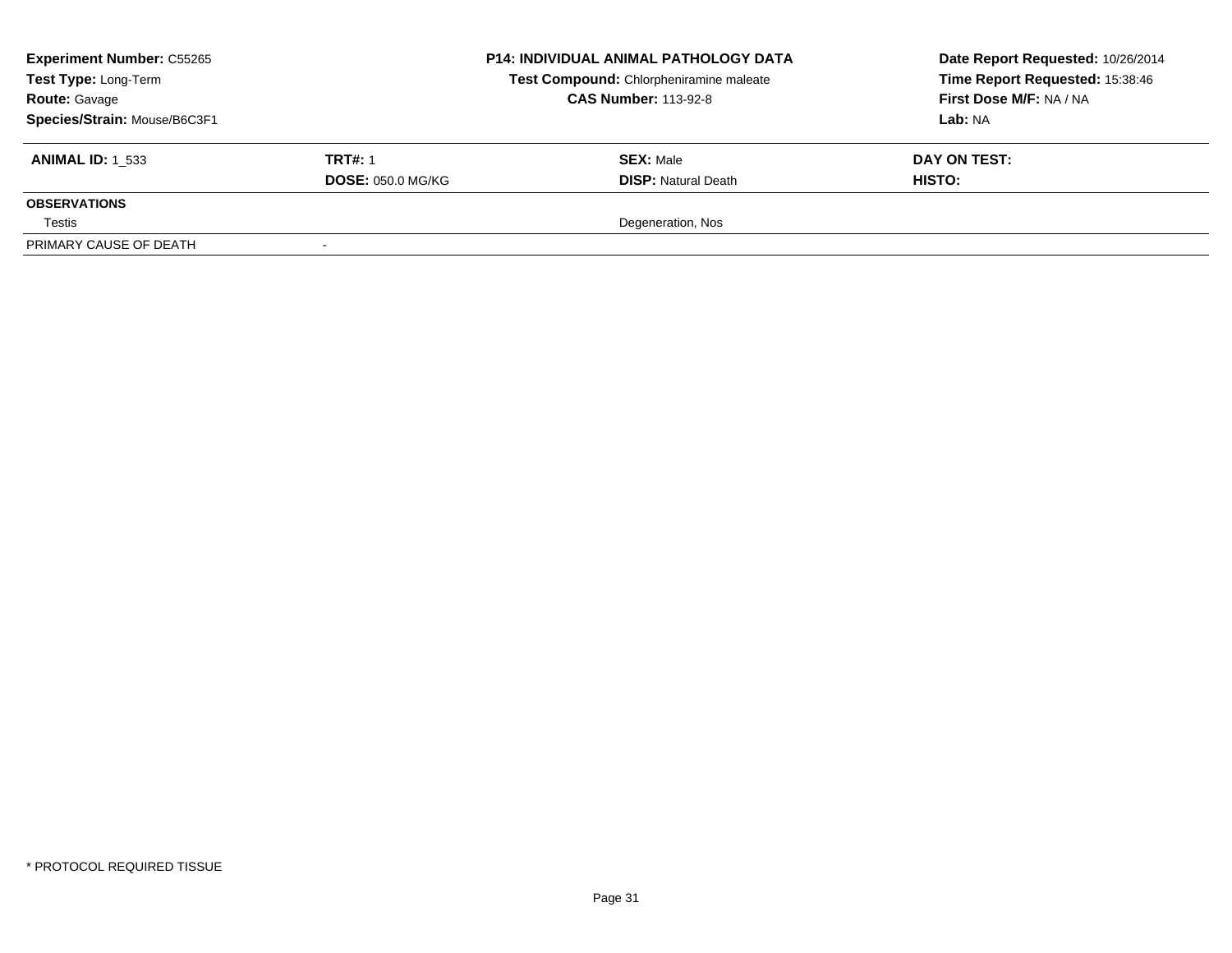| <b>Experiment Number: C55265</b><br>Test Type: Long-Term<br><b>Route: Gavage</b><br>Species/Strain: Mouse/B6C3F1 |                                            | <b>P14: INDIVIDUAL ANIMAL PATHOLOGY DATA</b><br>Test Compound: Chlorpheniramine maleate<br><b>CAS Number: 113-92-8</b> | Date Report Requested: 10/26/2014<br>Time Report Requested: 15:38:46<br><b>First Dose M/F: NA / NA</b><br>Lab: NA |  |
|------------------------------------------------------------------------------------------------------------------|--------------------------------------------|------------------------------------------------------------------------------------------------------------------------|-------------------------------------------------------------------------------------------------------------------|--|
| <b>ANIMAL ID: 1 533</b>                                                                                          | <b>TRT#: 1</b><br><b>DOSE: 050.0 MG/KG</b> | <b>SEX: Male</b><br><b>DISP:</b> Natural Death                                                                         | DAY ON TEST:<br>HISTO:                                                                                            |  |
| <b>OBSERVATIONS</b>                                                                                              |                                            |                                                                                                                        |                                                                                                                   |  |
| Testis                                                                                                           |                                            | Degeneration, Nos                                                                                                      |                                                                                                                   |  |
| PRIMARY CAUSE OF DEATH                                                                                           | $\overline{\phantom{a}}$                   |                                                                                                                        |                                                                                                                   |  |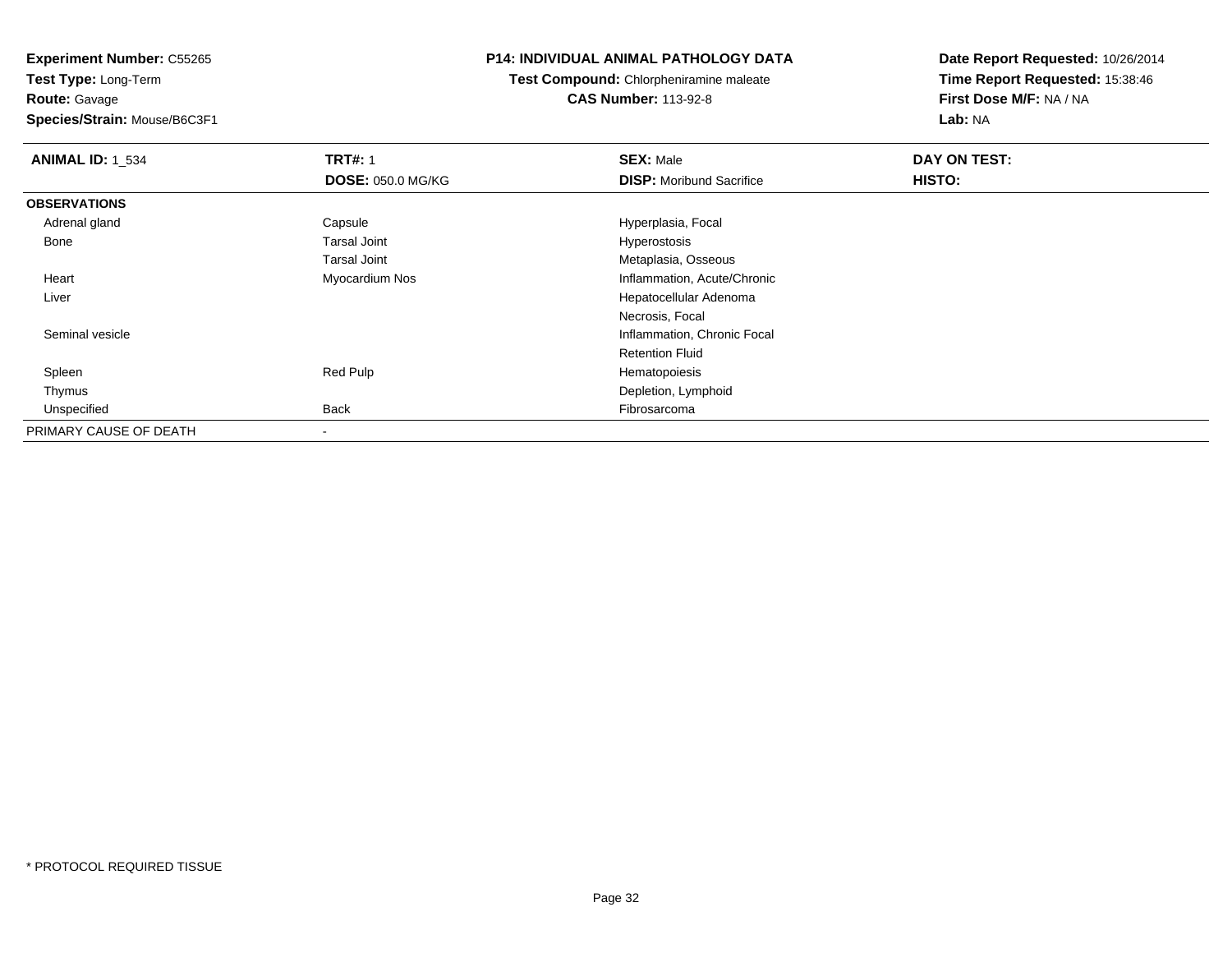**Route:** Gavage

**Species/Strain:** Mouse/B6C3F1

# **P14: INDIVIDUAL ANIMAL PATHOLOGY DATA**

**Test Compound:** Chlorpheniramine maleate**CAS Number:** 113-92-8

| <b>ANIMAL ID: 1 534</b> | <b>TRT#: 1</b>           | <b>SEX: Male</b>                | DAY ON TEST: |  |
|-------------------------|--------------------------|---------------------------------|--------------|--|
|                         | <b>DOSE: 050.0 MG/KG</b> | <b>DISP:</b> Moribund Sacrifice | HISTO:       |  |
| <b>OBSERVATIONS</b>     |                          |                                 |              |  |
| Adrenal gland           | Capsule                  | Hyperplasia, Focal              |              |  |
| Bone                    | <b>Tarsal Joint</b>      | Hyperostosis                    |              |  |
|                         | <b>Tarsal Joint</b>      | Metaplasia, Osseous             |              |  |
| Heart                   | Myocardium Nos           | Inflammation, Acute/Chronic     |              |  |
| Liver                   |                          | Hepatocellular Adenoma          |              |  |
|                         |                          | Necrosis, Focal                 |              |  |
| Seminal vesicle         |                          | Inflammation, Chronic Focal     |              |  |
|                         |                          | <b>Retention Fluid</b>          |              |  |
| Spleen                  | Red Pulp                 | Hematopoiesis                   |              |  |
| Thymus                  |                          | Depletion, Lymphoid             |              |  |
| Unspecified             | <b>Back</b>              | Fibrosarcoma                    |              |  |
| PRIMARY CAUSE OF DEATH  |                          |                                 |              |  |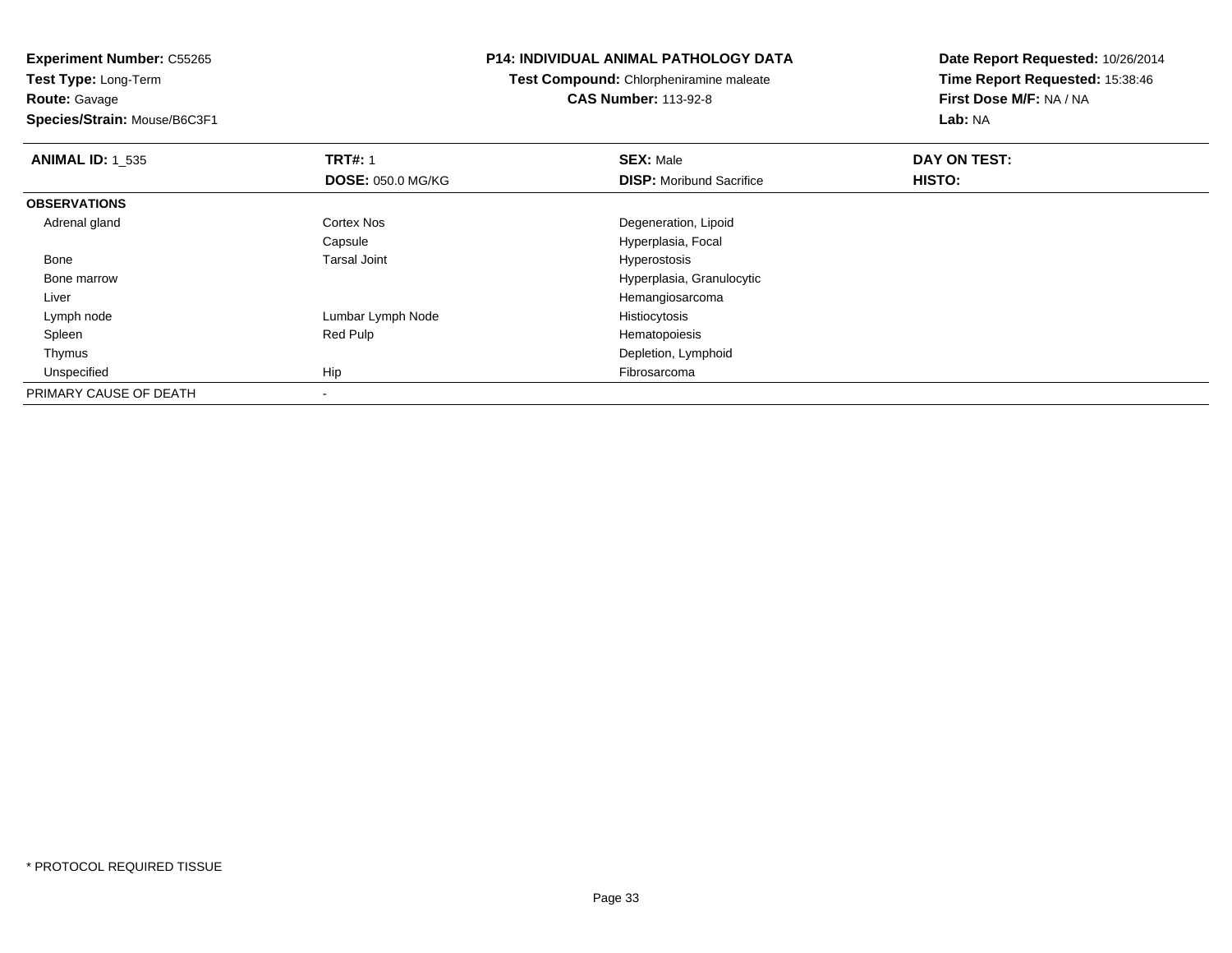**Route:** Gavage

**Species/Strain:** Mouse/B6C3F1

# **P14: INDIVIDUAL ANIMAL PATHOLOGY DATA**

**Test Compound:** Chlorpheniramine maleate**CAS Number:** 113-92-8

| <b>ANIMAL ID: 1 535</b> | <b>TRT#: 1</b>           | <b>SEX: Male</b>                | DAY ON TEST: |  |
|-------------------------|--------------------------|---------------------------------|--------------|--|
|                         | <b>DOSE: 050.0 MG/KG</b> | <b>DISP:</b> Moribund Sacrifice | HISTO:       |  |
| <b>OBSERVATIONS</b>     |                          |                                 |              |  |
| Adrenal gland           | Cortex Nos               | Degeneration, Lipoid            |              |  |
|                         | Capsule                  | Hyperplasia, Focal              |              |  |
| Bone                    | <b>Tarsal Joint</b>      | Hyperostosis                    |              |  |
| Bone marrow             |                          | Hyperplasia, Granulocytic       |              |  |
| Liver                   |                          | Hemangiosarcoma                 |              |  |
| Lymph node              | Lumbar Lymph Node        | Histiocytosis                   |              |  |
| Spleen                  | Red Pulp                 | Hematopoiesis                   |              |  |
| Thymus                  |                          | Depletion, Lymphoid             |              |  |
| Unspecified             | Hip                      | Fibrosarcoma                    |              |  |
| PRIMARY CAUSE OF DEATH  | $\,$                     |                                 |              |  |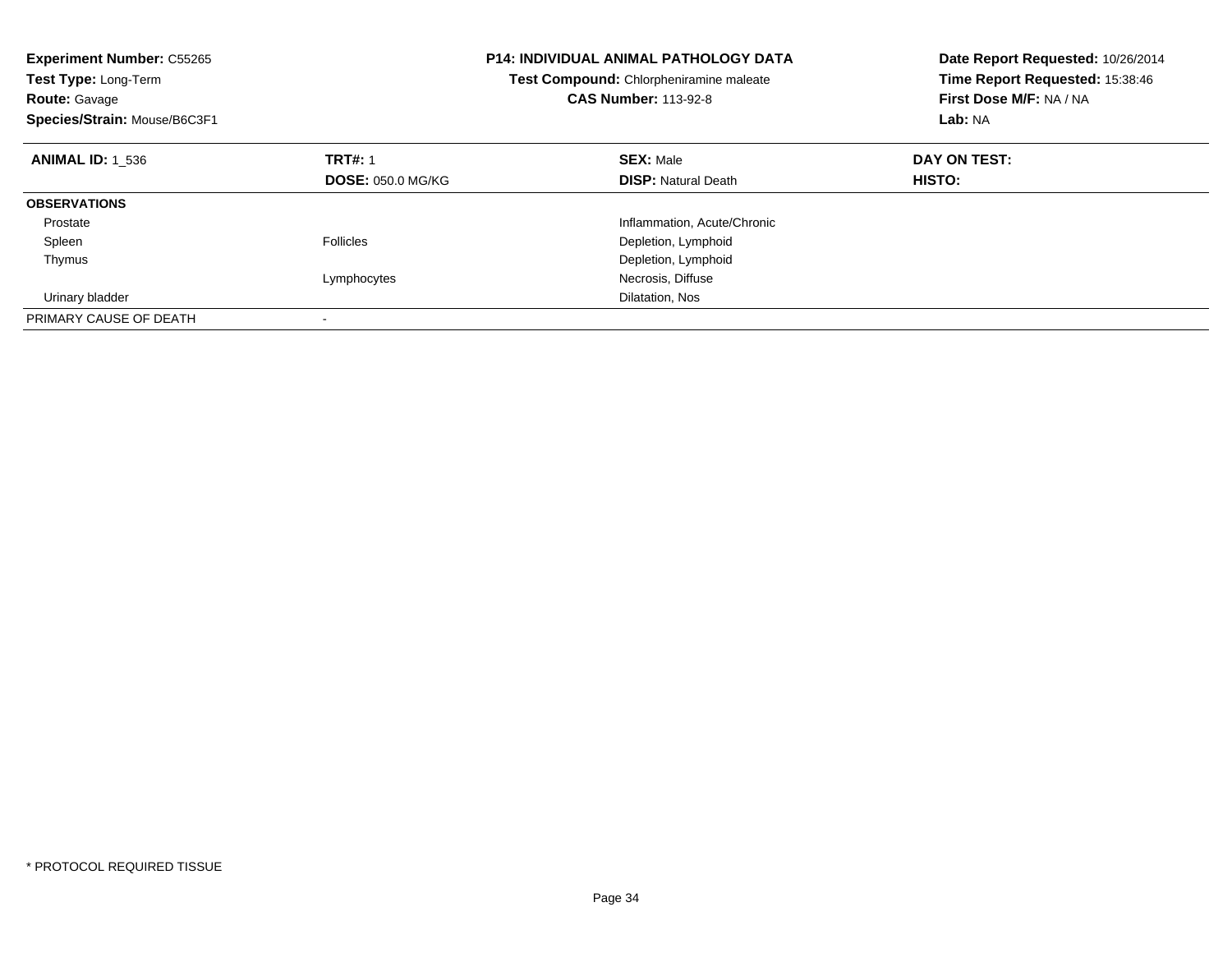| <b>Experiment Number: C55265</b><br><b>Test Type: Long-Term</b><br><b>Route: Gavage</b><br>Species/Strain: Mouse/B6C3F1 |                          | P14: INDIVIDUAL ANIMAL PATHOLOGY DATA<br>Test Compound: Chlorpheniramine maleate<br><b>CAS Number: 113-92-8</b> | Date Report Requested: 10/26/2014<br>Time Report Requested: 15:38:46<br>First Dose M/F: NA / NA<br>Lab: NA |
|-------------------------------------------------------------------------------------------------------------------------|--------------------------|-----------------------------------------------------------------------------------------------------------------|------------------------------------------------------------------------------------------------------------|
| <b>ANIMAL ID: 1 536</b>                                                                                                 | <b>TRT#: 1</b>           | <b>SEX: Male</b>                                                                                                | DAY ON TEST:                                                                                               |
|                                                                                                                         | <b>DOSE: 050.0 MG/KG</b> | <b>DISP:</b> Natural Death                                                                                      | HISTO:                                                                                                     |
| <b>OBSERVATIONS</b>                                                                                                     |                          |                                                                                                                 |                                                                                                            |
| Prostate                                                                                                                |                          | Inflammation, Acute/Chronic                                                                                     |                                                                                                            |
| Spleen                                                                                                                  | <b>Follicles</b>         | Depletion, Lymphoid                                                                                             |                                                                                                            |
| Thymus                                                                                                                  |                          | Depletion, Lymphoid                                                                                             |                                                                                                            |
|                                                                                                                         | Lymphocytes              | Necrosis, Diffuse                                                                                               |                                                                                                            |
| Urinary bladder                                                                                                         |                          | Dilatation, Nos                                                                                                 |                                                                                                            |
| PRIMARY CAUSE OF DEATH                                                                                                  |                          |                                                                                                                 |                                                                                                            |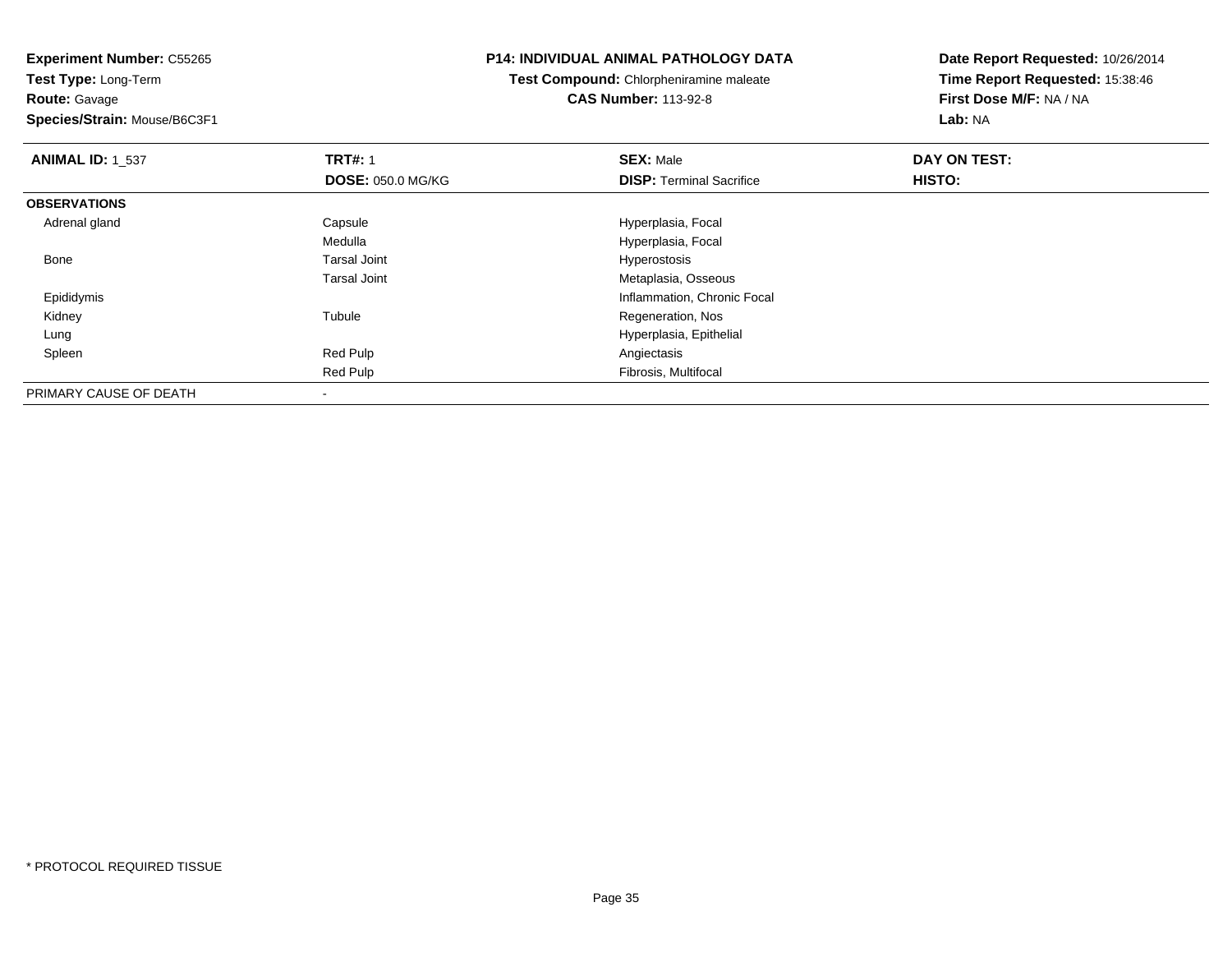**Test Type:** Long-Term**Route:** Gavage

**Species/Strain:** Mouse/B6C3F1

# **P14: INDIVIDUAL ANIMAL PATHOLOGY DATA**

**Test Compound:** Chlorpheniramine maleate**CAS Number:** 113-92-8

| <b>ANIMAL ID: 1_537</b> | <b>TRT#: 1</b>           | <b>SEX: Male</b>                | DAY ON TEST: |  |
|-------------------------|--------------------------|---------------------------------|--------------|--|
|                         | <b>DOSE: 050.0 MG/KG</b> | <b>DISP: Terminal Sacrifice</b> | HISTO:       |  |
| <b>OBSERVATIONS</b>     |                          |                                 |              |  |
| Adrenal gland           | Capsule                  | Hyperplasia, Focal              |              |  |
|                         | Medulla                  | Hyperplasia, Focal              |              |  |
| Bone                    | <b>Tarsal Joint</b>      | Hyperostosis                    |              |  |
|                         | <b>Tarsal Joint</b>      | Metaplasia, Osseous             |              |  |
| Epididymis              |                          | Inflammation, Chronic Focal     |              |  |
| Kidney                  | Tubule                   | Regeneration, Nos               |              |  |
| Lung                    |                          | Hyperplasia, Epithelial         |              |  |
| Spleen                  | Red Pulp                 | Angiectasis                     |              |  |
|                         | Red Pulp                 | Fibrosis, Multifocal            |              |  |
| PRIMARY CAUSE OF DEATH  |                          |                                 |              |  |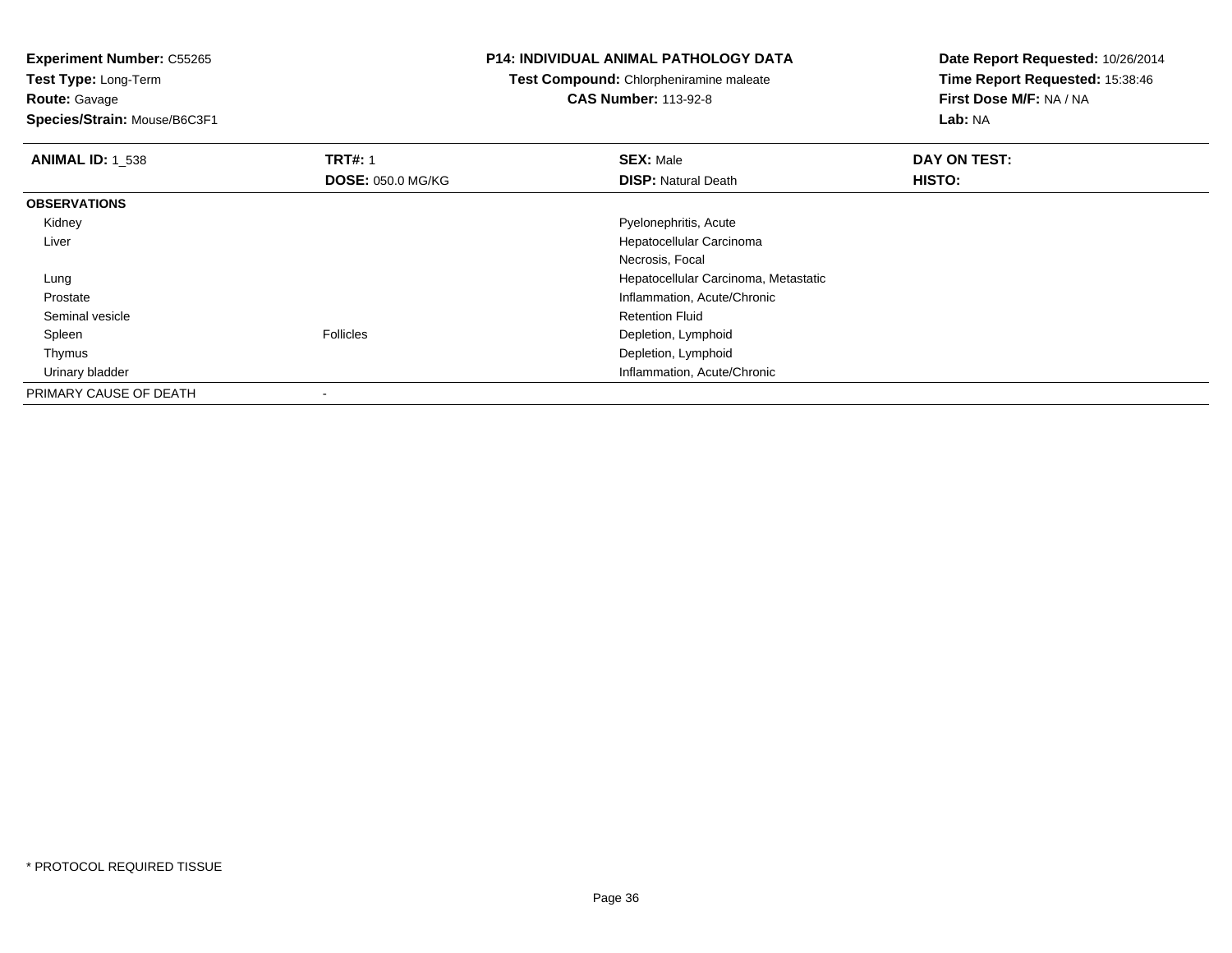**Test Type:** Long-Term**Route:** Gavage

**Species/Strain:** Mouse/B6C3F1

# **P14: INDIVIDUAL ANIMAL PATHOLOGY DATA**

**Test Compound:** Chlorpheniramine maleate**CAS Number:** 113-92-8

| <b>ANIMAL ID: 1_538</b> | <b>TRT#: 1</b>           | <b>SEX: Male</b>                     | DAY ON TEST: |  |
|-------------------------|--------------------------|--------------------------------------|--------------|--|
|                         | <b>DOSE: 050.0 MG/KG</b> | <b>DISP: Natural Death</b>           | HISTO:       |  |
| <b>OBSERVATIONS</b>     |                          |                                      |              |  |
| Kidney                  |                          | Pyelonephritis, Acute                |              |  |
| Liver                   |                          | Hepatocellular Carcinoma             |              |  |
|                         |                          | Necrosis, Focal                      |              |  |
| Lung                    |                          | Hepatocellular Carcinoma, Metastatic |              |  |
| Prostate                |                          | Inflammation, Acute/Chronic          |              |  |
| Seminal vesicle         |                          | <b>Retention Fluid</b>               |              |  |
| Spleen                  | <b>Follicles</b>         | Depletion, Lymphoid                  |              |  |
| Thymus                  |                          | Depletion, Lymphoid                  |              |  |
| Urinary bladder         |                          | Inflammation, Acute/Chronic          |              |  |
| PRIMARY CAUSE OF DEATH  | $\,$                     |                                      |              |  |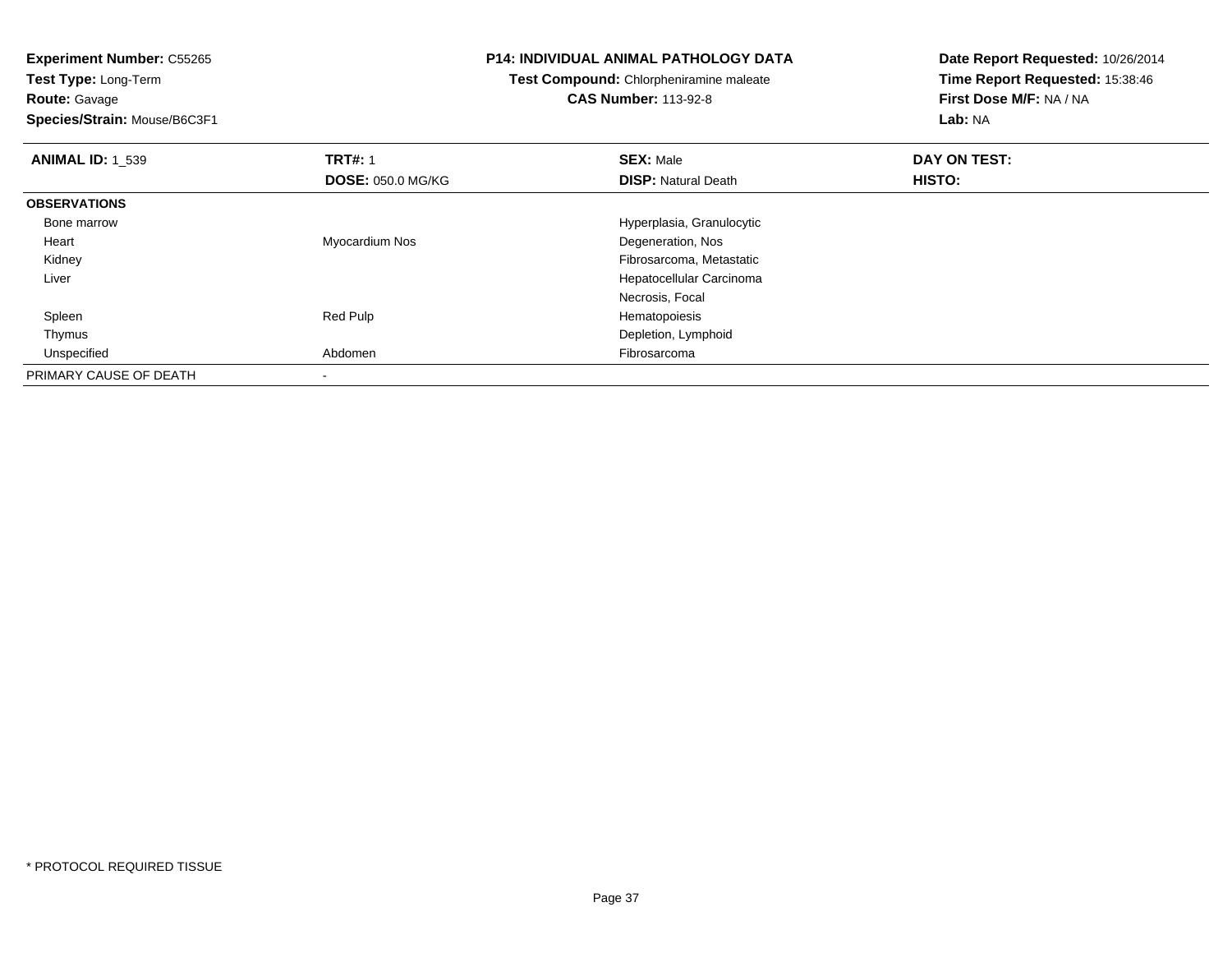**Test Type:** Long-Term**Route:** Gavage

**Species/Strain:** Mouse/B6C3F1

### **P14: INDIVIDUAL ANIMAL PATHOLOGY DATA**

**Test Compound:** Chlorpheniramine maleate

**CAS Number:** 113-92-8

| <b>ANIMAL ID: 1 539</b> | <b>TRT#: 1</b>           | <b>SEX: Male</b>           | DAY ON TEST: |  |
|-------------------------|--------------------------|----------------------------|--------------|--|
|                         | <b>DOSE: 050.0 MG/KG</b> | <b>DISP:</b> Natural Death | HISTO:       |  |
| <b>OBSERVATIONS</b>     |                          |                            |              |  |
| Bone marrow             |                          | Hyperplasia, Granulocytic  |              |  |
| Heart                   | Myocardium Nos           | Degeneration, Nos          |              |  |
| Kidney                  |                          | Fibrosarcoma, Metastatic   |              |  |
| Liver                   |                          | Hepatocellular Carcinoma   |              |  |
|                         |                          | Necrosis, Focal            |              |  |
| Spleen                  | Red Pulp                 | Hematopoiesis              |              |  |
| Thymus                  |                          | Depletion, Lymphoid        |              |  |
| Unspecified             | Abdomen                  | Fibrosarcoma               |              |  |
| PRIMARY CAUSE OF DEATH  |                          |                            |              |  |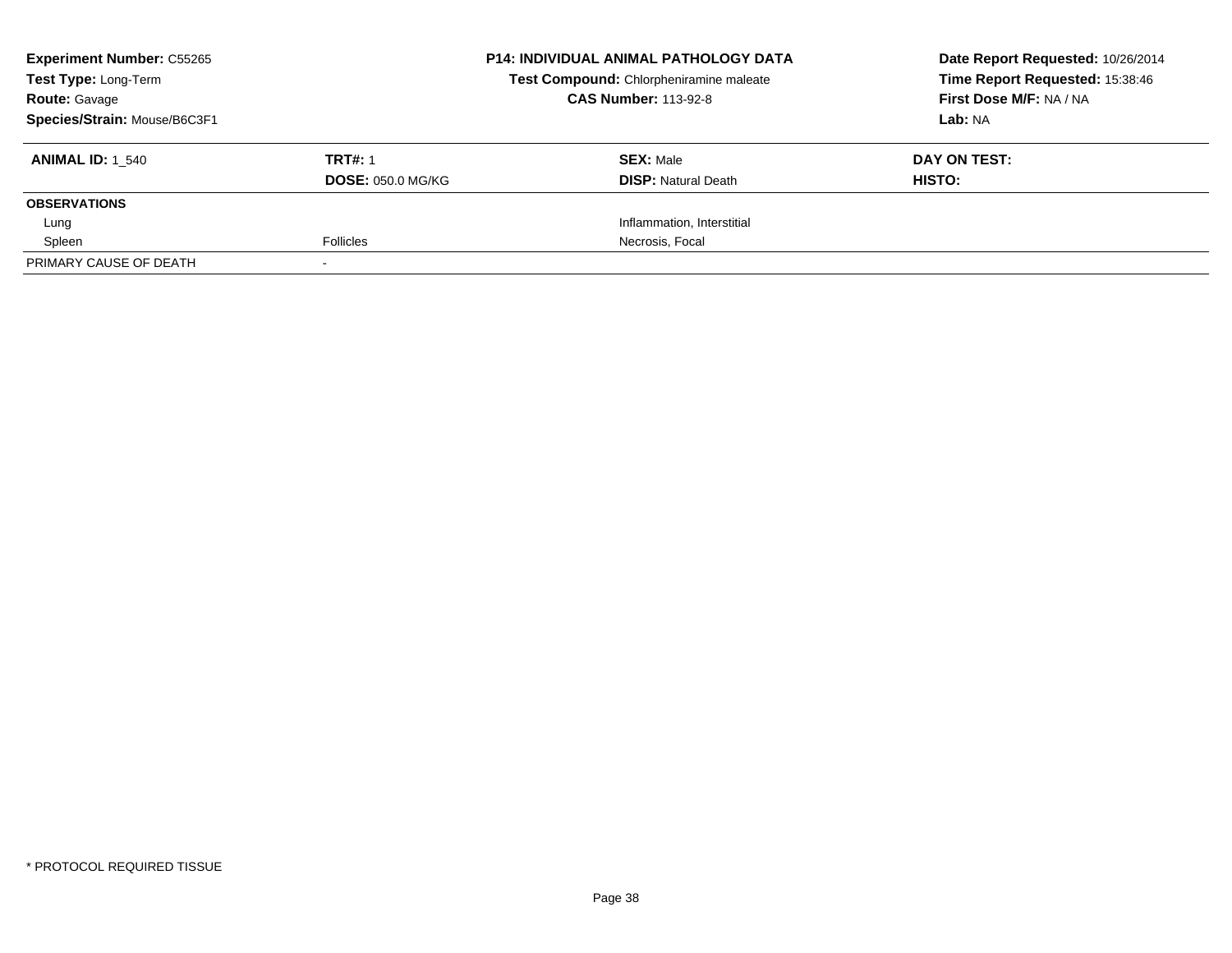| <b>Experiment Number: C55265</b><br>Test Type: Long-Term<br><b>Route: Gavage</b><br>Species/Strain: Mouse/B6C3F1 |                                            | <b>P14: INDIVIDUAL ANIMAL PATHOLOGY DATA</b><br>Test Compound: Chlorpheniramine maleate<br><b>CAS Number: 113-92-8</b> | Date Report Requested: 10/26/2014<br>Time Report Requested: 15:38:46<br>First Dose M/F: NA / NA<br>Lab: NA |
|------------------------------------------------------------------------------------------------------------------|--------------------------------------------|------------------------------------------------------------------------------------------------------------------------|------------------------------------------------------------------------------------------------------------|
| <b>ANIMAL ID: 1 540</b>                                                                                          | <b>TRT#: 1</b><br><b>DOSE: 050.0 MG/KG</b> | <b>SEX: Male</b><br><b>DISP:</b> Natural Death                                                                         | DAY ON TEST:<br>HISTO:                                                                                     |
| <b>OBSERVATIONS</b>                                                                                              |                                            |                                                                                                                        |                                                                                                            |
| Lung                                                                                                             |                                            | Inflammation, Interstitial                                                                                             |                                                                                                            |
| Spleen                                                                                                           | <b>Follicles</b>                           | Necrosis, Focal                                                                                                        |                                                                                                            |
| PRIMARY CAUSE OF DEATH                                                                                           |                                            |                                                                                                                        |                                                                                                            |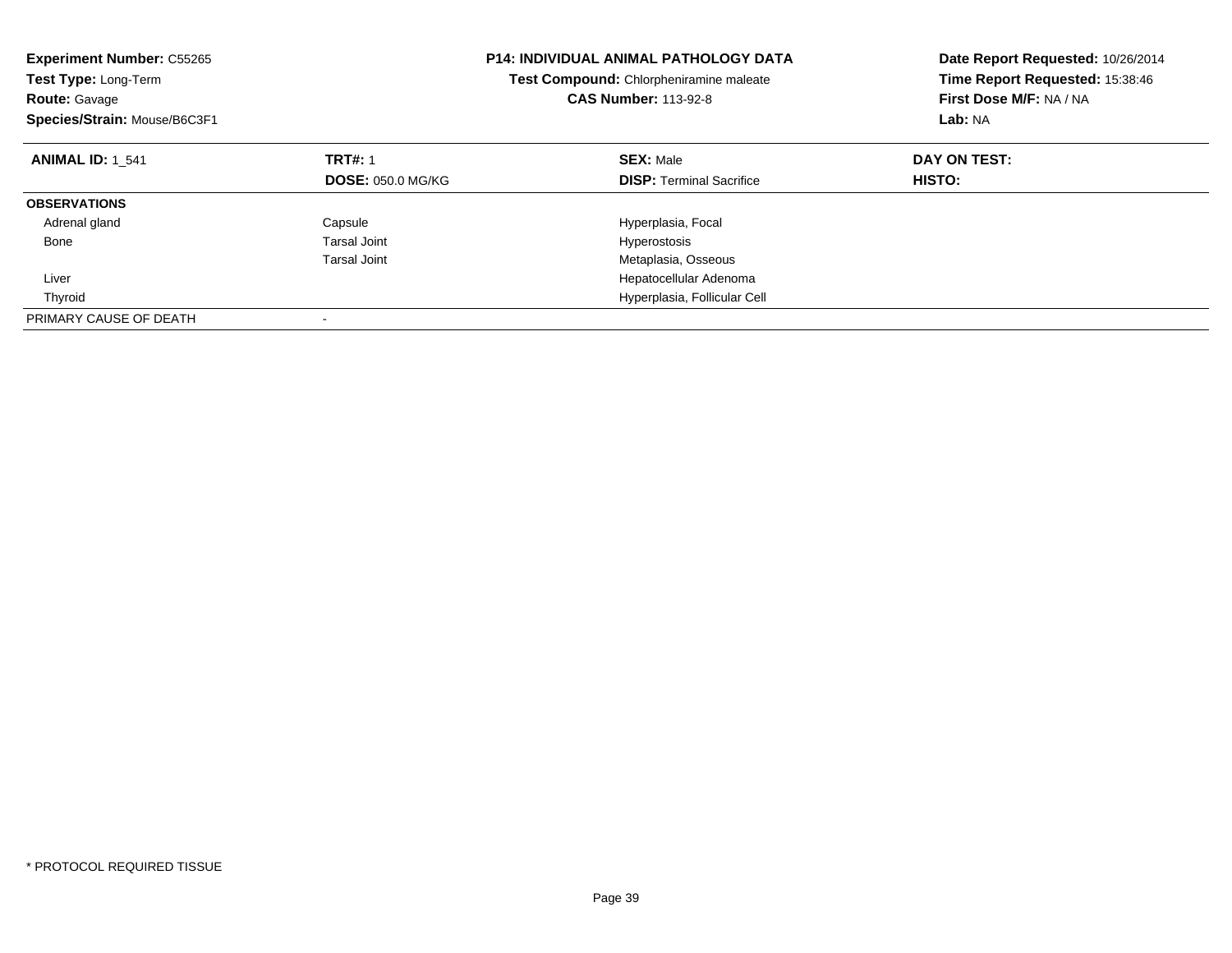| <b>Experiment Number: C55265</b><br><b>Test Type: Long-Term</b><br><b>Route: Gavage</b><br>Species/Strain: Mouse/B6C3F1 |                          | <b>P14: INDIVIDUAL ANIMAL PATHOLOGY DATA</b><br>Test Compound: Chlorpheniramine maleate<br><b>CAS Number: 113-92-8</b> | Date Report Requested: 10/26/2014<br>Time Report Requested: 15:38:46<br>First Dose M/F: NA / NA<br>Lab: NA |
|-------------------------------------------------------------------------------------------------------------------------|--------------------------|------------------------------------------------------------------------------------------------------------------------|------------------------------------------------------------------------------------------------------------|
| <b>ANIMAL ID: 1 541</b>                                                                                                 | <b>TRT#: 1</b>           | <b>SEX: Male</b>                                                                                                       | DAY ON TEST:                                                                                               |
|                                                                                                                         | <b>DOSE: 050.0 MG/KG</b> | <b>DISP:</b> Terminal Sacrifice                                                                                        | <b>HISTO:</b>                                                                                              |
| <b>OBSERVATIONS</b>                                                                                                     |                          |                                                                                                                        |                                                                                                            |
| Adrenal gland                                                                                                           | Capsule                  | Hyperplasia, Focal                                                                                                     |                                                                                                            |
| Bone                                                                                                                    | <b>Tarsal Joint</b>      | Hyperostosis                                                                                                           |                                                                                                            |
|                                                                                                                         | Tarsal Joint             | Metaplasia, Osseous                                                                                                    |                                                                                                            |
| Liver                                                                                                                   |                          | Hepatocellular Adenoma                                                                                                 |                                                                                                            |
| Thyroid                                                                                                                 |                          | Hyperplasia, Follicular Cell                                                                                           |                                                                                                            |
| PRIMARY CAUSE OF DEATH                                                                                                  |                          |                                                                                                                        |                                                                                                            |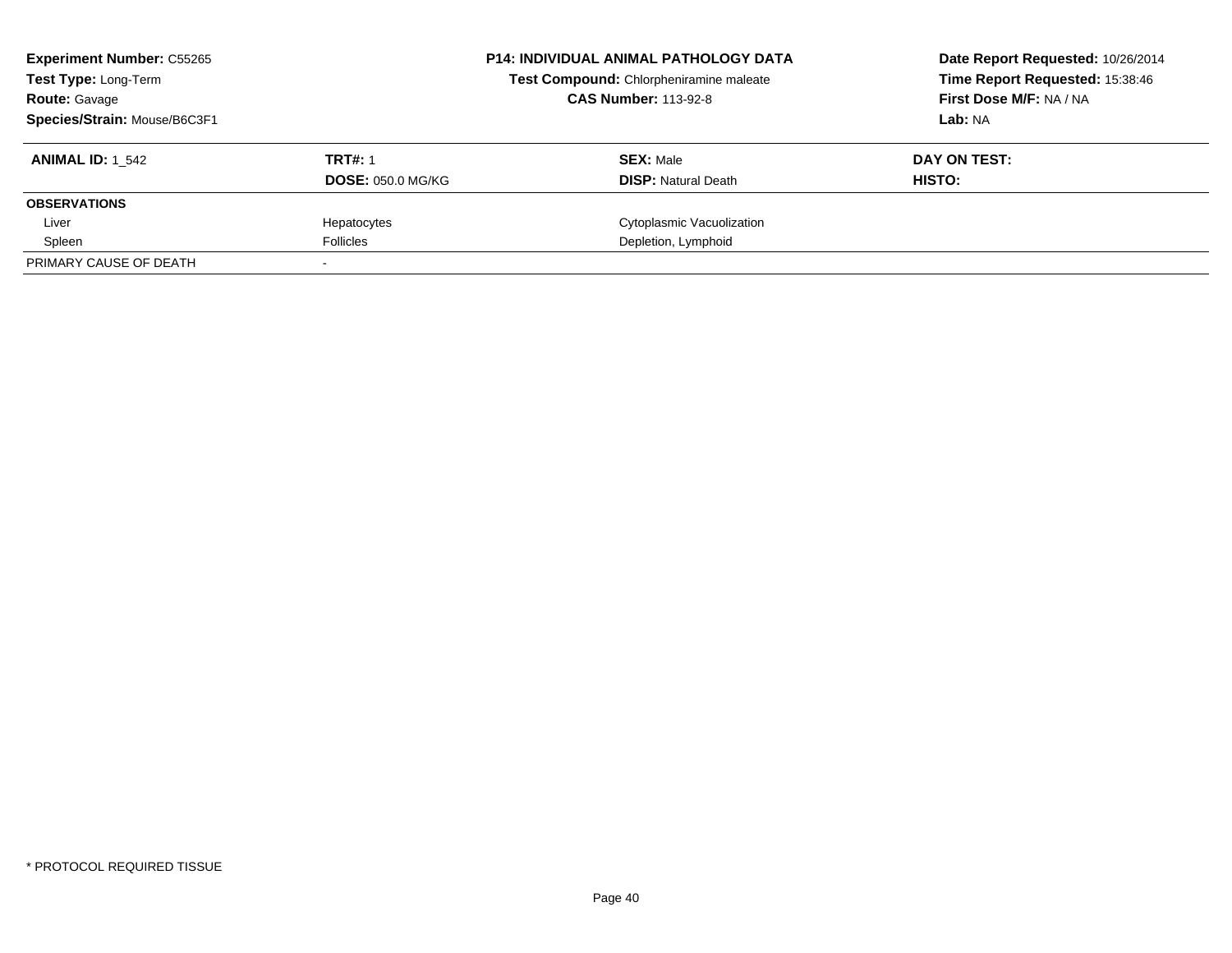| <b>Experiment Number: C55265</b><br>Test Type: Long-Term<br><b>Route: Gavage</b><br>Species/Strain: Mouse/B6C3F1 |                                            | <b>P14: INDIVIDUAL ANIMAL PATHOLOGY DATA</b><br>Test Compound: Chlorpheniramine maleate<br><b>CAS Number: 113-92-8</b> | Date Report Requested: 10/26/2014<br>Time Report Requested: 15:38:46<br>First Dose M/F: NA / NA<br>Lab: NA |
|------------------------------------------------------------------------------------------------------------------|--------------------------------------------|------------------------------------------------------------------------------------------------------------------------|------------------------------------------------------------------------------------------------------------|
| <b>ANIMAL ID: 1 542</b>                                                                                          | <b>TRT#: 1</b><br><b>DOSE: 050.0 MG/KG</b> | <b>SEX: Male</b><br><b>DISP: Natural Death</b>                                                                         | DAY ON TEST:<br>HISTO:                                                                                     |
| <b>OBSERVATIONS</b>                                                                                              |                                            |                                                                                                                        |                                                                                                            |
| Liver                                                                                                            | Hepatocytes                                | Cytoplasmic Vacuolization                                                                                              |                                                                                                            |
| Spleen                                                                                                           | <b>Follicles</b>                           | Depletion, Lymphoid                                                                                                    |                                                                                                            |
| PRIMARY CAUSE OF DEATH                                                                                           |                                            |                                                                                                                        |                                                                                                            |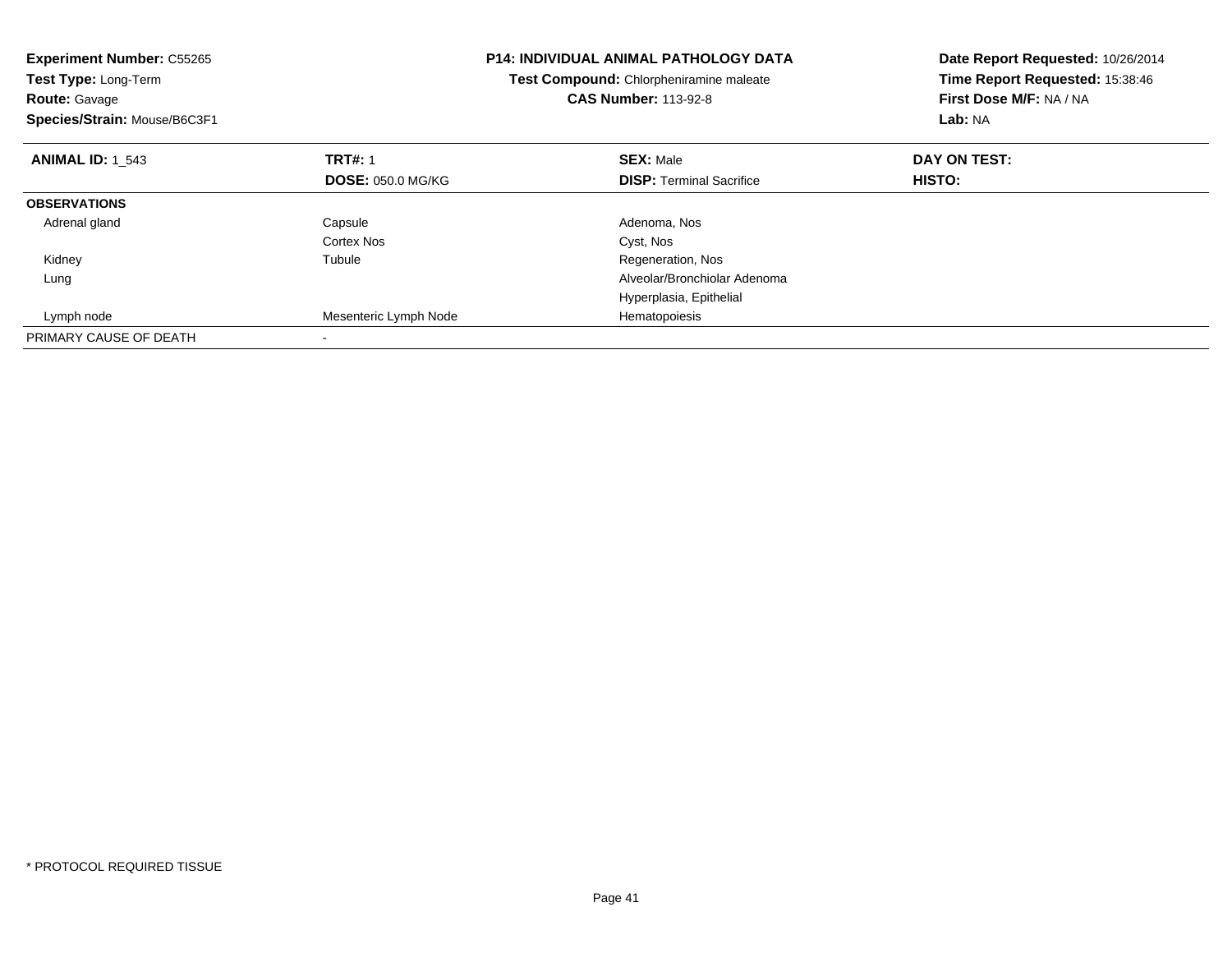| <b>Experiment Number: C55265</b><br>Test Type: Long-Term<br><b>Route: Gavage</b><br>Species/Strain: Mouse/B6C3F1 |                          | <b>P14: INDIVIDUAL ANIMAL PATHOLOGY DATA</b><br>Test Compound: Chlorpheniramine maleate<br><b>CAS Number: 113-92-8</b> | Date Report Requested: 10/26/2014<br>Time Report Requested: 15:38:46<br>First Dose M/F: NA / NA<br>Lab: NA |
|------------------------------------------------------------------------------------------------------------------|--------------------------|------------------------------------------------------------------------------------------------------------------------|------------------------------------------------------------------------------------------------------------|
| <b>ANIMAL ID: 1 543</b>                                                                                          | <b>TRT#: 1</b>           | <b>SEX: Male</b>                                                                                                       | DAY ON TEST:                                                                                               |
|                                                                                                                  | <b>DOSE: 050.0 MG/KG</b> | <b>DISP:</b> Terminal Sacrifice                                                                                        | <b>HISTO:</b>                                                                                              |
| <b>OBSERVATIONS</b>                                                                                              |                          |                                                                                                                        |                                                                                                            |
| Adrenal gland                                                                                                    | Capsule                  | Adenoma, Nos                                                                                                           |                                                                                                            |
|                                                                                                                  | Cortex Nos               | Cyst, Nos                                                                                                              |                                                                                                            |
| Kidney                                                                                                           | Tubule                   | Regeneration, Nos                                                                                                      |                                                                                                            |
| Lung                                                                                                             |                          | Alveolar/Bronchiolar Adenoma                                                                                           |                                                                                                            |
|                                                                                                                  |                          | Hyperplasia, Epithelial                                                                                                |                                                                                                            |
| Lymph node                                                                                                       | Mesenteric Lymph Node    | Hematopoiesis                                                                                                          |                                                                                                            |
| PRIMARY CAUSE OF DEATH                                                                                           |                          |                                                                                                                        |                                                                                                            |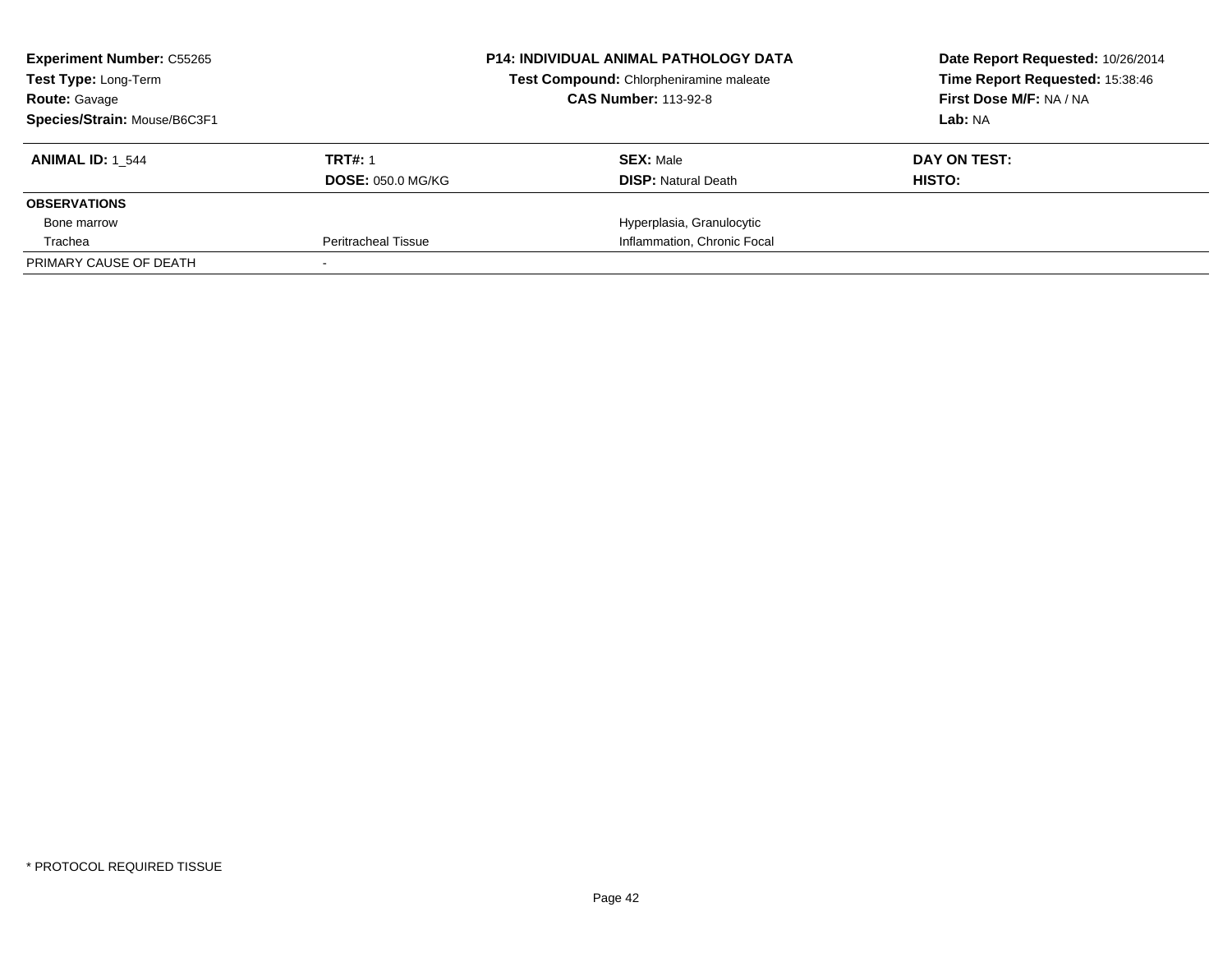| <b>Experiment Number: C55265</b><br><b>Test Type: Long-Term</b>                     |                            |  | <b>P14: INDIVIDUAL ANIMAL PATHOLOGY DATA</b><br>Test Compound: Chlorpheniramine maleate | Date Report Requested: 10/26/2014<br>Time Report Requested: 15:38:46<br>First Dose M/F: NA / NA |
|-------------------------------------------------------------------------------------|----------------------------|--|-----------------------------------------------------------------------------------------|-------------------------------------------------------------------------------------------------|
| <b>CAS Number: 113-92-8</b><br><b>Route: Gavage</b><br>Species/Strain: Mouse/B6C3F1 |                            |  | Lab: NA                                                                                 |                                                                                                 |
| <b>ANIMAL ID: 1 544</b>                                                             | <b>TRT#: 1</b>             |  | <b>SEX: Male</b>                                                                        | DAY ON TEST:                                                                                    |
|                                                                                     | <b>DOSE: 050.0 MG/KG</b>   |  | <b>DISP:</b> Natural Death                                                              | HISTO:                                                                                          |
| <b>OBSERVATIONS</b>                                                                 |                            |  |                                                                                         |                                                                                                 |
| Bone marrow                                                                         |                            |  | Hyperplasia, Granulocytic                                                               |                                                                                                 |
| Trachea                                                                             | <b>Peritracheal Tissue</b> |  | Inflammation, Chronic Focal                                                             |                                                                                                 |
| PRIMARY CAUSE OF DEATH                                                              |                            |  |                                                                                         |                                                                                                 |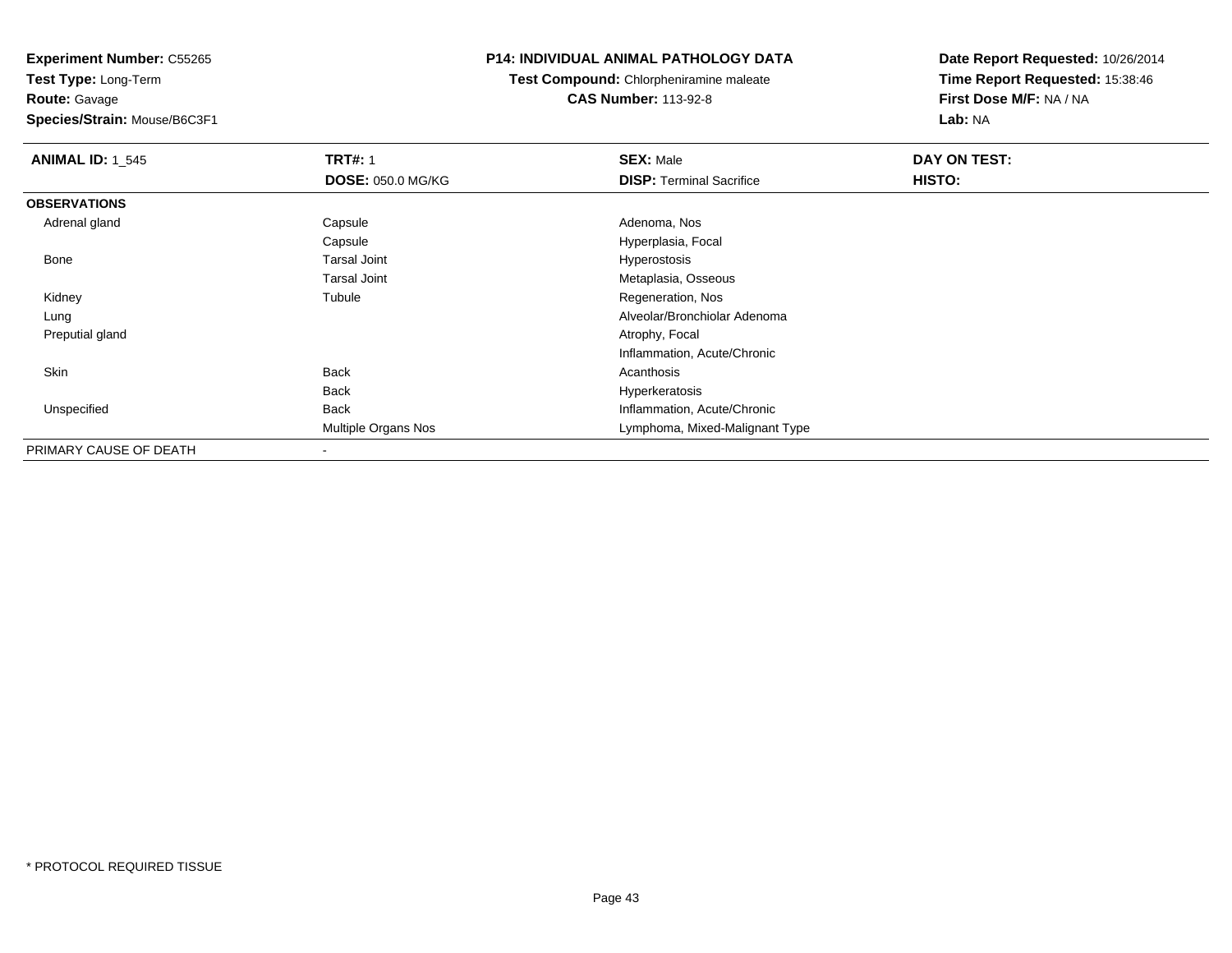**Test Type:** Long-Term**Route:** Gavage

**Species/Strain:** Mouse/B6C3F1

## **P14: INDIVIDUAL ANIMAL PATHOLOGY DATA**

**Test Compound:** Chlorpheniramine maleate**CAS Number:** 113-92-8

| <b>ANIMAL ID: 1_545</b> | <b>TRT#: 1</b>             | <b>SEX: Male</b>                | DAY ON TEST: |  |
|-------------------------|----------------------------|---------------------------------|--------------|--|
|                         | <b>DOSE: 050.0 MG/KG</b>   | <b>DISP: Terminal Sacrifice</b> | HISTO:       |  |
| <b>OBSERVATIONS</b>     |                            |                                 |              |  |
| Adrenal gland           | Capsule                    | Adenoma, Nos                    |              |  |
|                         | Capsule                    | Hyperplasia, Focal              |              |  |
| Bone                    | <b>Tarsal Joint</b>        | Hyperostosis                    |              |  |
|                         | <b>Tarsal Joint</b>        | Metaplasia, Osseous             |              |  |
| Kidney                  | Tubule                     | Regeneration, Nos               |              |  |
| Lung                    |                            | Alveolar/Bronchiolar Adenoma    |              |  |
| Preputial gland         |                            | Atrophy, Focal                  |              |  |
|                         |                            | Inflammation, Acute/Chronic     |              |  |
| Skin                    | Back                       | Acanthosis                      |              |  |
|                         | <b>Back</b>                | Hyperkeratosis                  |              |  |
| Unspecified             | <b>Back</b>                | Inflammation, Acute/Chronic     |              |  |
|                         | <b>Multiple Organs Nos</b> | Lymphoma, Mixed-Malignant Type  |              |  |
| PRIMARY CAUSE OF DEATH  |                            |                                 |              |  |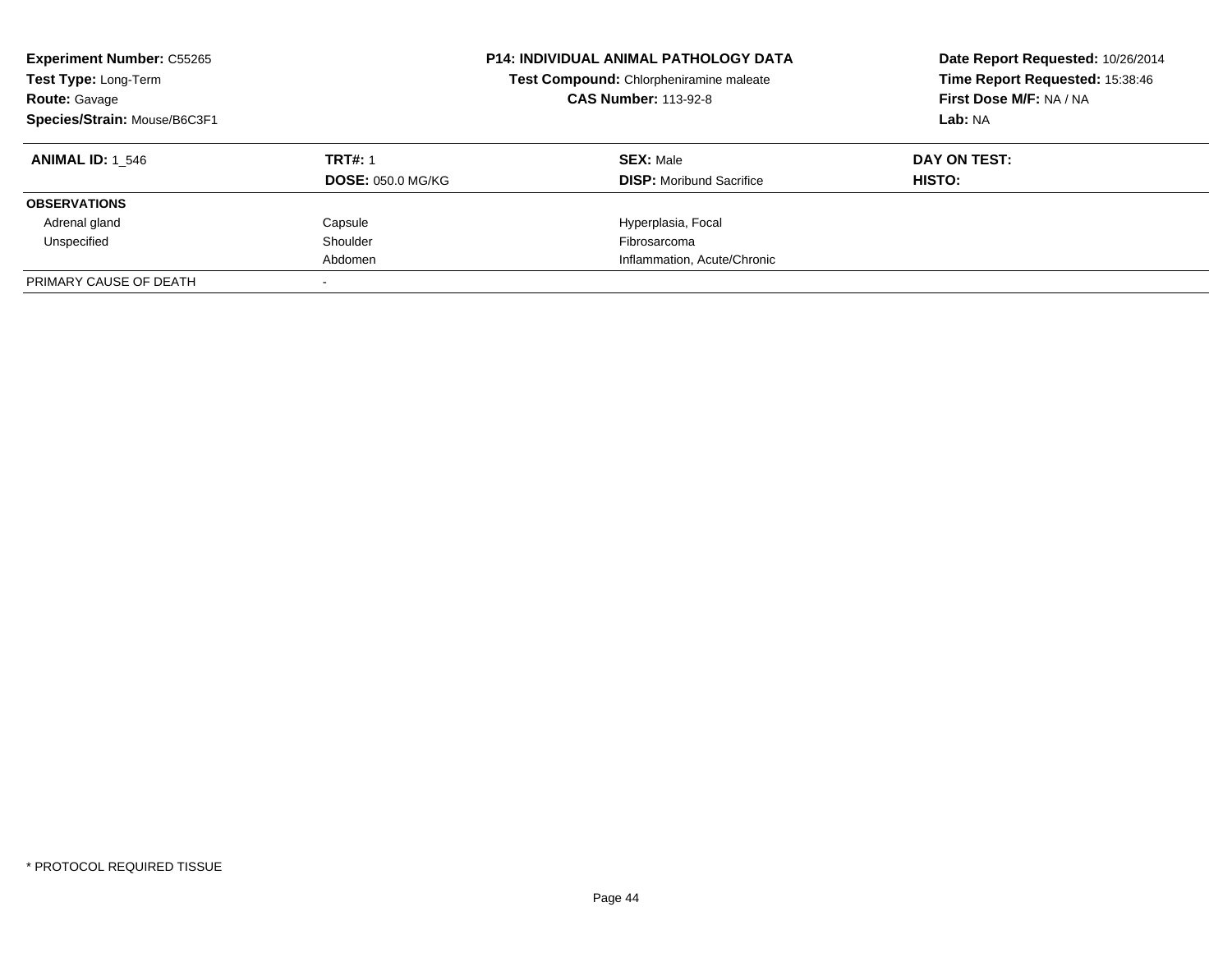| <b>Experiment Number: C55265</b><br>Test Type: Long-Term<br><b>Route: Gavage</b><br>Species/Strain: Mouse/B6C3F1 |                          | <b>P14: INDIVIDUAL ANIMAL PATHOLOGY DATA</b><br>Test Compound: Chlorpheniramine maleate<br><b>CAS Number: 113-92-8</b> | Date Report Requested: 10/26/2014<br>Time Report Requested: 15:38:46<br>First Dose M/F: NA / NA<br>Lab: NA |
|------------------------------------------------------------------------------------------------------------------|--------------------------|------------------------------------------------------------------------------------------------------------------------|------------------------------------------------------------------------------------------------------------|
| <b>ANIMAL ID:</b> 1 546                                                                                          | <b>TRT#: 1</b>           | <b>SEX: Male</b>                                                                                                       | DAY ON TEST:                                                                                               |
|                                                                                                                  | <b>DOSE: 050.0 MG/KG</b> | <b>DISP:</b> Moribund Sacrifice                                                                                        | <b>HISTO:</b>                                                                                              |
| <b>OBSERVATIONS</b>                                                                                              |                          |                                                                                                                        |                                                                                                            |
| Adrenal gland                                                                                                    | Capsule                  | Hyperplasia, Focal                                                                                                     |                                                                                                            |
| Unspecified                                                                                                      | Shoulder                 | Fibrosarcoma                                                                                                           |                                                                                                            |
|                                                                                                                  | Abdomen                  | Inflammation, Acute/Chronic                                                                                            |                                                                                                            |
| PRIMARY CAUSE OF DEATH                                                                                           |                          |                                                                                                                        |                                                                                                            |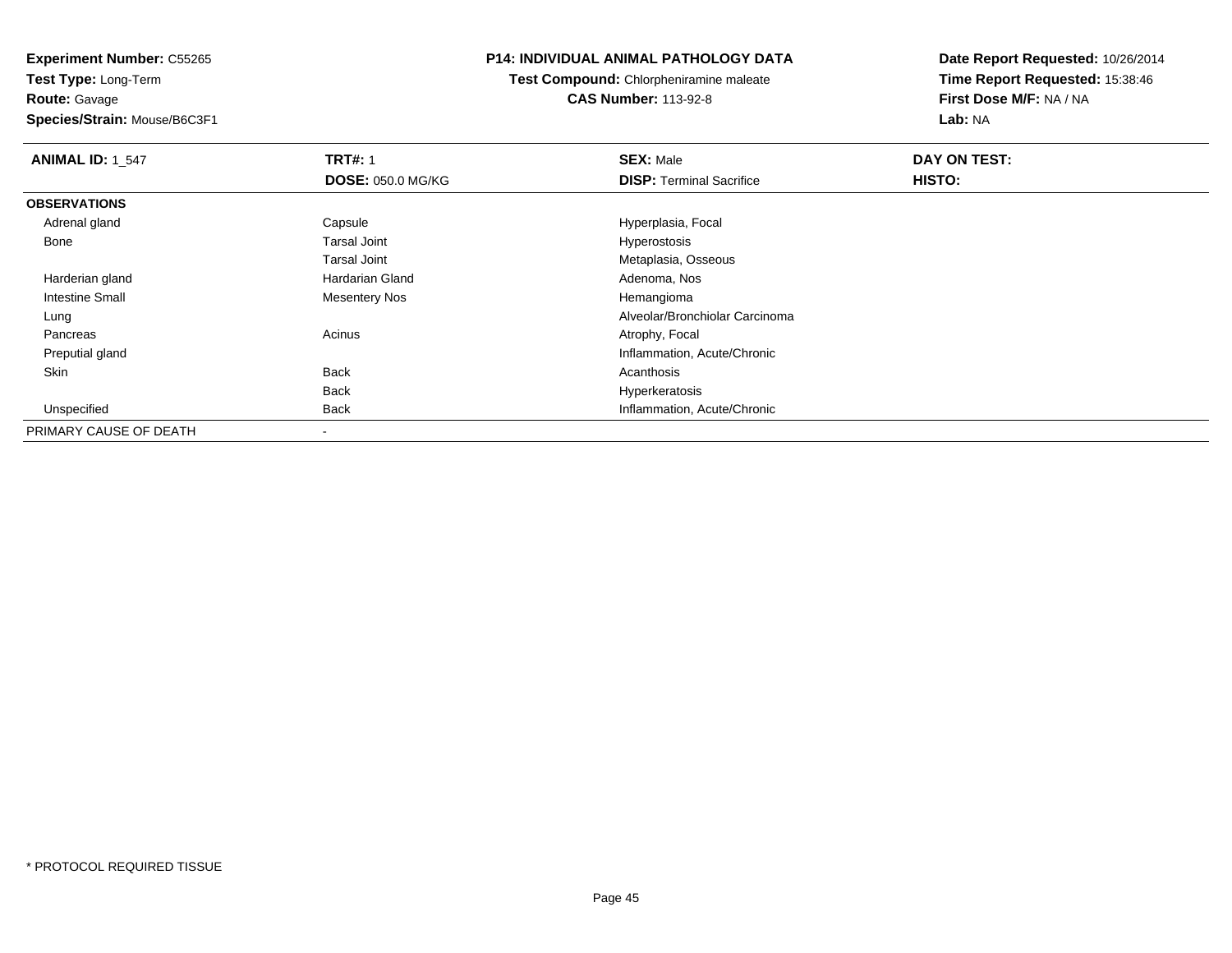**Experiment Number:** C55265**Test Type:** Long-Term

**Route:** Gavage

**Species/Strain:** Mouse/B6C3F1

# **P14: INDIVIDUAL ANIMAL PATHOLOGY DATA**

**Test Compound:** Chlorpheniramine maleate**CAS Number:** 113-92-8

| <b>ANIMAL ID: 1_547</b> | <b>TRT#: 1</b>           | <b>SEX: Male</b>                | DAY ON TEST: |  |
|-------------------------|--------------------------|---------------------------------|--------------|--|
|                         | <b>DOSE: 050.0 MG/KG</b> | <b>DISP:</b> Terminal Sacrifice | HISTO:       |  |
| <b>OBSERVATIONS</b>     |                          |                                 |              |  |
| Adrenal gland           | Capsule                  | Hyperplasia, Focal              |              |  |
| Bone                    | Tarsal Joint             | Hyperostosis                    |              |  |
|                         | Tarsal Joint             | Metaplasia, Osseous             |              |  |
| Harderian gland         | <b>Hardarian Gland</b>   | Adenoma, Nos                    |              |  |
| <b>Intestine Small</b>  | Mesentery Nos            | Hemangioma                      |              |  |
| Lung                    |                          | Alveolar/Bronchiolar Carcinoma  |              |  |
| Pancreas                | Acinus                   | Atrophy, Focal                  |              |  |
| Preputial gland         |                          | Inflammation, Acute/Chronic     |              |  |
| Skin                    | <b>Back</b>              | Acanthosis                      |              |  |
|                         | <b>Back</b>              | Hyperkeratosis                  |              |  |
| Unspecified             | <b>Back</b>              | Inflammation, Acute/Chronic     |              |  |
| PRIMARY CAUSE OF DEATH  |                          |                                 |              |  |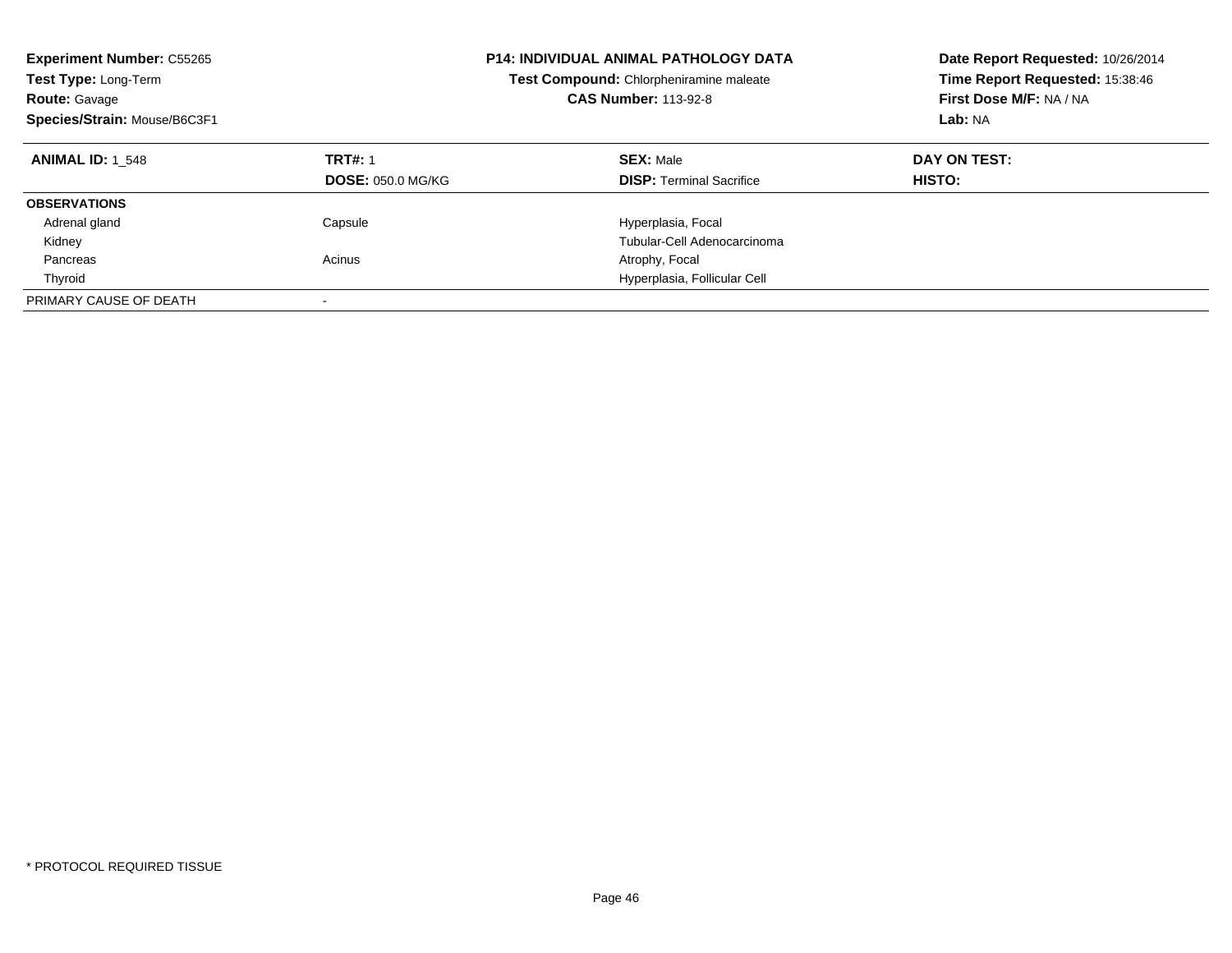| <b>Experiment Number: C55265</b><br>Test Type: Long-Term<br><b>Route: Gavage</b><br>Species/Strain: Mouse/B6C3F1 |                                            | <b>P14: INDIVIDUAL ANIMAL PATHOLOGY DATA</b><br>Test Compound: Chlorpheniramine maleate<br><b>CAS Number: 113-92-8</b> | Date Report Requested: 10/26/2014<br>Time Report Requested: 15:38:46<br>First Dose M/F: NA / NA<br>Lab: NA |
|------------------------------------------------------------------------------------------------------------------|--------------------------------------------|------------------------------------------------------------------------------------------------------------------------|------------------------------------------------------------------------------------------------------------|
| <b>ANIMAL ID: 1 548</b>                                                                                          | <b>TRT#: 1</b><br><b>DOSE: 050.0 MG/KG</b> | <b>SEX: Male</b><br><b>DISP:</b> Terminal Sacrifice                                                                    | DAY ON TEST:<br><b>HISTO:</b>                                                                              |
| <b>OBSERVATIONS</b>                                                                                              |                                            |                                                                                                                        |                                                                                                            |
| Adrenal gland                                                                                                    | Capsule                                    | Hyperplasia, Focal                                                                                                     |                                                                                                            |
| Kidney                                                                                                           |                                            | Tubular-Cell Adenocarcinoma                                                                                            |                                                                                                            |
| Pancreas                                                                                                         | Acinus                                     | Atrophy, Focal                                                                                                         |                                                                                                            |
| Thyroid                                                                                                          |                                            | Hyperplasia, Follicular Cell                                                                                           |                                                                                                            |
| PRIMARY CAUSE OF DEATH                                                                                           |                                            |                                                                                                                        |                                                                                                            |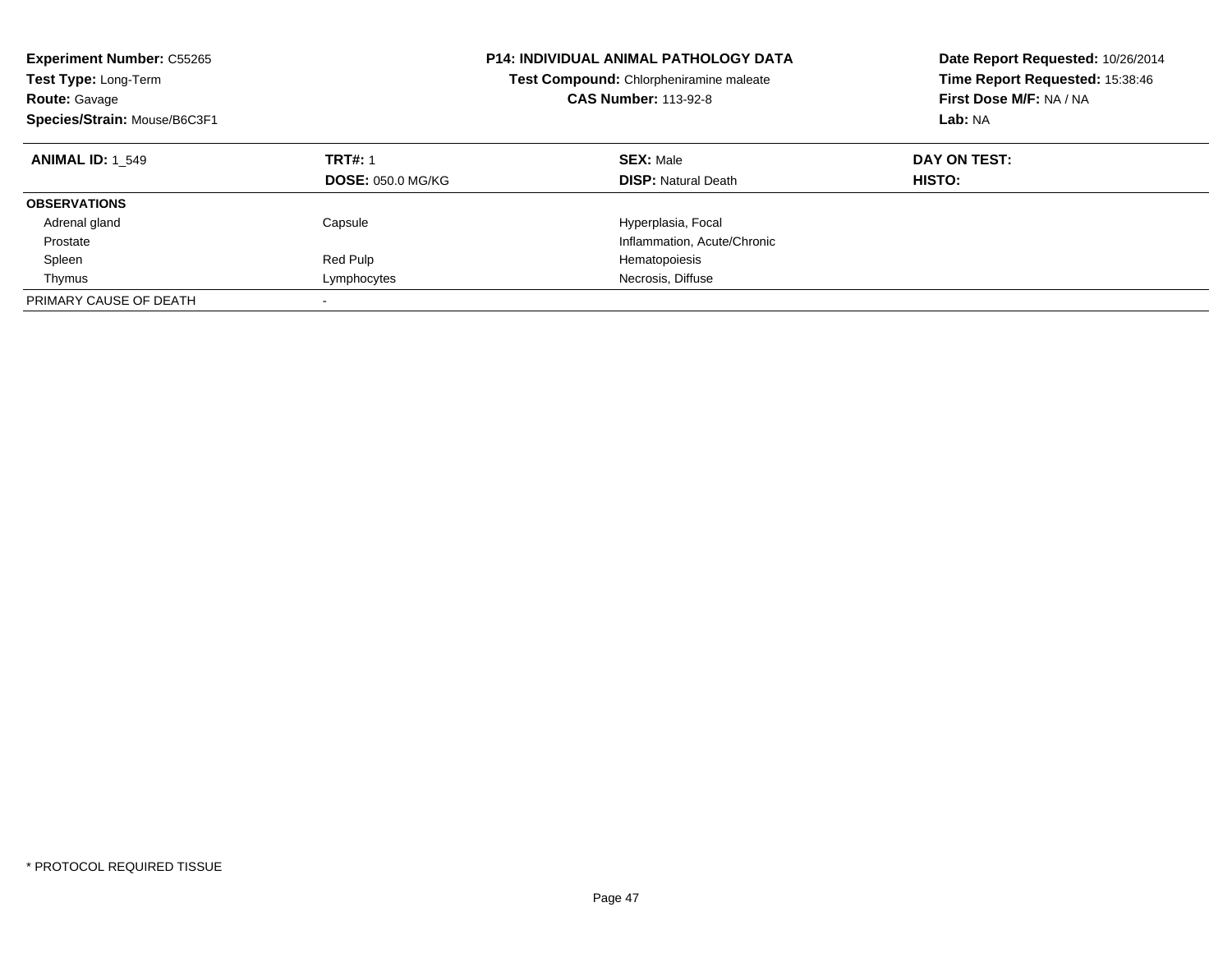| <b>Experiment Number: C55265</b><br>Test Type: Long-Term<br><b>Route: Gavage</b><br>Species/Strain: Mouse/B6C3F1 |                                            | <b>P14: INDIVIDUAL ANIMAL PATHOLOGY DATA</b><br>Test Compound: Chlorpheniramine maleate<br><b>CAS Number: 113-92-8</b> | Date Report Requested: 10/26/2014<br>Time Report Requested: 15:38:46<br>First Dose M/F: NA / NA<br>Lab: NA |
|------------------------------------------------------------------------------------------------------------------|--------------------------------------------|------------------------------------------------------------------------------------------------------------------------|------------------------------------------------------------------------------------------------------------|
| <b>ANIMAL ID: 1 549</b>                                                                                          | <b>TRT#: 1</b><br><b>DOSE: 050.0 MG/KG</b> | <b>SEX: Male</b><br><b>DISP: Natural Death</b>                                                                         | DAY ON TEST:<br>HISTO:                                                                                     |
| <b>OBSERVATIONS</b>                                                                                              |                                            |                                                                                                                        |                                                                                                            |
| Adrenal gland                                                                                                    | Capsule                                    | Hyperplasia, Focal                                                                                                     |                                                                                                            |
| Prostate                                                                                                         |                                            | Inflammation, Acute/Chronic                                                                                            |                                                                                                            |
| Spleen                                                                                                           | Red Pulp                                   | Hematopoiesis                                                                                                          |                                                                                                            |
| Thymus                                                                                                           | Lymphocytes                                | Necrosis, Diffuse                                                                                                      |                                                                                                            |
| PRIMARY CAUSE OF DEATH                                                                                           | $\overline{\phantom{a}}$                   |                                                                                                                        |                                                                                                            |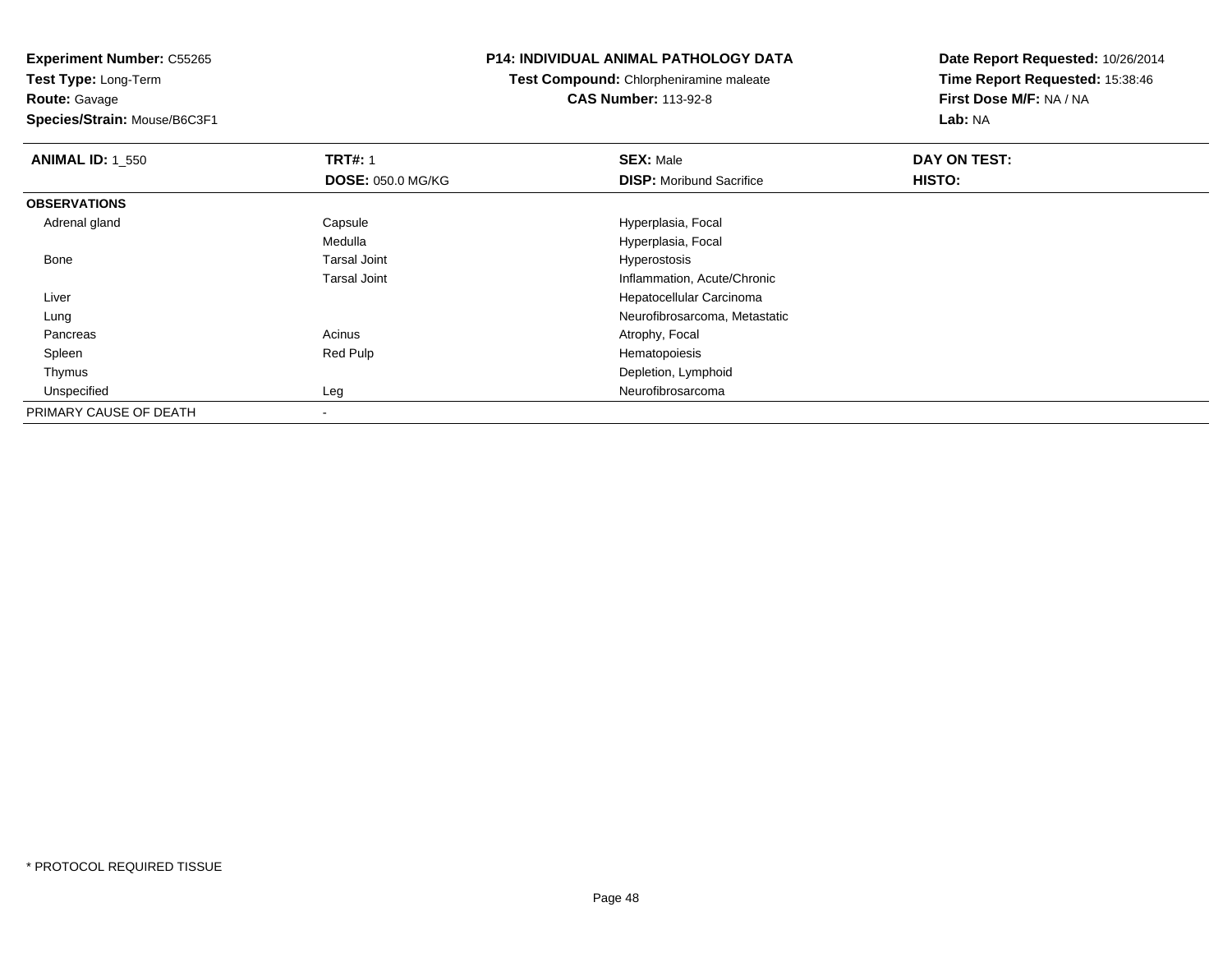**Test Type:** Long-Term**Route:** Gavage

**Species/Strain:** Mouse/B6C3F1

### **P14: INDIVIDUAL ANIMAL PATHOLOGY DATA**

**Test Compound:** Chlorpheniramine maleate**CAS Number:** 113-92-8

| <b>ANIMAL ID: 1_550</b> | <b>TRT#: 1</b>           | <b>SEX: Male</b>                | DAY ON TEST: |  |
|-------------------------|--------------------------|---------------------------------|--------------|--|
|                         | <b>DOSE: 050.0 MG/KG</b> | <b>DISP:</b> Moribund Sacrifice | HISTO:       |  |
| <b>OBSERVATIONS</b>     |                          |                                 |              |  |
| Adrenal gland           | Capsule                  | Hyperplasia, Focal              |              |  |
|                         | Medulla                  | Hyperplasia, Focal              |              |  |
| Bone                    | <b>Tarsal Joint</b>      | Hyperostosis                    |              |  |
|                         | <b>Tarsal Joint</b>      | Inflammation, Acute/Chronic     |              |  |
| Liver                   |                          | Hepatocellular Carcinoma        |              |  |
| Lung                    |                          | Neurofibrosarcoma, Metastatic   |              |  |
| Pancreas                | Acinus                   | Atrophy, Focal                  |              |  |
| Spleen                  | Red Pulp                 | Hematopoiesis                   |              |  |
| Thymus                  |                          | Depletion, Lymphoid             |              |  |
| Unspecified             | Leg                      | Neurofibrosarcoma               |              |  |
| PRIMARY CAUSE OF DEATH  |                          |                                 |              |  |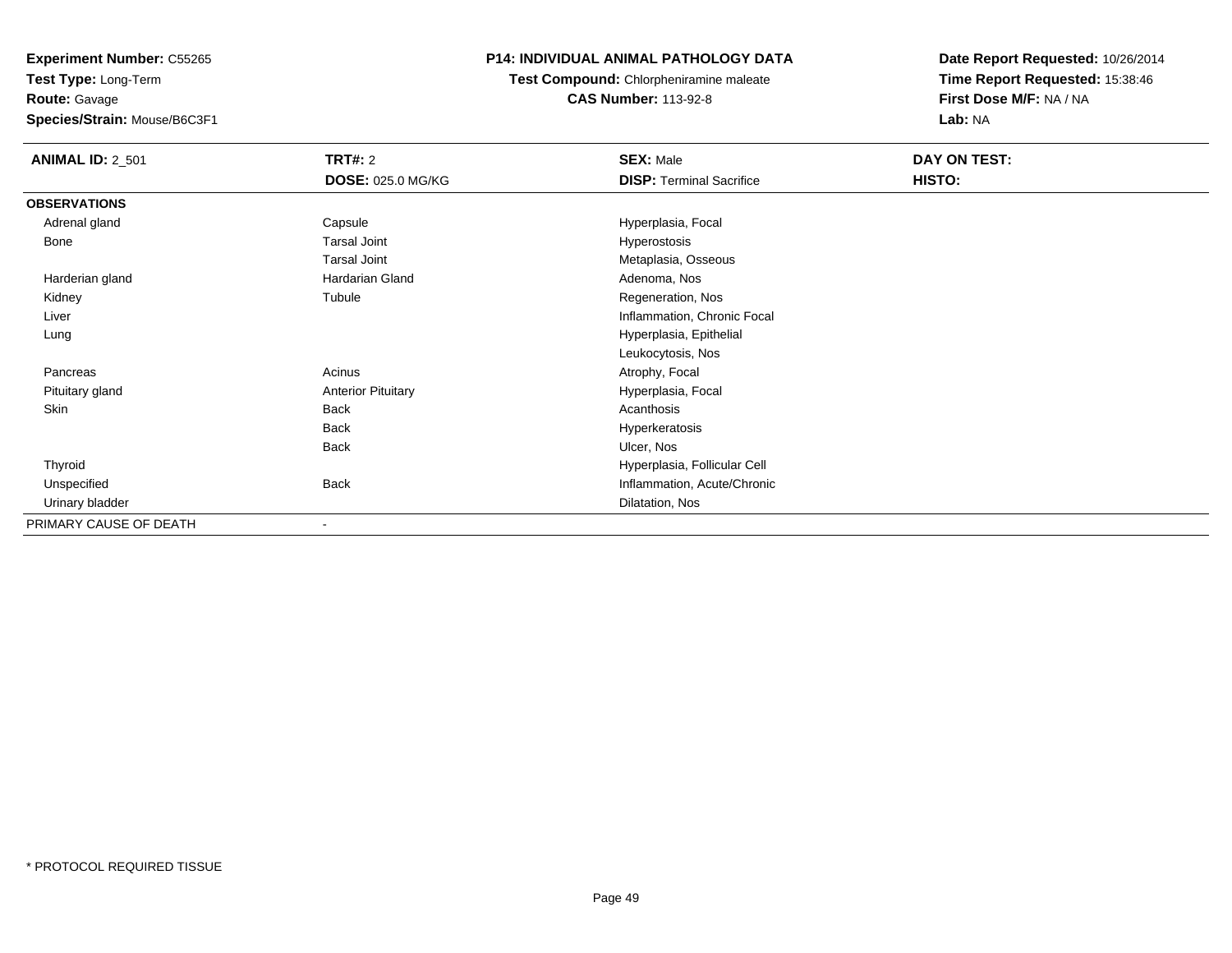**Experiment Number:** C55265**Test Type:** Long-Term

**Route:** Gavage

**Species/Strain:** Mouse/B6C3F1

# **P14: INDIVIDUAL ANIMAL PATHOLOGY DATA**

**Test Compound:** Chlorpheniramine maleate**CAS Number:** 113-92-8

| <b>ANIMAL ID: 2_501</b> | <b>TRT#: 2</b>            | <b>SEX: Male</b>                | DAY ON TEST: |  |
|-------------------------|---------------------------|---------------------------------|--------------|--|
|                         | <b>DOSE: 025.0 MG/KG</b>  | <b>DISP: Terminal Sacrifice</b> | HISTO:       |  |
| <b>OBSERVATIONS</b>     |                           |                                 |              |  |
| Adrenal gland           | Capsule                   | Hyperplasia, Focal              |              |  |
| Bone                    | <b>Tarsal Joint</b>       | Hyperostosis                    |              |  |
|                         | <b>Tarsal Joint</b>       | Metaplasia, Osseous             |              |  |
| Harderian gland         | Hardarian Gland           | Adenoma, Nos                    |              |  |
| Kidney                  | Tubule                    | Regeneration, Nos               |              |  |
| Liver                   |                           | Inflammation, Chronic Focal     |              |  |
| Lung                    |                           | Hyperplasia, Epithelial         |              |  |
|                         |                           | Leukocytosis, Nos               |              |  |
| Pancreas                | Acinus                    | Atrophy, Focal                  |              |  |
| Pituitary gland         | <b>Anterior Pituitary</b> | Hyperplasia, Focal              |              |  |
| Skin                    | <b>Back</b>               | Acanthosis                      |              |  |
|                         | <b>Back</b>               | Hyperkeratosis                  |              |  |
|                         | <b>Back</b>               | Ulcer, Nos                      |              |  |
| Thyroid                 |                           | Hyperplasia, Follicular Cell    |              |  |
| Unspecified             | <b>Back</b>               | Inflammation, Acute/Chronic     |              |  |
| Urinary bladder         |                           | Dilatation, Nos                 |              |  |
| PRIMARY CAUSE OF DEATH  |                           |                                 |              |  |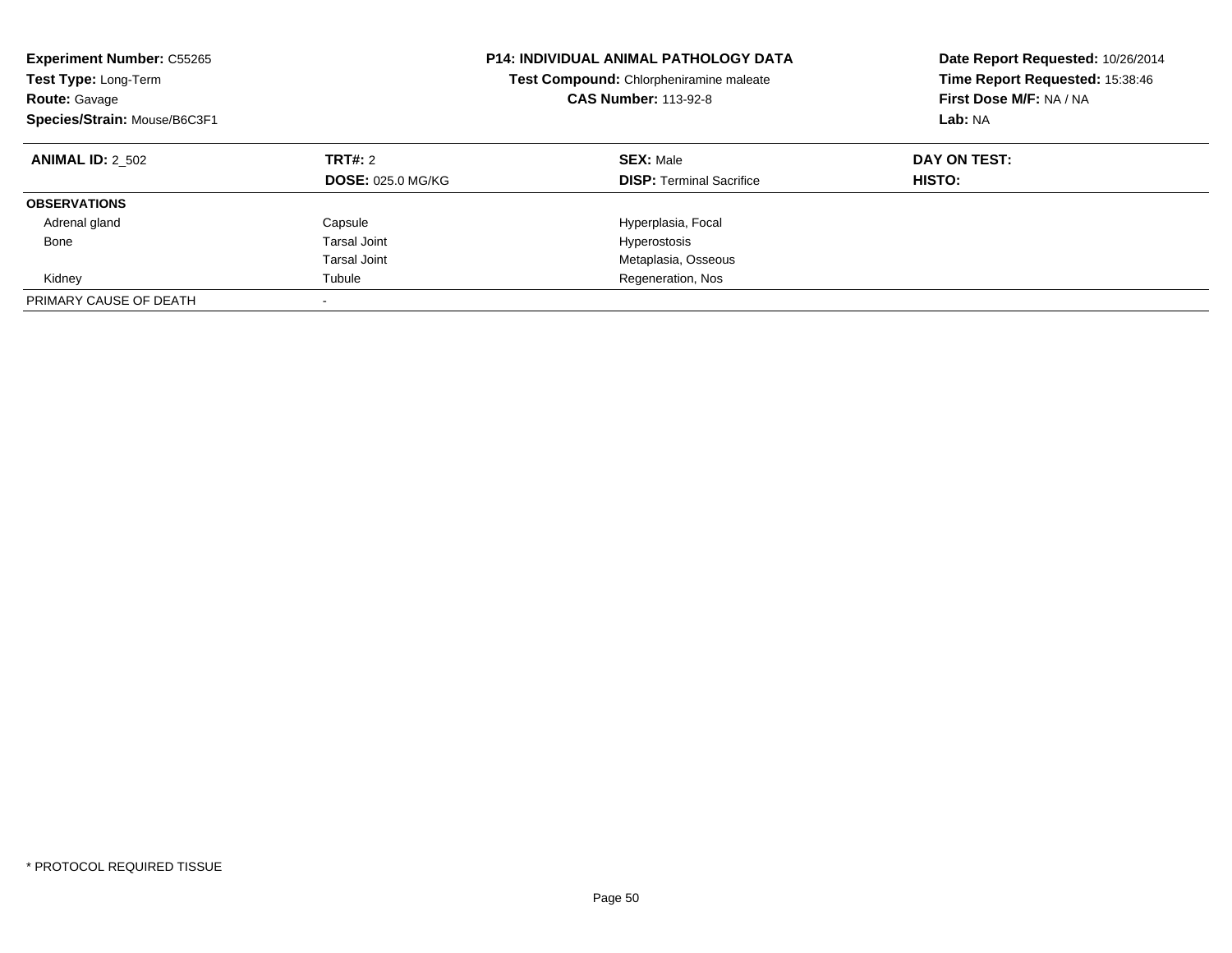| <b>Experiment Number: C55265</b><br>Test Type: Long-Term<br><b>Route: Gavage</b><br>Species/Strain: Mouse/B6C3F1 |                                     | <b>P14: INDIVIDUAL ANIMAL PATHOLOGY DATA</b><br>Test Compound: Chlorpheniramine maleate<br><b>CAS Number: 113-92-8</b> | Date Report Requested: 10/26/2014<br>Time Report Requested: 15:38:46<br>First Dose M/F: NA / NA<br>Lab: NA |
|------------------------------------------------------------------------------------------------------------------|-------------------------------------|------------------------------------------------------------------------------------------------------------------------|------------------------------------------------------------------------------------------------------------|
| <b>ANIMAL ID: 2 502</b>                                                                                          | TRT#: 2<br><b>DOSE: 025.0 MG/KG</b> | <b>SEX: Male</b><br><b>DISP:</b> Terminal Sacrifice                                                                    | DAY ON TEST:<br><b>HISTO:</b>                                                                              |
| <b>OBSERVATIONS</b>                                                                                              |                                     |                                                                                                                        |                                                                                                            |
| Adrenal gland                                                                                                    | Capsule                             | Hyperplasia, Focal                                                                                                     |                                                                                                            |
| Bone                                                                                                             | Tarsal Joint                        | Hyperostosis                                                                                                           |                                                                                                            |
|                                                                                                                  | <b>Tarsal Joint</b>                 | Metaplasia, Osseous                                                                                                    |                                                                                                            |
| Kidney                                                                                                           | Tubule                              | Regeneration, Nos                                                                                                      |                                                                                                            |
| PRIMARY CAUSE OF DEATH                                                                                           |                                     |                                                                                                                        |                                                                                                            |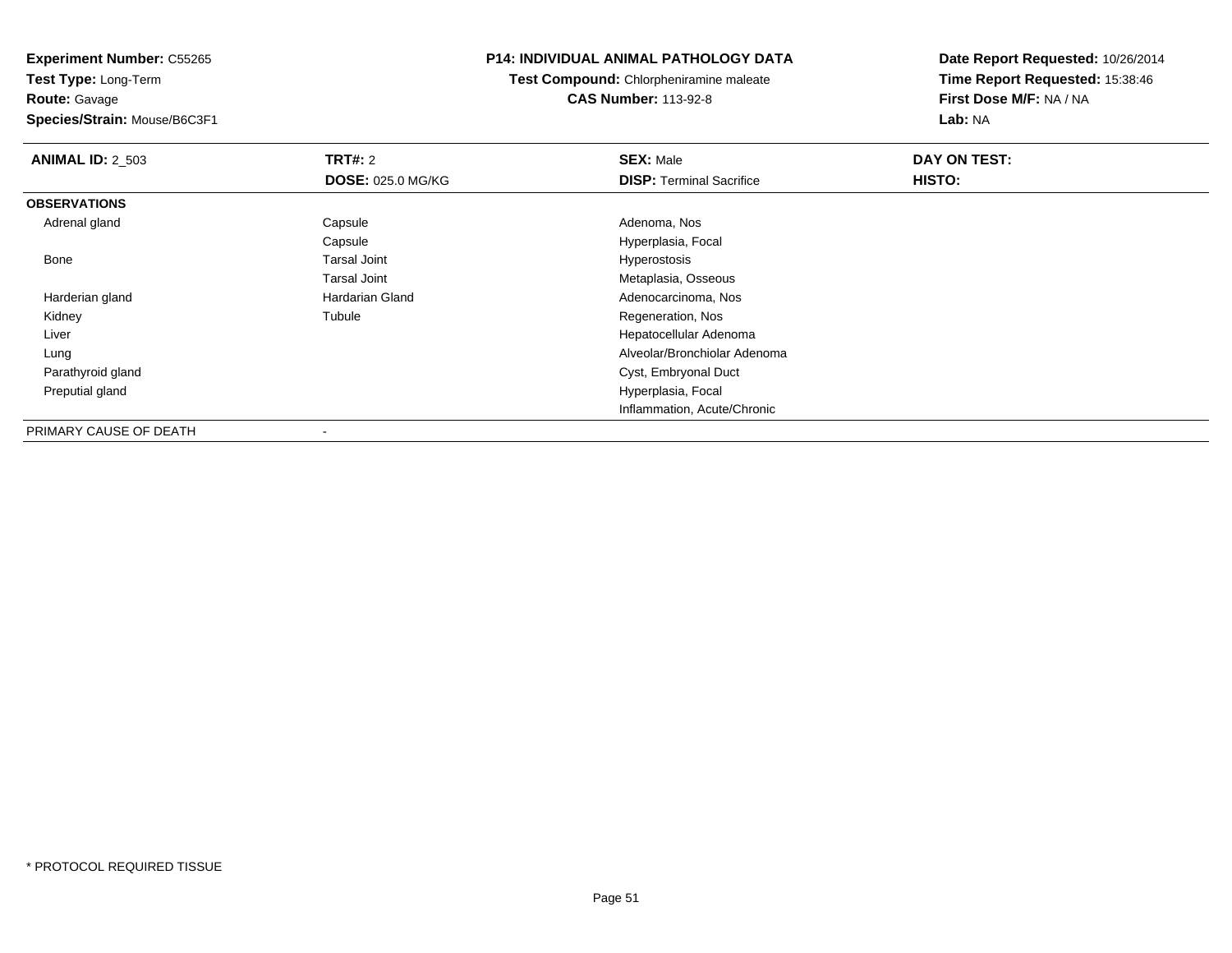**Test Type:** Long-Term**Route:** Gavage

**Species/Strain:** Mouse/B6C3F1

# **P14: INDIVIDUAL ANIMAL PATHOLOGY DATA**

**Test Compound:** Chlorpheniramine maleate**CAS Number:** 113-92-8

| <b>ANIMAL ID: 2_503</b> | TRT#: 2                  | <b>SEX: Male</b>                | DAY ON TEST: |
|-------------------------|--------------------------|---------------------------------|--------------|
|                         | <b>DOSE: 025.0 MG/KG</b> | <b>DISP: Terminal Sacrifice</b> | HISTO:       |
| <b>OBSERVATIONS</b>     |                          |                                 |              |
| Adrenal gland           | Capsule                  | Adenoma, Nos                    |              |
|                         | Capsule                  | Hyperplasia, Focal              |              |
| Bone                    | <b>Tarsal Joint</b>      | Hyperostosis                    |              |
|                         | <b>Tarsal Joint</b>      | Metaplasia, Osseous             |              |
| Harderian gland         | Hardarian Gland          | Adenocarcinoma, Nos             |              |
| Kidney                  | Tubule                   | Regeneration, Nos               |              |
| Liver                   |                          | Hepatocellular Adenoma          |              |
| Lung                    |                          | Alveolar/Bronchiolar Adenoma    |              |
| Parathyroid gland       |                          | Cyst, Embryonal Duct            |              |
| Preputial gland         |                          | Hyperplasia, Focal              |              |
|                         |                          | Inflammation, Acute/Chronic     |              |
| PRIMARY CAUSE OF DEATH  | $\overline{\phantom{a}}$ |                                 |              |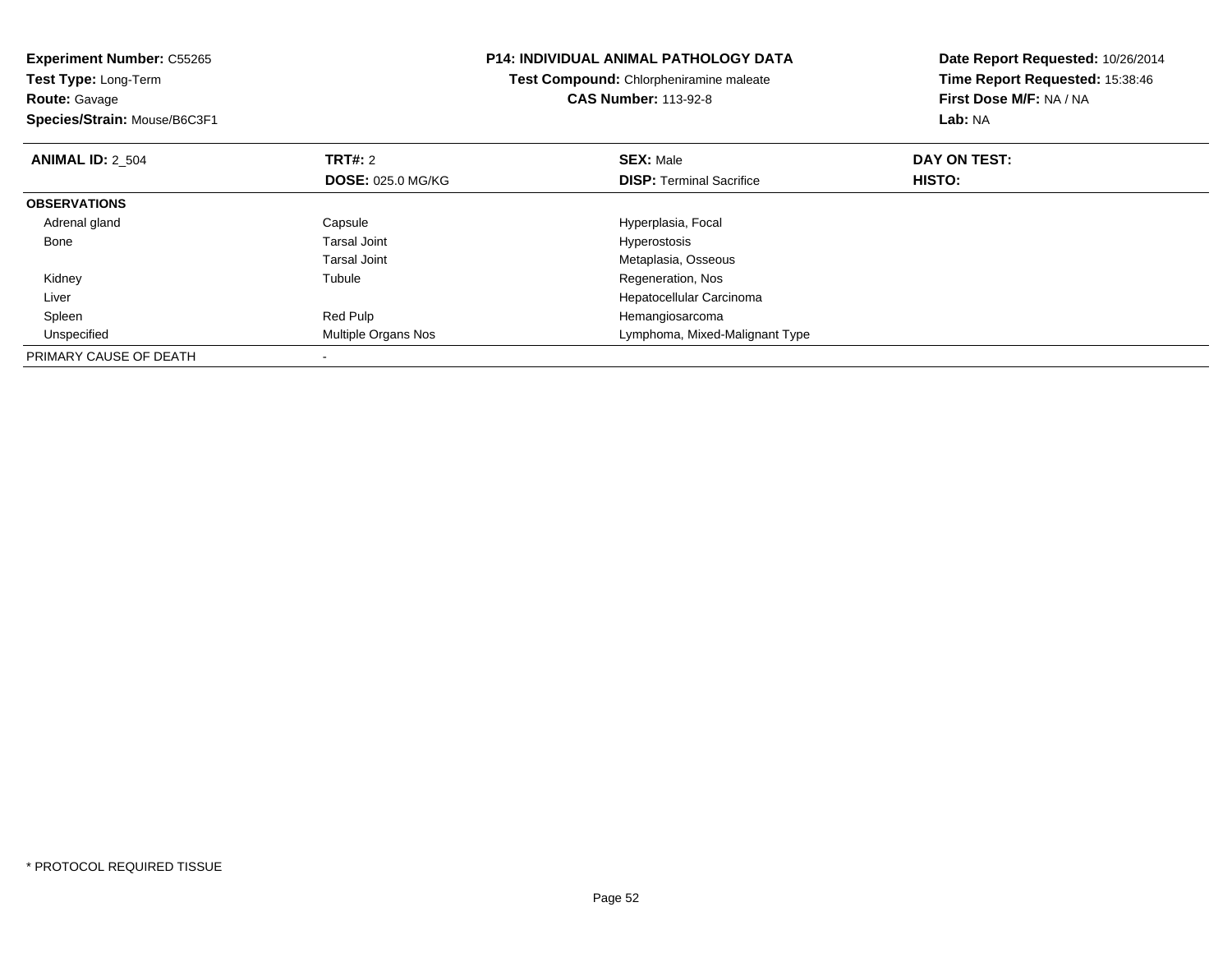| <b>Experiment Number: C55265</b><br>Test Type: Long-Term |                          | <b>P14: INDIVIDUAL ANIMAL PATHOLOGY DATA</b> | Date Report Requested: 10/26/2014 |  |
|----------------------------------------------------------|--------------------------|----------------------------------------------|-----------------------------------|--|
|                                                          |                          | Test Compound: Chlorpheniramine maleate      | Time Report Requested: 15:38:46   |  |
| <b>Route: Gavage</b>                                     |                          | <b>CAS Number: 113-92-8</b>                  | First Dose M/F: NA / NA           |  |
| Species/Strain: Mouse/B6C3F1                             |                          |                                              | Lab: NA                           |  |
| <b>ANIMAL ID: 2 504</b>                                  | <b>TRT#: 2</b>           | <b>SEX: Male</b>                             | DAY ON TEST:                      |  |
|                                                          | <b>DOSE: 025.0 MG/KG</b> | <b>DISP:</b> Terminal Sacrifice              | HISTO:                            |  |
| <b>OBSERVATIONS</b>                                      |                          |                                              |                                   |  |
| Adrenal gland                                            | Capsule                  | Hyperplasia, Focal                           |                                   |  |
| Bone                                                     | Tarsal Joint             | Hyperostosis                                 |                                   |  |
|                                                          | Tarsal Joint             | Metaplasia, Osseous                          |                                   |  |
| Kidney                                                   | Tubule                   | Regeneration, Nos                            |                                   |  |
| Liver                                                    |                          | Hepatocellular Carcinoma                     |                                   |  |
| Spleen                                                   | Red Pulp                 | Hemangiosarcoma                              |                                   |  |
| Unspecified                                              | Multiple Organs Nos      | Lymphoma, Mixed-Malignant Type               |                                   |  |
| PRIMARY CAUSE OF DEATH                                   |                          |                                              |                                   |  |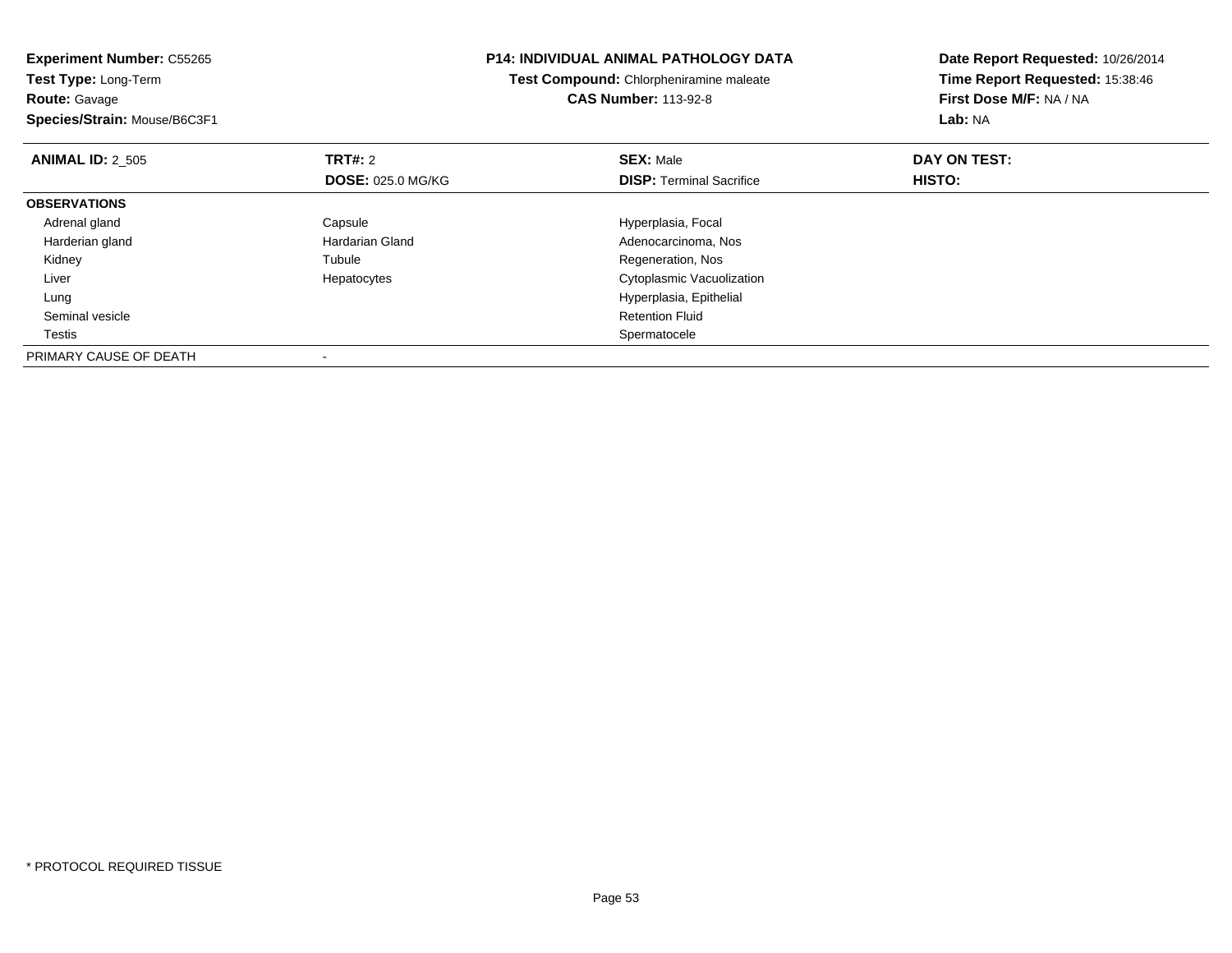| <b>Experiment Number: C55265</b><br>Test Type: Long-Term |                          | <b>P14: INDIVIDUAL ANIMAL PATHOLOGY DATA</b> | Date Report Requested: 10/26/2014<br>Time Report Requested: 15:38:46 |  |
|----------------------------------------------------------|--------------------------|----------------------------------------------|----------------------------------------------------------------------|--|
|                                                          |                          | Test Compound: Chlorpheniramine maleate      |                                                                      |  |
| <b>Route: Gavage</b>                                     |                          | <b>CAS Number: 113-92-8</b>                  | First Dose M/F: NA / NA                                              |  |
| Species/Strain: Mouse/B6C3F1                             |                          |                                              | Lab: NA                                                              |  |
| <b>ANIMAL ID: 2 505</b>                                  | <b>TRT#: 2</b>           | <b>SEX: Male</b>                             | DAY ON TEST:                                                         |  |
|                                                          | <b>DOSE: 025.0 MG/KG</b> | <b>DISP:</b> Terminal Sacrifice              | HISTO:                                                               |  |
| <b>OBSERVATIONS</b>                                      |                          |                                              |                                                                      |  |
| Adrenal gland                                            | Capsule                  | Hyperplasia, Focal                           |                                                                      |  |
| Harderian gland                                          | <b>Hardarian Gland</b>   | Adenocarcinoma, Nos                          |                                                                      |  |
| Kidney                                                   | Tubule                   | Regeneration, Nos                            |                                                                      |  |
| Liver                                                    | Hepatocytes              | Cytoplasmic Vacuolization                    |                                                                      |  |
| Lung                                                     |                          | Hyperplasia, Epithelial                      |                                                                      |  |
| Seminal vesicle                                          |                          | <b>Retention Fluid</b>                       |                                                                      |  |
| Testis                                                   |                          | Spermatocele                                 |                                                                      |  |
| PRIMARY CAUSE OF DEATH                                   |                          |                                              |                                                                      |  |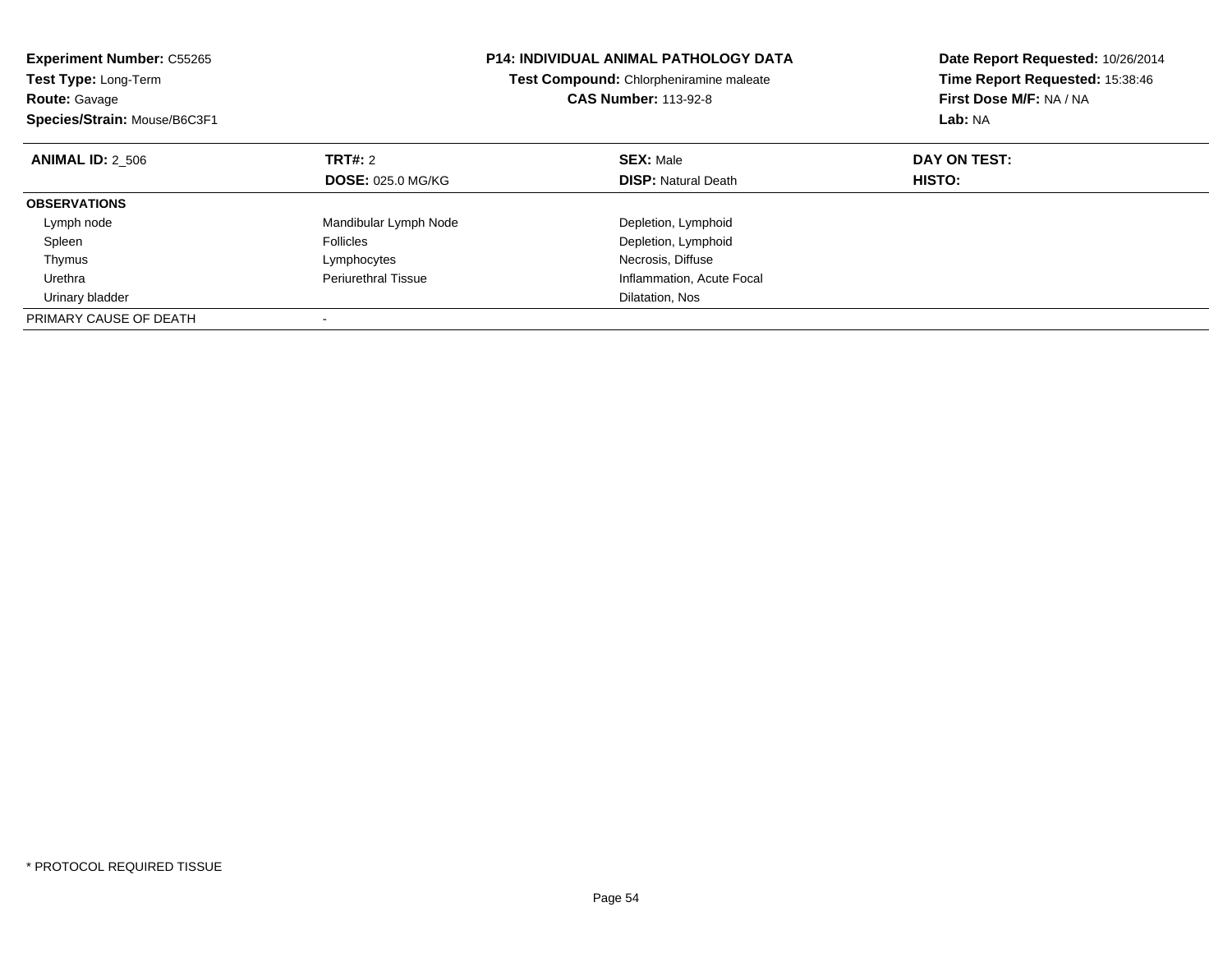| <b>Experiment Number: C55265</b><br><b>Test Type: Long-Term</b><br><b>Route: Gavage</b> |                            | <b>P14: INDIVIDUAL ANIMAL PATHOLOGY DATA</b><br>Test Compound: Chlorpheniramine maleate<br><b>CAS Number: 113-92-8</b> | Date Report Requested: 10/26/2014<br>Time Report Requested: 15:38:46<br>First Dose M/F: NA / NA |  |
|-----------------------------------------------------------------------------------------|----------------------------|------------------------------------------------------------------------------------------------------------------------|-------------------------------------------------------------------------------------------------|--|
| Species/Strain: Mouse/B6C3F1                                                            |                            |                                                                                                                        | Lab: NA                                                                                         |  |
| <b>ANIMAL ID: 2 506</b>                                                                 | TRT#: 2                    | <b>SEX: Male</b>                                                                                                       | DAY ON TEST:                                                                                    |  |
|                                                                                         | <b>DOSE: 025.0 MG/KG</b>   | <b>DISP:</b> Natural Death                                                                                             | HISTO:                                                                                          |  |
| <b>OBSERVATIONS</b>                                                                     |                            |                                                                                                                        |                                                                                                 |  |
| Lymph node                                                                              | Mandibular Lymph Node      | Depletion, Lymphoid                                                                                                    |                                                                                                 |  |
| Spleen                                                                                  | <b>Follicles</b>           | Depletion, Lymphoid                                                                                                    |                                                                                                 |  |
| Thymus                                                                                  | Lymphocytes                | Necrosis, Diffuse                                                                                                      |                                                                                                 |  |
| Urethra                                                                                 | <b>Periurethral Tissue</b> | Inflammation, Acute Focal                                                                                              |                                                                                                 |  |
| Urinary bladder                                                                         |                            | Dilatation, Nos                                                                                                        |                                                                                                 |  |
| PRIMARY CAUSE OF DEATH                                                                  |                            |                                                                                                                        |                                                                                                 |  |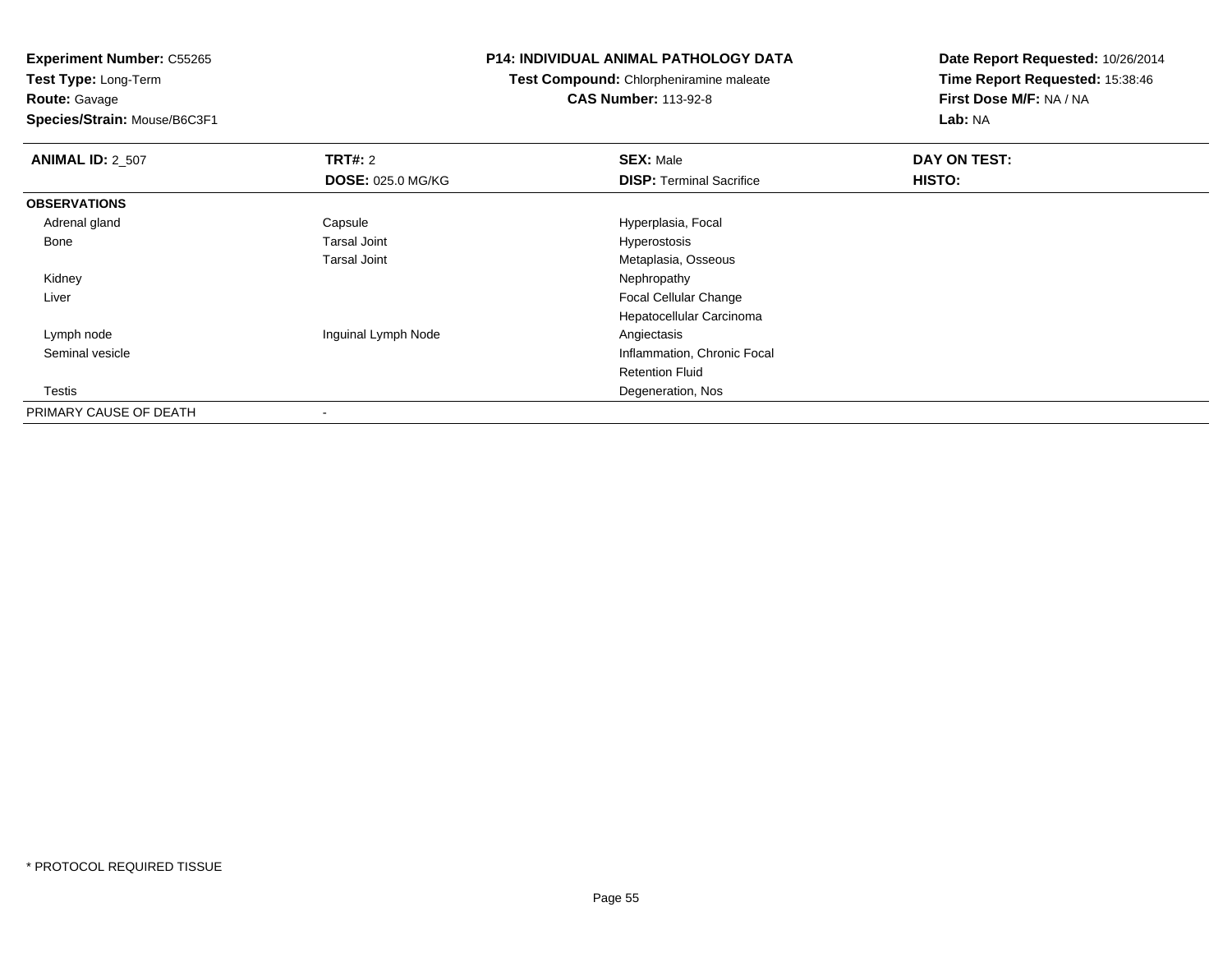**Test Type:** Long-Term**Route:** Gavage

**Species/Strain:** Mouse/B6C3F1

### **P14: INDIVIDUAL ANIMAL PATHOLOGY DATA**

**Test Compound:** Chlorpheniramine maleate**CAS Number:** 113-92-8

| <b>ANIMAL ID: 2_507</b> | TRT#: 2                  | <b>SEX: Male</b>                | DAY ON TEST: |  |
|-------------------------|--------------------------|---------------------------------|--------------|--|
|                         | <b>DOSE: 025.0 MG/KG</b> | <b>DISP: Terminal Sacrifice</b> | HISTO:       |  |
| <b>OBSERVATIONS</b>     |                          |                                 |              |  |
| Adrenal gland           | Capsule                  | Hyperplasia, Focal              |              |  |
| Bone                    | <b>Tarsal Joint</b>      | Hyperostosis                    |              |  |
|                         | <b>Tarsal Joint</b>      | Metaplasia, Osseous             |              |  |
| Kidney                  |                          | Nephropathy                     |              |  |
| Liver                   |                          | <b>Focal Cellular Change</b>    |              |  |
|                         |                          | Hepatocellular Carcinoma        |              |  |
| Lymph node              | Inguinal Lymph Node      | Angiectasis                     |              |  |
| Seminal vesicle         |                          | Inflammation, Chronic Focal     |              |  |
|                         |                          | <b>Retention Fluid</b>          |              |  |
| Testis                  |                          | Degeneration, Nos               |              |  |
| PRIMARY CAUSE OF DEATH  |                          |                                 |              |  |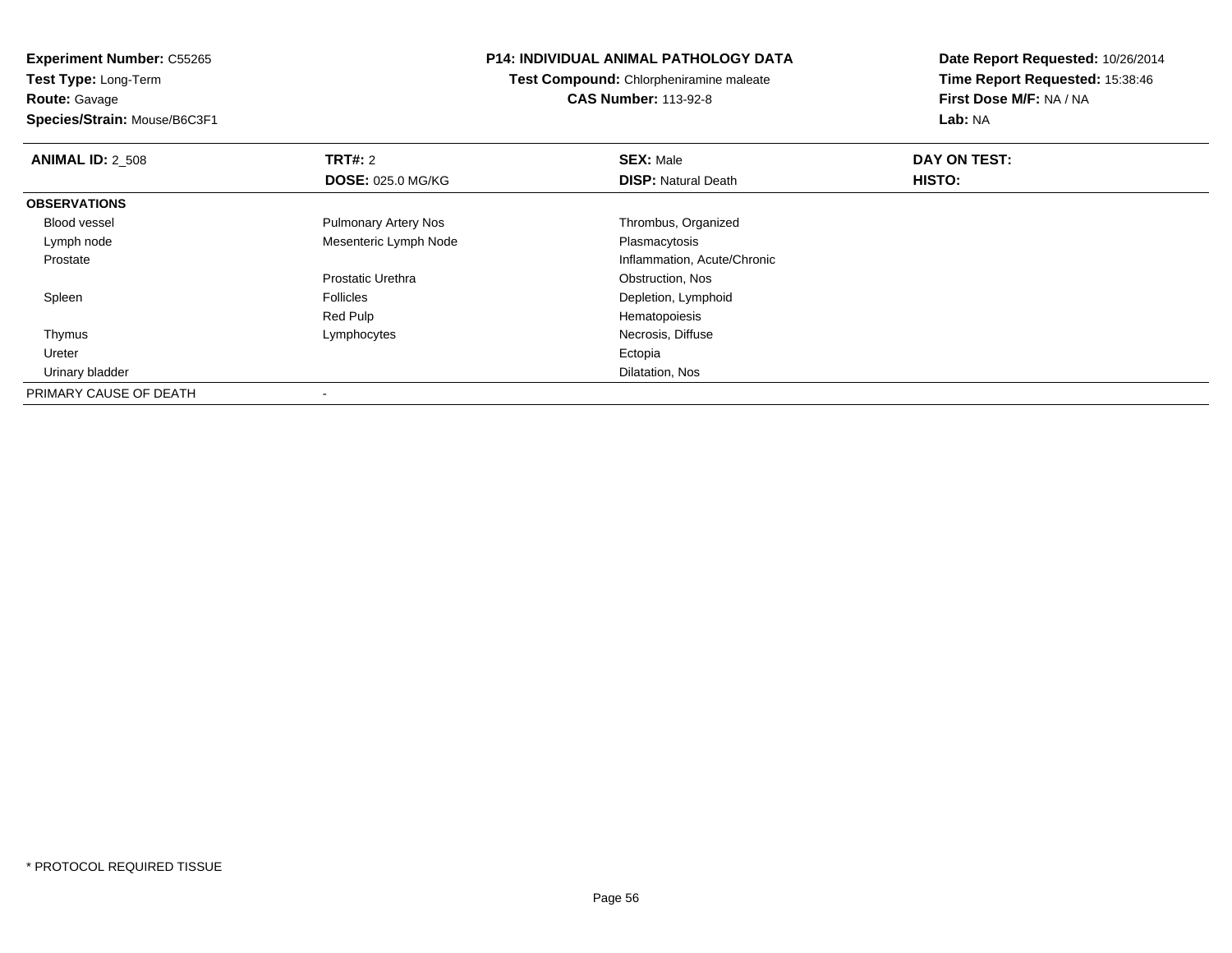**Experiment Number:** C55265**Test Type:** Long-Term**Route:** Gavage

**Species/Strain:** Mouse/B6C3F1

## **P14: INDIVIDUAL ANIMAL PATHOLOGY DATA**

**Test Compound:** Chlorpheniramine maleate**CAS Number:** 113-92-8

| <b>ANIMAL ID: 2 508</b> | TRT#: 2                     | <b>SEX: Male</b>            | DAY ON TEST: |  |
|-------------------------|-----------------------------|-----------------------------|--------------|--|
|                         | <b>DOSE: 025.0 MG/KG</b>    | <b>DISP: Natural Death</b>  | HISTO:       |  |
| <b>OBSERVATIONS</b>     |                             |                             |              |  |
| <b>Blood vessel</b>     | <b>Pulmonary Artery Nos</b> | Thrombus, Organized         |              |  |
| Lymph node              | Mesenteric Lymph Node       | Plasmacytosis               |              |  |
| Prostate                |                             | Inflammation, Acute/Chronic |              |  |
|                         | Prostatic Urethra           | Obstruction, Nos            |              |  |
| Spleen                  | <b>Follicles</b>            | Depletion, Lymphoid         |              |  |
|                         | Red Pulp                    | Hematopoiesis               |              |  |
| Thymus                  | Lymphocytes                 | Necrosis, Diffuse           |              |  |
| Ureter                  |                             | Ectopia                     |              |  |
| Urinary bladder         |                             | Dilatation, Nos             |              |  |
| PRIMARY CAUSE OF DEATH  |                             |                             |              |  |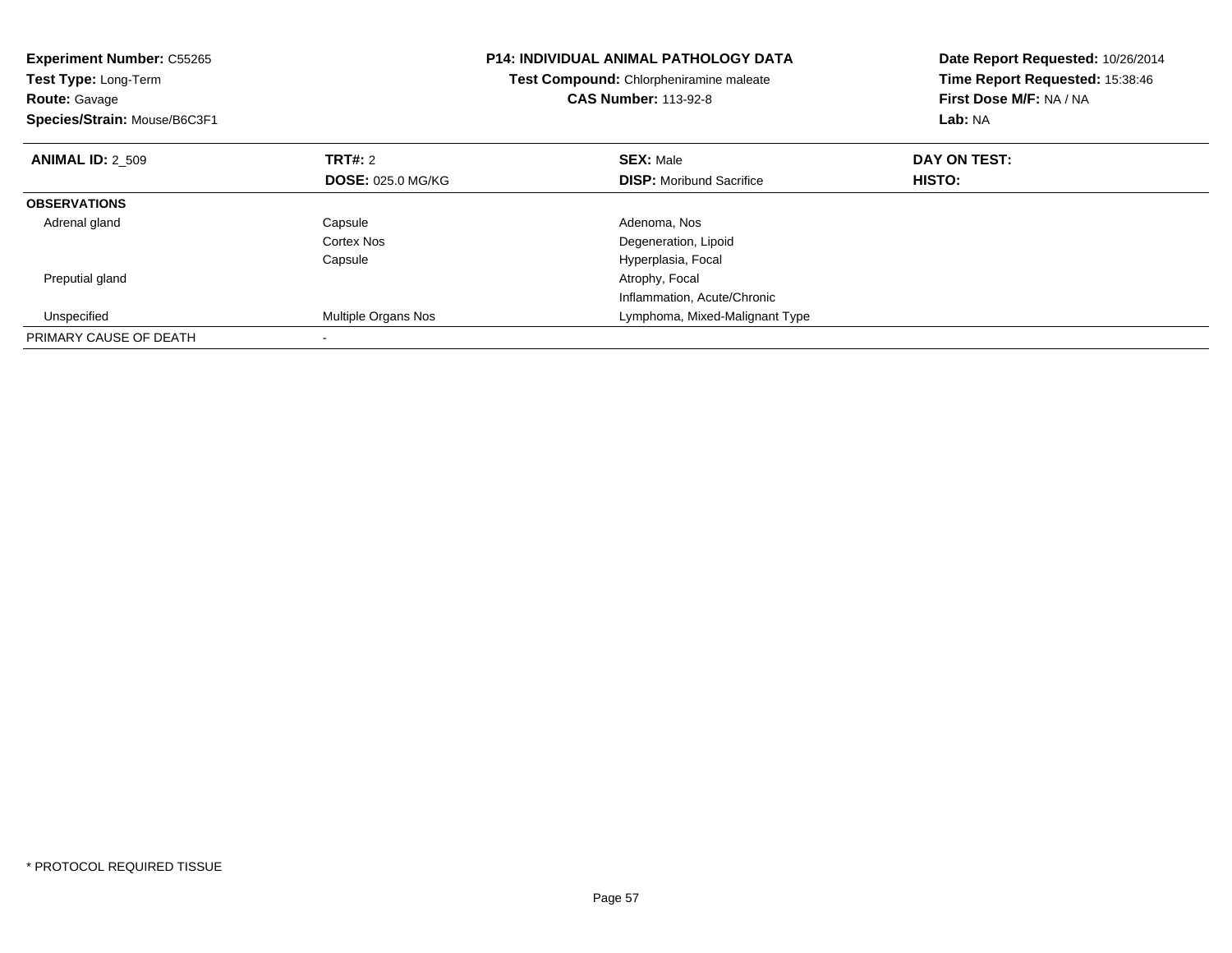| <b>Experiment Number: C55265</b><br><b>Test Type: Long-Term</b><br><b>Route: Gavage</b><br>Species/Strain: Mouse/B6C3F1 |                          | <b>P14: INDIVIDUAL ANIMAL PATHOLOGY DATA</b><br>Test Compound: Chlorpheniramine maleate<br><b>CAS Number: 113-92-8</b> | Date Report Requested: 10/26/2014<br>Time Report Requested: 15:38:46<br>First Dose M/F: NA / NA<br>Lab: NA |
|-------------------------------------------------------------------------------------------------------------------------|--------------------------|------------------------------------------------------------------------------------------------------------------------|------------------------------------------------------------------------------------------------------------|
| <b>ANIMAL ID: 2 509</b>                                                                                                 | TRT#: 2                  | <b>SEX: Male</b>                                                                                                       | DAY ON TEST:                                                                                               |
|                                                                                                                         | <b>DOSE: 025.0 MG/KG</b> | <b>DISP:</b> Moribund Sacrifice                                                                                        | <b>HISTO:</b>                                                                                              |
| <b>OBSERVATIONS</b>                                                                                                     |                          |                                                                                                                        |                                                                                                            |
| Adrenal gland                                                                                                           | Capsule                  | Adenoma, Nos                                                                                                           |                                                                                                            |
|                                                                                                                         | Cortex Nos               | Degeneration, Lipoid                                                                                                   |                                                                                                            |
|                                                                                                                         | Capsule                  | Hyperplasia, Focal                                                                                                     |                                                                                                            |
| Preputial gland                                                                                                         |                          | Atrophy, Focal                                                                                                         |                                                                                                            |
|                                                                                                                         |                          | Inflammation, Acute/Chronic                                                                                            |                                                                                                            |
| Unspecified                                                                                                             | Multiple Organs Nos      | Lymphoma, Mixed-Malignant Type                                                                                         |                                                                                                            |
| PRIMARY CAUSE OF DEATH                                                                                                  |                          |                                                                                                                        |                                                                                                            |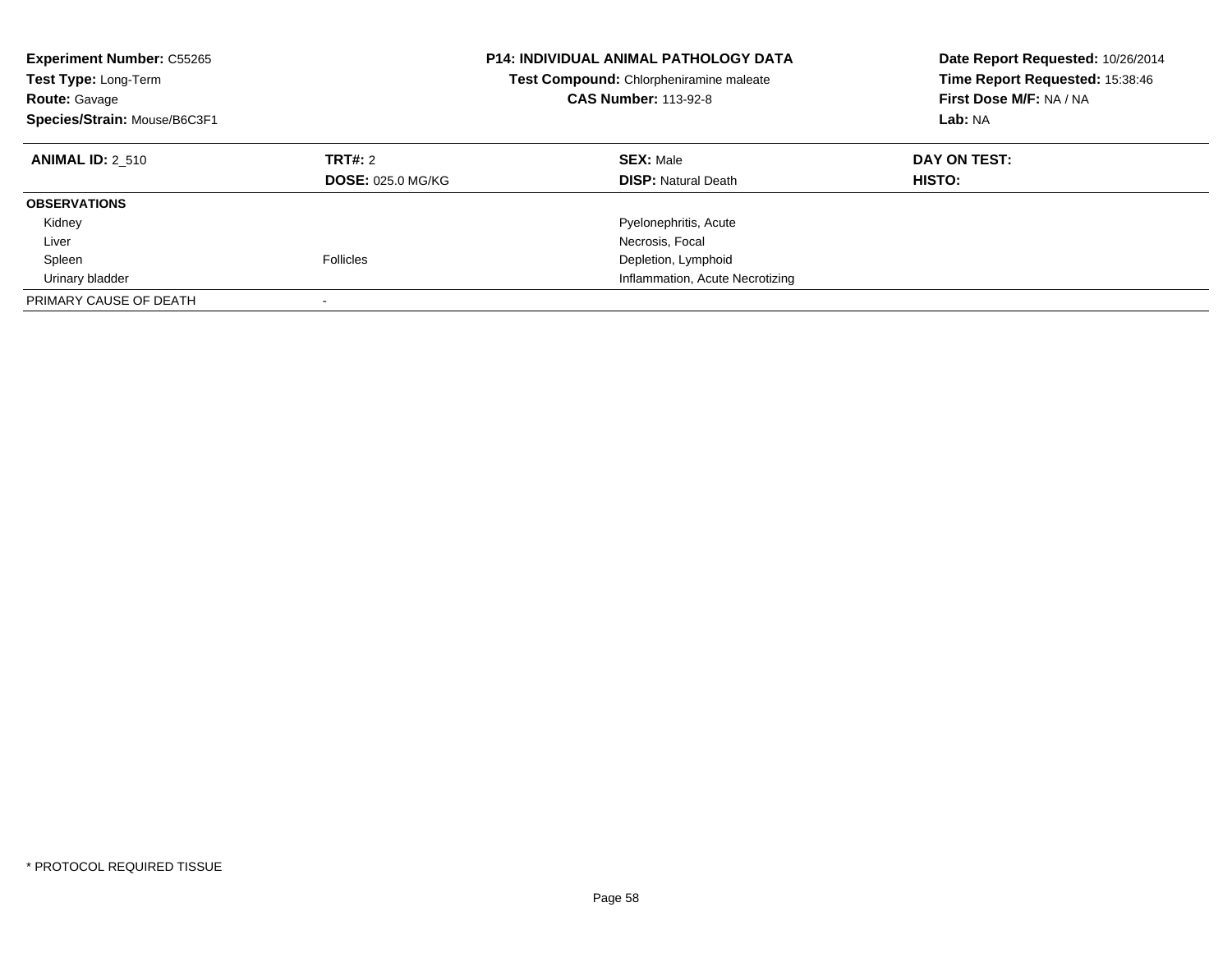| <b>Experiment Number: C55265</b><br>Test Type: Long-Term<br><b>Route: Gavage</b><br>Species/Strain: Mouse/B6C3F1 |                                     | <b>P14: INDIVIDUAL ANIMAL PATHOLOGY DATA</b><br>Test Compound: Chlorpheniramine maleate<br><b>CAS Number: 113-92-8</b> | Date Report Requested: 10/26/2014<br>Time Report Requested: 15:38:46<br>First Dose M/F: NA / NA<br>Lab: NA |
|------------------------------------------------------------------------------------------------------------------|-------------------------------------|------------------------------------------------------------------------------------------------------------------------|------------------------------------------------------------------------------------------------------------|
| <b>ANIMAL ID: 2 510</b>                                                                                          | TRT#: 2<br><b>DOSE: 025.0 MG/KG</b> | <b>SEX: Male</b><br><b>DISP: Natural Death</b>                                                                         | DAY ON TEST:<br><b>HISTO:</b>                                                                              |
| <b>OBSERVATIONS</b>                                                                                              |                                     |                                                                                                                        |                                                                                                            |
| Kidney                                                                                                           |                                     | Pyelonephritis, Acute                                                                                                  |                                                                                                            |
| Liver                                                                                                            |                                     | Necrosis, Focal                                                                                                        |                                                                                                            |
| Spleen                                                                                                           | <b>Follicles</b>                    | Depletion, Lymphoid                                                                                                    |                                                                                                            |
| Urinary bladder                                                                                                  |                                     | Inflammation, Acute Necrotizing                                                                                        |                                                                                                            |
| PRIMARY CAUSE OF DEATH                                                                                           |                                     |                                                                                                                        |                                                                                                            |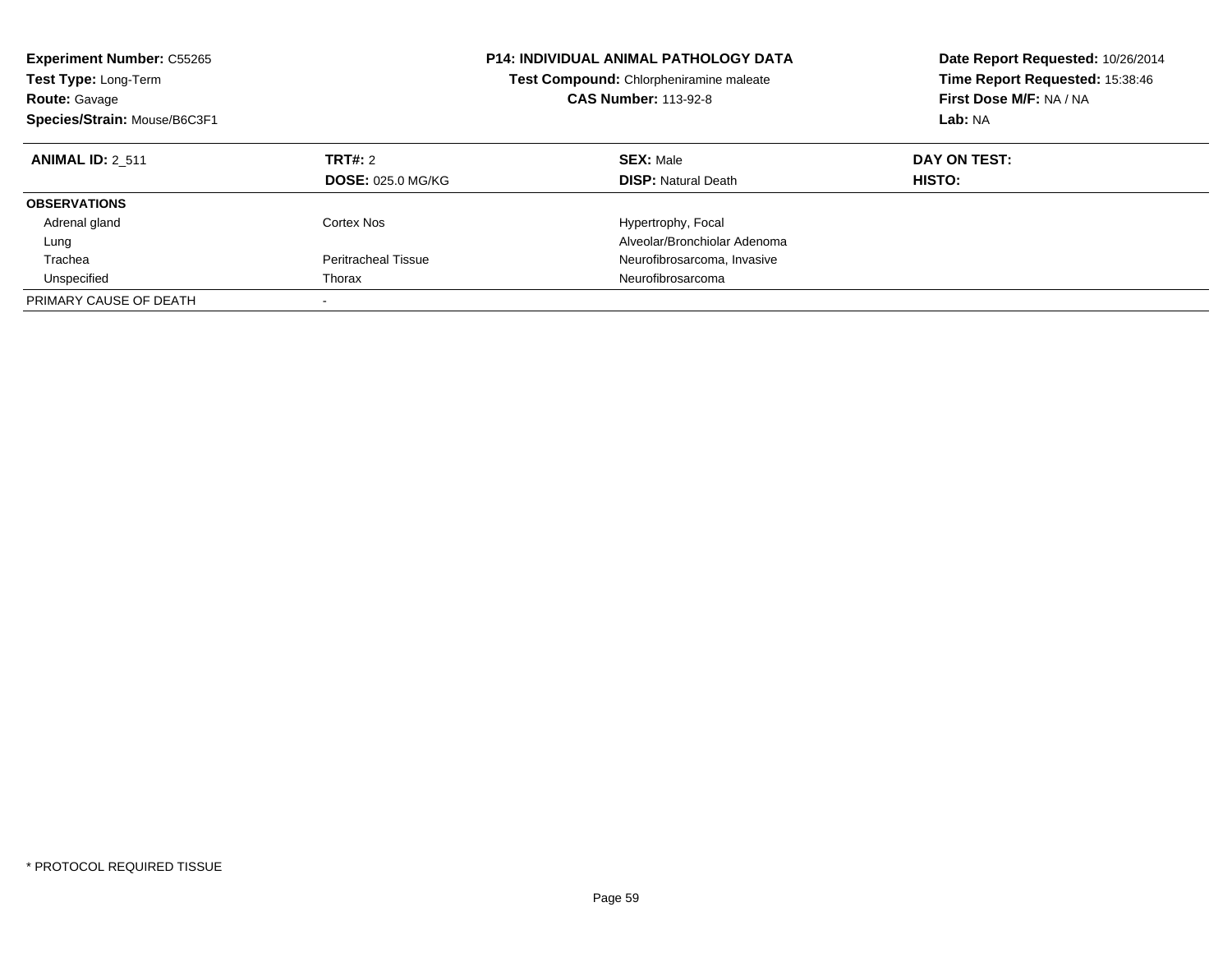| <b>Experiment Number: C55265</b><br><b>Test Type: Long-Term</b><br><b>Route: Gavage</b><br>Species/Strain: Mouse/B6C3F1 |                                     | <b>P14: INDIVIDUAL ANIMAL PATHOLOGY DATA</b><br>Test Compound: Chlorpheniramine maleate<br><b>CAS Number: 113-92-8</b> | Date Report Requested: 10/26/2014<br>Time Report Requested: 15:38:46<br>First Dose M/F: NA / NA<br>Lab: NA |
|-------------------------------------------------------------------------------------------------------------------------|-------------------------------------|------------------------------------------------------------------------------------------------------------------------|------------------------------------------------------------------------------------------------------------|
| <b>ANIMAL ID: 2 511</b>                                                                                                 | TRT#: 2<br><b>DOSE: 025.0 MG/KG</b> | <b>SEX: Male</b><br><b>DISP:</b> Natural Death                                                                         | DAY ON TEST:<br><b>HISTO:</b>                                                                              |
| <b>OBSERVATIONS</b>                                                                                                     |                                     |                                                                                                                        |                                                                                                            |
| Adrenal gland                                                                                                           | Cortex Nos                          | Hypertrophy, Focal                                                                                                     |                                                                                                            |
| Lung                                                                                                                    |                                     | Alveolar/Bronchiolar Adenoma                                                                                           |                                                                                                            |
| Trachea                                                                                                                 | Peritracheal Tissue                 | Neurofibrosarcoma, Invasive                                                                                            |                                                                                                            |
| Unspecified                                                                                                             | Thorax                              | Neurofibrosarcoma                                                                                                      |                                                                                                            |
| PRIMARY CAUSE OF DEATH                                                                                                  |                                     |                                                                                                                        |                                                                                                            |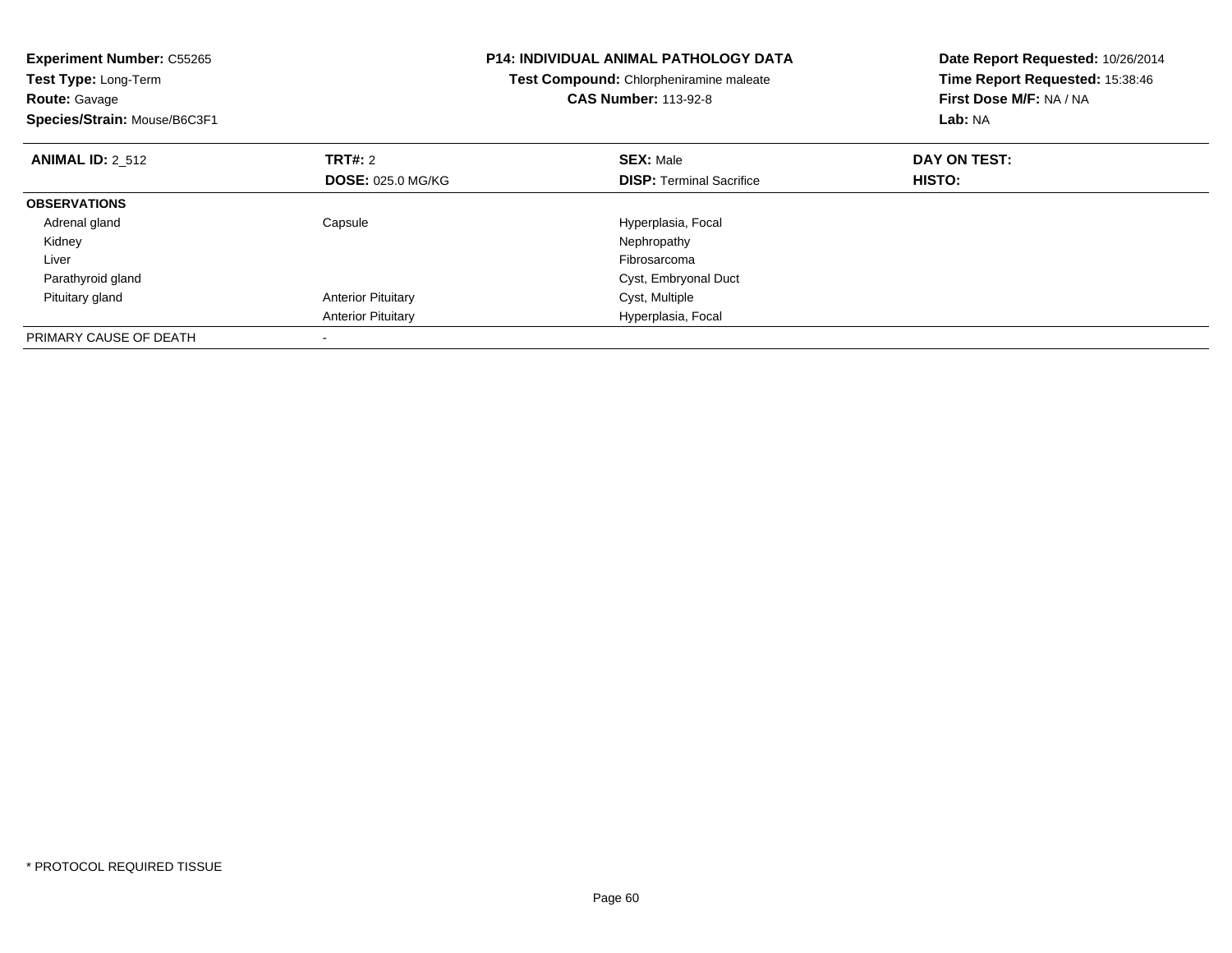| <b>Experiment Number: C55265</b><br>Test Type: Long-Term<br><b>Route: Gavage</b><br>Species/Strain: Mouse/B6C3F1 |                           | <b>P14: INDIVIDUAL ANIMAL PATHOLOGY DATA</b><br>Test Compound: Chlorpheniramine maleate<br><b>CAS Number: 113-92-8</b> | Date Report Requested: 10/26/2014<br>Time Report Requested: 15:38:46<br>First Dose M/F: NA / NA<br>Lab: NA |
|------------------------------------------------------------------------------------------------------------------|---------------------------|------------------------------------------------------------------------------------------------------------------------|------------------------------------------------------------------------------------------------------------|
| <b>ANIMAL ID: 2 512</b>                                                                                          | <b>TRT#: 2</b>            | <b>SEX: Male</b>                                                                                                       | DAY ON TEST:                                                                                               |
|                                                                                                                  | <b>DOSE: 025.0 MG/KG</b>  | <b>DISP:</b> Terminal Sacrifice                                                                                        | HISTO:                                                                                                     |
| <b>OBSERVATIONS</b>                                                                                              |                           |                                                                                                                        |                                                                                                            |
| Adrenal gland                                                                                                    | Capsule                   | Hyperplasia, Focal                                                                                                     |                                                                                                            |
| Kidney                                                                                                           |                           | Nephropathy                                                                                                            |                                                                                                            |
| Liver                                                                                                            |                           | Fibrosarcoma                                                                                                           |                                                                                                            |
| Parathyroid gland                                                                                                |                           | Cyst, Embryonal Duct                                                                                                   |                                                                                                            |
| Pituitary gland                                                                                                  | <b>Anterior Pituitary</b> | Cyst, Multiple                                                                                                         |                                                                                                            |
|                                                                                                                  | <b>Anterior Pituitary</b> | Hyperplasia, Focal                                                                                                     |                                                                                                            |
| PRIMARY CAUSE OF DEATH                                                                                           |                           |                                                                                                                        |                                                                                                            |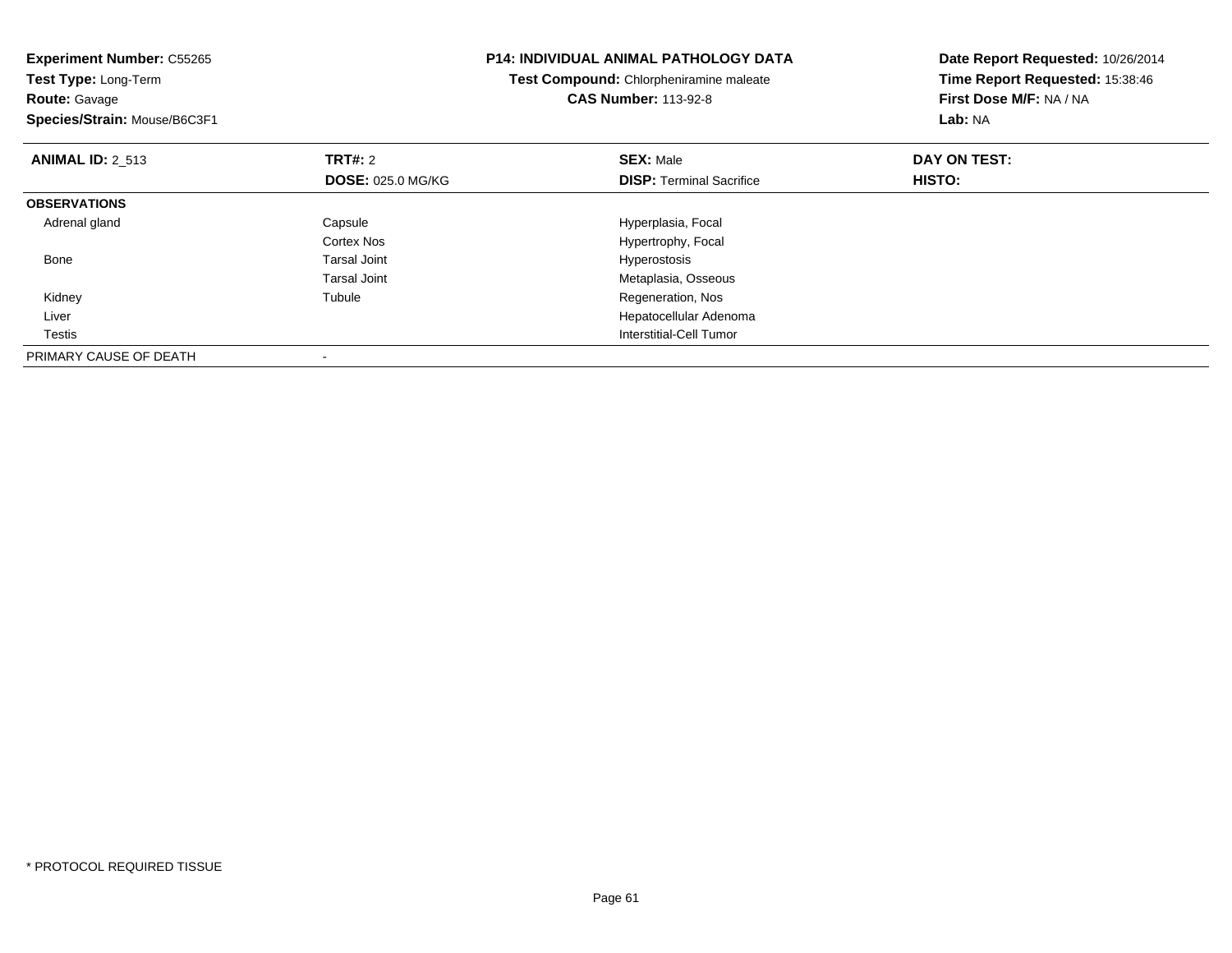| <b>Experiment Number: C55265</b><br>Test Type: Long-Term<br><b>Route: Gavage</b><br>Species/Strain: Mouse/B6C3F1 |                                            | <b>P14: INDIVIDUAL ANIMAL PATHOLOGY DATA</b><br>Test Compound: Chlorpheniramine maleate<br><b>CAS Number: 113-92-8</b> | Date Report Requested: 10/26/2014<br>Time Report Requested: 15:38:46<br>First Dose M/F: NA / NA<br>Lab: NA |
|------------------------------------------------------------------------------------------------------------------|--------------------------------------------|------------------------------------------------------------------------------------------------------------------------|------------------------------------------------------------------------------------------------------------|
| <b>ANIMAL ID: 2 513</b>                                                                                          | <b>TRT#: 2</b><br><b>DOSE: 025.0 MG/KG</b> | <b>SEX: Male</b><br><b>DISP:</b> Terminal Sacrifice                                                                    | DAY ON TEST:<br>HISTO:                                                                                     |
| <b>OBSERVATIONS</b>                                                                                              |                                            |                                                                                                                        |                                                                                                            |
| Adrenal gland                                                                                                    | Capsule                                    | Hyperplasia, Focal                                                                                                     |                                                                                                            |
|                                                                                                                  | Cortex Nos                                 | Hypertrophy, Focal                                                                                                     |                                                                                                            |
| Bone                                                                                                             | Tarsal Joint                               | Hyperostosis                                                                                                           |                                                                                                            |
|                                                                                                                  | Tarsal Joint                               | Metaplasia, Osseous                                                                                                    |                                                                                                            |
| Kidney                                                                                                           | Tubule                                     | Regeneration, Nos                                                                                                      |                                                                                                            |
| Liver                                                                                                            |                                            | Hepatocellular Adenoma                                                                                                 |                                                                                                            |
| Testis                                                                                                           |                                            | Interstitial-Cell Tumor                                                                                                |                                                                                                            |
| PRIMARY CAUSE OF DEATH                                                                                           |                                            |                                                                                                                        |                                                                                                            |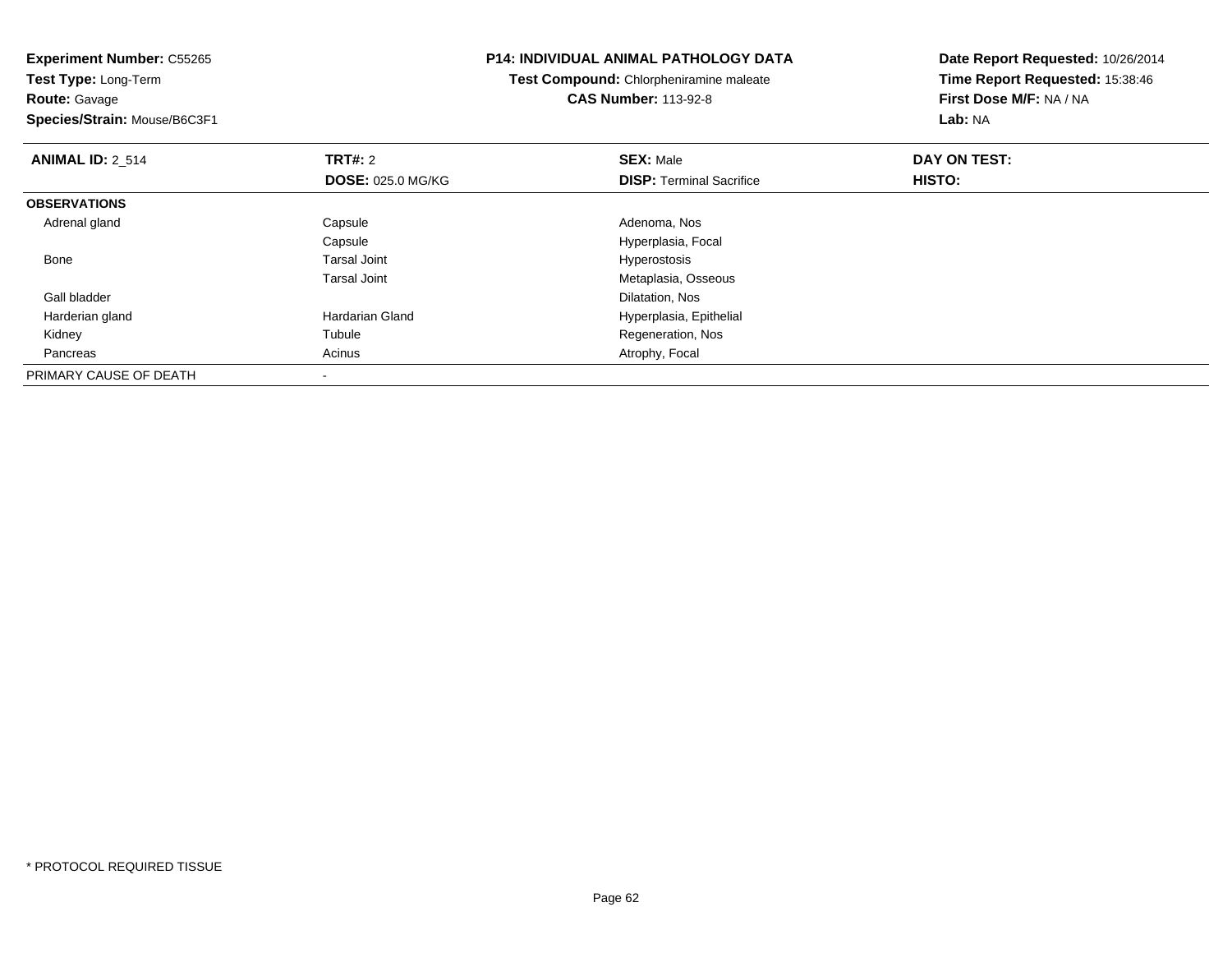**Experiment Number:** C55265**Test Type:** Long-Term**Route:** Gavage **Species/Strain:** Mouse/B6C3F1**P14: INDIVIDUAL ANIMAL PATHOLOGY DATATest Compound:** Chlorpheniramine maleate**CAS Number:** 113-92-8**Date Report Requested:** 10/26/2014**Time Report Requested:** 15:38:46**First Dose M/F:** NA / NA**Lab:** NA**ANIMAL ID: 2 514 TRT#:** 2 **SEX:** Male **DAY ON TEST: DOSE:** 025.0 MG/KG**DISP:** Terminal Sacrifice **HISTO: OBSERVATIONS** Adrenal glandd and Capsule Capsule Capsus and Adenoma, Nos CapsuleCapsule Capsule Capsule Capsular Capsular Engineer Capsular Hyperplasia, Focal Tarsal Joint Capsular Capsular Engineer Capsular Hyperostosis Bone Tarsal Joint Hyperostosis Tarsal Joint Metaplasia, Osseous Gall bladder Dilatation, Nosd **Hardarian Gland** Home Hoper Hyperplasia, Epithelial Harderian gland Kidneyy the contract of the contract of the contract of the contract of the contract of the contract of the contract of the contract of the contract of the contract of the contract of the contract of the contract of the contract Tubule Regeneration, Nos<br>
Acinus Acinus<br>
Acinus PancreasAtrophy, Focal PRIMARY CAUSE OF DEATH-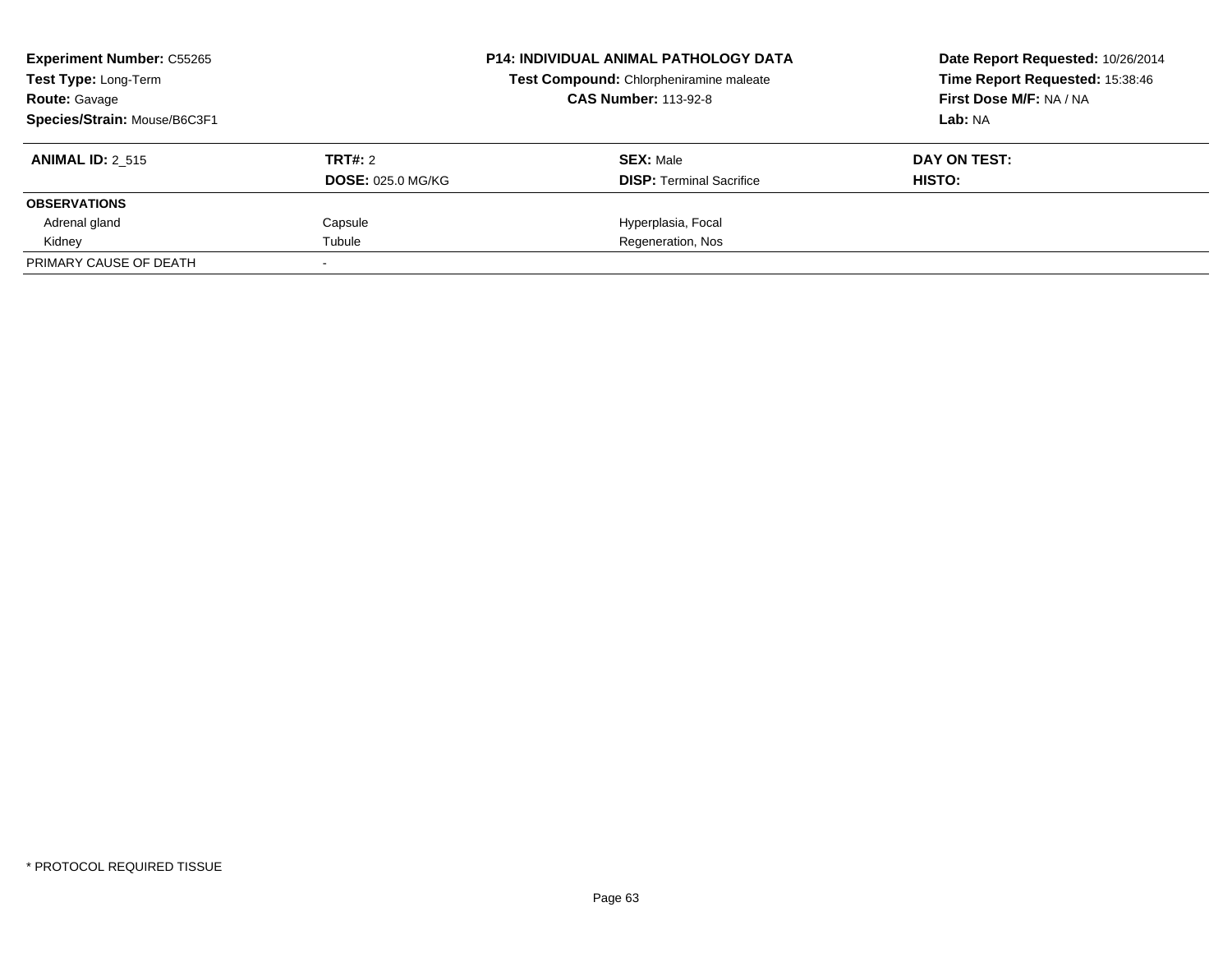| <b>Experiment Number: C55265</b><br><b>Test Type: Long-Term</b><br><b>Route: Gavage</b><br>Species/Strain: Mouse/B6C3F1 |                                     | <b>P14: INDIVIDUAL ANIMAL PATHOLOGY DATA</b><br>Test Compound: Chlorpheniramine maleate<br><b>CAS Number: 113-92-8</b> | Date Report Requested: 10/26/2014<br>Time Report Requested: 15:38:46<br>First Dose M/F: NA / NA<br>Lab: NA |
|-------------------------------------------------------------------------------------------------------------------------|-------------------------------------|------------------------------------------------------------------------------------------------------------------------|------------------------------------------------------------------------------------------------------------|
| <b>ANIMAL ID: 2 515</b>                                                                                                 | TRT#: 2<br><b>DOSE: 025.0 MG/KG</b> | <b>SEX: Male</b><br><b>DISP:</b> Terminal Sacrifice                                                                    | DAY ON TEST:<br>HISTO:                                                                                     |
| <b>OBSERVATIONS</b>                                                                                                     |                                     |                                                                                                                        |                                                                                                            |
| Adrenal gland                                                                                                           | Capsule                             | Hyperplasia, Focal                                                                                                     |                                                                                                            |
| Kidney                                                                                                                  | Tubule                              | Regeneration, Nos                                                                                                      |                                                                                                            |
| PRIMARY CAUSE OF DEATH                                                                                                  |                                     |                                                                                                                        |                                                                                                            |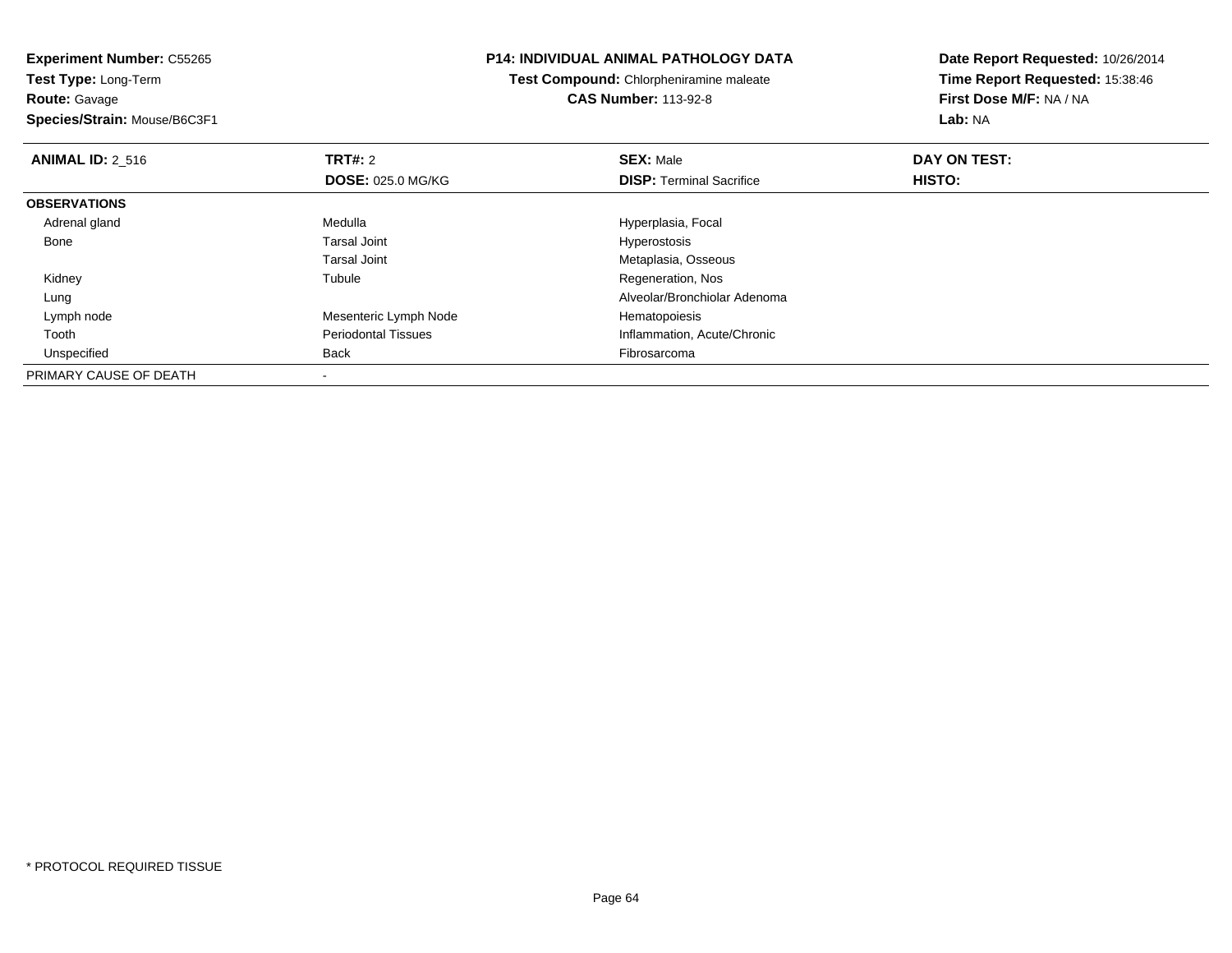**Experiment Number:** C55265**Test Type:** Long-Term

**Route:** Gavage

**Species/Strain:** Mouse/B6C3F1

### **P14: INDIVIDUAL ANIMAL PATHOLOGY DATA**

**Test Compound:** Chlorpheniramine maleate**CAS Number:** 113-92-8

| <b>ANIMAL ID: 2 516</b> | TRT#: 2                    | <b>SEX: Male</b>                | DAY ON TEST: |  |
|-------------------------|----------------------------|---------------------------------|--------------|--|
|                         | <b>DOSE: 025.0 MG/KG</b>   | <b>DISP: Terminal Sacrifice</b> | HISTO:       |  |
| <b>OBSERVATIONS</b>     |                            |                                 |              |  |
| Adrenal gland           | Medulla                    | Hyperplasia, Focal              |              |  |
| Bone                    | Tarsal Joint               | Hyperostosis                    |              |  |
|                         | <b>Tarsal Joint</b>        | Metaplasia, Osseous             |              |  |
| Kidney                  | Tubule                     | Regeneration, Nos               |              |  |
| Lung                    |                            | Alveolar/Bronchiolar Adenoma    |              |  |
| Lymph node              | Mesenteric Lymph Node      | Hematopoiesis                   |              |  |
| Tooth                   | <b>Periodontal Tissues</b> | Inflammation, Acute/Chronic     |              |  |
| Unspecified             | Back                       | Fibrosarcoma                    |              |  |
| PRIMARY CAUSE OF DEATH  |                            |                                 |              |  |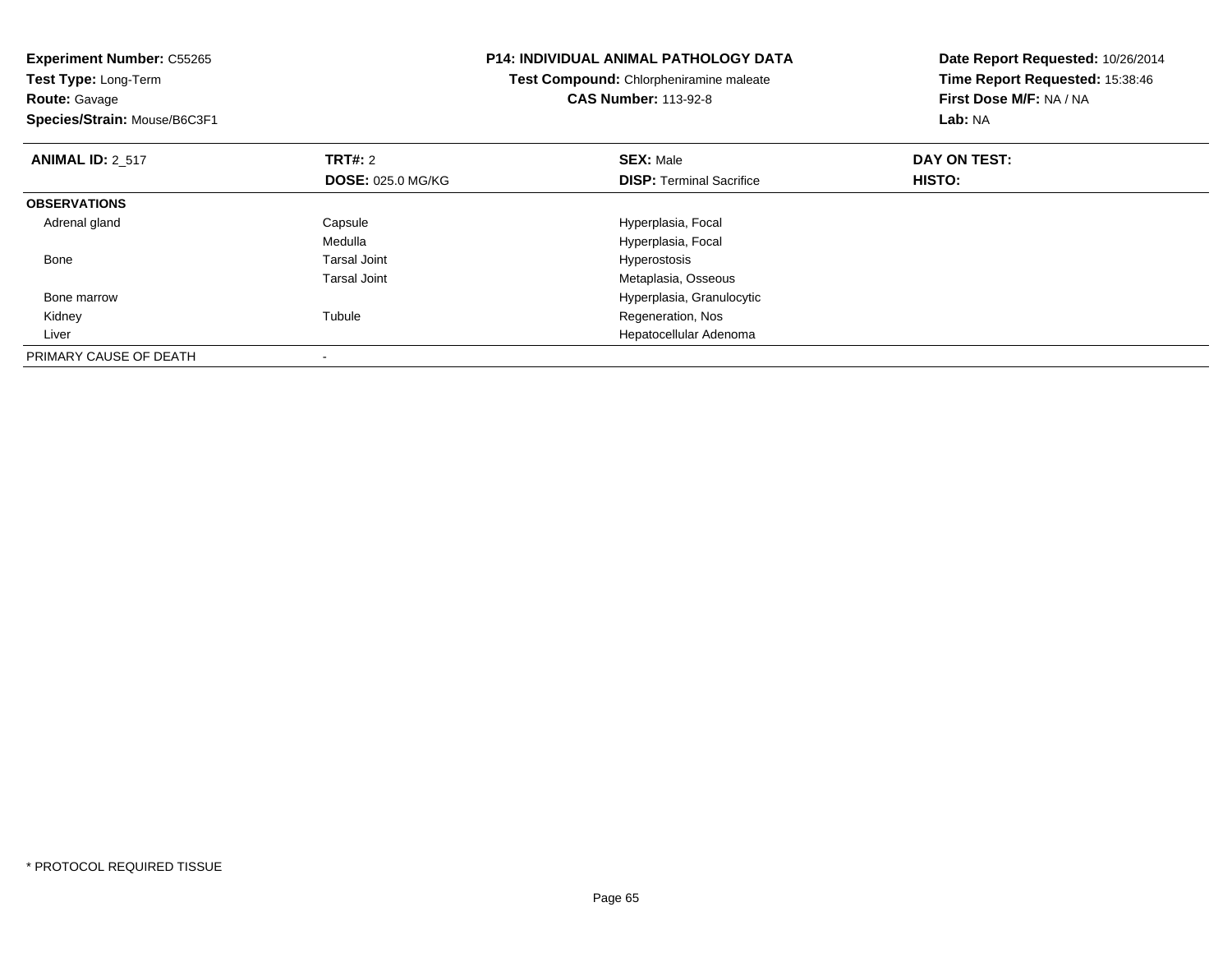| <b>Experiment Number: C55265</b><br>Test Type: Long-Term<br><b>Route: Gavage</b><br>Species/Strain: Mouse/B6C3F1 |                          | <b>P14: INDIVIDUAL ANIMAL PATHOLOGY DATA</b><br>Test Compound: Chlorpheniramine maleate<br><b>CAS Number: 113-92-8</b> | Date Report Requested: 10/26/2014<br>Time Report Requested: 15:38:46<br>First Dose M/F: NA / NA<br>Lab: NA |
|------------------------------------------------------------------------------------------------------------------|--------------------------|------------------------------------------------------------------------------------------------------------------------|------------------------------------------------------------------------------------------------------------|
| <b>ANIMAL ID: 2 517</b>                                                                                          | TRT#: 2                  | <b>SEX: Male</b>                                                                                                       | DAY ON TEST:                                                                                               |
|                                                                                                                  | <b>DOSE: 025.0 MG/KG</b> | <b>DISP:</b> Terminal Sacrifice                                                                                        | HISTO:                                                                                                     |
| <b>OBSERVATIONS</b>                                                                                              |                          |                                                                                                                        |                                                                                                            |
| Adrenal gland                                                                                                    | Capsule                  | Hyperplasia, Focal                                                                                                     |                                                                                                            |
|                                                                                                                  | Medulla                  | Hyperplasia, Focal                                                                                                     |                                                                                                            |
| Bone                                                                                                             | Tarsal Joint             | Hyperostosis                                                                                                           |                                                                                                            |
|                                                                                                                  | <b>Tarsal Joint</b>      | Metaplasia, Osseous                                                                                                    |                                                                                                            |
| Bone marrow                                                                                                      |                          | Hyperplasia, Granulocytic                                                                                              |                                                                                                            |
| Kidney                                                                                                           | Tubule                   | Regeneration, Nos                                                                                                      |                                                                                                            |
| Liver                                                                                                            |                          | Hepatocellular Adenoma                                                                                                 |                                                                                                            |
| PRIMARY CAUSE OF DEATH                                                                                           |                          |                                                                                                                        |                                                                                                            |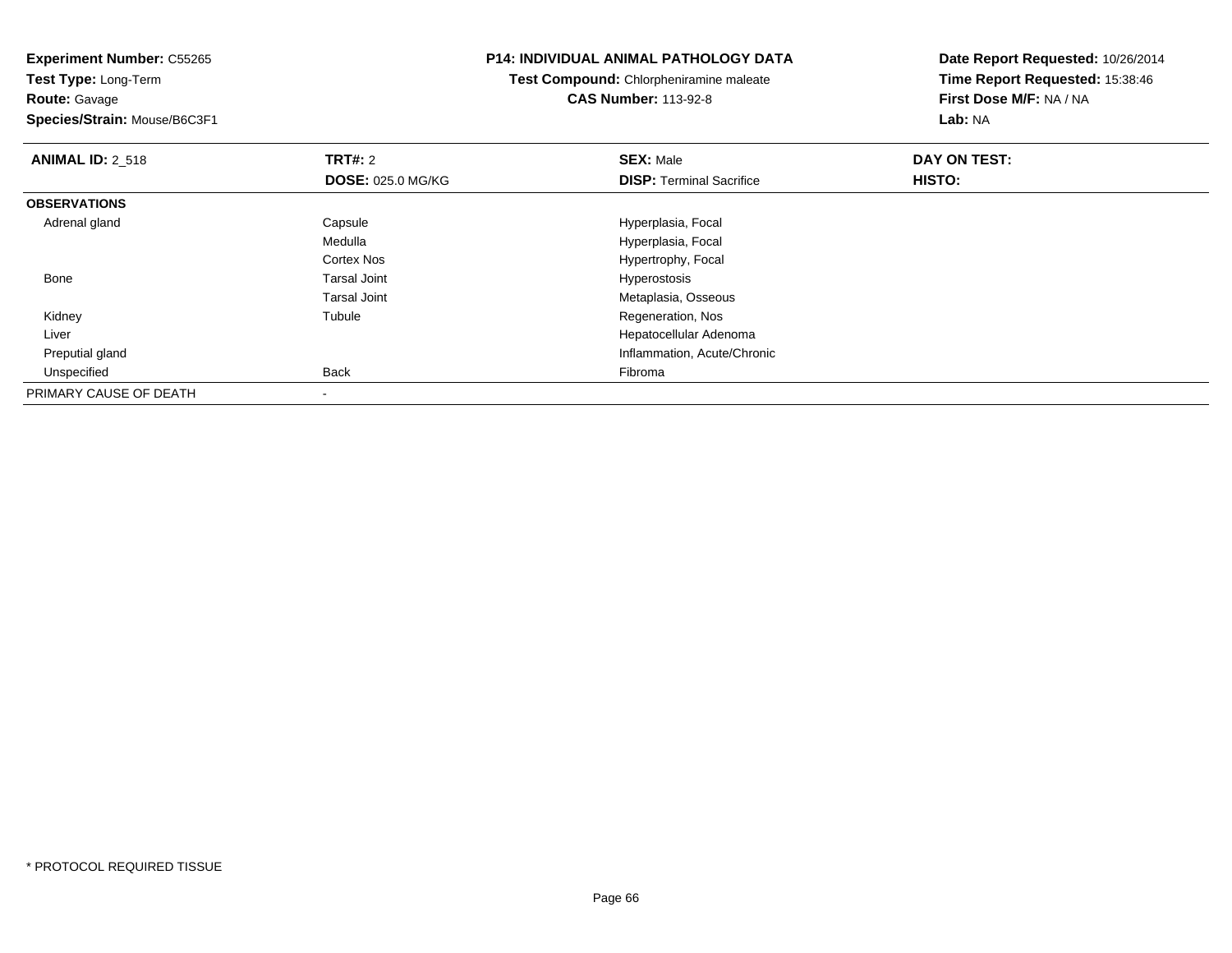**Experiment Number:** C55265**Test Type:** Long-Term**Route:** Gavage **Species/Strain:** Mouse/B6C3F1**P14: INDIVIDUAL ANIMAL PATHOLOGY DATATest Compound:** Chlorpheniramine maleate**CAS Number:** 113-92-8**Date Report Requested:** 10/26/2014**Time Report Requested:** 15:38:46**First Dose M/F:** NA / NA**Lab:** NA**ANIMAL ID: 2 518 REX:** Male **DAY ON TEST: CONSIST: SEX:** Male **DOSE:** 025.0 MG/KG**DISP:** Terminal Sacrifice **HISTO: OBSERVATIONS** Adrenal glandCapsule **Capsule Hyperplasia**, Focal Medulla Hyperplasia, Focal Cortex NosHypertrophy, Focal<br>Hyperostosis Bone Tarsal Joint Hyperostosis Tarsal Joint Metaplasia, Osseous Kidney Tubule Regeneration, Nos Liver Hepatocellular Adenomad
and
the contract of the contract of the contract of the contract of the contract of the contract of the contract of the contract of the contract of the contract of the contract of the contract of the contract of the cont Preputial gland Unspecified Back Fibroma PRIMARY CAUSE OF DEATH-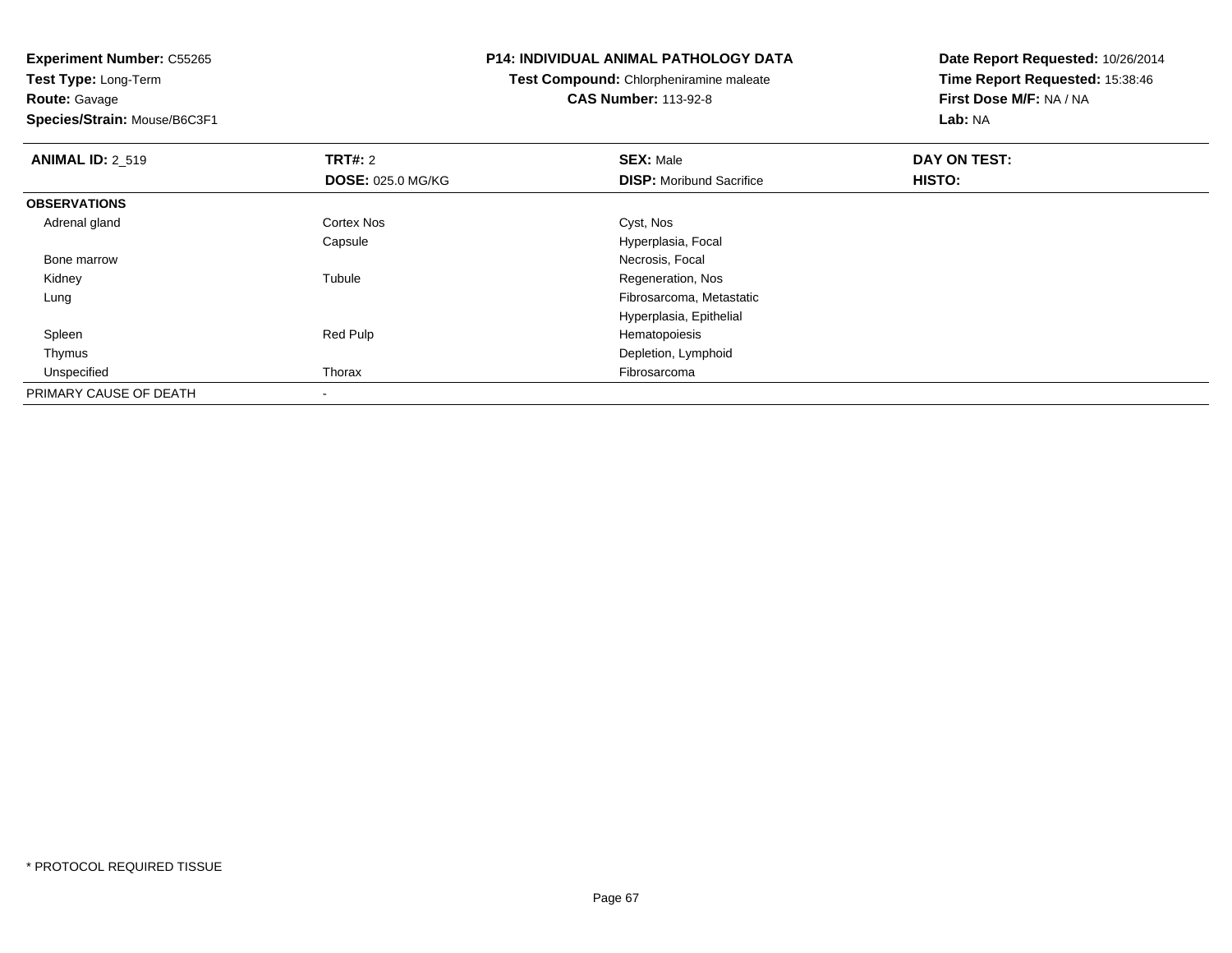**Test Type:** Long-Term**Route:** Gavage

**Species/Strain:** Mouse/B6C3F1

### **P14: INDIVIDUAL ANIMAL PATHOLOGY DATA**

**Test Compound:** Chlorpheniramine maleate**CAS Number:** 113-92-8

| <b>ANIMAL ID: 2 519</b> | TRT#: 2                  | <b>SEX: Male</b>                | DAY ON TEST: |  |
|-------------------------|--------------------------|---------------------------------|--------------|--|
|                         | <b>DOSE: 025.0 MG/KG</b> | <b>DISP:</b> Moribund Sacrifice | HISTO:       |  |
| <b>OBSERVATIONS</b>     |                          |                                 |              |  |
| Adrenal gland           | Cortex Nos               | Cyst, Nos                       |              |  |
|                         | Capsule                  | Hyperplasia, Focal              |              |  |
| Bone marrow             |                          | Necrosis, Focal                 |              |  |
| Kidney                  | Tubule                   | Regeneration, Nos               |              |  |
| Lung                    |                          | Fibrosarcoma, Metastatic        |              |  |
|                         |                          | Hyperplasia, Epithelial         |              |  |
| Spleen                  | Red Pulp                 | Hematopoiesis                   |              |  |
| Thymus                  |                          | Depletion, Lymphoid             |              |  |
| Unspecified             | Thorax                   | Fibrosarcoma                    |              |  |
| PRIMARY CAUSE OF DEATH  | $\,$                     |                                 |              |  |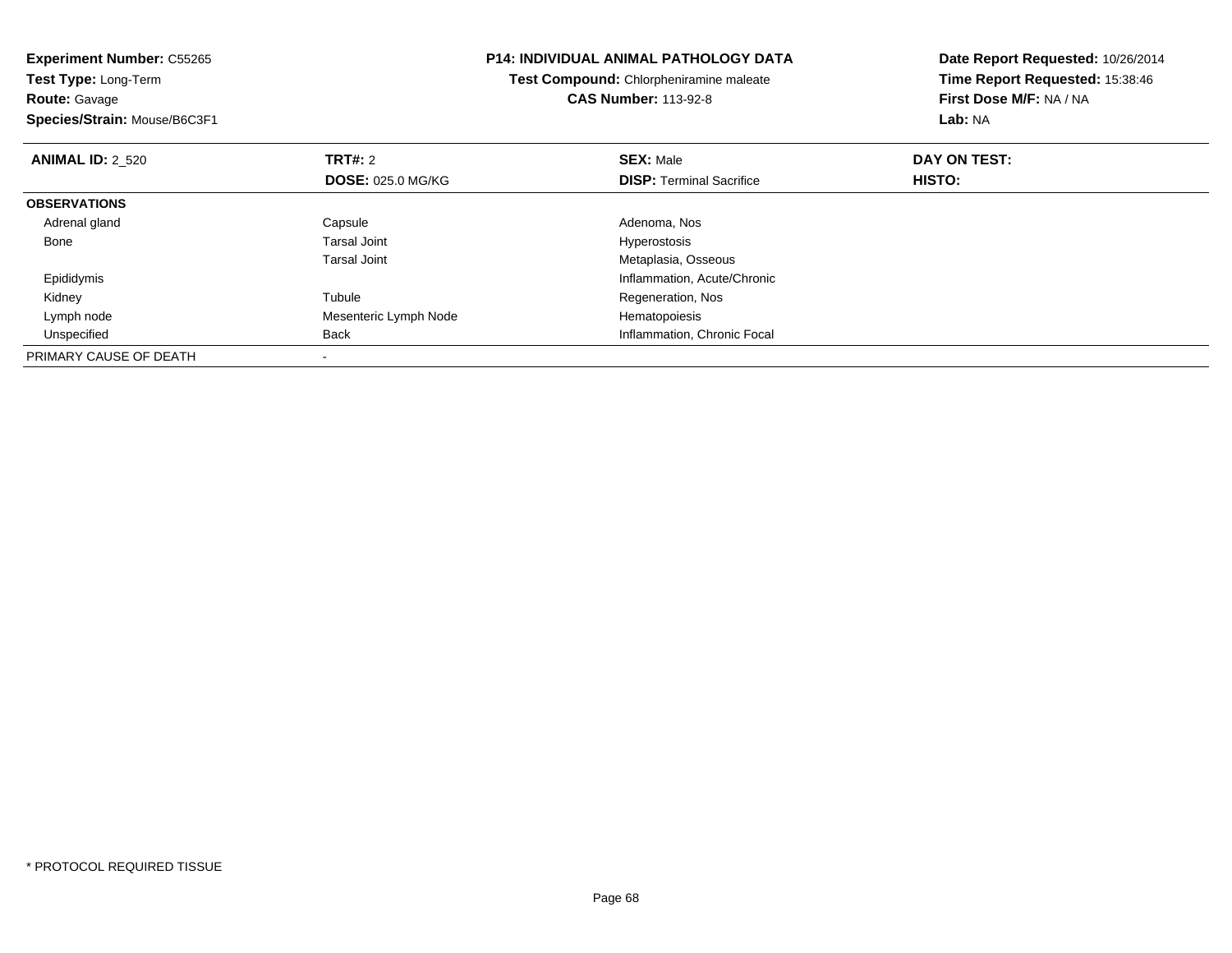| <b>Experiment Number: C55265</b> |                          | <b>P14: INDIVIDUAL ANIMAL PATHOLOGY DATA</b> | Date Report Requested: 10/26/2014<br>Time Report Requested: 15:38:46 |  |
|----------------------------------|--------------------------|----------------------------------------------|----------------------------------------------------------------------|--|
| Test Type: Long-Term             |                          | Test Compound: Chlorpheniramine maleate      |                                                                      |  |
| <b>Route: Gavage</b>             |                          | <b>CAS Number: 113-92-8</b>                  | First Dose M/F: NA / NA                                              |  |
| Species/Strain: Mouse/B6C3F1     |                          |                                              | <b>Lab: NA</b>                                                       |  |
| <b>ANIMAL ID: 2 520</b>          | <b>TRT#:</b> 2           | <b>SEX: Male</b>                             | DAY ON TEST:                                                         |  |
|                                  | <b>DOSE: 025.0 MG/KG</b> | <b>DISP:</b> Terminal Sacrifice              | HISTO:                                                               |  |
| <b>OBSERVATIONS</b>              |                          |                                              |                                                                      |  |
| Adrenal gland                    | Capsule                  | Adenoma, Nos                                 |                                                                      |  |
| Bone                             | <b>Tarsal Joint</b>      | <b>Hyperostosis</b>                          |                                                                      |  |
|                                  | <b>Tarsal Joint</b>      | Metaplasia, Osseous                          |                                                                      |  |
| Epididymis                       |                          | Inflammation, Acute/Chronic                  |                                                                      |  |
| Kidney                           | Tubule                   | Regeneration, Nos                            |                                                                      |  |
| Lymph node                       | Mesenteric Lymph Node    | Hematopoiesis                                |                                                                      |  |
| Unspecified                      | Back                     | Inflammation, Chronic Focal                  |                                                                      |  |
| PRIMARY CAUSE OF DEATH           |                          |                                              |                                                                      |  |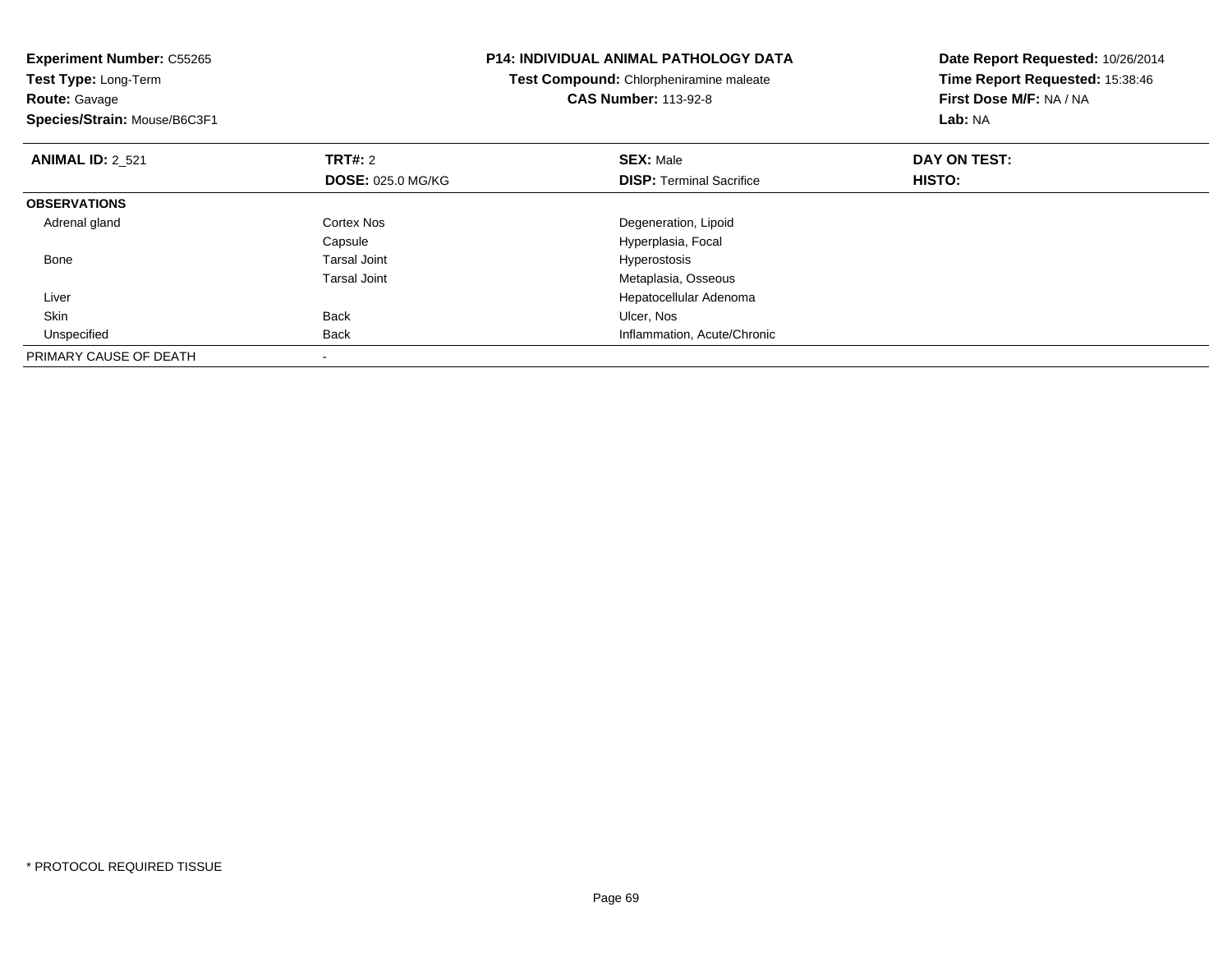| <b>Experiment Number: C55265</b><br>Test Type: Long-Term<br><b>Route: Gavage</b><br>Species/Strain: Mouse/B6C3F1 |                          | <b>P14: INDIVIDUAL ANIMAL PATHOLOGY DATA</b><br>Test Compound: Chlorpheniramine maleate<br><b>CAS Number: 113-92-8</b> | Date Report Requested: 10/26/2014<br>Time Report Requested: 15:38:46<br>First Dose M/F: NA / NA<br><b>Lab: NA</b> |
|------------------------------------------------------------------------------------------------------------------|--------------------------|------------------------------------------------------------------------------------------------------------------------|-------------------------------------------------------------------------------------------------------------------|
| <b>ANIMAL ID: 2 521</b>                                                                                          | TRT#: 2                  | <b>SEX: Male</b>                                                                                                       | DAY ON TEST:                                                                                                      |
|                                                                                                                  | <b>DOSE: 025.0 MG/KG</b> | <b>DISP:</b> Terminal Sacrifice                                                                                        | HISTO:                                                                                                            |
| <b>OBSERVATIONS</b>                                                                                              |                          |                                                                                                                        |                                                                                                                   |
| Adrenal gland                                                                                                    | Cortex Nos               | Degeneration, Lipoid                                                                                                   |                                                                                                                   |
|                                                                                                                  | Capsule                  | Hyperplasia, Focal                                                                                                     |                                                                                                                   |
| Bone                                                                                                             | <b>Tarsal Joint</b>      | <b>Hyperostosis</b>                                                                                                    |                                                                                                                   |
|                                                                                                                  | <b>Tarsal Joint</b>      | Metaplasia, Osseous                                                                                                    |                                                                                                                   |
| Liver                                                                                                            |                          | Hepatocellular Adenoma                                                                                                 |                                                                                                                   |
| <b>Skin</b>                                                                                                      | Back                     | Ulcer, Nos                                                                                                             |                                                                                                                   |
| Unspecified                                                                                                      | Back                     | Inflammation, Acute/Chronic                                                                                            |                                                                                                                   |
| PRIMARY CAUSE OF DEATH                                                                                           |                          |                                                                                                                        |                                                                                                                   |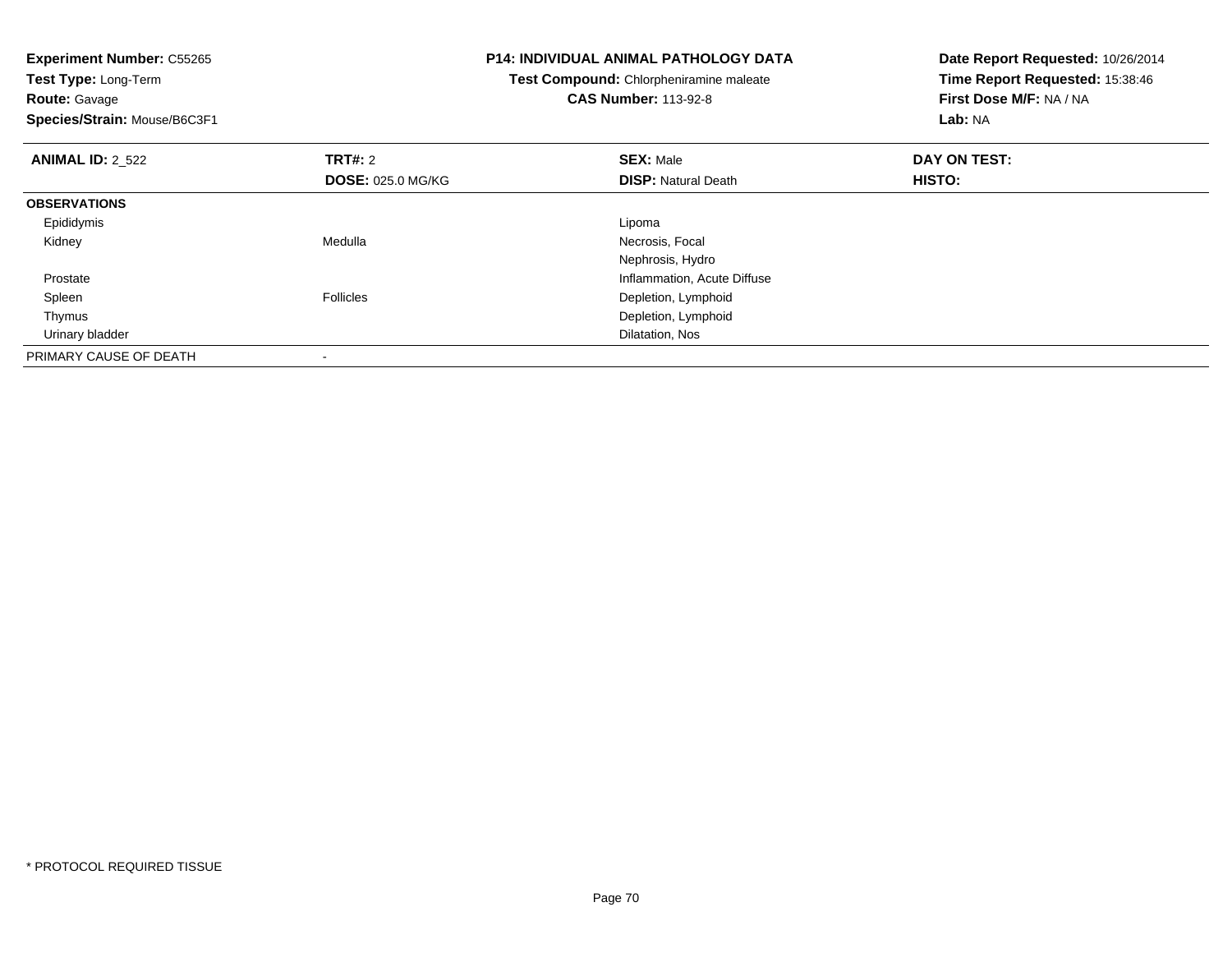**Experiment Number:** C55265**Test Type:** Long-Term**Route:** Gavage **Species/Strain:** Mouse/B6C3F1**P14: INDIVIDUAL ANIMAL PATHOLOGY DATATest Compound:** Chlorpheniramine maleate**CAS Number:** 113-92-8**Date Report Requested:** 10/26/2014**Time Report Requested:** 15:38:46**First Dose M/F:** NA / NA**Lab:** NA**ANIMAL ID:** 2\_522 **TRT#:** <sup>2</sup> **SEX:** Male **DAY ON TEST: DOSE:** 025.0 MG/KG**DISP:** Natural Death **HISTO: OBSERVATIONS** Epididymiss and the contract of the contract of the contract of the contract of the contract of the contract of the contract of the contract of the contract of the contract of the contract of the contract of the contract of the cont Necrosis, Focal Kidney MedullaNephrosis, Hydroe contraction of the contraction of the contraction of the contraction of the contraction, Acute Diffuse Prostate SpleenFollicles **Depletion**, Lymphoid Thymus Depletion, Lymphoid Urinary bladder Dilatation, NosPRIMARY CAUSE OF DEATH-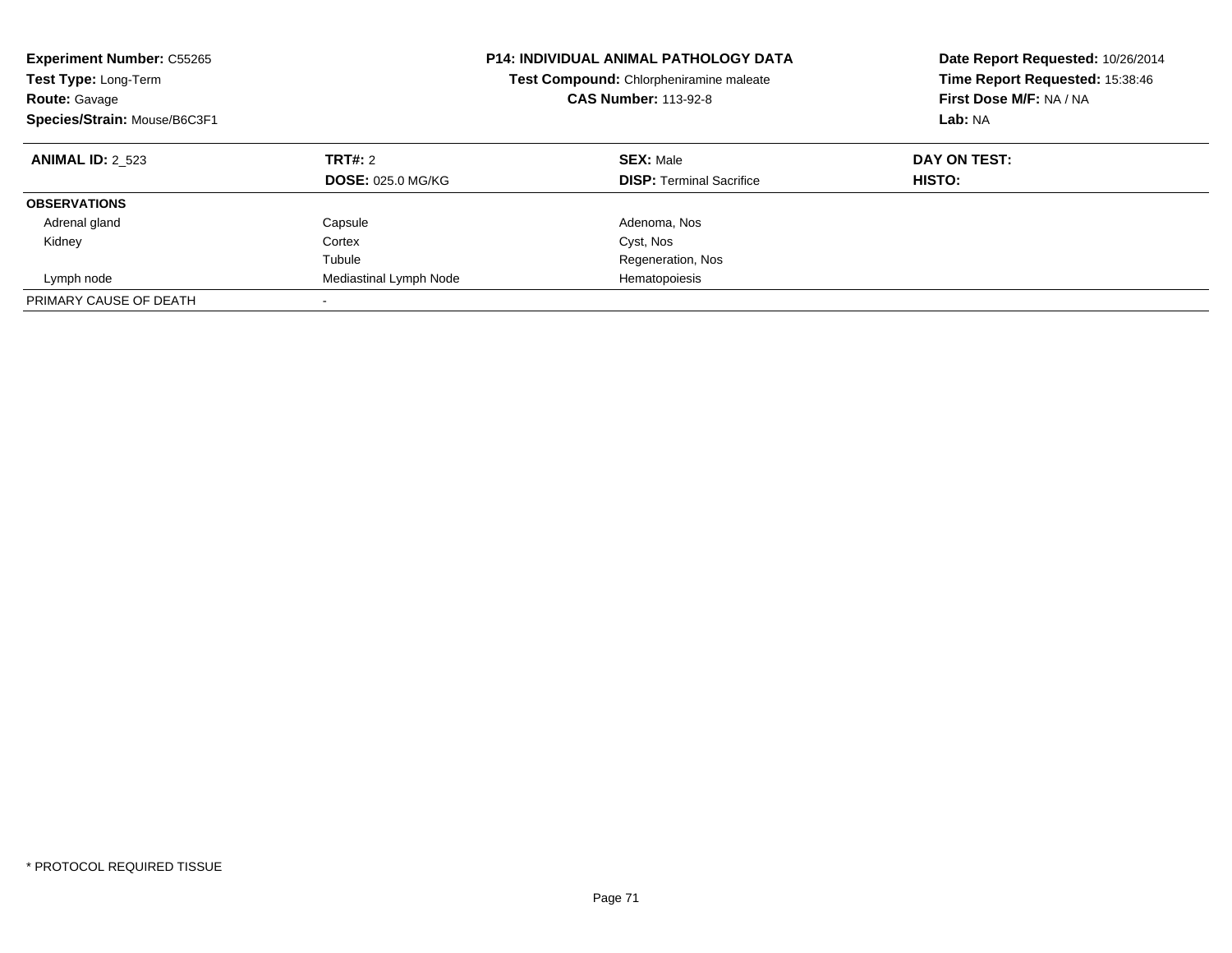| <b>Experiment Number: C55265</b><br>Test Type: Long-Term<br><b>Route: Gavage</b><br>Species/Strain: Mouse/B6C3F1 |                                     | <b>P14: INDIVIDUAL ANIMAL PATHOLOGY DATA</b><br>Test Compound: Chlorpheniramine maleate<br><b>CAS Number: 113-92-8</b> | Date Report Requested: 10/26/2014<br>Time Report Requested: 15:38:46<br>First Dose M/F: NA / NA<br>Lab: NA |
|------------------------------------------------------------------------------------------------------------------|-------------------------------------|------------------------------------------------------------------------------------------------------------------------|------------------------------------------------------------------------------------------------------------|
| <b>ANIMAL ID: 2 523</b>                                                                                          | TRT#: 2<br><b>DOSE: 025.0 MG/KG</b> | <b>SEX: Male</b><br><b>DISP:</b> Terminal Sacrifice                                                                    | DAY ON TEST:<br>HISTO:                                                                                     |
| <b>OBSERVATIONS</b>                                                                                              |                                     |                                                                                                                        |                                                                                                            |
| Adrenal gland                                                                                                    | Capsule                             | Adenoma, Nos                                                                                                           |                                                                                                            |
| Kidney                                                                                                           | Cortex                              | Cyst, Nos                                                                                                              |                                                                                                            |
|                                                                                                                  | Tubule                              | Regeneration, Nos                                                                                                      |                                                                                                            |
| Lymph node                                                                                                       | Mediastinal Lymph Node              | Hematopoiesis                                                                                                          |                                                                                                            |
| PRIMARY CAUSE OF DEATH                                                                                           | $\overline{\phantom{a}}$            |                                                                                                                        |                                                                                                            |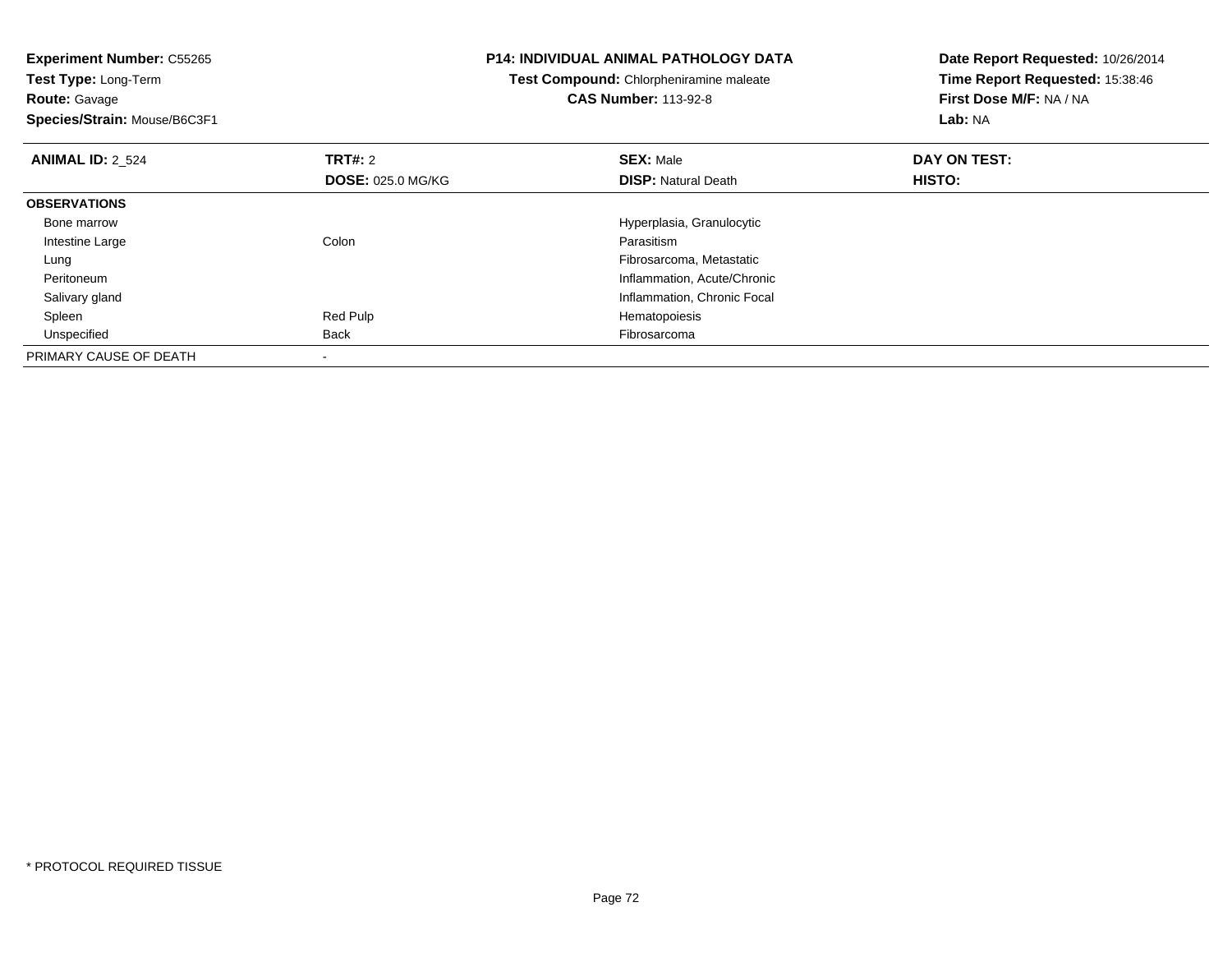**Experiment Number:** C55265**Test Type:** Long-Term**Route:** Gavage **Species/Strain:** Mouse/B6C3F1**P14: INDIVIDUAL ANIMAL PATHOLOGY DATATest Compound:** Chlorpheniramine maleate**CAS Number:** 113-92-8**Date Report Requested:** 10/26/2014**Time Report Requested:** 15:38:46**First Dose M/F:** NA / NA**Lab:** NA**ANIMAL ID:** 2\_524**TRT#:** 2 **SEX:** Male **DAY ON TEST: DOSE:** 025.0 MG/KG**DISP:** Natural Death **HISTO: OBSERVATIONS** Bone marrowHyperplasia, Granulocytic<br>
Colon<br>
Parasitism Intestine Largee and the Colon Colon Colon Colon and the Parasitism g and the state of the state of the state of the state of the state of the state of the state of the state of the state of the state of the state of the state of the state of the state of the state of the state of the stat Lung Peritoneum Inflammation, Acute/Chronic Salivary glandInflammation, Chronic Focal<br>
Red Pulp<br>
Hematopoiesis Spleen Red Pulp Hematopoiesis Unspecifiedd **Back Fibrosarcoma** Back Fibrosarcoma Back Fibrosarcoma and the set of the set of the set of the set of the set of the set of the set of the set of the set of the set of the set of the set of the set of the set of the se PRIMARY CAUSE OF DEATH-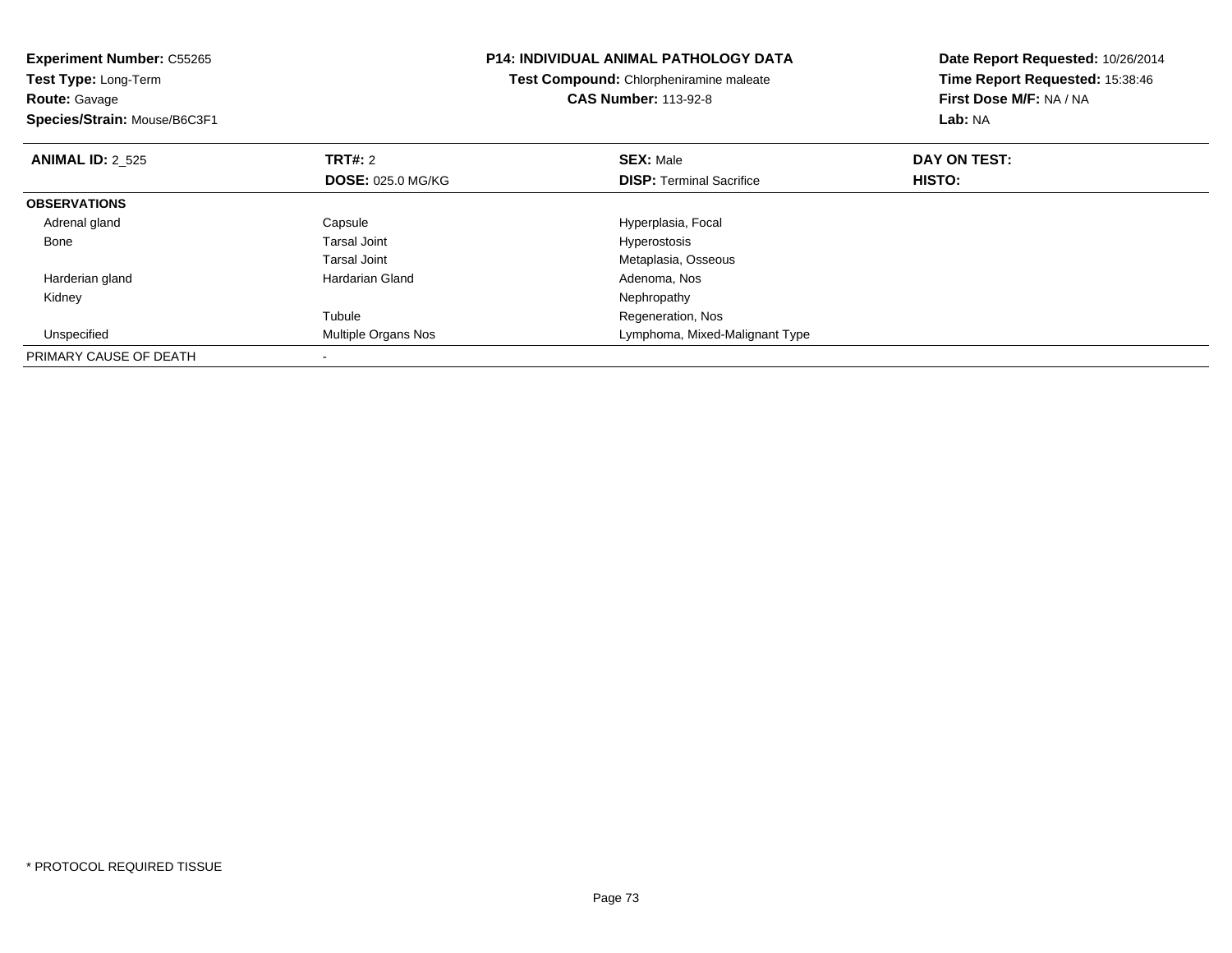| <b>Experiment Number: C55265</b><br><b>Test Type: Long-Term</b> |                            | <b>P14: INDIVIDUAL ANIMAL PATHOLOGY DATA</b> | Date Report Requested: 10/26/2014 |
|-----------------------------------------------------------------|----------------------------|----------------------------------------------|-----------------------------------|
|                                                                 |                            | Test Compound: Chlorpheniramine maleate      | Time Report Requested: 15:38:46   |
| <b>Route: Gavage</b>                                            |                            | <b>CAS Number: 113-92-8</b>                  | First Dose M/F: NA / NA           |
| Species/Strain: Mouse/B6C3F1                                    |                            |                                              | Lab: NA                           |
| <b>ANIMAL ID: 2 525</b>                                         | <b>TRT#: 2</b>             | <b>SEX: Male</b>                             | DAY ON TEST:                      |
|                                                                 | <b>DOSE: 025.0 MG/KG</b>   | <b>DISP:</b> Terminal Sacrifice              | <b>HISTO:</b>                     |
| <b>OBSERVATIONS</b>                                             |                            |                                              |                                   |
| Adrenal gland                                                   | Capsule                    | Hyperplasia, Focal                           |                                   |
| Bone                                                            | Tarsal Joint               | <b>Hyperostosis</b>                          |                                   |
|                                                                 | Tarsal Joint               | Metaplasia, Osseous                          |                                   |
| Harderian gland                                                 | Hardarian Gland            | Adenoma, Nos                                 |                                   |
| Kidney                                                          |                            | Nephropathy                                  |                                   |
|                                                                 | Tubule                     | Regeneration, Nos                            |                                   |
| Unspecified                                                     | <b>Multiple Organs Nos</b> | Lymphoma, Mixed-Malignant Type               |                                   |
| PRIMARY CAUSE OF DEATH                                          |                            |                                              |                                   |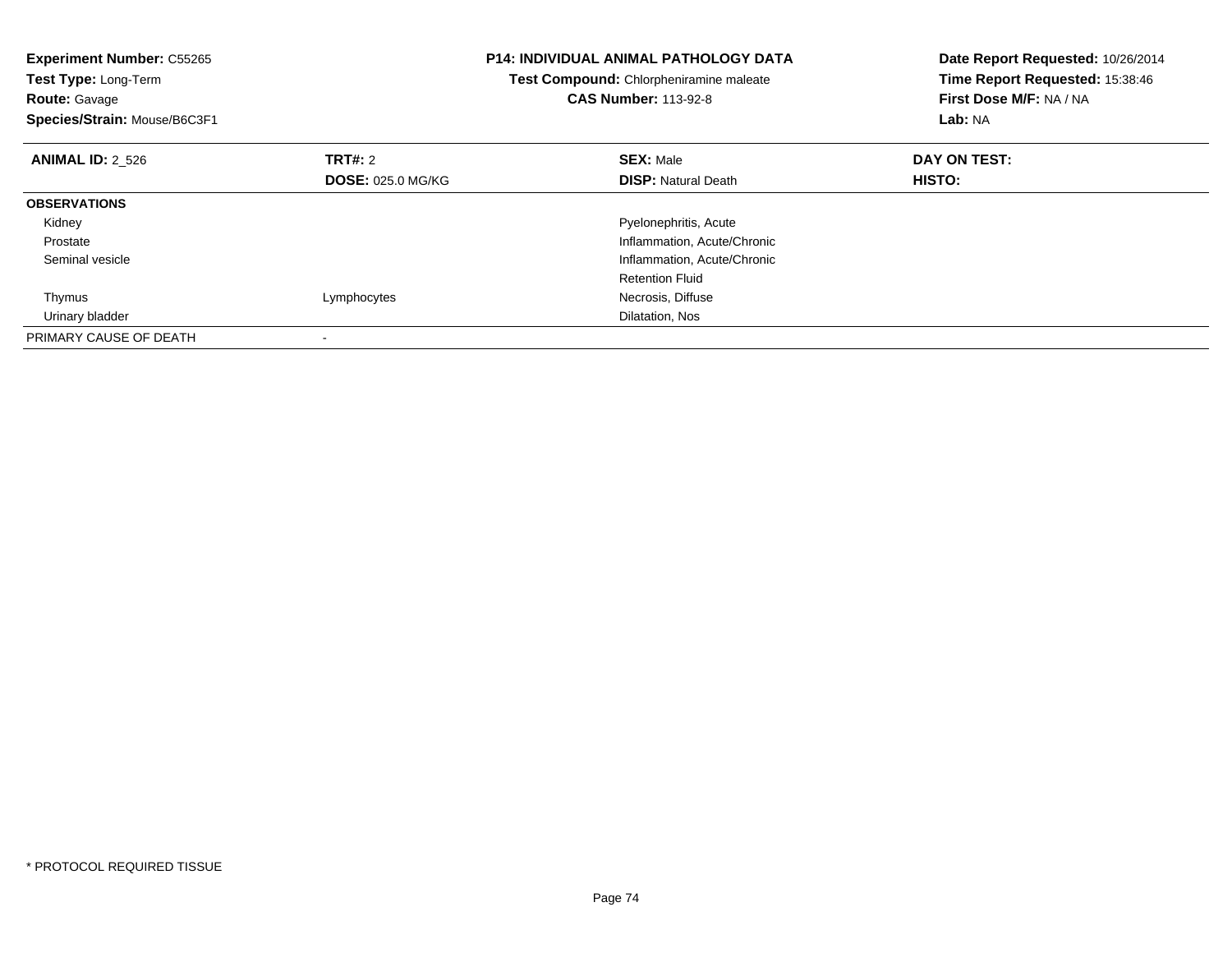| <b>Experiment Number: C55265</b><br>Test Type: Long-Term<br><b>Route: Gavage</b><br>Species/Strain: Mouse/B6C3F1 |                          | <b>P14: INDIVIDUAL ANIMAL PATHOLOGY DATA</b><br>Test Compound: Chlorpheniramine maleate<br><b>CAS Number: 113-92-8</b> | Date Report Requested: 10/26/2014<br>Time Report Requested: 15:38:46<br>First Dose M/F: NA / NA<br>Lab: NA |
|------------------------------------------------------------------------------------------------------------------|--------------------------|------------------------------------------------------------------------------------------------------------------------|------------------------------------------------------------------------------------------------------------|
| <b>ANIMAL ID: 2_526</b>                                                                                          | TRT#: 2                  | <b>SEX: Male</b>                                                                                                       | DAY ON TEST:                                                                                               |
|                                                                                                                  | <b>DOSE: 025.0 MG/KG</b> | <b>DISP:</b> Natural Death                                                                                             | HISTO:                                                                                                     |
| <b>OBSERVATIONS</b>                                                                                              |                          |                                                                                                                        |                                                                                                            |
| Kidney                                                                                                           |                          | Pyelonephritis, Acute                                                                                                  |                                                                                                            |
| Prostate                                                                                                         |                          | Inflammation, Acute/Chronic                                                                                            |                                                                                                            |
| Seminal vesicle                                                                                                  |                          | Inflammation, Acute/Chronic                                                                                            |                                                                                                            |
|                                                                                                                  |                          | <b>Retention Fluid</b>                                                                                                 |                                                                                                            |
| Thymus                                                                                                           | Lymphocytes              | Necrosis, Diffuse                                                                                                      |                                                                                                            |
| Urinary bladder                                                                                                  |                          | Dilatation, Nos                                                                                                        |                                                                                                            |
| PRIMARY CAUSE OF DEATH                                                                                           |                          |                                                                                                                        |                                                                                                            |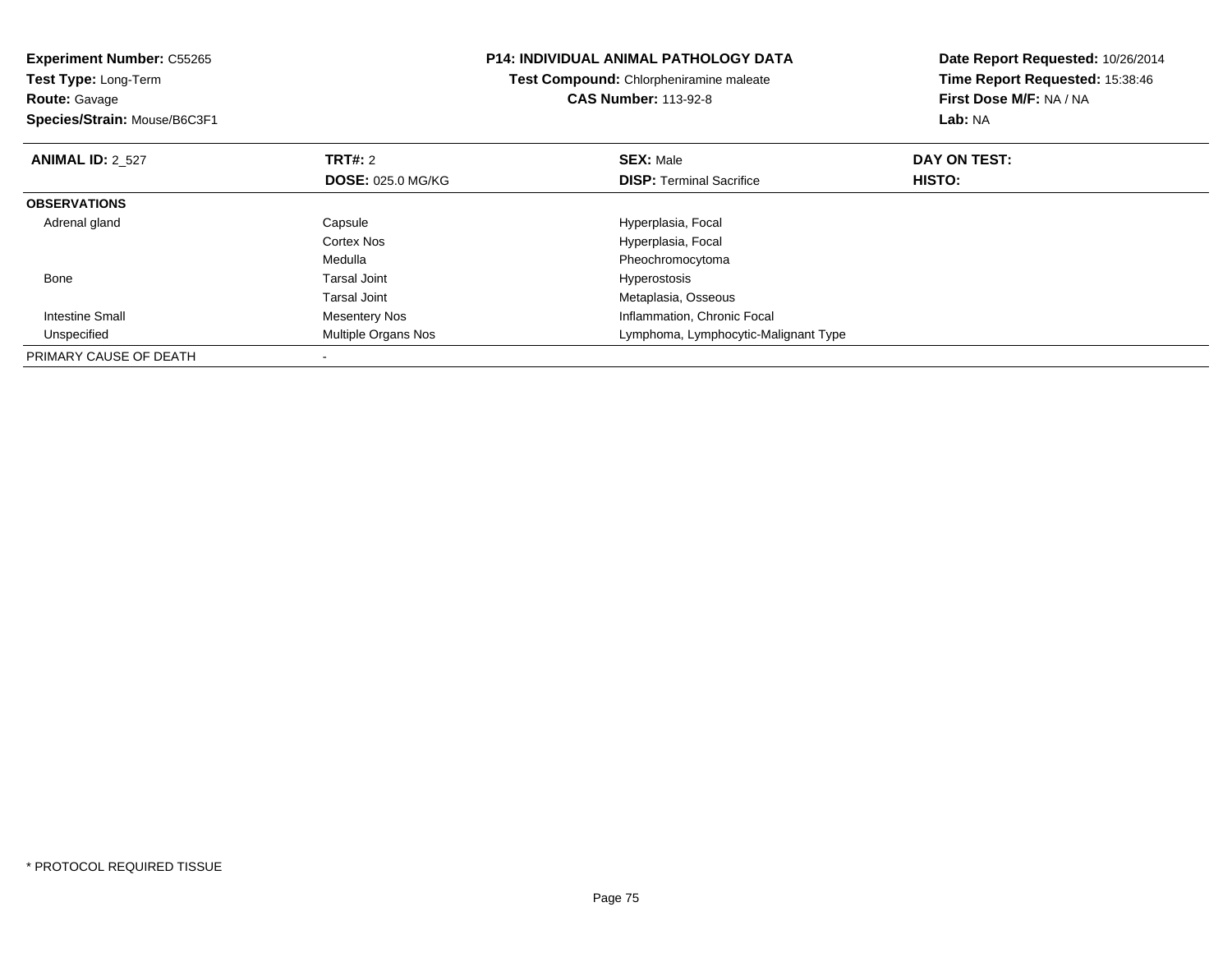| <b>Experiment Number: C55265</b><br><b>Test Type: Long-Term</b><br><b>Route: Gavage</b><br>Species/Strain: Mouse/B6C3F1 |                          | <b>P14: INDIVIDUAL ANIMAL PATHOLOGY DATA</b><br>Test Compound: Chlorpheniramine maleate<br><b>CAS Number: 113-92-8</b> | Date Report Requested: 10/26/2014<br>Time Report Requested: 15:38:46<br>First Dose M/F: NA / NA<br>Lab: NA |
|-------------------------------------------------------------------------------------------------------------------------|--------------------------|------------------------------------------------------------------------------------------------------------------------|------------------------------------------------------------------------------------------------------------|
| <b>ANIMAL ID: 2_527</b>                                                                                                 | <b>TRT#: 2</b>           | <b>SEX: Male</b>                                                                                                       | DAY ON TEST:                                                                                               |
|                                                                                                                         | <b>DOSE: 025.0 MG/KG</b> | <b>DISP:</b> Terminal Sacrifice                                                                                        | HISTO:                                                                                                     |
| <b>OBSERVATIONS</b>                                                                                                     |                          |                                                                                                                        |                                                                                                            |
| Adrenal gland                                                                                                           | Capsule                  | Hyperplasia, Focal                                                                                                     |                                                                                                            |
|                                                                                                                         | Cortex Nos               | Hyperplasia, Focal                                                                                                     |                                                                                                            |
|                                                                                                                         | Medulla                  | Pheochromocytoma                                                                                                       |                                                                                                            |
| Bone                                                                                                                    | Tarsal Joint             | <b>Hyperostosis</b>                                                                                                    |                                                                                                            |
|                                                                                                                         | <b>Tarsal Joint</b>      | Metaplasia, Osseous                                                                                                    |                                                                                                            |
| Intestine Small                                                                                                         | Mesentery Nos            | Inflammation, Chronic Focal                                                                                            |                                                                                                            |
| Unspecified                                                                                                             | Multiple Organs Nos      | Lymphoma, Lymphocytic-Malignant Type                                                                                   |                                                                                                            |
| PRIMARY CAUSE OF DEATH                                                                                                  |                          |                                                                                                                        |                                                                                                            |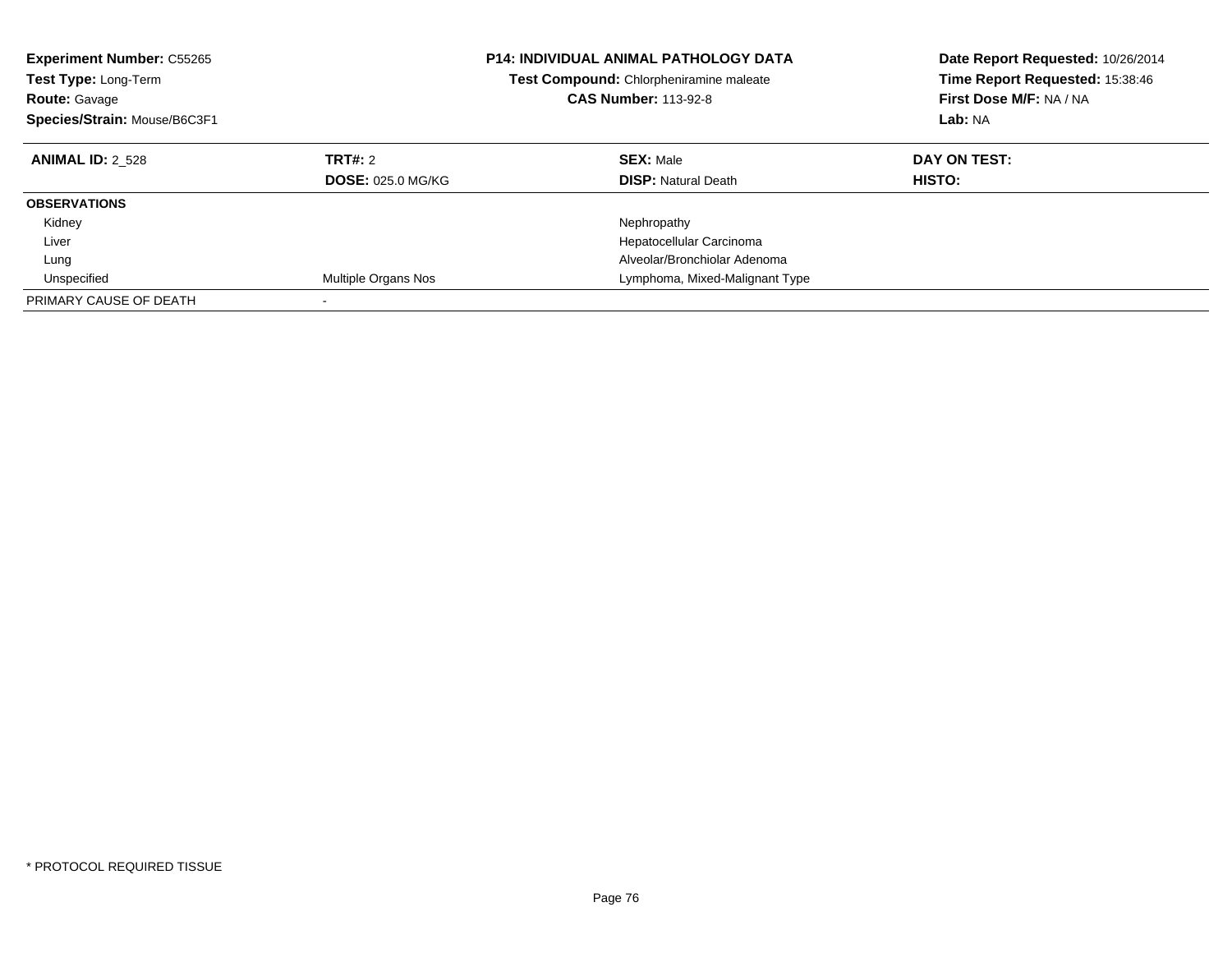| <b>Experiment Number: C55265</b><br><b>Test Type: Long-Term</b><br><b>Route: Gavage</b><br>Species/Strain: Mouse/B6C3F1 |                                     | <b>P14: INDIVIDUAL ANIMAL PATHOLOGY DATA</b><br>Test Compound: Chlorpheniramine maleate<br><b>CAS Number: 113-92-8</b> | Date Report Requested: 10/26/2014<br>Time Report Requested: 15:38:46<br>First Dose M/F: NA / NA<br>Lab: NA |
|-------------------------------------------------------------------------------------------------------------------------|-------------------------------------|------------------------------------------------------------------------------------------------------------------------|------------------------------------------------------------------------------------------------------------|
| <b>ANIMAL ID: 2 528</b>                                                                                                 | TRT#: 2<br><b>DOSE: 025.0 MG/KG</b> | <b>SEX: Male</b><br><b>DISP: Natural Death</b>                                                                         | DAY ON TEST:<br>HISTO:                                                                                     |
| <b>OBSERVATIONS</b>                                                                                                     |                                     |                                                                                                                        |                                                                                                            |
| Kidney                                                                                                                  |                                     | Nephropathy                                                                                                            |                                                                                                            |
| Liver                                                                                                                   |                                     | Hepatocellular Carcinoma                                                                                               |                                                                                                            |
| Lung                                                                                                                    |                                     | Alveolar/Bronchiolar Adenoma                                                                                           |                                                                                                            |
| Unspecified                                                                                                             | Multiple Organs Nos                 | Lymphoma, Mixed-Malignant Type                                                                                         |                                                                                                            |
| PRIMARY CAUSE OF DEATH                                                                                                  |                                     |                                                                                                                        |                                                                                                            |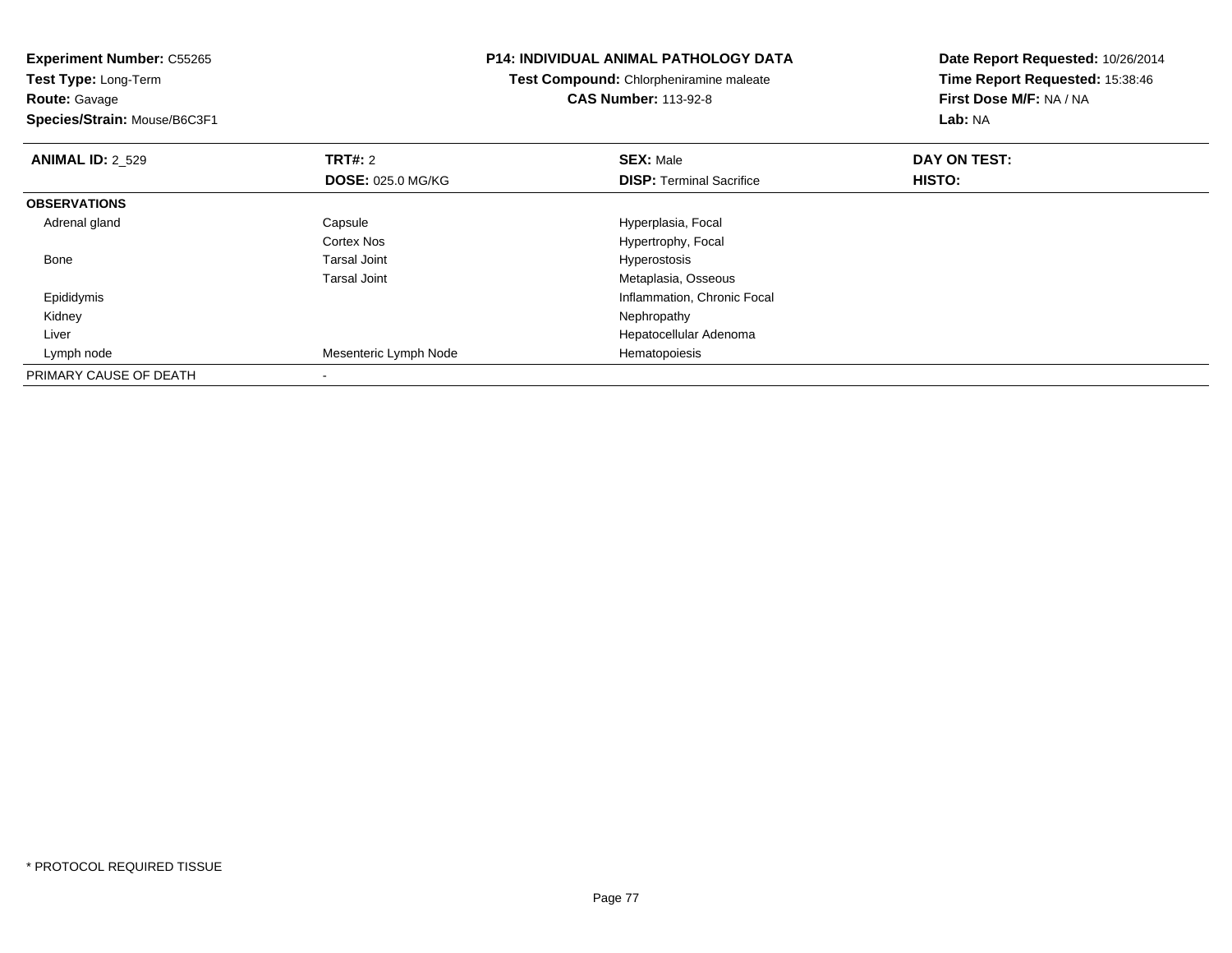**Experiment Number:** C55265**Test Type:** Long-Term**Route:** Gavage **Species/Strain:** Mouse/B6C3F1**P14: INDIVIDUAL ANIMAL PATHOLOGY DATATest Compound:** Chlorpheniramine maleate**CAS Number:** 113-92-8**Date Report Requested:** 10/26/2014**Time Report Requested:** 15:38:46**First Dose M/F:** NA / NA**Lab:** NA**ANIMAL ID: 2 529 TRT#:** 2 **SEX:** Male **DAY ON TEST: DOSE:** 025.0 MG/KG**DISP:** Terminal Sacrifice **HISTO: OBSERVATIONS** Adrenal glandCapsule **Capsule Hyperplasia**, Focal Cortex Nos Hypertrophy, Focal Bone Tarsal Joint Hyperostosis Tarsal Joint Metaplasia, Osseous**Inflammation, Chronic Focal**  Epididymis Kidneyy the control of the control of the control of the control of the control of the control of the control of the control of the control of the control of the control of the control of the control of the control of the contro Liver Hepatocellular Adenoma Lymph nodeMesenteric Lymph Node Hematopoiesis PRIMARY CAUSE OF DEATH-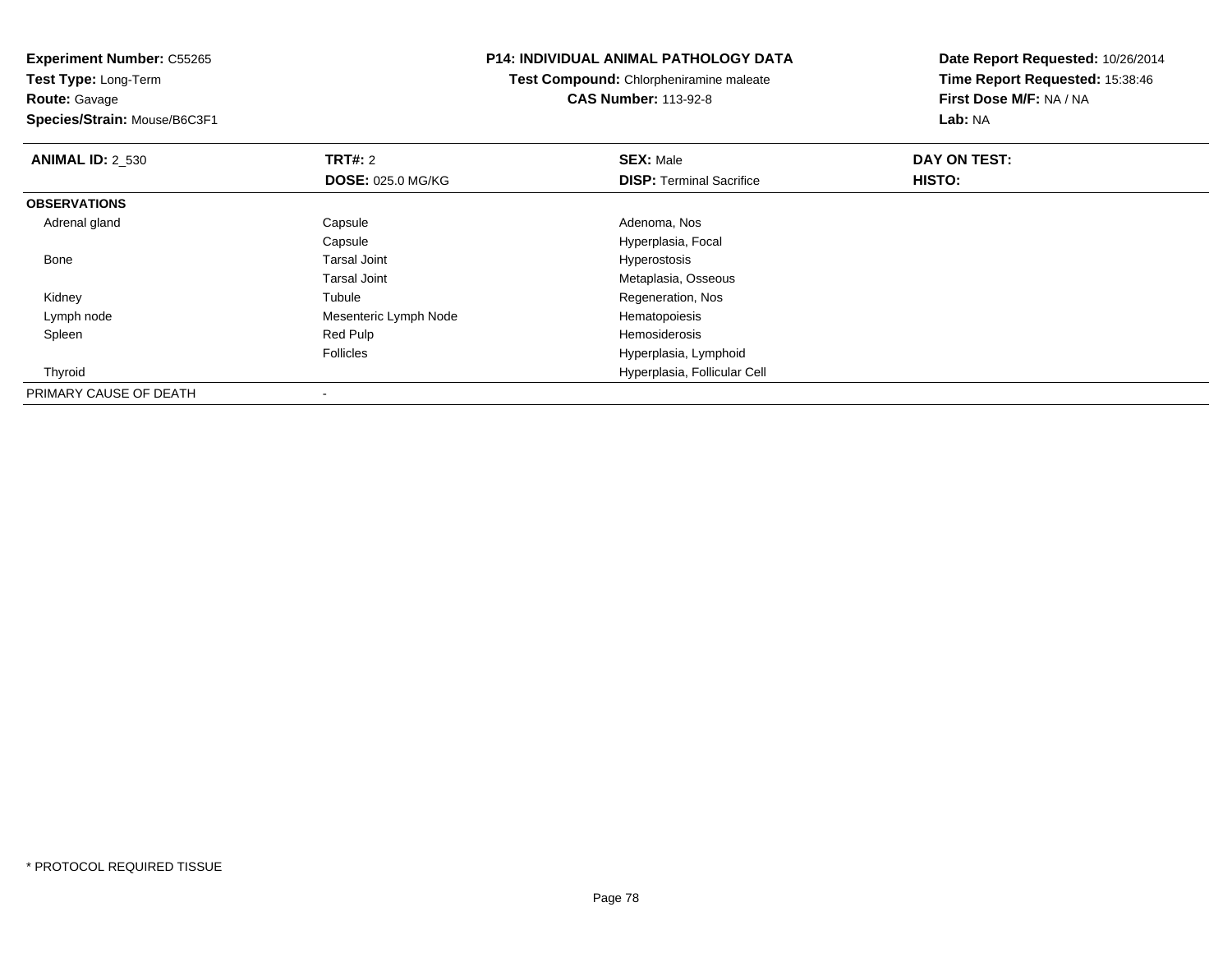**Experiment Number:** C55265**Test Type:** Long-Term**Route:** Gavage **Species/Strain:** Mouse/B6C3F1**P14: INDIVIDUAL ANIMAL PATHOLOGY DATATest Compound:** Chlorpheniramine maleate**CAS Number:** 113-92-8**Date Report Requested:** 10/26/2014**Time Report Requested:** 15:38:46**First Dose M/F:** NA / NA**Lab:** NA**ANIMAL ID: 2 530 C TRT#:** 2 **SEX:** Male **DAY ON TEST: DOSE:** 025.0 MG/KG**DISP:** Terminal Sacrifice **HISTO: OBSERVATIONS** Adrenal glandd and Capsule Capsule Capsus and Adenoma, Nos CapsuleCapsule Capsule Capsule Capsule Capsular Capsular Engineer School Hyperplasia, Focal Tarsal Joint Capsular Capsular Capsular Capsular Capsular Capsular Capsular Capsular Capsular Capsular Capsular Capsular Capsular Capsula Bone Tarsal Joint Hyperostosis Tarsal Joint Metaplasia, Osseous Kidneyy the contract of the contract of the contract of the contract of the contract of the contract of the contract of the contract of the contract of the contract of the contract of the contract of the contract of the contract Tubule<br>
Mesenteric Lymph Node<br>
Mesenteric Lymph Node<br>
Rematopoiesis Lymph node Mesenteric Lymph Node Hematopoiesis Spleenn waa deel een bestel van de Red Pulp de Sean aan de Sean en de Sean aan de Hemosiderosis van de Sean en de Se Follicles Hyperplasia, Lymphoid Hyperplasia, Follicular Cell Thyroid

PRIMARY CAUSE OF DEATH-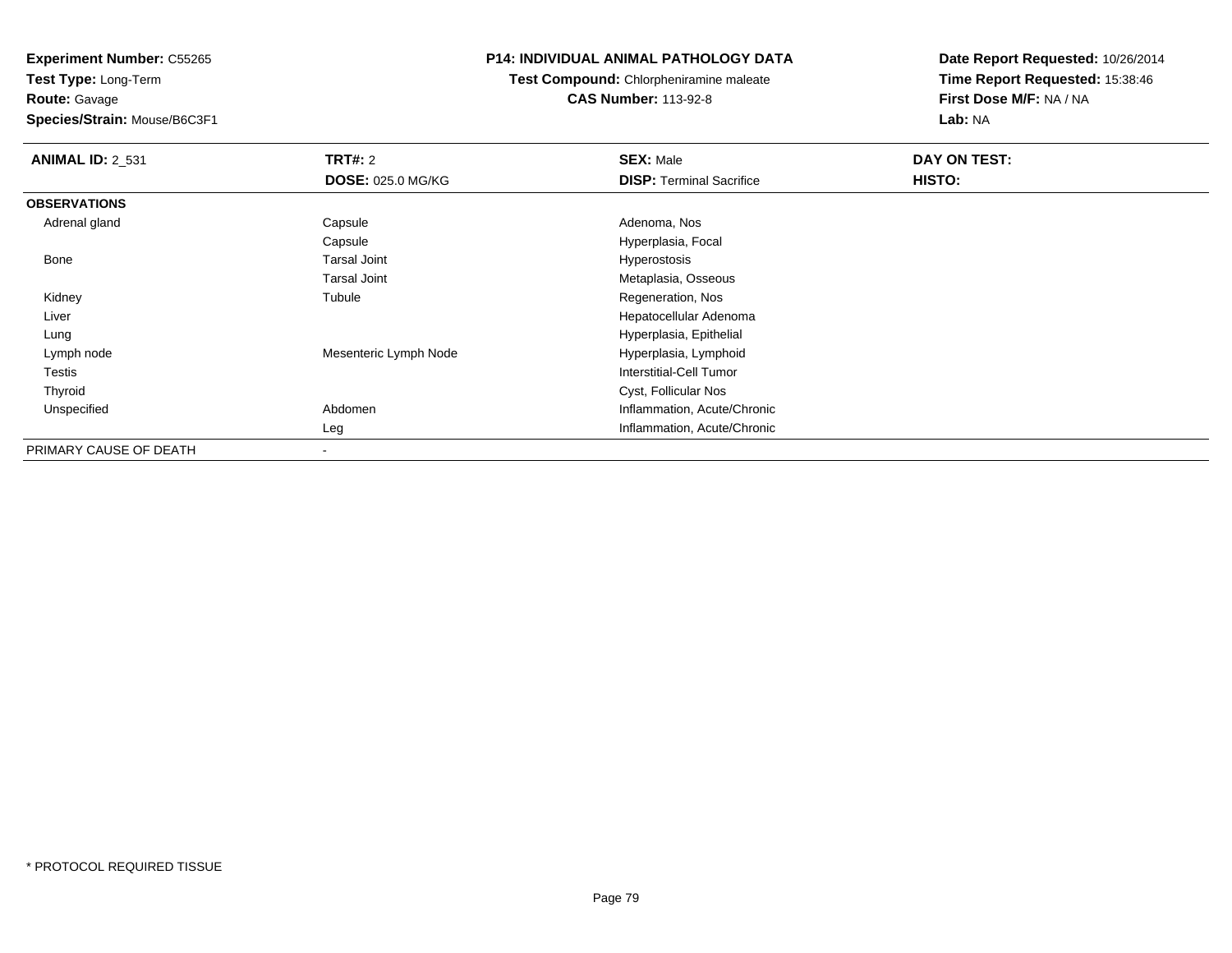**Test Type:** Long-Term**Route:** Gavage

**Species/Strain:** Mouse/B6C3F1

## **P14: INDIVIDUAL ANIMAL PATHOLOGY DATA**

**Test Compound:** Chlorpheniramine maleate**CAS Number:** 113-92-8

| <b>ANIMAL ID: 2_531</b> | <b>TRT#: 2</b>           | <b>SEX: Male</b>                | DAY ON TEST: |  |
|-------------------------|--------------------------|---------------------------------|--------------|--|
|                         | <b>DOSE: 025.0 MG/KG</b> | <b>DISP: Terminal Sacrifice</b> | HISTO:       |  |
| <b>OBSERVATIONS</b>     |                          |                                 |              |  |
| Adrenal gland           | Capsule                  | Adenoma, Nos                    |              |  |
|                         | Capsule                  | Hyperplasia, Focal              |              |  |
| Bone                    | <b>Tarsal Joint</b>      | <b>Hyperostosis</b>             |              |  |
|                         | <b>Tarsal Joint</b>      | Metaplasia, Osseous             |              |  |
| Kidney                  | Tubule                   | Regeneration, Nos               |              |  |
| Liver                   |                          | Hepatocellular Adenoma          |              |  |
| Lung                    |                          | Hyperplasia, Epithelial         |              |  |
| Lymph node              | Mesenteric Lymph Node    | Hyperplasia, Lymphoid           |              |  |
| Testis                  |                          | Interstitial-Cell Tumor         |              |  |
| Thyroid                 |                          | Cyst, Follicular Nos            |              |  |
| Unspecified             | Abdomen                  | Inflammation, Acute/Chronic     |              |  |
|                         | Leg                      | Inflammation, Acute/Chronic     |              |  |
| PRIMARY CAUSE OF DEATH  |                          |                                 |              |  |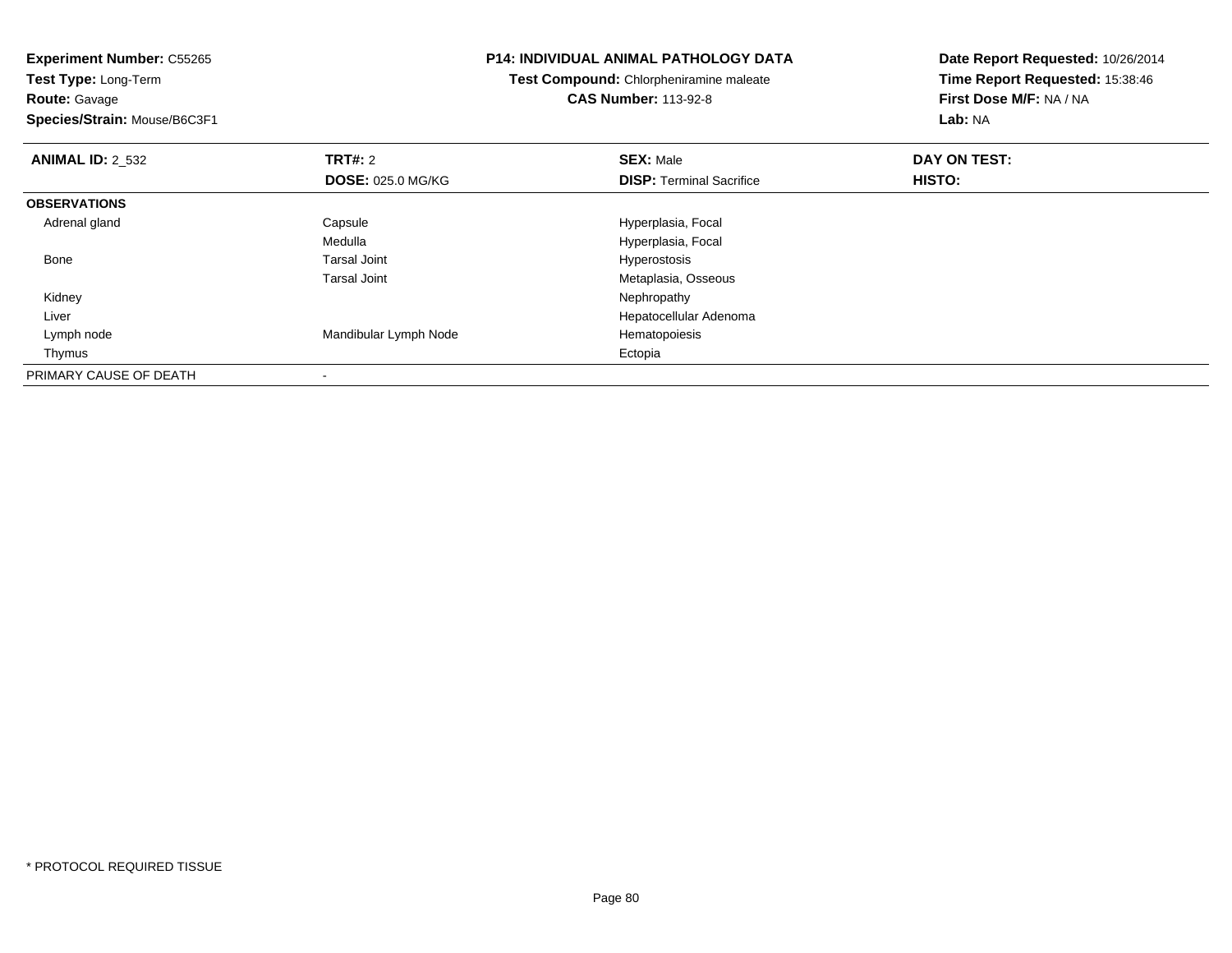**Experiment Number:** C55265**Test Type:** Long-Term**Route:** Gavage **Species/Strain:** Mouse/B6C3F1**P14: INDIVIDUAL ANIMAL PATHOLOGY DATATest Compound:** Chlorpheniramine maleate**CAS Number:** 113-92-8**Date Report Requested:** 10/26/2014**Time Report Requested:** 15:38:46**First Dose M/F:** NA / NA**Lab:** NA**ANIMAL ID:** 2\_532 **TRT#:** <sup>2</sup> **SEX:** Male **DAY ON TEST: DOSE:** 025.0 MG/KG**DISP:** Terminal Sacrifice **HISTO: OBSERVATIONS** Adrenal glandCapsule **Capsule Hyperplasia**, Focal MedullaMedulla Medulla (and the second terms of the Hyperplasia, Focal Tarsal Joint Medulla and terms of the Second Hyperostosis Bone Tarsal Joint Hyperostosis Tarsal Joint Metaplasia, Osseous Kidneyy the control of the control of the control of the control of the control of the control of the control of the control of the control of the control of the control of the control of the control of the control of the contro Liver Hepatocellular Adenoma Lymph nodeMandibular Lymph Node<br>
Ectopia<br>
Ectopia Thymuss and the contract of the contract of the contract of the contract of the contract of the contract of the contract of the contract of the contract of the contract of the contract of the contract of the contract of the cont PRIMARY CAUSE OF DEATH-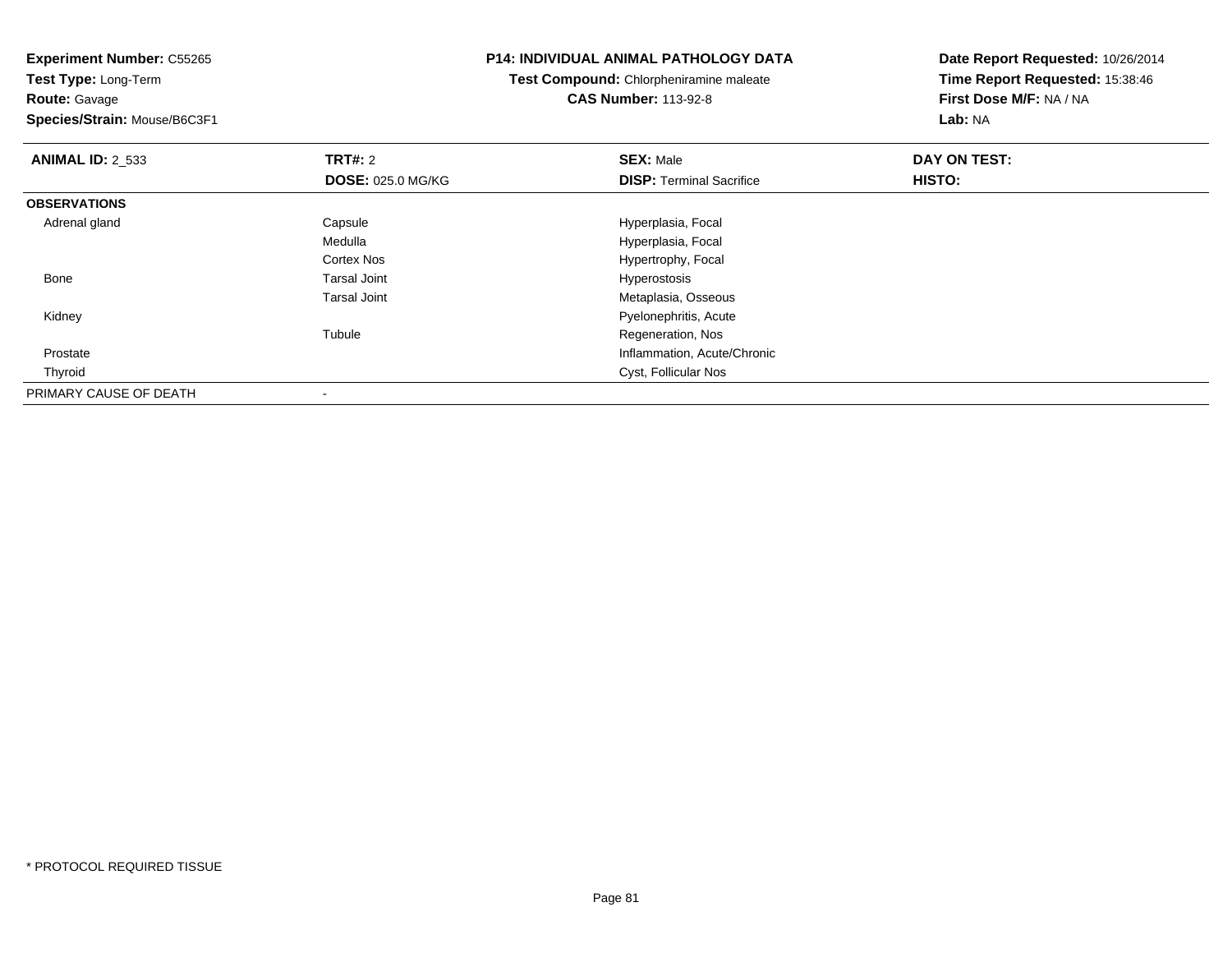**Experiment Number:** C55265**Test Type:** Long-Term**Route:** Gavage **Species/Strain:** Mouse/B6C3F1**P14: INDIVIDUAL ANIMAL PATHOLOGY DATATest Compound:** Chlorpheniramine maleate**CAS Number:** 113-92-8**Date Report Requested:** 10/26/2014**Time Report Requested:** 15:38:46**First Dose M/F:** NA / NA**Lab:** NA**ANIMAL ID:** 2\_533**TRT#:** 2 **SEX:** Male **DAY ON TEST: DOSE:** 025.0 MG/KG**DISP:** Terminal Sacrifice **HISTO: OBSERVATIONS** Adrenal glandCapsule **Capsule Hyperplasia**, Focal Medulla Hyperplasia, Focal Cortex NosHypertrophy, Focal<br>Hyperostosis Bone Tarsal Joint Hyperostosis Tarsal Joint Metaplasia, Osseous Pyelonephritis, Acute KidneyTubule Regeneration, Nos Prostate Inflammation, Acute/Chronic Thyroid Cyst, Follicular Nos PRIMARY CAUSE OF DEATH-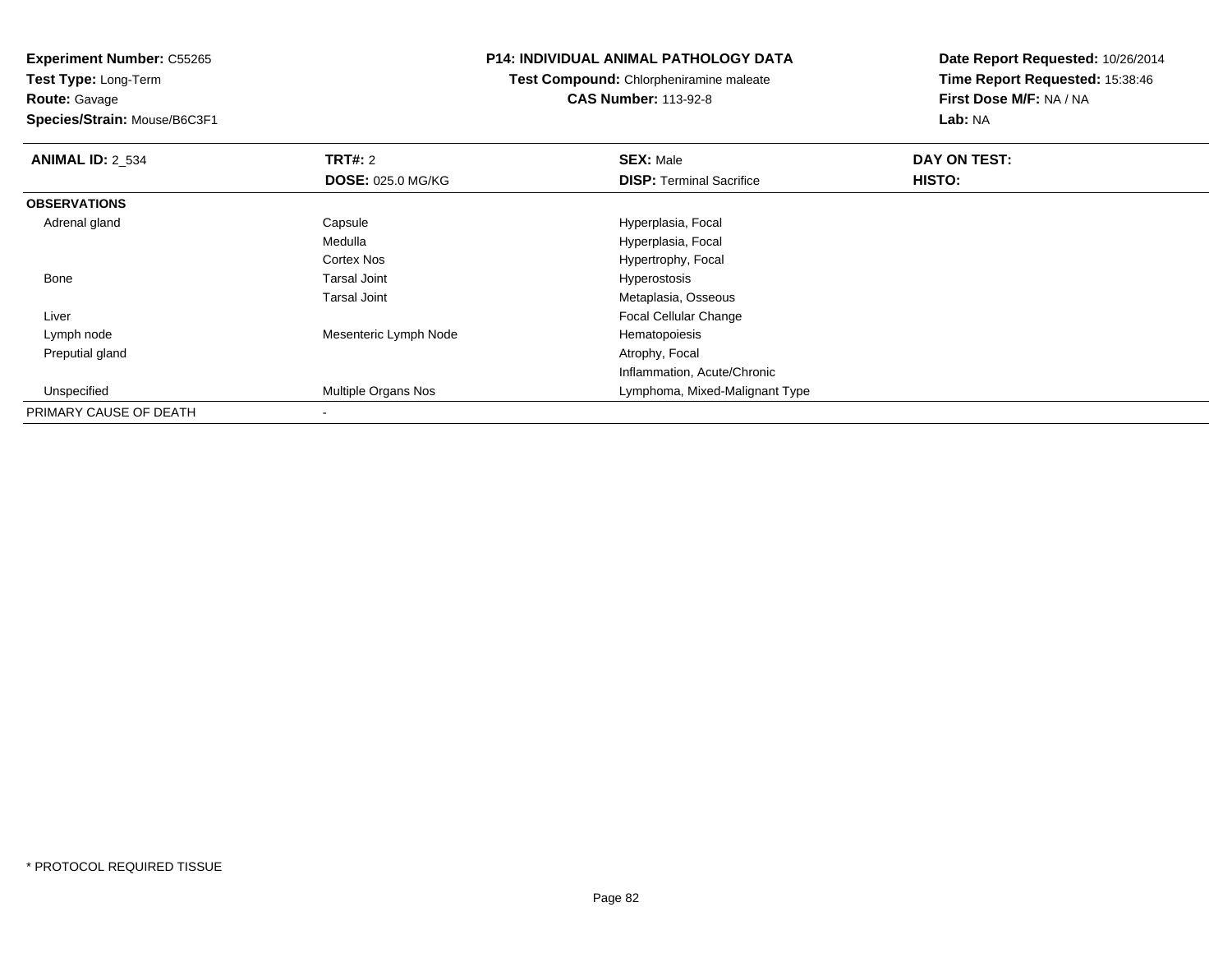**Experiment Number:** C55265**Test Type:** Long-Term**Route:** Gavage **Species/Strain:** Mouse/B6C3F1**P14: INDIVIDUAL ANIMAL PATHOLOGY DATATest Compound:** Chlorpheniramine maleate**CAS Number:** 113-92-8**Date Report Requested:** 10/26/2014**Time Report Requested:** 15:38:46**First Dose M/F:** NA / NA**Lab:** NA**ANIMAL ID: 2 534 TRT#:** 2 **SEX:** Male **DAY ON TEST: DOSE:** 025.0 MG/KG**DISP:** Terminal Sacrifice **HISTO: OBSERVATIONS** Adrenal glandCapsule **Capsule Hyperplasia**, Focal Medulla Hyperplasia, Focal Cortex Nos Hypertrophy, Focal Bone Tarsal Joint Hyperostosis Tarsal Joint Metaplasia, Osseous Focal Cellular Change Liver Lymph nodeMesenteric Lymph Node Hematopoiesis Preputial gland Atrophy, Focal Inflammation, Acute/Chronicd **Multiple Organs Nos Lymphoma, Mixed-Malignant Type**  UnspecifiedPRIMARY CAUSE OF DEATH

-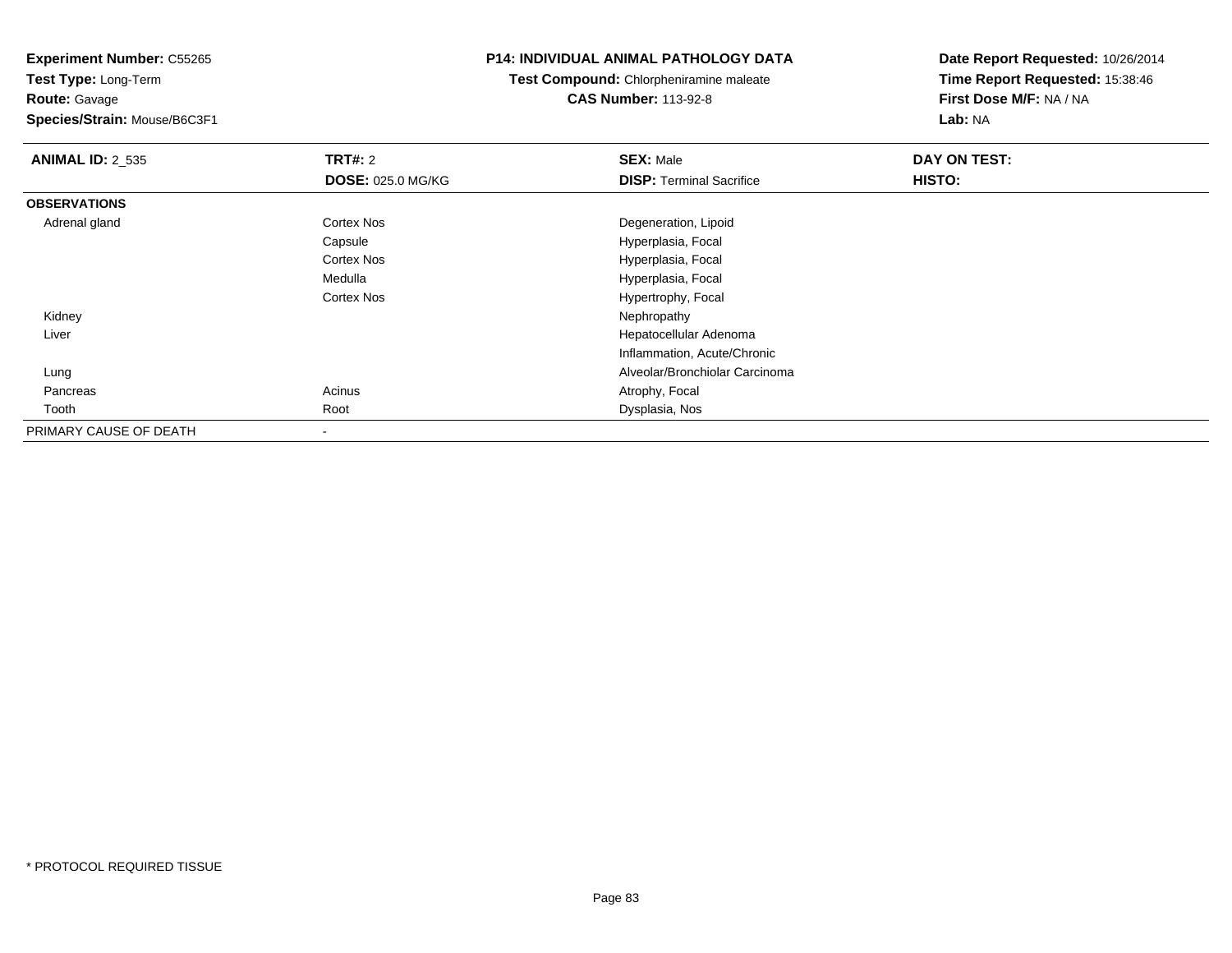**Test Type:** Long-Term

**Route:** Gavage

**Species/Strain:** Mouse/B6C3F1

## **P14: INDIVIDUAL ANIMAL PATHOLOGY DATA**

**Test Compound:** Chlorpheniramine maleate**CAS Number:** 113-92-8

| <b>ANIMAL ID: 2_535</b> | TRT#: 2                  | <b>SEX: Male</b>                | DAY ON TEST: |  |
|-------------------------|--------------------------|---------------------------------|--------------|--|
|                         | <b>DOSE: 025.0 MG/KG</b> | <b>DISP:</b> Terminal Sacrifice | HISTO:       |  |
| <b>OBSERVATIONS</b>     |                          |                                 |              |  |
| Adrenal gland           | <b>Cortex Nos</b>        | Degeneration, Lipoid            |              |  |
|                         | Capsule                  | Hyperplasia, Focal              |              |  |
|                         | <b>Cortex Nos</b>        | Hyperplasia, Focal              |              |  |
|                         | Medulla                  | Hyperplasia, Focal              |              |  |
|                         | <b>Cortex Nos</b>        | Hypertrophy, Focal              |              |  |
| Kidney                  |                          | Nephropathy                     |              |  |
| Liver                   |                          | Hepatocellular Adenoma          |              |  |
|                         |                          | Inflammation, Acute/Chronic     |              |  |
| Lung                    |                          | Alveolar/Bronchiolar Carcinoma  |              |  |
| Pancreas                | Acinus                   | Atrophy, Focal                  |              |  |
| Tooth                   | Root                     | Dysplasia, Nos                  |              |  |
| PRIMARY CAUSE OF DEATH  |                          |                                 |              |  |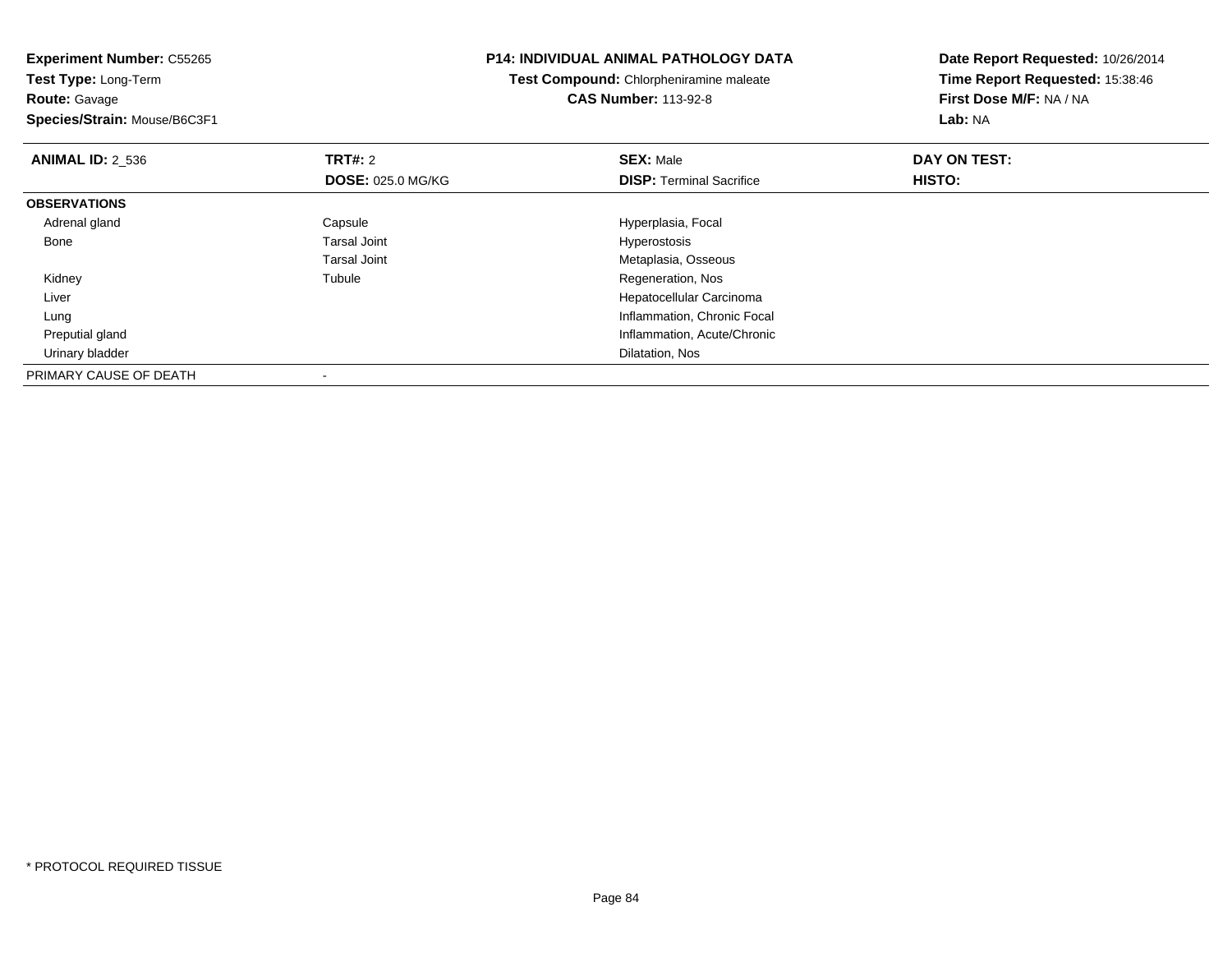**Experiment Number:** C55265**Test Type:** Long-Term**Route:** Gavage **Species/Strain:** Mouse/B6C3F1**P14: INDIVIDUAL ANIMAL PATHOLOGY DATATest Compound:** Chlorpheniramine maleate**CAS Number:** 113-92-8**Date Report Requested:** 10/26/2014**Time Report Requested:** 15:38:46**First Dose M/F:** NA / NA**Lab:** NA**ANIMAL ID:** 2\_536**6 DAY ON TEST: TRT#:** 2 **SEX:** Male **SEX:** Male **DOSE:** 025.0 MG/KG**DISP:** Terminal Sacrifice **HISTO: OBSERVATIONS** Adrenal glandCapsule Capsule Capsule Hyperplasia, Focal<br>
Tarsal Joint Capsule Capsule Capsule Capsule Capsule Capsule Capsule Capsule Capsule Capsule Capsule Capsule C Bone Tarsal Joint Hyperostosis Tarsal Joint Metaplasia, Osseous Kidneyy the contract of the contract of the contract of the contract of the contract of the contract of the contract of the contract of the contract of the contract of the contract of the contract of the contract of the contract Tubule **Tubule Regeneration, Nos**  Liver Hepatocellular Carcinoma**Inflammation, Chronic Focal**  Lung Preputial gland Inflammation, Acute/Chronic Urinary bladder Dilatation, NosPRIMARY CAUSE OF DEATH-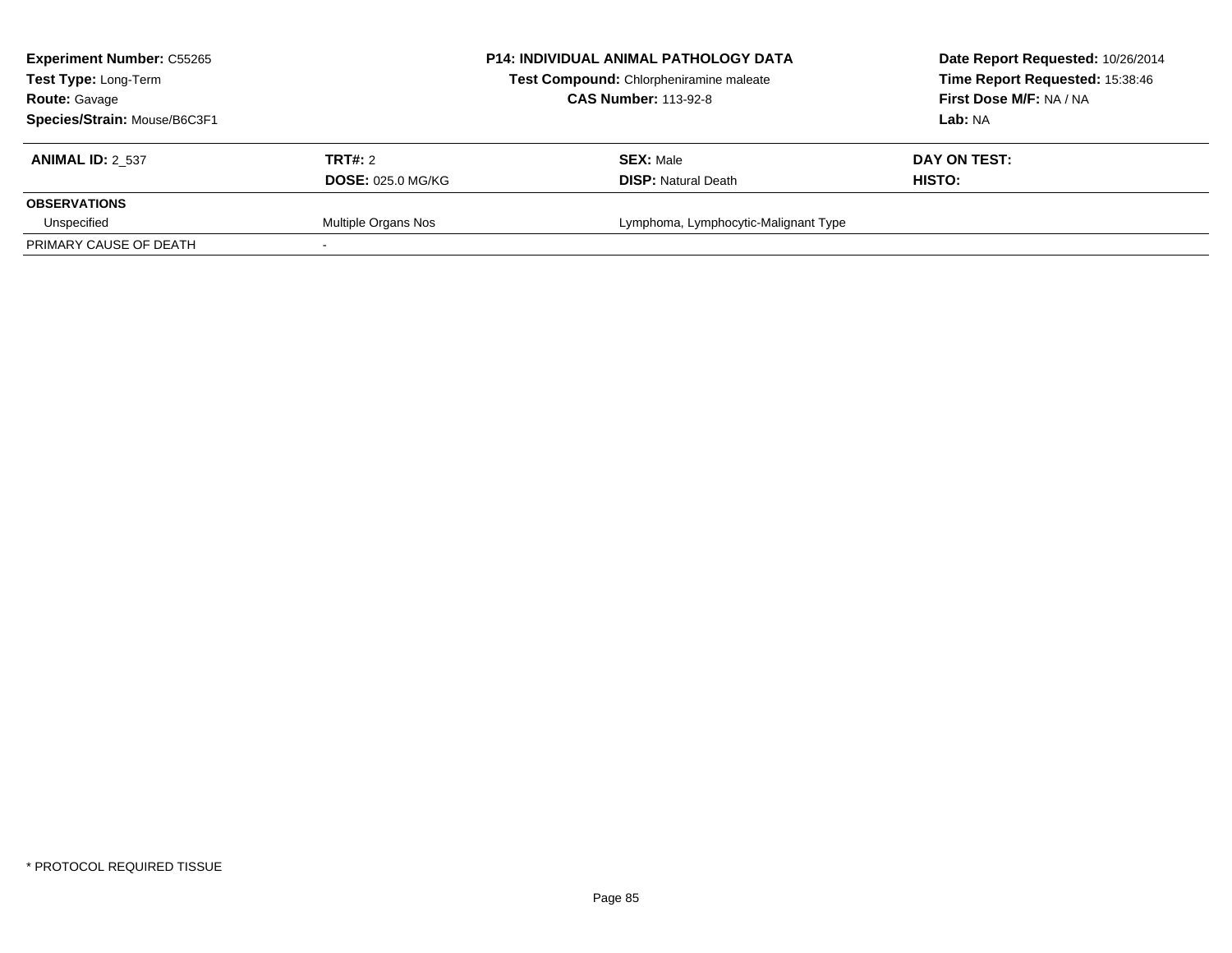| <b>Experiment Number: C55265</b><br>Test Type: Long-Term<br><b>Route: Gavage</b><br>Species/Strain: Mouse/B6C3F1 |                                            | <b>P14: INDIVIDUAL ANIMAL PATHOLOGY DATA</b><br>Test Compound: Chlorpheniramine maleate<br><b>CAS Number: 113-92-8</b> | Date Report Requested: 10/26/2014<br>Time Report Requested: 15:38:46<br>First Dose M/F: NA / NA<br>Lab: NA |  |
|------------------------------------------------------------------------------------------------------------------|--------------------------------------------|------------------------------------------------------------------------------------------------------------------------|------------------------------------------------------------------------------------------------------------|--|
| <b>ANIMAL ID: 2 537</b>                                                                                          | <b>TRT#: 2</b><br><b>DOSE: 025.0 MG/KG</b> | <b>SEX: Male</b><br><b>DISP:</b> Natural Death                                                                         | DAY ON TEST:<br>HISTO:                                                                                     |  |
| <b>OBSERVATIONS</b>                                                                                              |                                            |                                                                                                                        |                                                                                                            |  |
| Unspecified                                                                                                      | Multiple Organs Nos                        | Lymphoma, Lymphocytic-Malignant Type                                                                                   |                                                                                                            |  |
| PRIMARY CAUSE OF DEATH                                                                                           |                                            |                                                                                                                        |                                                                                                            |  |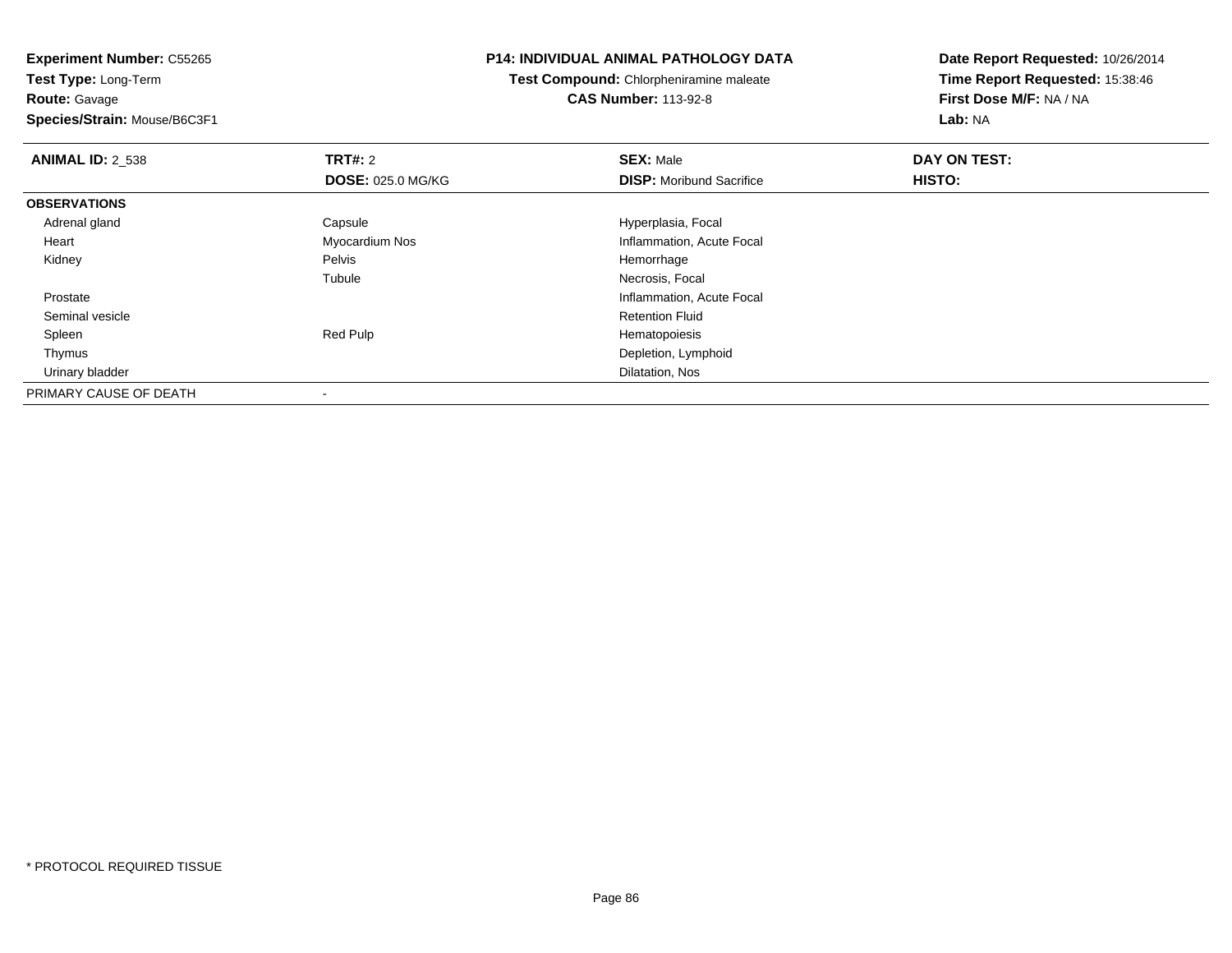**Test Type:** Long-Term**Route:** Gavage

**Species/Strain:** Mouse/B6C3F1

## **P14: INDIVIDUAL ANIMAL PATHOLOGY DATA**

**Test Compound:** Chlorpheniramine maleate**CAS Number:** 113-92-8

| <b>ANIMAL ID: 2 538</b> | TRT#: 2                  | <b>SEX: Male</b>                | DAY ON TEST: |  |
|-------------------------|--------------------------|---------------------------------|--------------|--|
|                         | <b>DOSE: 025.0 MG/KG</b> | <b>DISP:</b> Moribund Sacrifice | HISTO:       |  |
| <b>OBSERVATIONS</b>     |                          |                                 |              |  |
| Adrenal gland           | Capsule                  | Hyperplasia, Focal              |              |  |
| Heart                   | Myocardium Nos           | Inflammation, Acute Focal       |              |  |
| Kidney                  | Pelvis                   | Hemorrhage                      |              |  |
|                         | Tubule                   | Necrosis, Focal                 |              |  |
| Prostate                |                          | Inflammation, Acute Focal       |              |  |
| Seminal vesicle         |                          | <b>Retention Fluid</b>          |              |  |
| Spleen                  | Red Pulp                 | Hematopoiesis                   |              |  |
| Thymus                  |                          | Depletion, Lymphoid             |              |  |
| Urinary bladder         |                          | Dilatation, Nos                 |              |  |
| PRIMARY CAUSE OF DEATH  |                          |                                 |              |  |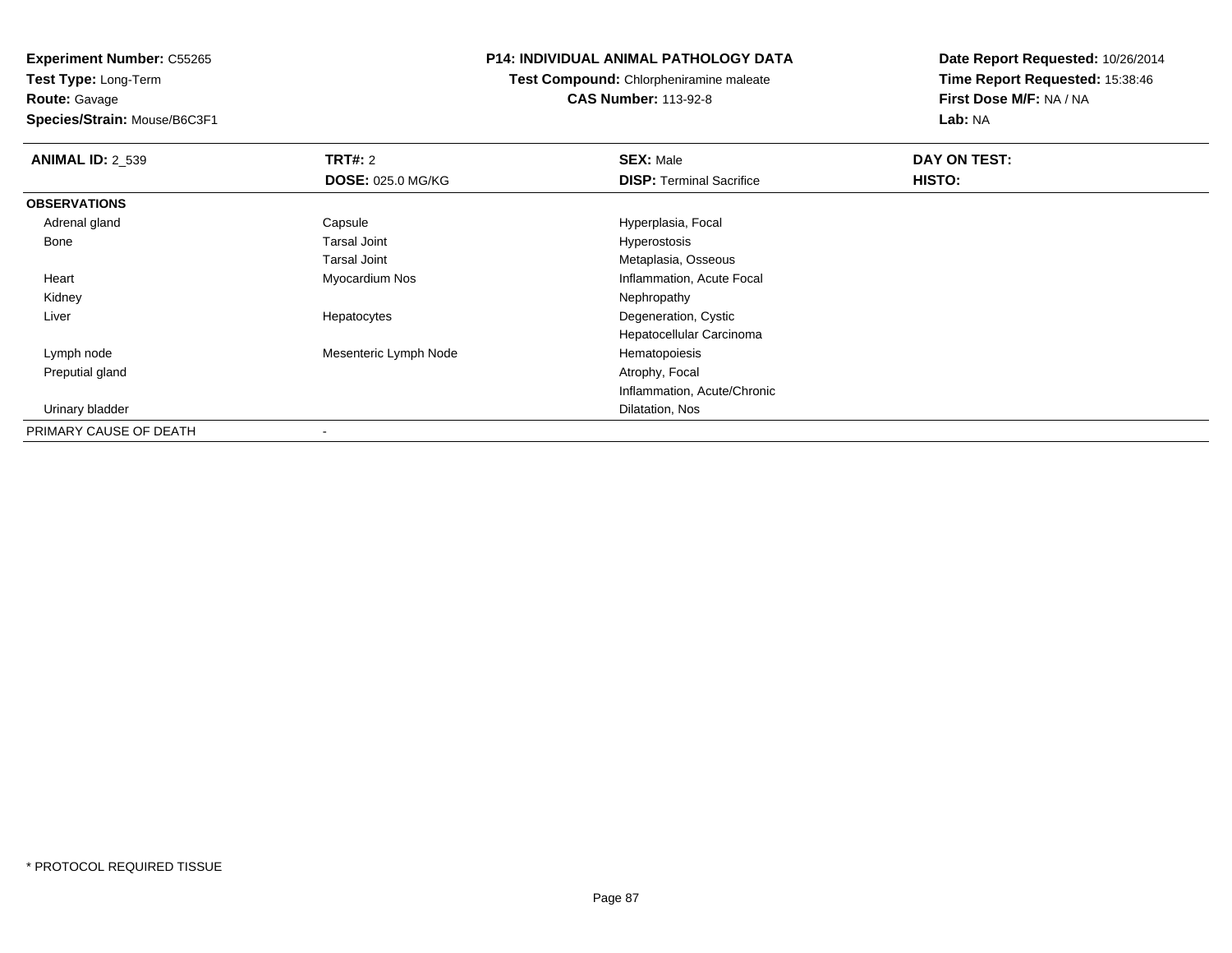**Experiment Number:** C55265**Test Type:** Long-Term

**Route:** Gavage

**Species/Strain:** Mouse/B6C3F1

## **P14: INDIVIDUAL ANIMAL PATHOLOGY DATA**

**Test Compound:** Chlorpheniramine maleate**CAS Number:** 113-92-8

| <b>ANIMAL ID: 2_539</b> | <b>TRT#: 2</b>           | <b>SEX: Male</b>                | DAY ON TEST: |  |
|-------------------------|--------------------------|---------------------------------|--------------|--|
|                         | <b>DOSE: 025.0 MG/KG</b> | <b>DISP: Terminal Sacrifice</b> | HISTO:       |  |
| <b>OBSERVATIONS</b>     |                          |                                 |              |  |
| Adrenal gland           | Capsule                  | Hyperplasia, Focal              |              |  |
| Bone                    | Tarsal Joint             | Hyperostosis                    |              |  |
|                         | Tarsal Joint             | Metaplasia, Osseous             |              |  |
| Heart                   | Myocardium Nos           | Inflammation, Acute Focal       |              |  |
| Kidney                  |                          | Nephropathy                     |              |  |
| Liver                   | Hepatocytes              | Degeneration, Cystic            |              |  |
|                         |                          | Hepatocellular Carcinoma        |              |  |
| Lymph node              | Mesenteric Lymph Node    | Hematopoiesis                   |              |  |
| Preputial gland         |                          | Atrophy, Focal                  |              |  |
|                         |                          | Inflammation, Acute/Chronic     |              |  |
| Urinary bladder         |                          | Dilatation, Nos                 |              |  |
| PRIMARY CAUSE OF DEATH  | $\overline{\phantom{a}}$ |                                 |              |  |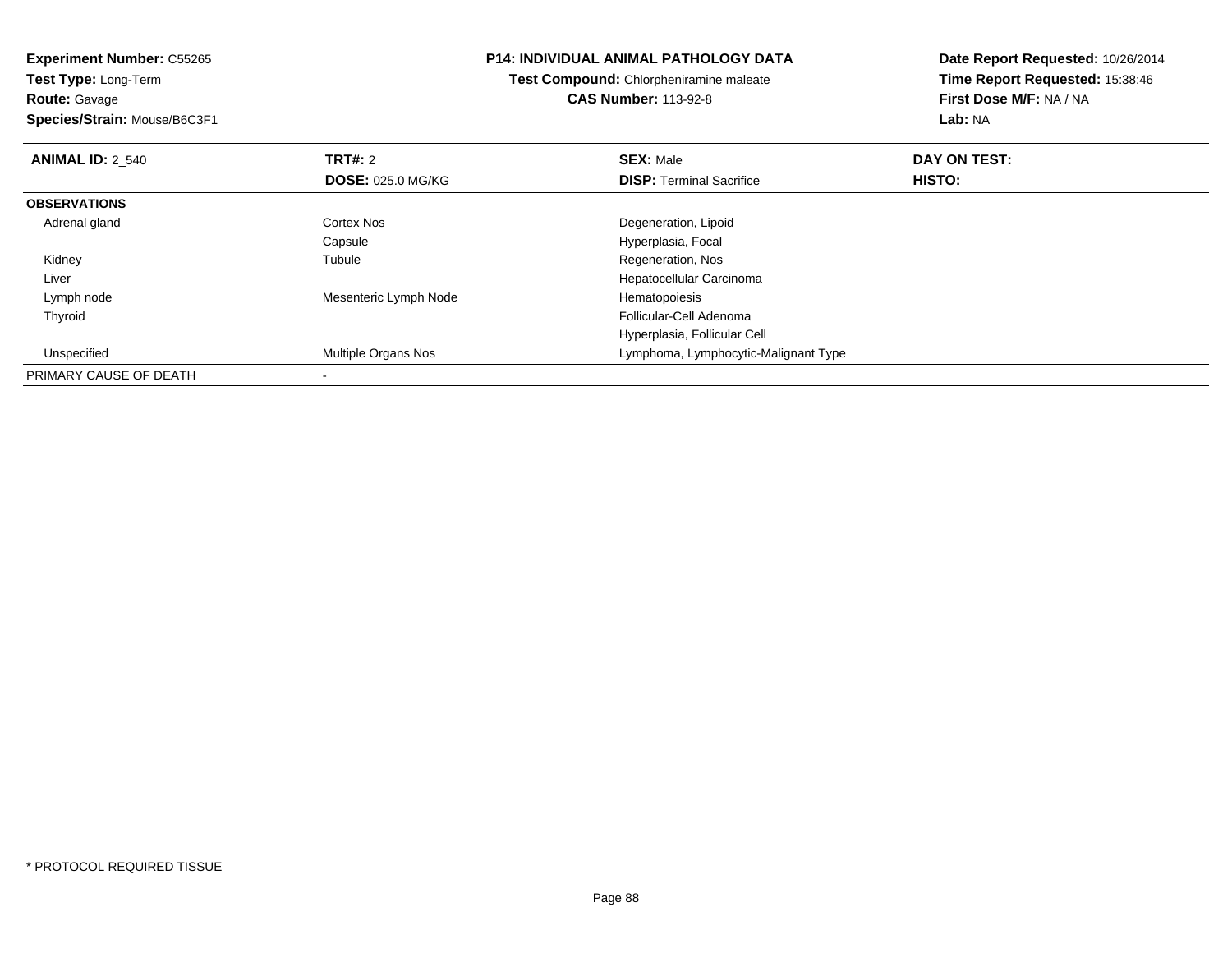**Experiment Number:** C55265**Test Type:** Long-Term

**Route:** Gavage

**Species/Strain:** Mouse/B6C3F1

## **P14: INDIVIDUAL ANIMAL PATHOLOGY DATA**

**Test Compound:** Chlorpheniramine maleate**CAS Number:** 113-92-8

| <b>ANIMAL ID: 2 540</b> | TRT#: 2                  | <b>SEX: Male</b>                     | DAY ON TEST: |  |
|-------------------------|--------------------------|--------------------------------------|--------------|--|
|                         | <b>DOSE: 025.0 MG/KG</b> | <b>DISP: Terminal Sacrifice</b>      | HISTO:       |  |
| <b>OBSERVATIONS</b>     |                          |                                      |              |  |
| Adrenal gland           | Cortex Nos               | Degeneration, Lipoid                 |              |  |
|                         | Capsule                  | Hyperplasia, Focal                   |              |  |
| Kidney                  | Tubule                   | Regeneration, Nos                    |              |  |
| Liver                   |                          | Hepatocellular Carcinoma             |              |  |
| Lymph node              | Mesenteric Lymph Node    | Hematopoiesis                        |              |  |
| Thyroid                 |                          | Follicular-Cell Adenoma              |              |  |
|                         |                          | Hyperplasia, Follicular Cell         |              |  |
| Unspecified             | Multiple Organs Nos      | Lymphoma, Lymphocytic-Malignant Type |              |  |
| PRIMARY CAUSE OF DEATH  |                          |                                      |              |  |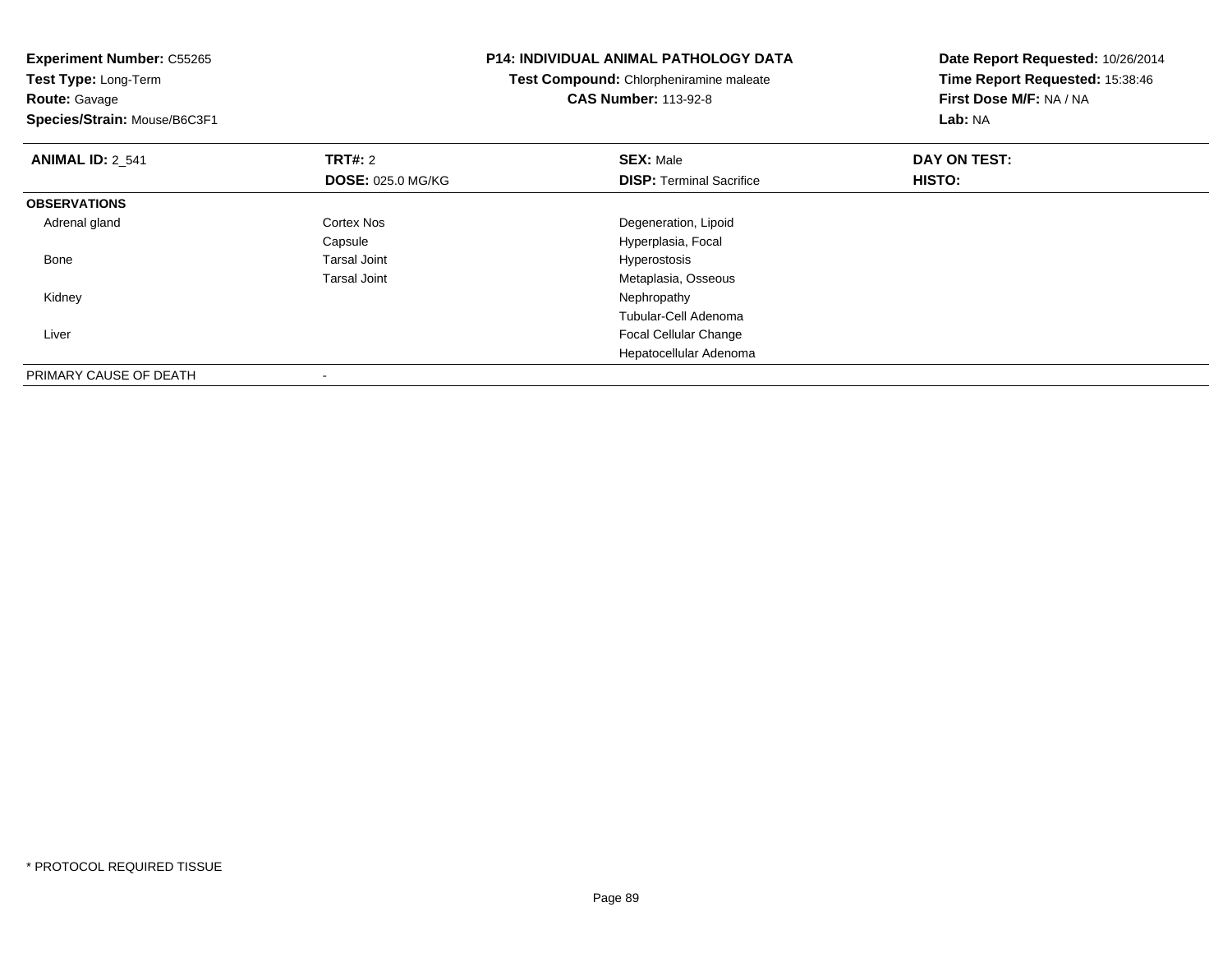| <b>Experiment Number: C55265</b><br>Test Type: Long-Term |                          | <b>P14: INDIVIDUAL ANIMAL PATHOLOGY DATA</b> | Date Report Requested: 10/26/2014 |
|----------------------------------------------------------|--------------------------|----------------------------------------------|-----------------------------------|
|                                                          |                          | Test Compound: Chlorpheniramine maleate      | Time Report Requested: 15:38:46   |
| <b>Route: Gavage</b>                                     |                          | <b>CAS Number: 113-92-8</b>                  | First Dose M/F: NA / NA           |
| Species/Strain: Mouse/B6C3F1                             |                          |                                              | Lab: NA                           |
| <b>ANIMAL ID: 2_541</b>                                  | <b>TRT#: 2</b>           | <b>SEX: Male</b>                             | DAY ON TEST:                      |
|                                                          | <b>DOSE: 025.0 MG/KG</b> | <b>DISP:</b> Terminal Sacrifice              | HISTO:                            |
| <b>OBSERVATIONS</b>                                      |                          |                                              |                                   |
| Adrenal gland                                            | Cortex Nos               | Degeneration, Lipoid                         |                                   |
|                                                          | Capsule                  | Hyperplasia, Focal                           |                                   |
| Bone                                                     | <b>Tarsal Joint</b>      | Hyperostosis                                 |                                   |
|                                                          | <b>Tarsal Joint</b>      | Metaplasia, Osseous                          |                                   |
| Kidney                                                   |                          | Nephropathy                                  |                                   |
|                                                          |                          | Tubular-Cell Adenoma                         |                                   |
| Liver                                                    |                          | Focal Cellular Change                        |                                   |
|                                                          |                          | Hepatocellular Adenoma                       |                                   |
| PRIMARY CAUSE OF DEATH                                   |                          |                                              |                                   |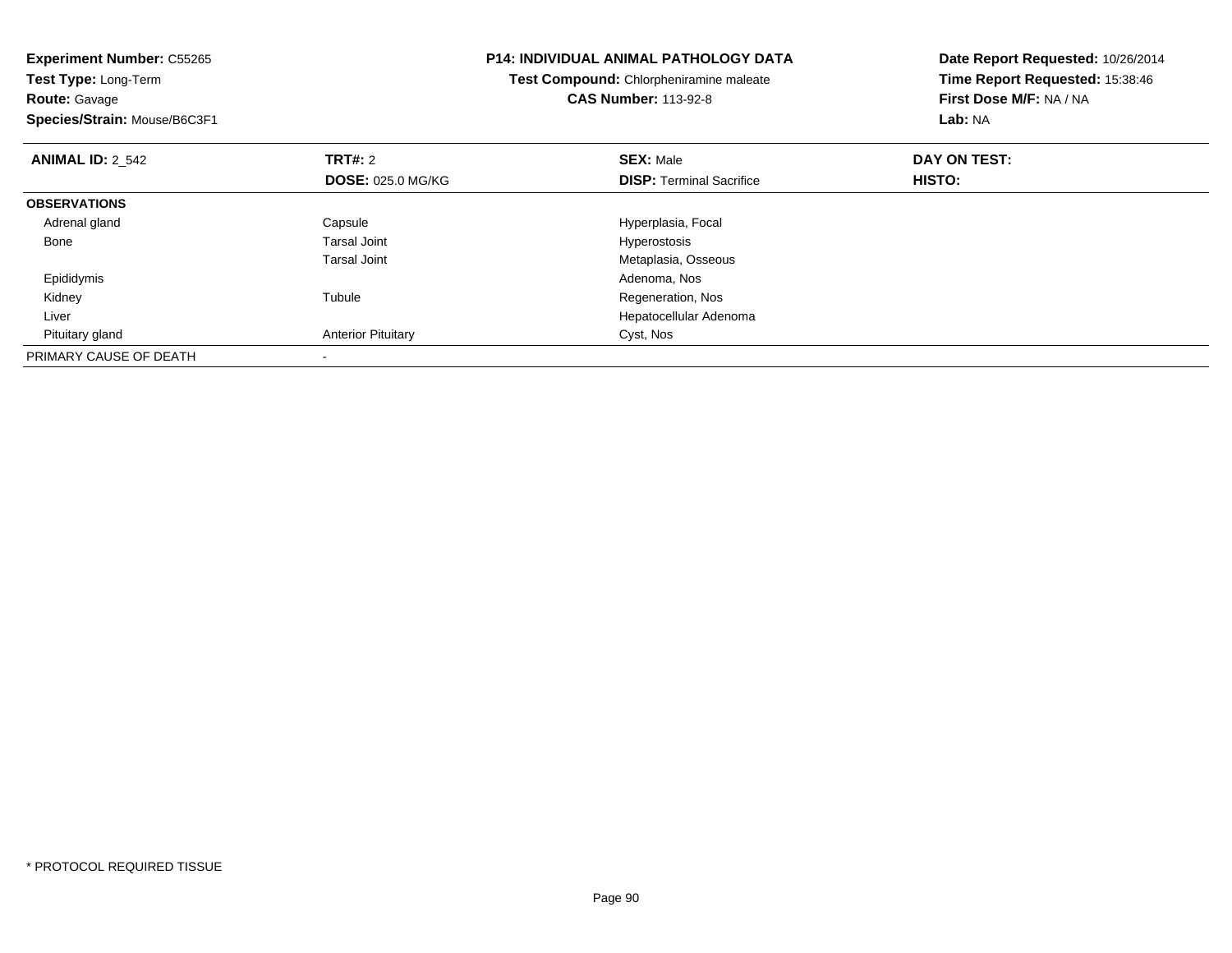| <b>Experiment Number: C55265</b> |                           | <b>P14: INDIVIDUAL ANIMAL PATHOLOGY DATA</b> | Date Report Requested: 10/26/2014 |  |
|----------------------------------|---------------------------|----------------------------------------------|-----------------------------------|--|
| Test Type: Long-Term             |                           | Test Compound: Chlorpheniramine maleate      | Time Report Requested: 15:38:46   |  |
| <b>Route: Gavage</b>             |                           | <b>CAS Number: 113-92-8</b>                  | First Dose M/F: NA / NA           |  |
| Species/Strain: Mouse/B6C3F1     |                           |                                              | <b>Lab: NA</b>                    |  |
| <b>ANIMAL ID: 2 542</b>          | <b>TRT#:</b> 2            | <b>SEX: Male</b>                             | DAY ON TEST:                      |  |
|                                  | <b>DOSE: 025.0 MG/KG</b>  | <b>DISP: Terminal Sacrifice</b>              | HISTO:                            |  |
| <b>OBSERVATIONS</b>              |                           |                                              |                                   |  |
| Adrenal gland                    | Capsule                   | Hyperplasia, Focal                           |                                   |  |
| Bone                             | <b>Tarsal Joint</b>       | Hyperostosis                                 |                                   |  |
|                                  | <b>Tarsal Joint</b>       | Metaplasia, Osseous                          |                                   |  |
| Epididymis                       |                           | Adenoma, Nos                                 |                                   |  |
| Kidney                           | Tubule                    | Regeneration, Nos                            |                                   |  |
| Liver                            |                           | Hepatocellular Adenoma                       |                                   |  |
| Pituitary gland                  | <b>Anterior Pituitary</b> | Cyst, Nos                                    |                                   |  |
| PRIMARY CAUSE OF DEATH           |                           |                                              |                                   |  |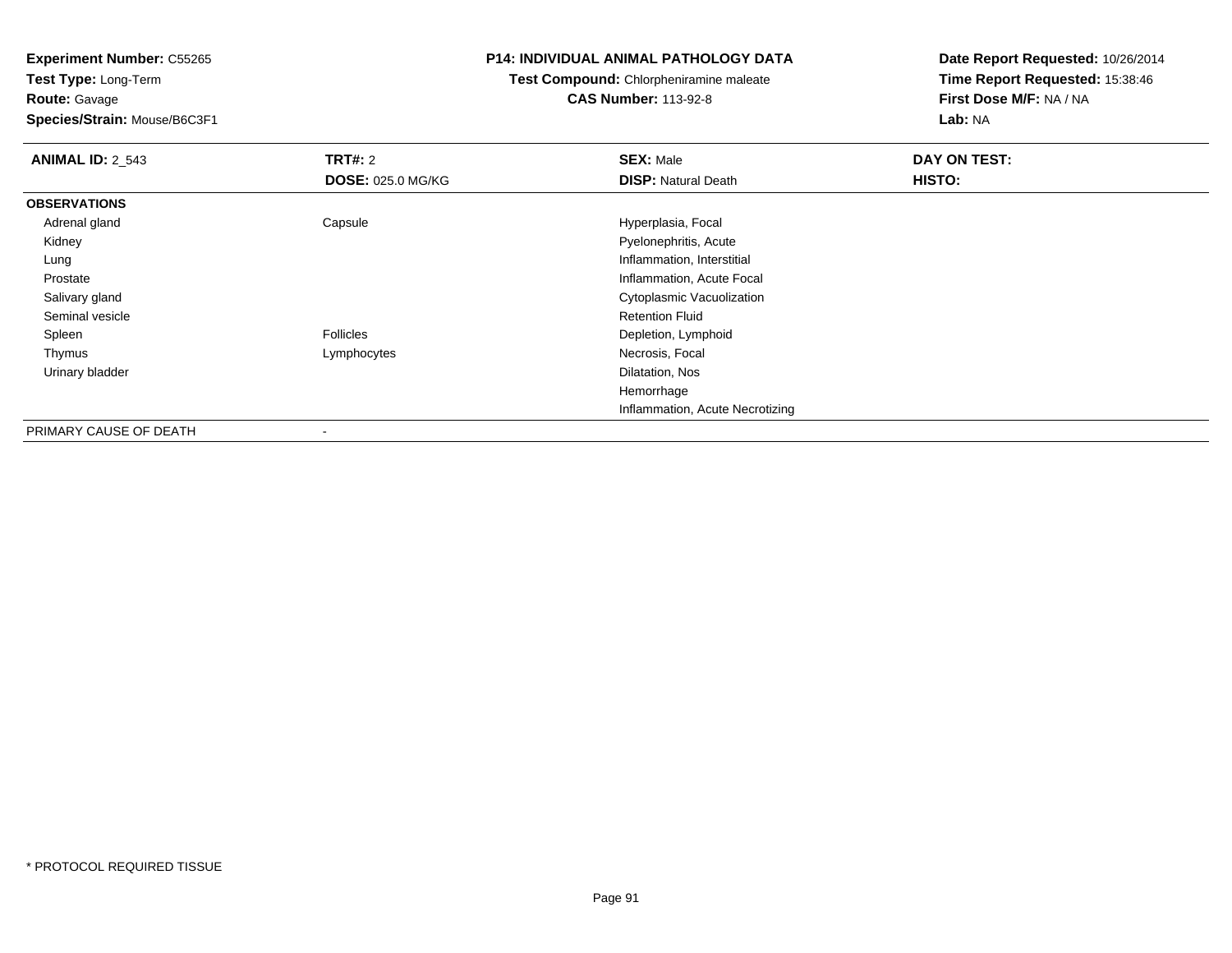**Test Type:** Long-Term**Route:** Gavage

# **Species/Strain:** Mouse/B6C3F1

### **P14: INDIVIDUAL ANIMAL PATHOLOGY DATA**

## **Test Compound:** Chlorpheniramine maleate**CAS Number:** 113-92-8

| <b>ANIMAL ID: 2_543</b> | <b>TRT#: 2</b>           | <b>SEX: Male</b>                | DAY ON TEST: |  |
|-------------------------|--------------------------|---------------------------------|--------------|--|
|                         | <b>DOSE: 025.0 MG/KG</b> | <b>DISP: Natural Death</b>      | HISTO:       |  |
| <b>OBSERVATIONS</b>     |                          |                                 |              |  |
| Adrenal gland           | Capsule                  | Hyperplasia, Focal              |              |  |
| Kidney                  |                          | Pyelonephritis, Acute           |              |  |
| Lung                    |                          | Inflammation, Interstitial      |              |  |
| Prostate                |                          | Inflammation, Acute Focal       |              |  |
| Salivary gland          |                          | Cytoplasmic Vacuolization       |              |  |
| Seminal vesicle         |                          | <b>Retention Fluid</b>          |              |  |
| Spleen                  | <b>Follicles</b>         | Depletion, Lymphoid             |              |  |
| Thymus                  | Lymphocytes              | Necrosis, Focal                 |              |  |
| Urinary bladder         |                          | Dilatation, Nos                 |              |  |
|                         |                          | Hemorrhage                      |              |  |
|                         |                          | Inflammation, Acute Necrotizing |              |  |
| PRIMARY CAUSE OF DEATH  |                          |                                 |              |  |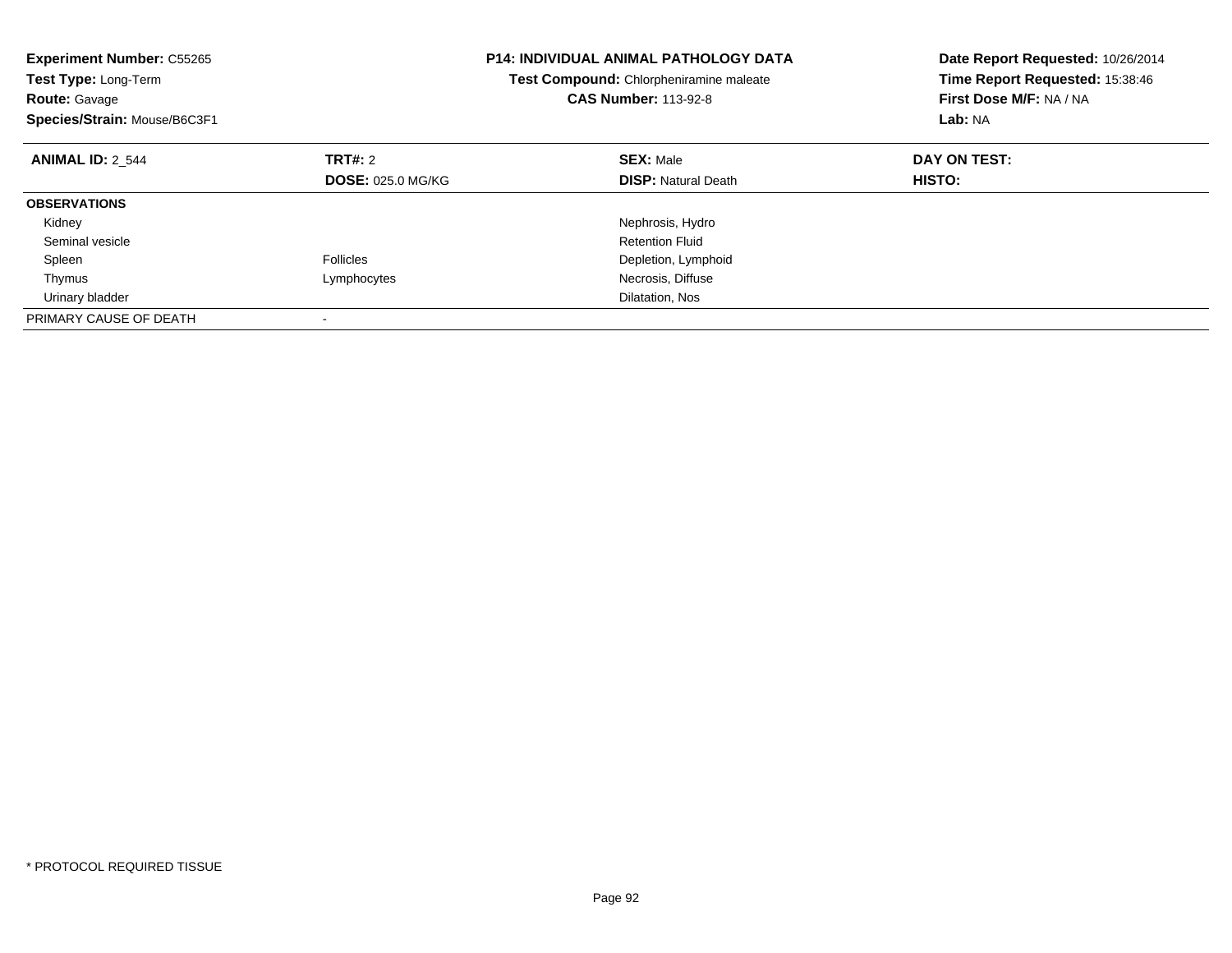| <b>Experiment Number: C55265</b><br>Test Type: Long-Term<br><b>Route: Gavage</b><br>Species/Strain: Mouse/B6C3F1 |                          | <b>P14: INDIVIDUAL ANIMAL PATHOLOGY DATA</b><br><b>Test Compound: Chlorpheniramine maleate</b><br><b>CAS Number: 113-92-8</b> | Date Report Requested: 10/26/2014<br>Time Report Requested: 15:38:46<br>First Dose M/F: NA / NA<br>Lab: NA |
|------------------------------------------------------------------------------------------------------------------|--------------------------|-------------------------------------------------------------------------------------------------------------------------------|------------------------------------------------------------------------------------------------------------|
| <b>ANIMAL ID: 2 544</b>                                                                                          | TRT#: 2                  | <b>SEX: Male</b>                                                                                                              | DAY ON TEST:                                                                                               |
|                                                                                                                  | <b>DOSE: 025.0 MG/KG</b> | <b>DISP:</b> Natural Death                                                                                                    | HISTO:                                                                                                     |
| <b>OBSERVATIONS</b>                                                                                              |                          |                                                                                                                               |                                                                                                            |
| Kidney                                                                                                           |                          | Nephrosis, Hydro                                                                                                              |                                                                                                            |
| Seminal vesicle                                                                                                  |                          | <b>Retention Fluid</b>                                                                                                        |                                                                                                            |
| Spleen                                                                                                           | Follicles                | Depletion, Lymphoid                                                                                                           |                                                                                                            |
| Thymus                                                                                                           | Lymphocytes              | Necrosis, Diffuse                                                                                                             |                                                                                                            |
| Urinary bladder                                                                                                  |                          | Dilatation, Nos                                                                                                               |                                                                                                            |
| PRIMARY CAUSE OF DEATH                                                                                           |                          |                                                                                                                               |                                                                                                            |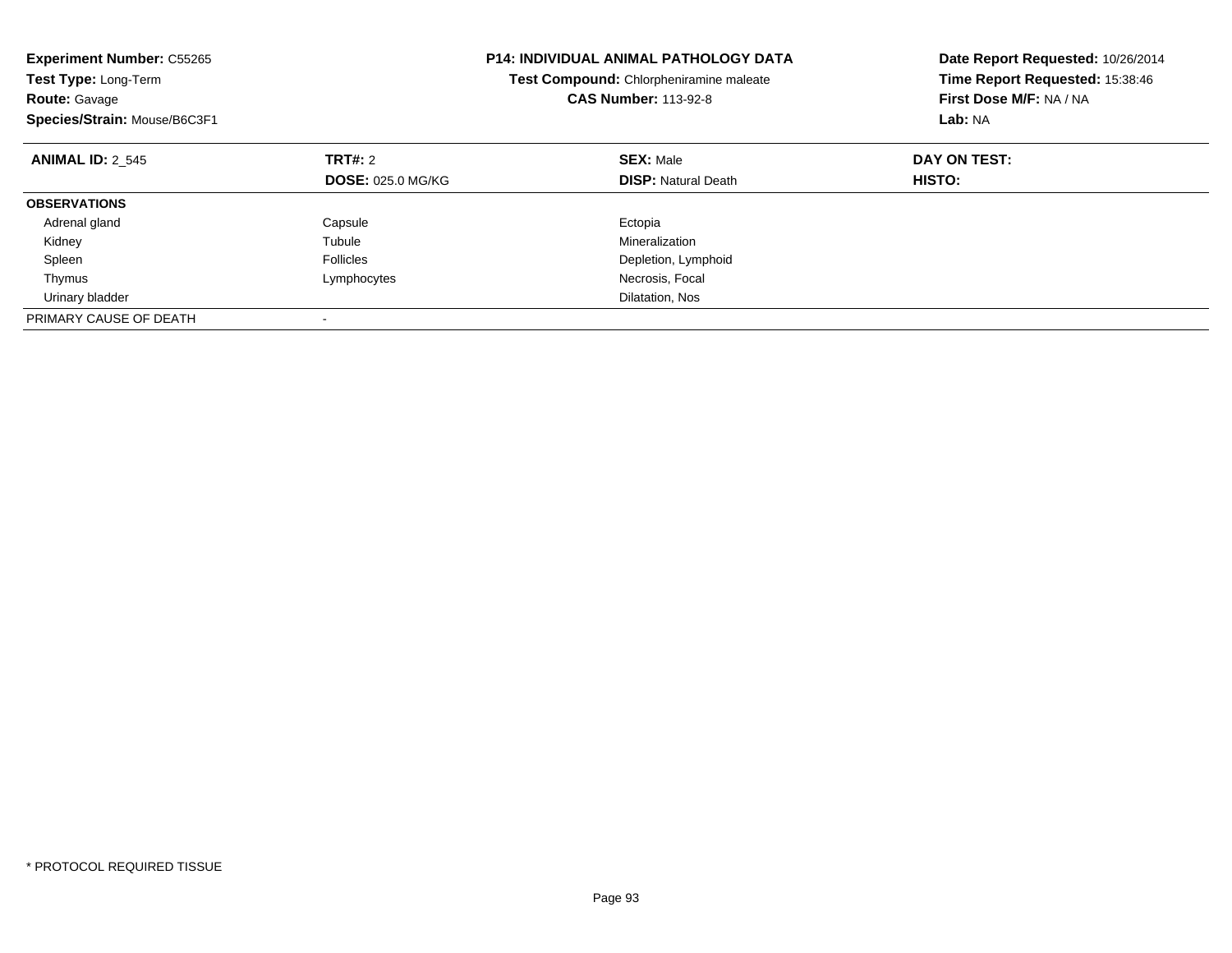| <b>Experiment Number: C55265</b><br>Test Type: Long-Term<br><b>Route: Gavage</b><br>Species/Strain: Mouse/B6C3F1 |                          | P14: INDIVIDUAL ANIMAL PATHOLOGY DATA<br>Test Compound: Chlorpheniramine maleate<br><b>CAS Number: 113-92-8</b> | Date Report Requested: 10/26/2014<br>Time Report Requested: 15:38:46<br>First Dose M/F: NA / NA<br>Lab: NA |
|------------------------------------------------------------------------------------------------------------------|--------------------------|-----------------------------------------------------------------------------------------------------------------|------------------------------------------------------------------------------------------------------------|
| <b>ANIMAL ID: 2 545</b>                                                                                          | TRT#: 2                  | <b>SEX: Male</b>                                                                                                | DAY ON TEST:                                                                                               |
|                                                                                                                  | <b>DOSE: 025.0 MG/KG</b> | <b>DISP: Natural Death</b>                                                                                      | HISTO:                                                                                                     |
| <b>OBSERVATIONS</b>                                                                                              |                          |                                                                                                                 |                                                                                                            |
| Adrenal gland                                                                                                    | Capsule                  | Ectopia                                                                                                         |                                                                                                            |
| Kidney                                                                                                           | Tubule                   | Mineralization                                                                                                  |                                                                                                            |
| Spleen                                                                                                           | <b>Follicles</b>         | Depletion, Lymphoid                                                                                             |                                                                                                            |
| Thymus                                                                                                           | Lymphocytes              | Necrosis, Focal                                                                                                 |                                                                                                            |
| Urinary bladder                                                                                                  |                          | Dilatation, Nos                                                                                                 |                                                                                                            |
| PRIMARY CAUSE OF DEATH                                                                                           |                          |                                                                                                                 |                                                                                                            |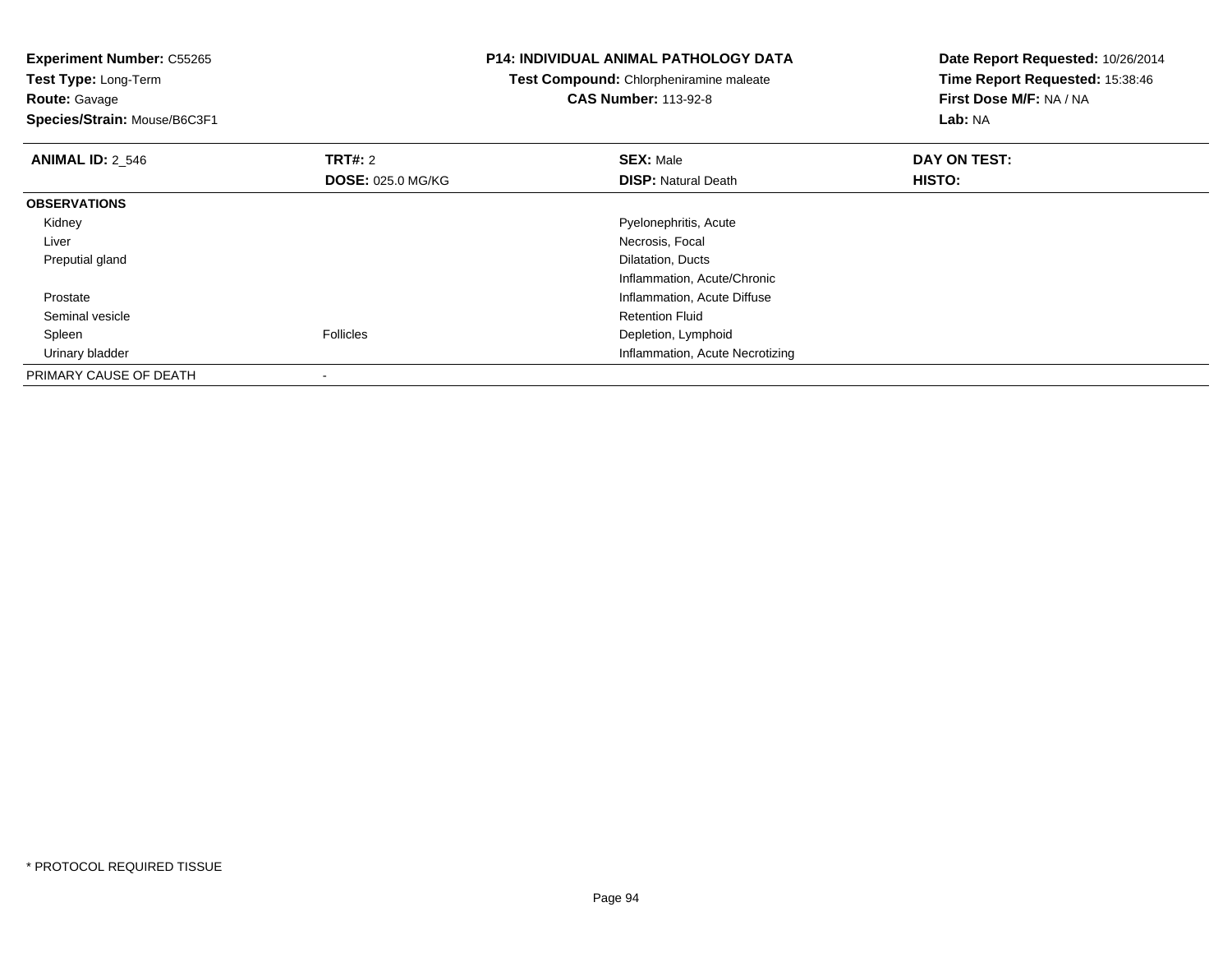**Test Type:** Long-Term**Route:** Gavage

**Species/Strain:** Mouse/B6C3F1

## **P14: INDIVIDUAL ANIMAL PATHOLOGY DATA**

**Test Compound:** Chlorpheniramine maleate**CAS Number:** 113-92-8

| <b>ANIMAL ID: 2_546</b> | TRT#: 2                  | <b>SEX: Male</b>                | DAY ON TEST: |  |
|-------------------------|--------------------------|---------------------------------|--------------|--|
|                         | <b>DOSE: 025.0 MG/KG</b> | <b>DISP:</b> Natural Death      | HISTO:       |  |
| <b>OBSERVATIONS</b>     |                          |                                 |              |  |
| Kidney                  |                          | Pyelonephritis, Acute           |              |  |
| Liver                   |                          | Necrosis, Focal                 |              |  |
| Preputial gland         |                          | Dilatation, Ducts               |              |  |
|                         |                          | Inflammation, Acute/Chronic     |              |  |
| Prostate                |                          | Inflammation, Acute Diffuse     |              |  |
| Seminal vesicle         |                          | <b>Retention Fluid</b>          |              |  |
| Spleen                  | <b>Follicles</b>         | Depletion, Lymphoid             |              |  |
| Urinary bladder         |                          | Inflammation, Acute Necrotizing |              |  |
| PRIMARY CAUSE OF DEATH  |                          |                                 |              |  |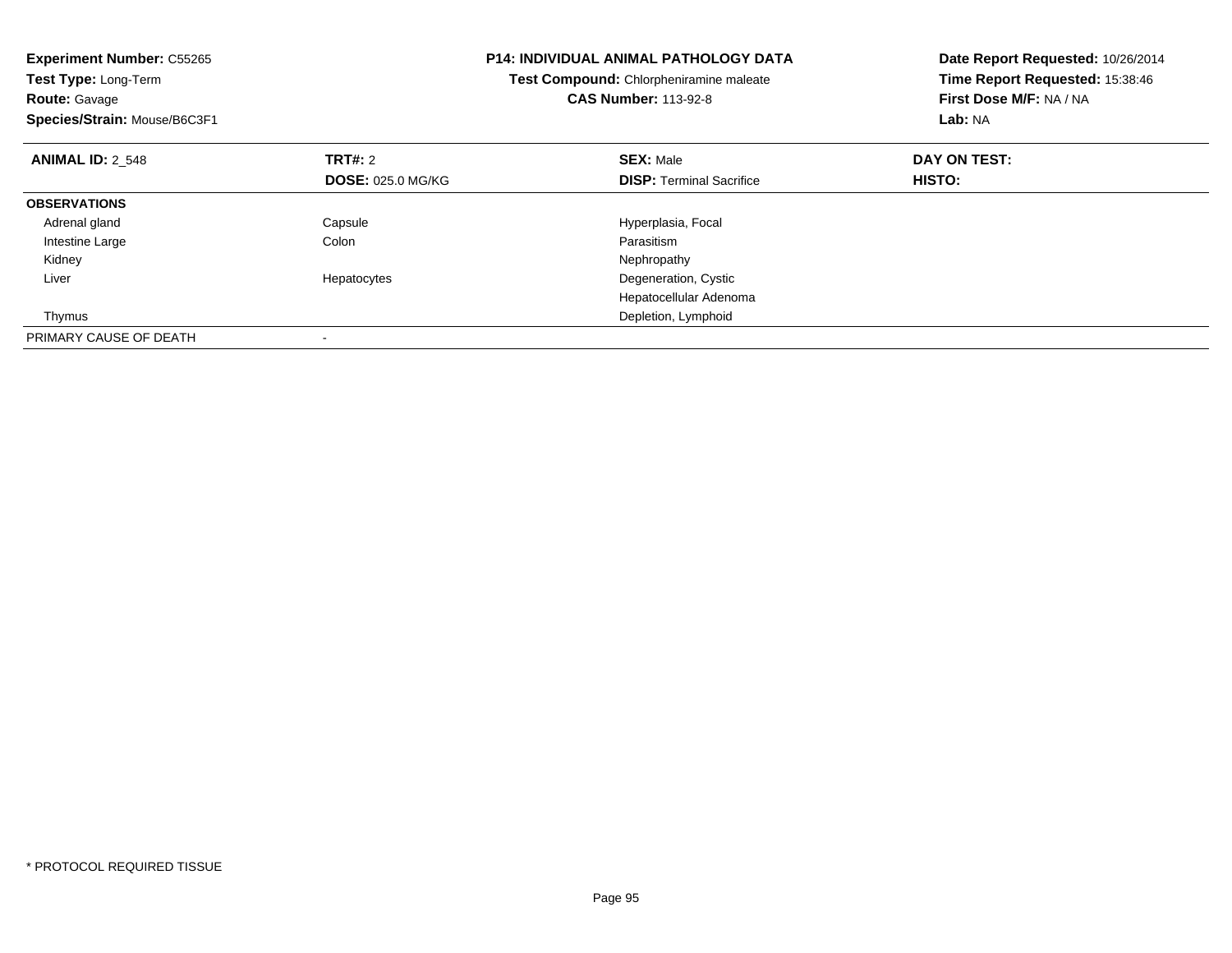| <b>Experiment Number: C55265</b><br><b>Test Type: Long-Term</b><br><b>Route: Gavage</b><br>Species/Strain: Mouse/B6C3F1 |                          | <b>P14: INDIVIDUAL ANIMAL PATHOLOGY DATA</b><br>Test Compound: Chlorpheniramine maleate<br><b>CAS Number: 113-92-8</b> | Date Report Requested: 10/26/2014<br>Time Report Requested: 15:38:46<br>First Dose M/F: NA / NA<br>Lab: NA |
|-------------------------------------------------------------------------------------------------------------------------|--------------------------|------------------------------------------------------------------------------------------------------------------------|------------------------------------------------------------------------------------------------------------|
| <b>ANIMAL ID: 2 548</b>                                                                                                 | TRT#: 2                  | <b>SEX: Male</b>                                                                                                       | DAY ON TEST:                                                                                               |
|                                                                                                                         | <b>DOSE: 025.0 MG/KG</b> | <b>DISP:</b> Terminal Sacrifice                                                                                        | <b>HISTO:</b>                                                                                              |
| <b>OBSERVATIONS</b>                                                                                                     |                          |                                                                                                                        |                                                                                                            |
| Adrenal gland                                                                                                           | Capsule                  | Hyperplasia, Focal                                                                                                     |                                                                                                            |
| Intestine Large                                                                                                         | Colon                    | Parasitism                                                                                                             |                                                                                                            |
| Kidney                                                                                                                  |                          | Nephropathy                                                                                                            |                                                                                                            |
| Liver                                                                                                                   | Hepatocytes              | Degeneration, Cystic                                                                                                   |                                                                                                            |
|                                                                                                                         |                          | Hepatocellular Adenoma                                                                                                 |                                                                                                            |
| Thymus                                                                                                                  |                          | Depletion, Lymphoid                                                                                                    |                                                                                                            |
| PRIMARY CAUSE OF DEATH                                                                                                  |                          |                                                                                                                        |                                                                                                            |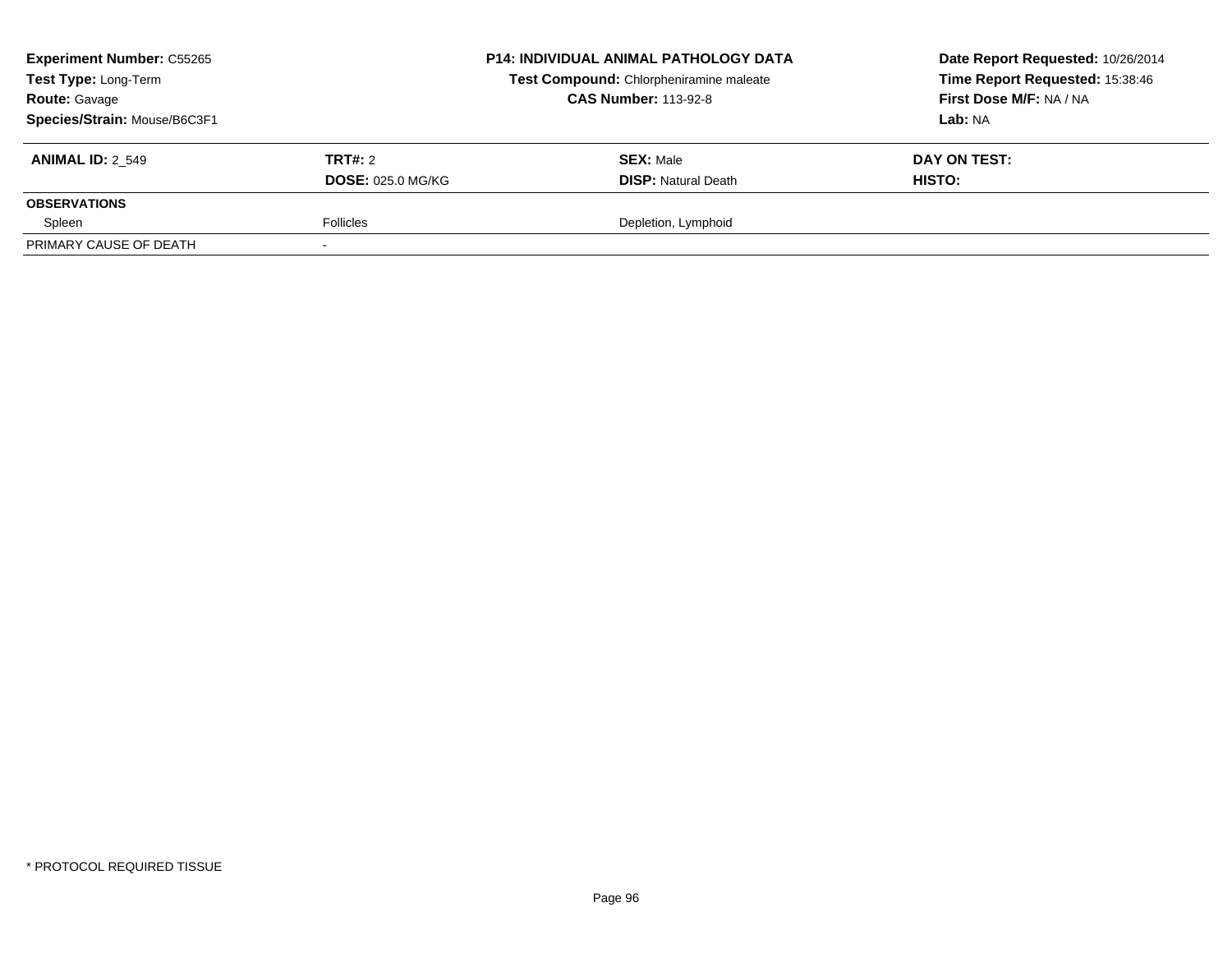| <b>Experiment Number: C55265</b><br>Test Type: Long-Term<br><b>Route: Gavage</b><br>Species/Strain: Mouse/B6C3F1 |                                            | <b>P14: INDIVIDUAL ANIMAL PATHOLOGY DATA</b><br>Test Compound: Chlorpheniramine maleate<br><b>CAS Number: 113-92-8</b> | Date Report Requested: 10/26/2014<br>Time Report Requested: 15:38:46<br>First Dose M/F: NA / NA<br>Lab: NA |
|------------------------------------------------------------------------------------------------------------------|--------------------------------------------|------------------------------------------------------------------------------------------------------------------------|------------------------------------------------------------------------------------------------------------|
| <b>ANIMAL ID: 2 549</b>                                                                                          | <b>TRT#: 2</b><br><b>DOSE: 025.0 MG/KG</b> | <b>SEX: Male</b><br><b>DISP:</b> Natural Death                                                                         | DAY ON TEST:<br>HISTO:                                                                                     |
| <b>OBSERVATIONS</b>                                                                                              |                                            |                                                                                                                        |                                                                                                            |
| Spleen                                                                                                           | <b>Follicles</b>                           | Depletion, Lymphoid                                                                                                    |                                                                                                            |
| PRIMARY CAUSE OF DEATH                                                                                           |                                            |                                                                                                                        |                                                                                                            |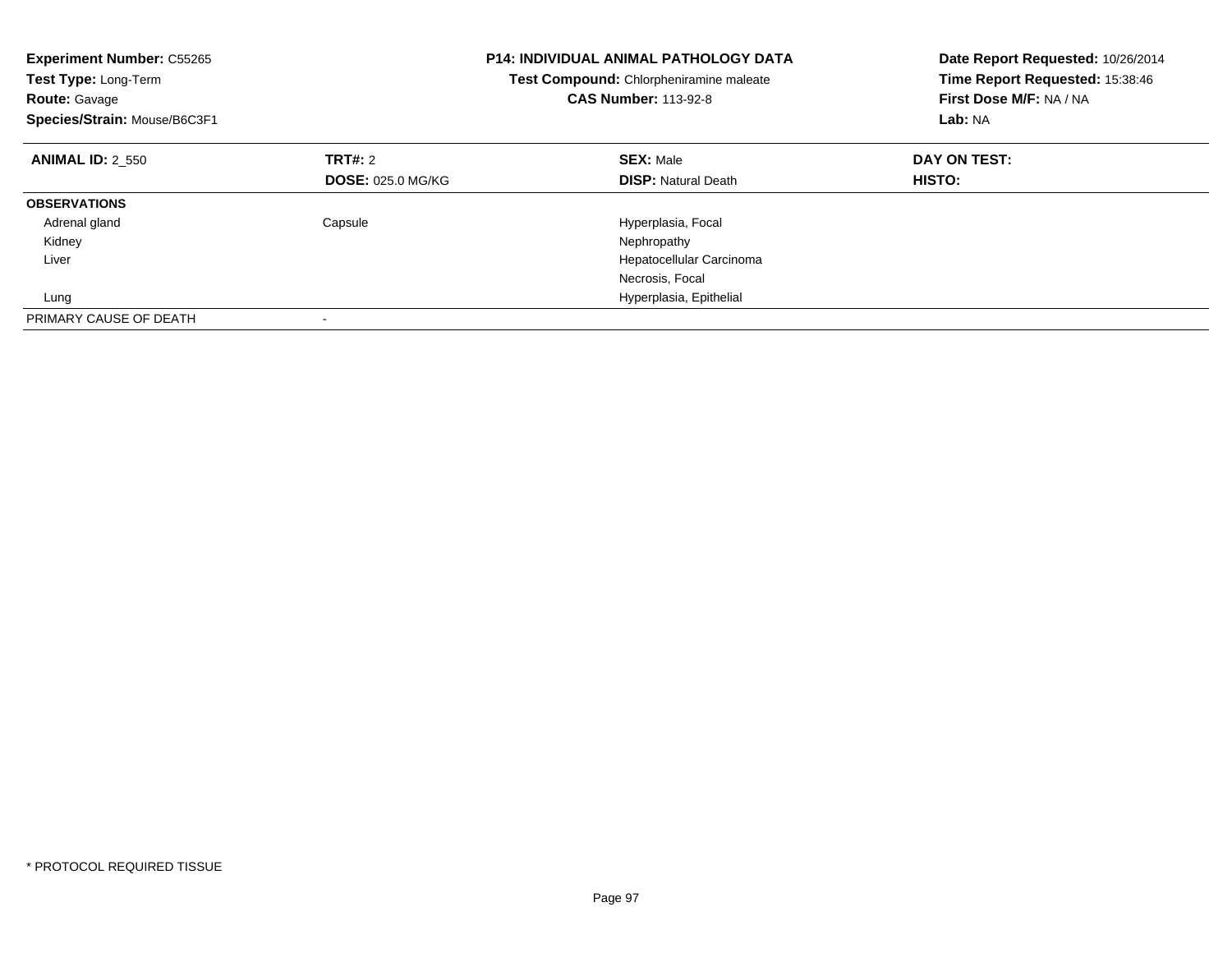| <b>Experiment Number: C55265</b><br>Test Type: Long-Term<br><b>Route: Gavage</b><br>Species/Strain: Mouse/B6C3F1 |                          | <b>P14: INDIVIDUAL ANIMAL PATHOLOGY DATA</b><br>Test Compound: Chlorpheniramine maleate<br><b>CAS Number: 113-92-8</b> | Date Report Requested: 10/26/2014<br>Time Report Requested: 15:38:46<br>First Dose M/F: NA / NA<br>Lab: NA |
|------------------------------------------------------------------------------------------------------------------|--------------------------|------------------------------------------------------------------------------------------------------------------------|------------------------------------------------------------------------------------------------------------|
| <b>ANIMAL ID: 2 550</b>                                                                                          | TRT#: 2                  | <b>SEX: Male</b>                                                                                                       | DAY ON TEST:                                                                                               |
|                                                                                                                  | <b>DOSE: 025.0 MG/KG</b> | <b>DISP:</b> Natural Death                                                                                             | <b>HISTO:</b>                                                                                              |
| <b>OBSERVATIONS</b>                                                                                              |                          |                                                                                                                        |                                                                                                            |
| Adrenal gland                                                                                                    | Capsule                  | Hyperplasia, Focal                                                                                                     |                                                                                                            |
| Kidney                                                                                                           |                          | Nephropathy                                                                                                            |                                                                                                            |
| Liver                                                                                                            |                          | Hepatocellular Carcinoma                                                                                               |                                                                                                            |
|                                                                                                                  |                          | Necrosis, Focal                                                                                                        |                                                                                                            |
| Lung                                                                                                             |                          | Hyperplasia, Epithelial                                                                                                |                                                                                                            |
| PRIMARY CAUSE OF DEATH                                                                                           |                          |                                                                                                                        |                                                                                                            |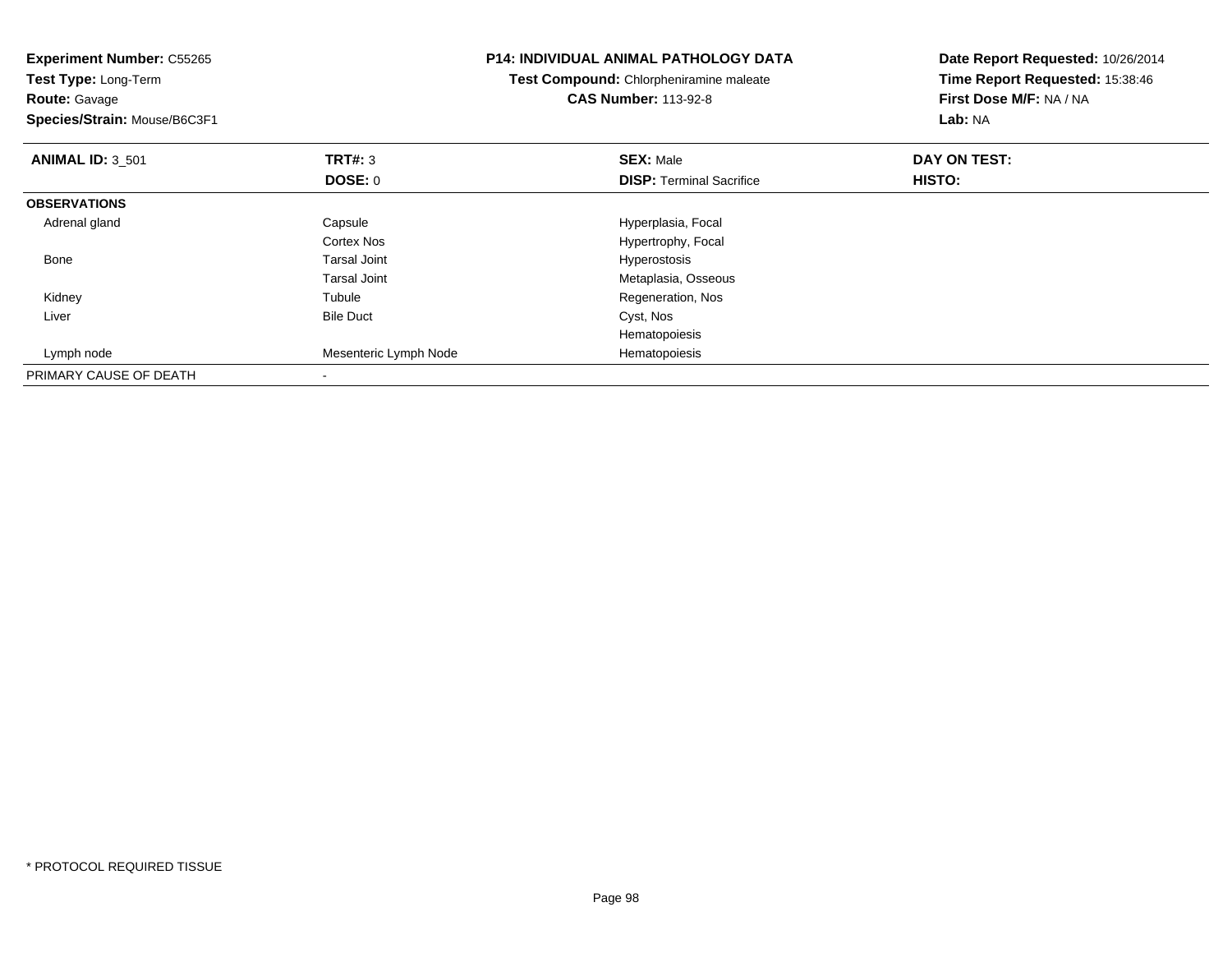| <b>Experiment Number: C55265</b><br>Test Type: Long-Term<br><b>Route: Gavage</b><br>Species/Strain: Mouse/B6C3F1 |                       | <b>P14: INDIVIDUAL ANIMAL PATHOLOGY DATA</b><br>Test Compound: Chlorpheniramine maleate<br><b>CAS Number: 113-92-8</b> | Date Report Requested: 10/26/2014<br>Time Report Requested: 15:38:46<br>First Dose M/F: NA / NA<br>Lab: NA |
|------------------------------------------------------------------------------------------------------------------|-----------------------|------------------------------------------------------------------------------------------------------------------------|------------------------------------------------------------------------------------------------------------|
| <b>ANIMAL ID: 3 501</b>                                                                                          | <b>TRT#: 3</b>        | <b>SEX: Male</b>                                                                                                       | DAY ON TEST:                                                                                               |
|                                                                                                                  | DOSE: 0               | <b>DISP:</b> Terminal Sacrifice                                                                                        | HISTO:                                                                                                     |
| <b>OBSERVATIONS</b>                                                                                              |                       |                                                                                                                        |                                                                                                            |
| Adrenal gland                                                                                                    | Capsule               | Hyperplasia, Focal                                                                                                     |                                                                                                            |
|                                                                                                                  | <b>Cortex Nos</b>     | Hypertrophy, Focal                                                                                                     |                                                                                                            |
| Bone                                                                                                             | <b>Tarsal Joint</b>   | Hyperostosis                                                                                                           |                                                                                                            |
|                                                                                                                  | <b>Tarsal Joint</b>   | Metaplasia, Osseous                                                                                                    |                                                                                                            |
| Kidney                                                                                                           | Tubule                | Regeneration, Nos                                                                                                      |                                                                                                            |
| Liver                                                                                                            | <b>Bile Duct</b>      | Cyst, Nos                                                                                                              |                                                                                                            |
|                                                                                                                  |                       | Hematopoiesis                                                                                                          |                                                                                                            |
| Lymph node                                                                                                       | Mesenteric Lymph Node | Hematopoiesis                                                                                                          |                                                                                                            |
| PRIMARY CAUSE OF DEATH                                                                                           |                       |                                                                                                                        |                                                                                                            |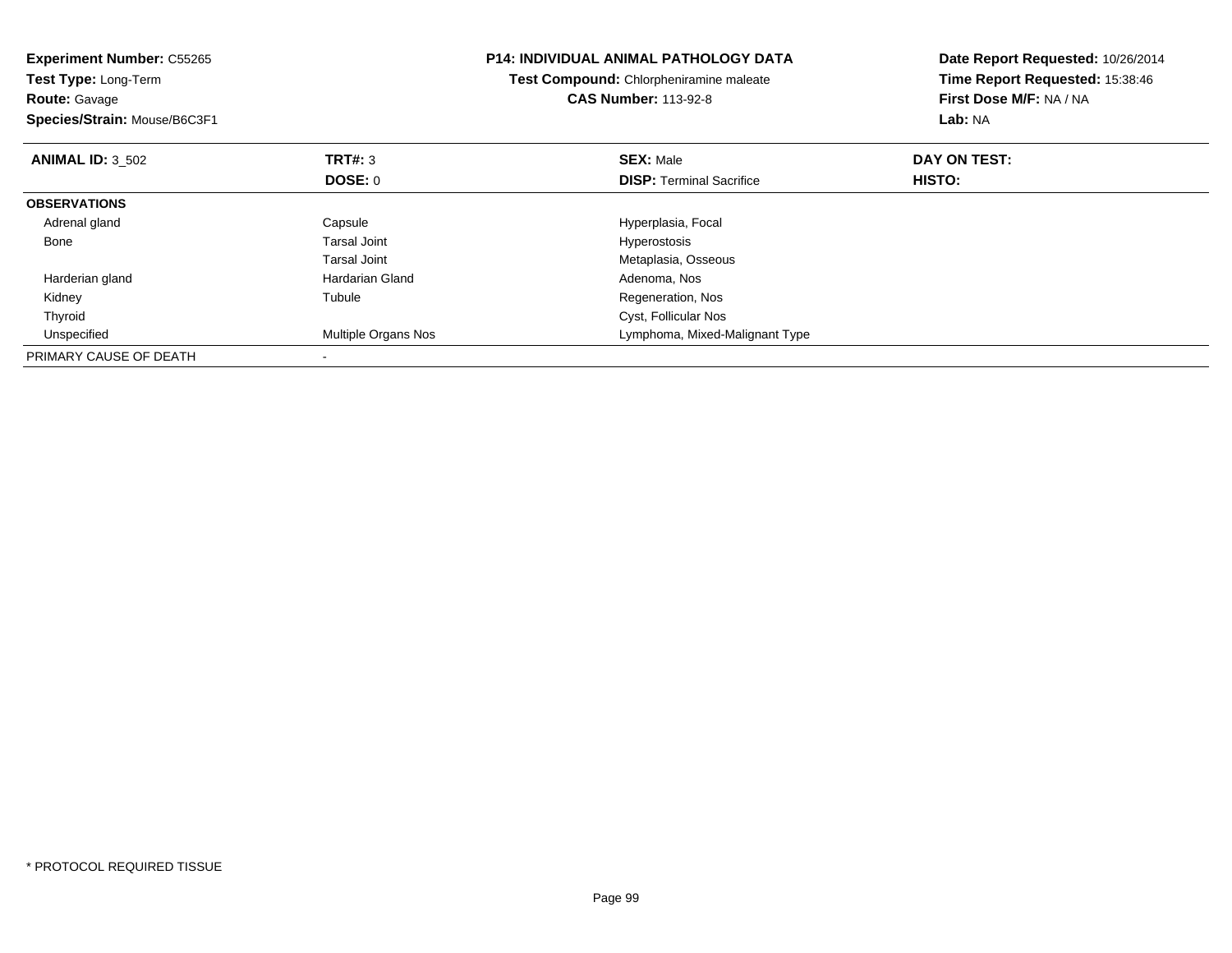| <b>Experiment Number: C55265</b><br><b>Test Type: Long-Term</b><br><b>Route: Gavage</b><br>Species/Strain: Mouse/B6C3F1 |                     | <b>P14: INDIVIDUAL ANIMAL PATHOLOGY DATA</b><br><b>Test Compound:</b> Chlorpheniramine maleate<br><b>CAS Number: 113-92-8</b> | Date Report Requested: 10/26/2014<br>Time Report Requested: 15:38:46<br>First Dose M/F: NA / NA<br>Lab: NA |
|-------------------------------------------------------------------------------------------------------------------------|---------------------|-------------------------------------------------------------------------------------------------------------------------------|------------------------------------------------------------------------------------------------------------|
| <b>ANIMAL ID: 3 502</b>                                                                                                 | TRT#: 3             | <b>SEX: Male</b>                                                                                                              | DAY ON TEST:                                                                                               |
|                                                                                                                         | DOSE: 0             | <b>DISP:</b> Terminal Sacrifice                                                                                               | HISTO:                                                                                                     |
| <b>OBSERVATIONS</b>                                                                                                     |                     |                                                                                                                               |                                                                                                            |
| Adrenal gland                                                                                                           | Capsule             | Hyperplasia, Focal                                                                                                            |                                                                                                            |
| Bone                                                                                                                    | <b>Tarsal Joint</b> | Hyperostosis                                                                                                                  |                                                                                                            |
|                                                                                                                         | <b>Tarsal Joint</b> | Metaplasia, Osseous                                                                                                           |                                                                                                            |
| Harderian gland                                                                                                         | Hardarian Gland     | Adenoma, Nos                                                                                                                  |                                                                                                            |
| Kidney                                                                                                                  | Tubule              | Regeneration, Nos                                                                                                             |                                                                                                            |
| Thyroid                                                                                                                 |                     | Cyst, Follicular Nos                                                                                                          |                                                                                                            |
| Unspecified                                                                                                             | Multiple Organs Nos | Lymphoma, Mixed-Malignant Type                                                                                                |                                                                                                            |
| PRIMARY CAUSE OF DEATH                                                                                                  |                     |                                                                                                                               |                                                                                                            |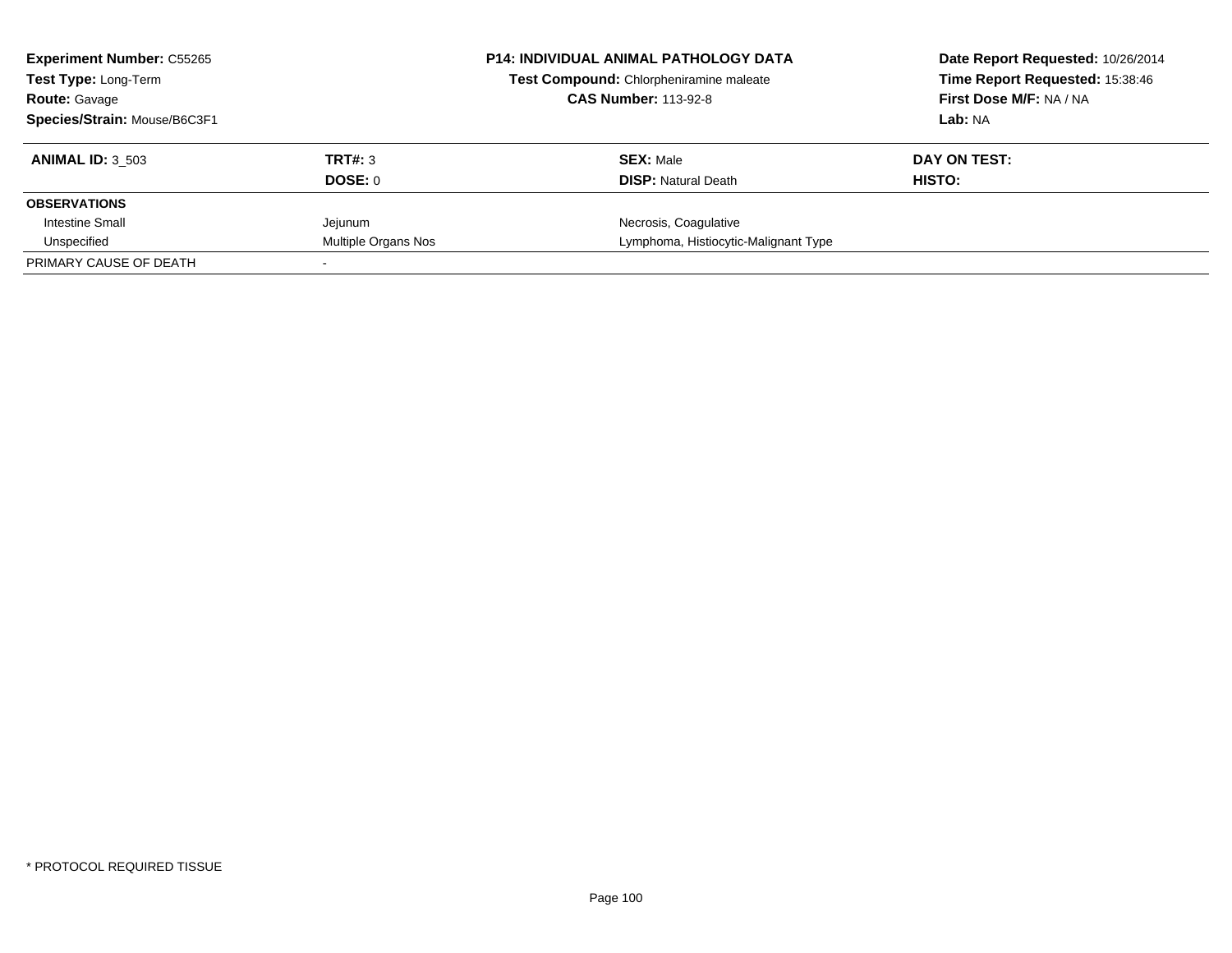| <b>Experiment Number: C55265</b><br><b>Test Type: Long-Term</b> |                     | <b>P14: INDIVIDUAL ANIMAL PATHOLOGY DATA</b><br>Test Compound: Chlorpheniramine maleate | Date Report Requested: 10/26/2014<br>Time Report Requested: 15:38:46 |
|-----------------------------------------------------------------|---------------------|-----------------------------------------------------------------------------------------|----------------------------------------------------------------------|
| <b>Route: Gavage</b>                                            |                     | <b>CAS Number: 113-92-8</b>                                                             | First Dose M/F: NA / NA                                              |
| Species/Strain: Mouse/B6C3F1                                    |                     |                                                                                         | Lab: NA                                                              |
| <b>ANIMAL ID: 3 503</b>                                         | TRT#: 3             | <b>SEX: Male</b>                                                                        | DAY ON TEST:                                                         |
|                                                                 | DOSE: 0             | <b>DISP:</b> Natural Death                                                              | HISTO:                                                               |
| <b>OBSERVATIONS</b>                                             |                     |                                                                                         |                                                                      |
| Intestine Small                                                 | Jejunum             | Necrosis, Coagulative                                                                   |                                                                      |
| Unspecified                                                     | Multiple Organs Nos | Lymphoma, Histiocytic-Malignant Type                                                    |                                                                      |
| PRIMARY CAUSE OF DEATH                                          |                     |                                                                                         |                                                                      |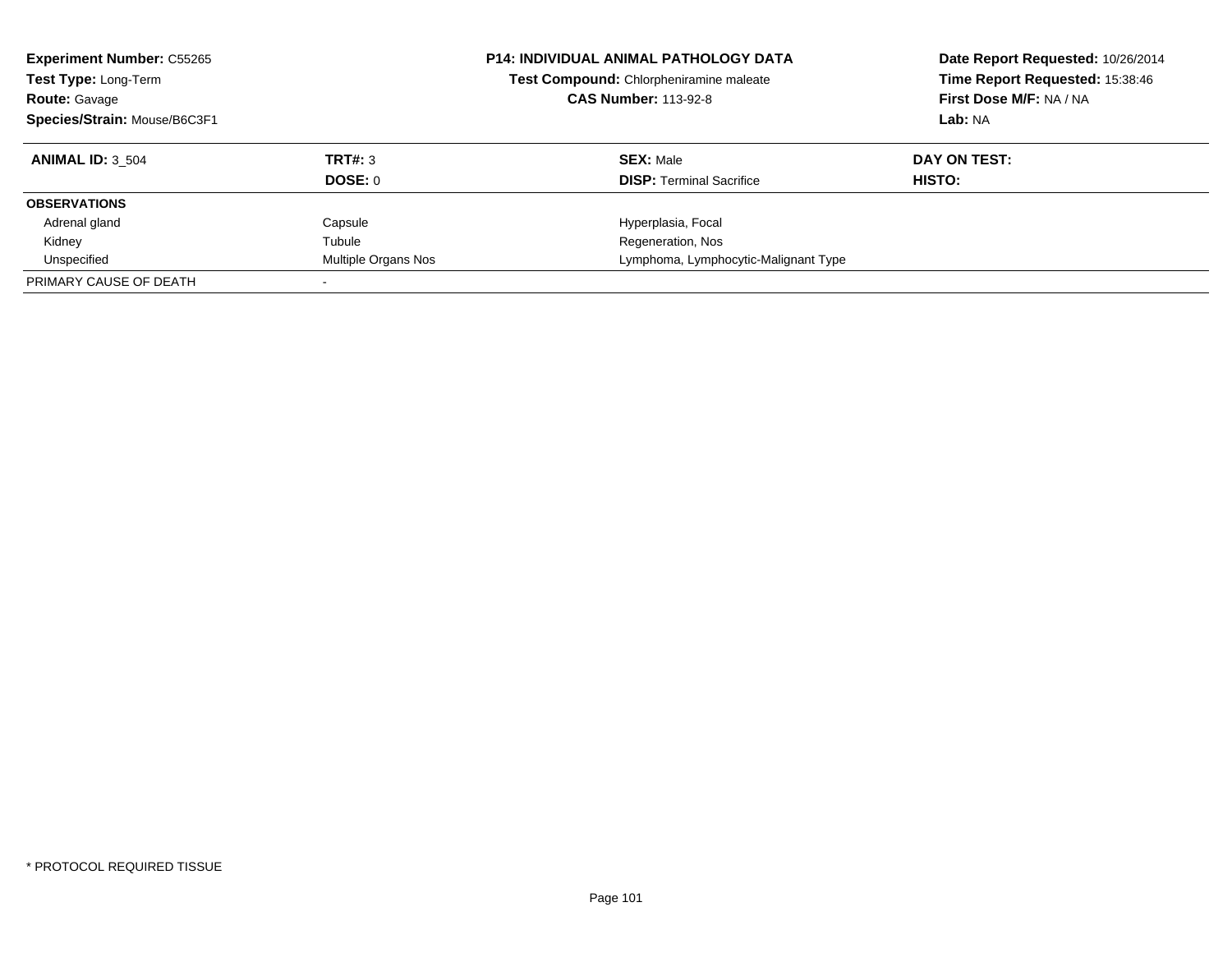| <b>Experiment Number: C55265</b><br>Test Type: Long-Term<br><b>Route: Gavage</b><br>Species/Strain: Mouse/B6C3F1 |                     | <b>P14: INDIVIDUAL ANIMAL PATHOLOGY DATA</b><br>Test Compound: Chlorpheniramine maleate<br><b>CAS Number: 113-92-8</b> | Date Report Requested: 10/26/2014<br>Time Report Requested: 15:38:46<br>First Dose M/F: NA / NA<br>Lab: NA |
|------------------------------------------------------------------------------------------------------------------|---------------------|------------------------------------------------------------------------------------------------------------------------|------------------------------------------------------------------------------------------------------------|
| <b>ANIMAL ID: 3 504</b>                                                                                          | TRT#: 3             | <b>SEX: Male</b>                                                                                                       | DAY ON TEST:                                                                                               |
|                                                                                                                  | DOSE: 0             | <b>DISP:</b> Terminal Sacrifice                                                                                        | <b>HISTO:</b>                                                                                              |
| <b>OBSERVATIONS</b>                                                                                              |                     |                                                                                                                        |                                                                                                            |
| Adrenal gland                                                                                                    | Capsule             | Hyperplasia, Focal                                                                                                     |                                                                                                            |
| Kidney                                                                                                           | Tubule              | Regeneration, Nos                                                                                                      |                                                                                                            |
| Unspecified                                                                                                      | Multiple Organs Nos | Lymphoma, Lymphocytic-Malignant Type                                                                                   |                                                                                                            |
| PRIMARY CAUSE OF DEATH                                                                                           |                     |                                                                                                                        |                                                                                                            |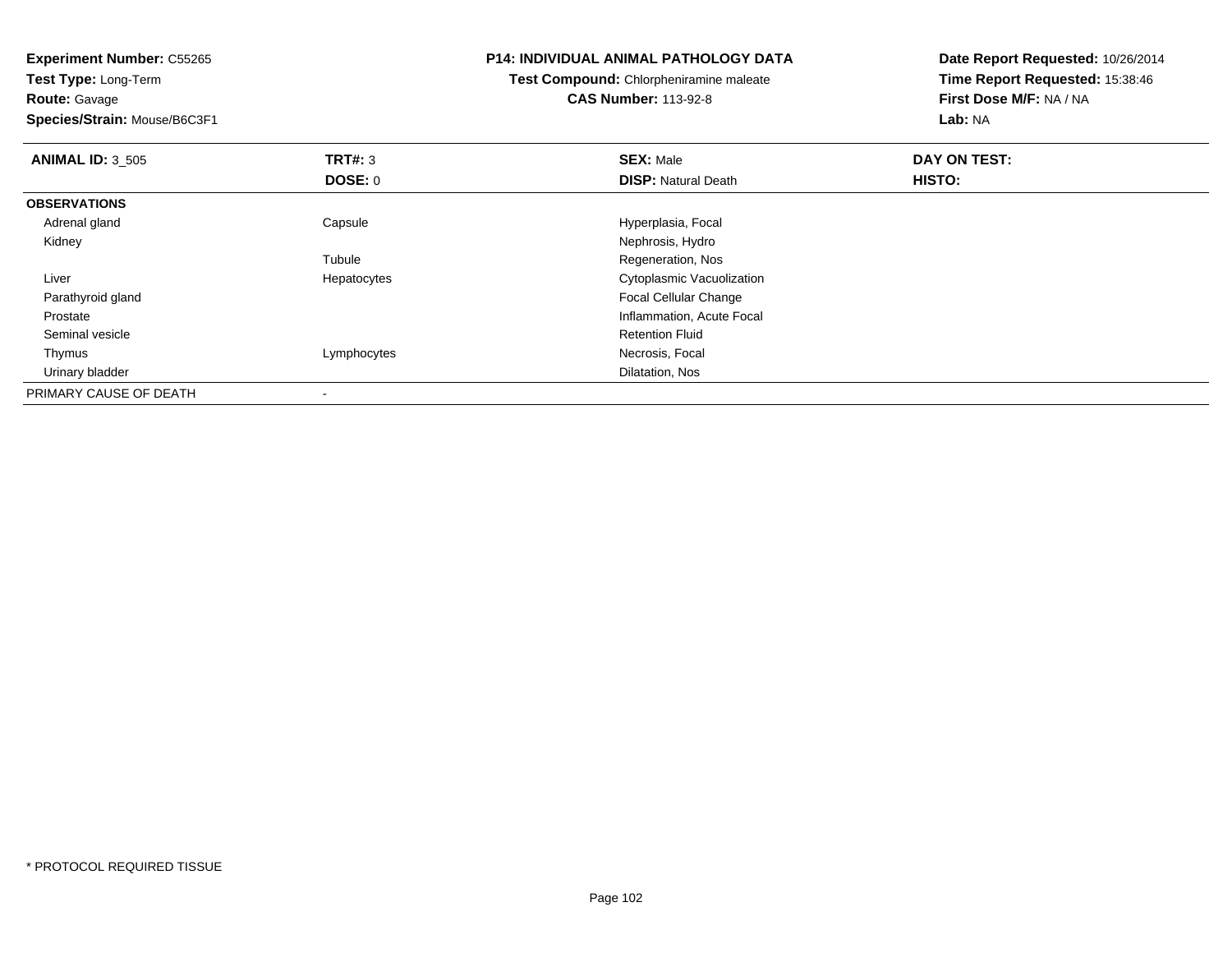**Test Type:** Long-Term**Route:** Gavage

**Species/Strain:** Mouse/B6C3F1

### **P14: INDIVIDUAL ANIMAL PATHOLOGY DATA**

**Test Compound:** Chlorpheniramine maleate**CAS Number:** 113-92-8

| <b>ANIMAL ID: 3 505</b> | TRT#: 3        | <b>SEX: Male</b>           | DAY ON TEST: |  |
|-------------------------|----------------|----------------------------|--------------|--|
|                         | <b>DOSE: 0</b> | <b>DISP: Natural Death</b> | HISTO:       |  |
| <b>OBSERVATIONS</b>     |                |                            |              |  |
| Adrenal gland           | Capsule        | Hyperplasia, Focal         |              |  |
| Kidney                  |                | Nephrosis, Hydro           |              |  |
|                         | Tubule         | Regeneration, Nos          |              |  |
| Liver                   | Hepatocytes    | Cytoplasmic Vacuolization  |              |  |
| Parathyroid gland       |                | Focal Cellular Change      |              |  |
| Prostate                |                | Inflammation, Acute Focal  |              |  |
| Seminal vesicle         |                | <b>Retention Fluid</b>     |              |  |
| Thymus                  | Lymphocytes    | Necrosis, Focal            |              |  |
| Urinary bladder         |                | Dilatation, Nos            |              |  |
| PRIMARY CAUSE OF DEATH  |                |                            |              |  |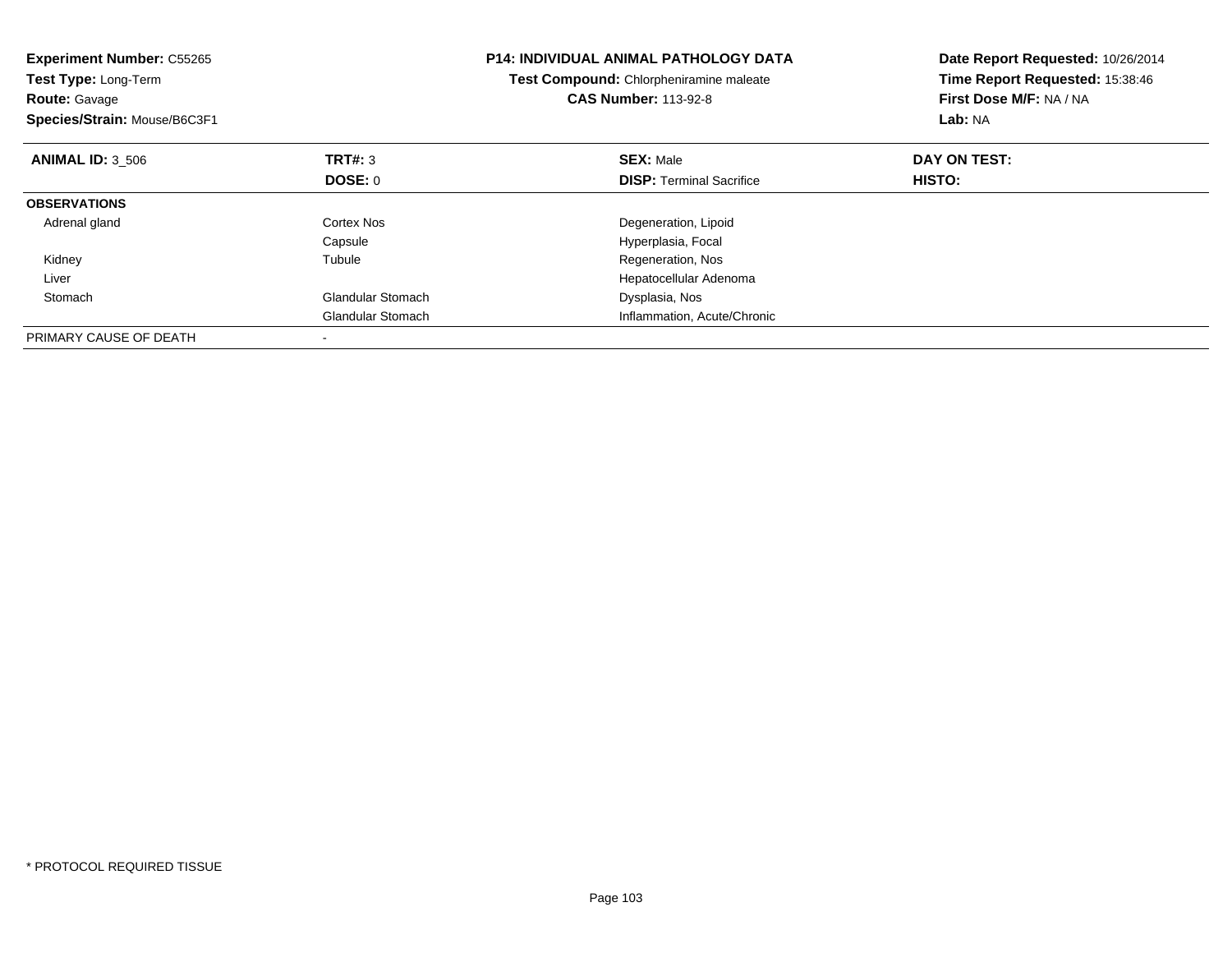| <b>Experiment Number: C55265</b><br>Test Type: Long-Term<br><b>Route: Gavage</b><br>Species/Strain: Mouse/B6C3F1 |                          | <b>P14: INDIVIDUAL ANIMAL PATHOLOGY DATA</b><br>Test Compound: Chlorpheniramine maleate<br><b>CAS Number: 113-92-8</b> | Date Report Requested: 10/26/2014<br>Time Report Requested: 15:38:46<br>First Dose M/F: NA / NA<br>Lab: NA |
|------------------------------------------------------------------------------------------------------------------|--------------------------|------------------------------------------------------------------------------------------------------------------------|------------------------------------------------------------------------------------------------------------|
| <b>ANIMAL ID: 3 506</b>                                                                                          | TRT#: 3                  | <b>SEX: Male</b>                                                                                                       | DAY ON TEST:                                                                                               |
|                                                                                                                  | <b>DOSE: 0</b>           | <b>DISP:</b> Terminal Sacrifice                                                                                        | HISTO:                                                                                                     |
| <b>OBSERVATIONS</b>                                                                                              |                          |                                                                                                                        |                                                                                                            |
| Adrenal gland                                                                                                    | Cortex Nos               | Degeneration, Lipoid                                                                                                   |                                                                                                            |
|                                                                                                                  | Capsule                  | Hyperplasia, Focal                                                                                                     |                                                                                                            |
| Kidney                                                                                                           | Tubule                   | Regeneration, Nos                                                                                                      |                                                                                                            |
| Liver                                                                                                            |                          | Hepatocellular Adenoma                                                                                                 |                                                                                                            |
| Stomach                                                                                                          | <b>Glandular Stomach</b> | Dysplasia, Nos                                                                                                         |                                                                                                            |
|                                                                                                                  | <b>Glandular Stomach</b> | Inflammation, Acute/Chronic                                                                                            |                                                                                                            |
| PRIMARY CAUSE OF DEATH                                                                                           |                          |                                                                                                                        |                                                                                                            |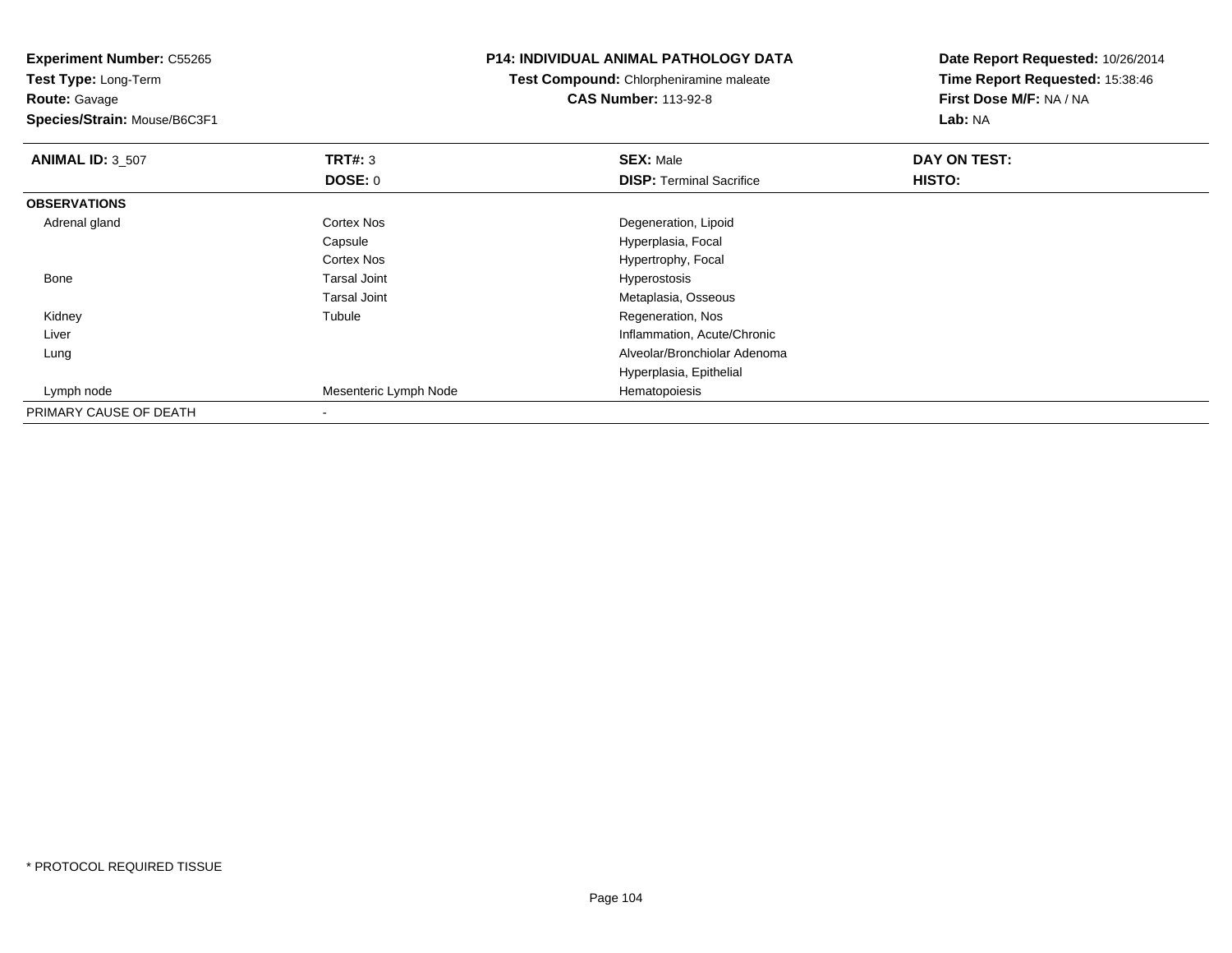**Experiment Number:** C55265**Test Type:** Long-Term**Route:** Gavage **Species/Strain:** Mouse/B6C3F1**P14: INDIVIDUAL ANIMAL PATHOLOGY DATATest Compound:** Chlorpheniramine maleate**CAS Number:** 113-92-8**Date Report Requested:** 10/26/2014**Time Report Requested:** 15:38:46**First Dose M/F:** NA / NA**Lab:** NA**ANIMAL ID:** 3\_507 **TRT#:** <sup>3</sup> **SEX:** Male **DAY ON TEST: DOSE:** 0**DISP:** Terminal Sacrifice **HISTO: OBSERVATIONS** Adrenal glandCortex Nos **Cortex Nos** Degeneration, Lipoid Capsule Hyperplasia, Focal Cortex NosHypertrophy, Focal<br>Hyperostosis Bone Tarsal Joint Hyperostosis Tarsal Joint Metaplasia, Osseous Kidney Tubule Regeneration, Nos Liver Inflammation, Acute/Chronic Alveolar/Bronchiolar Adenoma LungHyperplasia, Epithelial Lymph nodeMesenteric Lymph Node **Hematopoiesis** PRIMARY CAUSE OF DEATH-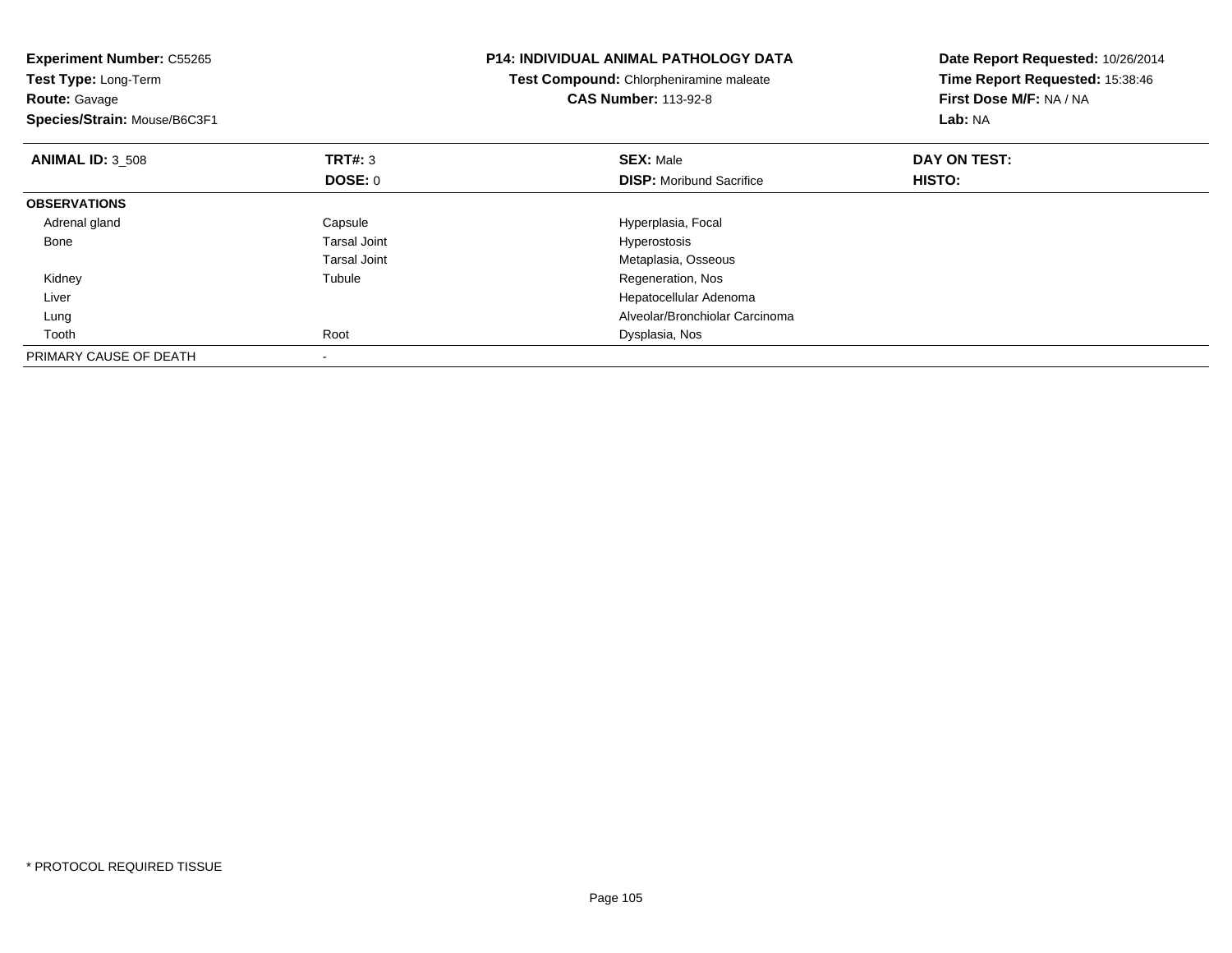| <b>Experiment Number: C55265</b><br>Test Type: Long-Term<br><b>Route: Gavage</b><br>Species/Strain: Mouse/B6C3F1 |                     | <b>P14: INDIVIDUAL ANIMAL PATHOLOGY DATA</b><br>Test Compound: Chlorpheniramine maleate<br><b>CAS Number: 113-92-8</b> | Date Report Requested: 10/26/2014<br>Time Report Requested: 15:38:46<br>First Dose M/F: NA / NA<br>Lab: NA |
|------------------------------------------------------------------------------------------------------------------|---------------------|------------------------------------------------------------------------------------------------------------------------|------------------------------------------------------------------------------------------------------------|
| <b>ANIMAL ID: 3 508</b>                                                                                          | <b>TRT#: 3</b>      | <b>SEX: Male</b>                                                                                                       | DAY ON TEST:                                                                                               |
|                                                                                                                  | DOSE: 0             | <b>DISP:</b> Moribund Sacrifice                                                                                        | HISTO:                                                                                                     |
| <b>OBSERVATIONS</b>                                                                                              |                     |                                                                                                                        |                                                                                                            |
| Adrenal gland                                                                                                    | Capsule             | Hyperplasia, Focal                                                                                                     |                                                                                                            |
| Bone                                                                                                             | <b>Tarsal Joint</b> | Hyperostosis                                                                                                           |                                                                                                            |
|                                                                                                                  | <b>Tarsal Joint</b> | Metaplasia, Osseous                                                                                                    |                                                                                                            |
| Kidney                                                                                                           | Tubule              | Regeneration, Nos                                                                                                      |                                                                                                            |
| Liver                                                                                                            |                     | Hepatocellular Adenoma                                                                                                 |                                                                                                            |
| Lung                                                                                                             |                     | Alveolar/Bronchiolar Carcinoma                                                                                         |                                                                                                            |
| Tooth                                                                                                            | Root                | Dysplasia, Nos                                                                                                         |                                                                                                            |
| PRIMARY CAUSE OF DEATH                                                                                           |                     |                                                                                                                        |                                                                                                            |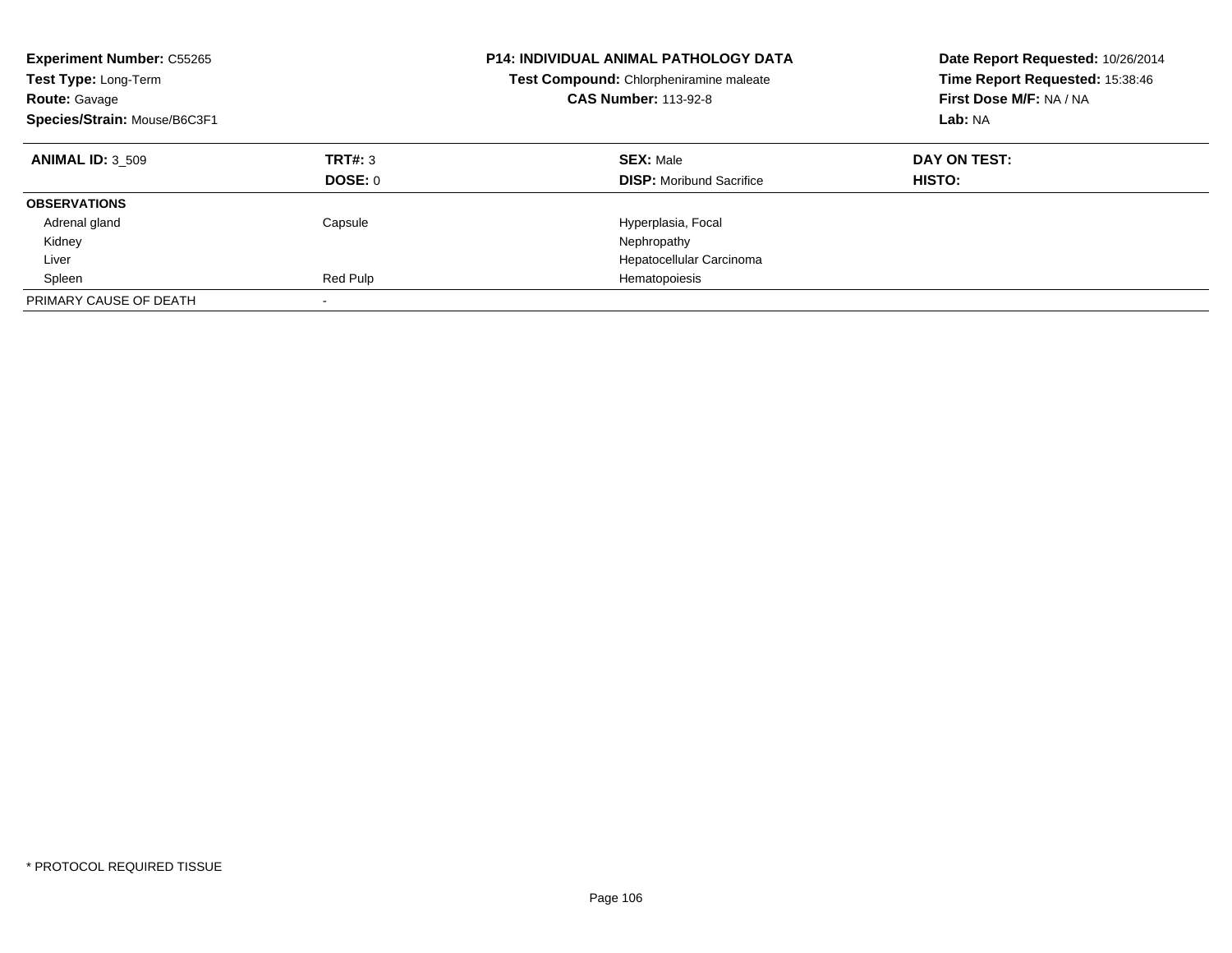| <b>Experiment Number: C55265</b><br>Test Type: Long-Term<br><b>Route: Gavage</b><br>Species/Strain: Mouse/B6C3F1 |                    | <b>P14: INDIVIDUAL ANIMAL PATHOLOGY DATA</b><br>Test Compound: Chlorpheniramine maleate<br><b>CAS Number: 113-92-8</b> | Date Report Requested: 10/26/2014<br>Time Report Requested: 15:38:46<br>First Dose M/F: NA / NA<br>Lab: NA |
|------------------------------------------------------------------------------------------------------------------|--------------------|------------------------------------------------------------------------------------------------------------------------|------------------------------------------------------------------------------------------------------------|
| <b>ANIMAL ID: 3 509</b>                                                                                          | TRT#: 3<br>DOSE: 0 | <b>SEX: Male</b><br><b>DISP:</b> Moribund Sacrifice                                                                    | DAY ON TEST:<br><b>HISTO:</b>                                                                              |
| <b>OBSERVATIONS</b>                                                                                              |                    |                                                                                                                        |                                                                                                            |
| Adrenal gland                                                                                                    | Capsule            | Hyperplasia, Focal                                                                                                     |                                                                                                            |
| Kidney                                                                                                           |                    | Nephropathy                                                                                                            |                                                                                                            |
| Liver                                                                                                            |                    | Hepatocellular Carcinoma                                                                                               |                                                                                                            |
| Spleen                                                                                                           | Red Pulp           | Hematopoiesis                                                                                                          |                                                                                                            |
| PRIMARY CAUSE OF DEATH                                                                                           |                    |                                                                                                                        |                                                                                                            |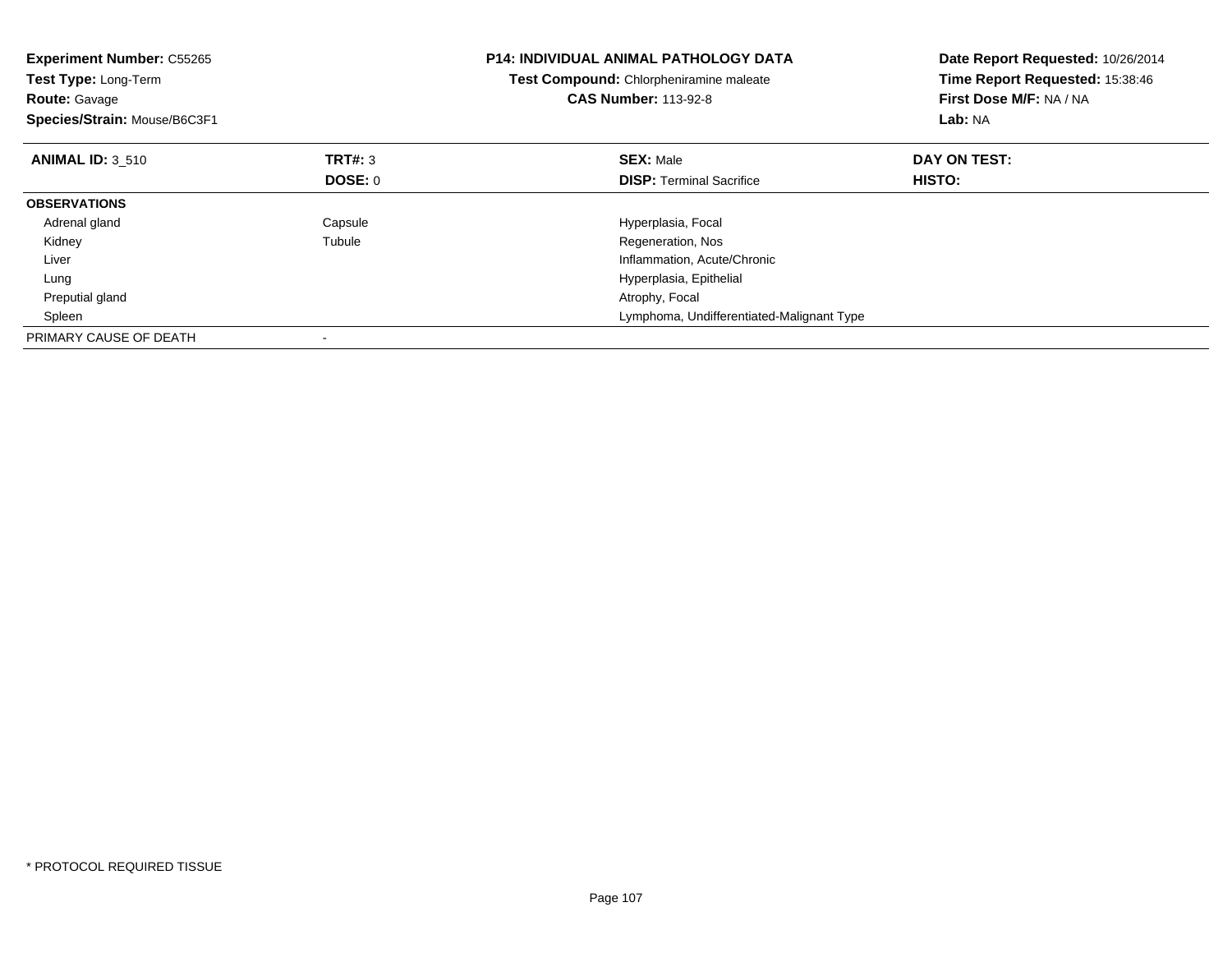| <b>Experiment Number: C55265</b><br>Test Type: Long-Term<br><b>Route: Gavage</b><br>Species/Strain: Mouse/B6C3F1 |                | <b>P14: INDIVIDUAL ANIMAL PATHOLOGY DATA</b><br>Test Compound: Chlorpheniramine maleate<br><b>CAS Number: 113-92-8</b> | Date Report Requested: 10/26/2014<br>Time Report Requested: 15:38:46<br>First Dose M/F: NA / NA<br>Lab: NA |
|------------------------------------------------------------------------------------------------------------------|----------------|------------------------------------------------------------------------------------------------------------------------|------------------------------------------------------------------------------------------------------------|
| <b>ANIMAL ID: 3 510</b>                                                                                          | TRT#: 3        | <b>SEX: Male</b>                                                                                                       | DAY ON TEST:                                                                                               |
|                                                                                                                  | <b>DOSE: 0</b> | <b>DISP:</b> Terminal Sacrifice                                                                                        | HISTO:                                                                                                     |
| <b>OBSERVATIONS</b>                                                                                              |                |                                                                                                                        |                                                                                                            |
| Adrenal gland                                                                                                    | Capsule        | Hyperplasia, Focal                                                                                                     |                                                                                                            |
| Kidney                                                                                                           | Tubule         | Regeneration, Nos                                                                                                      |                                                                                                            |
| Liver                                                                                                            |                | Inflammation, Acute/Chronic                                                                                            |                                                                                                            |
| Lung                                                                                                             |                | Hyperplasia, Epithelial                                                                                                |                                                                                                            |
| Preputial gland                                                                                                  |                | Atrophy, Focal                                                                                                         |                                                                                                            |
| Spleen                                                                                                           |                | Lymphoma, Undifferentiated-Malignant Type                                                                              |                                                                                                            |
| PRIMARY CAUSE OF DEATH                                                                                           |                |                                                                                                                        |                                                                                                            |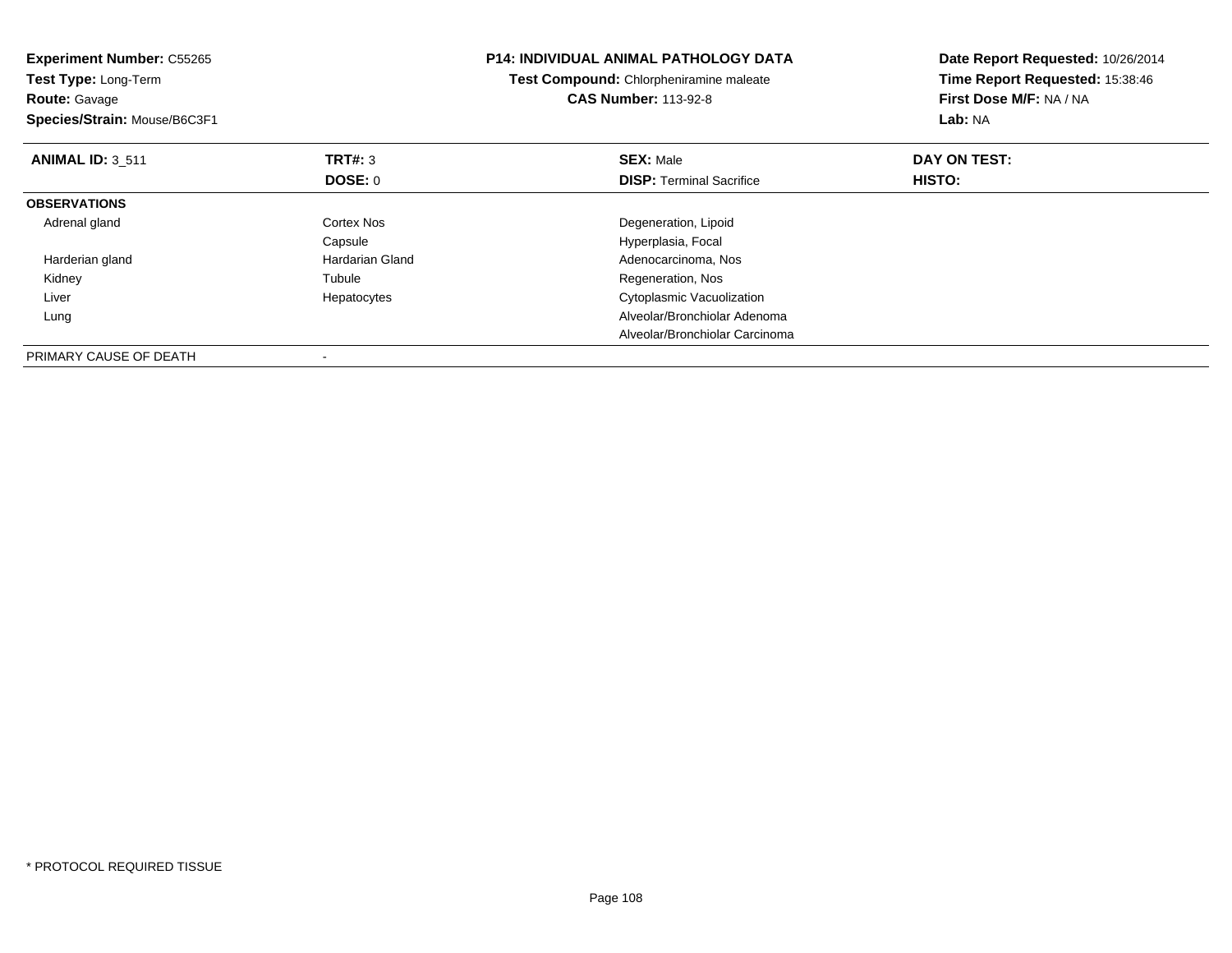| <b>Experiment Number: C55265</b><br>Test Type: Long-Term<br><b>Route: Gavage</b><br>Species/Strain: Mouse/B6C3F1 |                 | <b>P14: INDIVIDUAL ANIMAL PATHOLOGY DATA</b><br>Test Compound: Chlorpheniramine maleate<br><b>CAS Number: 113-92-8</b> | Date Report Requested: 10/26/2014<br>Time Report Requested: 15:38:46<br>First Dose M/F: NA / NA<br>Lab: NA |
|------------------------------------------------------------------------------------------------------------------|-----------------|------------------------------------------------------------------------------------------------------------------------|------------------------------------------------------------------------------------------------------------|
| <b>ANIMAL ID: 3 511</b>                                                                                          | TRT#: 3         | <b>SEX: Male</b>                                                                                                       | DAY ON TEST:                                                                                               |
|                                                                                                                  | <b>DOSE: 0</b>  | <b>DISP:</b> Terminal Sacrifice                                                                                        | HISTO:                                                                                                     |
| <b>OBSERVATIONS</b>                                                                                              |                 |                                                                                                                        |                                                                                                            |
| Adrenal gland                                                                                                    | Cortex Nos      | Degeneration, Lipoid                                                                                                   |                                                                                                            |
|                                                                                                                  | Capsule         | Hyperplasia, Focal                                                                                                     |                                                                                                            |
| Harderian gland                                                                                                  | Hardarian Gland | Adenocarcinoma, Nos                                                                                                    |                                                                                                            |
| Kidney                                                                                                           | Tubule          | Regeneration, Nos                                                                                                      |                                                                                                            |
| Liver                                                                                                            | Hepatocytes     | Cytoplasmic Vacuolization                                                                                              |                                                                                                            |
| Lung                                                                                                             |                 | Alveolar/Bronchiolar Adenoma                                                                                           |                                                                                                            |
|                                                                                                                  |                 | Alveolar/Bronchiolar Carcinoma                                                                                         |                                                                                                            |
| PRIMARY CAUSE OF DEATH                                                                                           |                 |                                                                                                                        |                                                                                                            |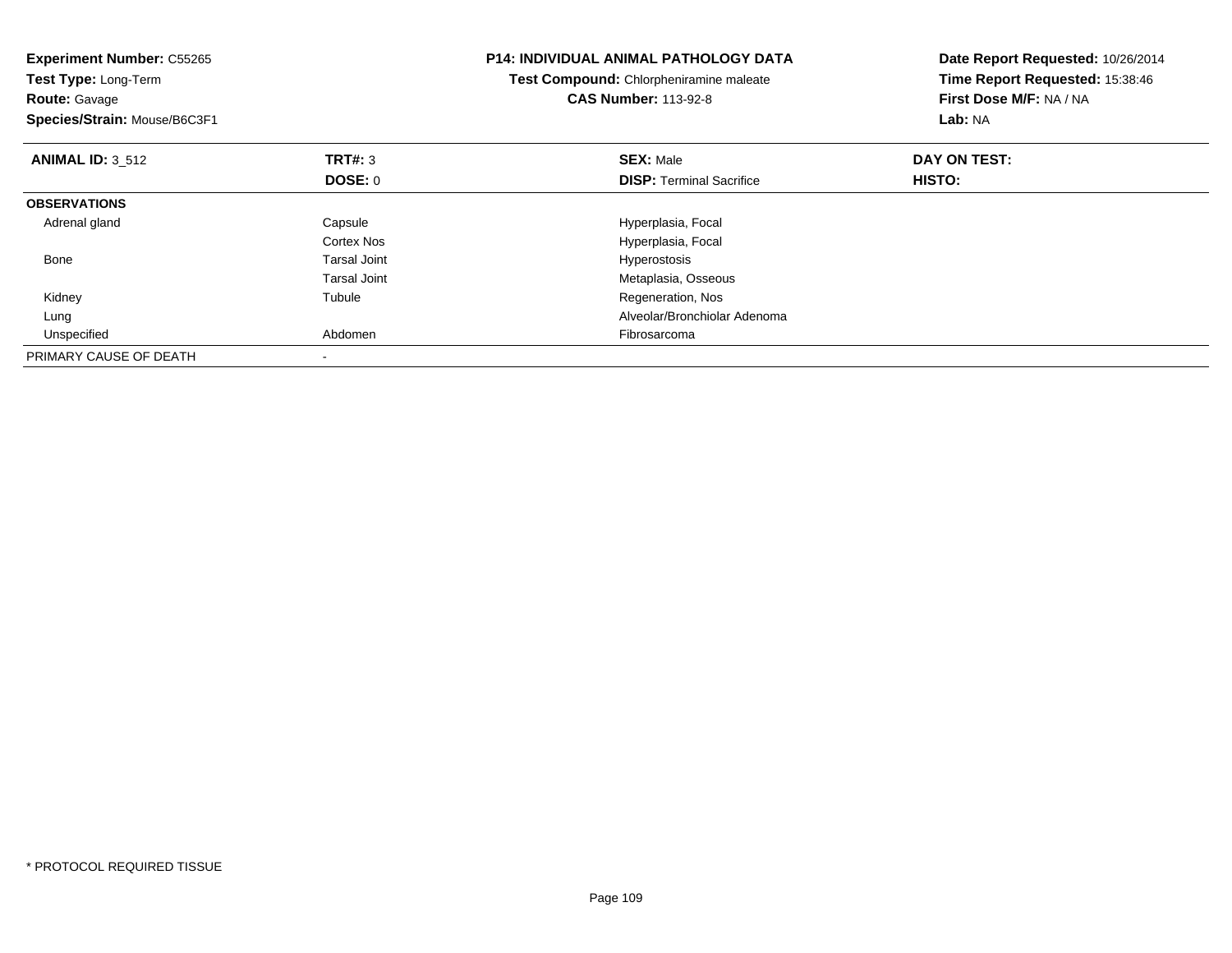| <b>Experiment Number: C55265</b><br>Test Type: Long-Term<br><b>Route: Gavage</b><br>Species/Strain: Mouse/B6C3F1 |                     | <b>P14: INDIVIDUAL ANIMAL PATHOLOGY DATA</b><br>Test Compound: Chlorpheniramine maleate<br><b>CAS Number: 113-92-8</b> | Date Report Requested: 10/26/2014<br>Time Report Requested: 15:38:46<br>First Dose M/F: NA / NA<br>Lab: NA |
|------------------------------------------------------------------------------------------------------------------|---------------------|------------------------------------------------------------------------------------------------------------------------|------------------------------------------------------------------------------------------------------------|
| <b>ANIMAL ID: 3 512</b>                                                                                          | TRT#: 3             | <b>SEX: Male</b>                                                                                                       | DAY ON TEST:                                                                                               |
|                                                                                                                  | <b>DOSE: 0</b>      | <b>DISP:</b> Terminal Sacrifice                                                                                        | HISTO:                                                                                                     |
| <b>OBSERVATIONS</b>                                                                                              |                     |                                                                                                                        |                                                                                                            |
| Adrenal gland                                                                                                    | Capsule             | Hyperplasia, Focal                                                                                                     |                                                                                                            |
|                                                                                                                  | Cortex Nos          | Hyperplasia, Focal                                                                                                     |                                                                                                            |
| Bone                                                                                                             | <b>Tarsal Joint</b> | <b>Hyperostosis</b>                                                                                                    |                                                                                                            |
|                                                                                                                  | Tarsal Joint        | Metaplasia, Osseous                                                                                                    |                                                                                                            |
| Kidney                                                                                                           | Tubule              | Regeneration, Nos                                                                                                      |                                                                                                            |
| Lung                                                                                                             |                     | Alveolar/Bronchiolar Adenoma                                                                                           |                                                                                                            |
| Unspecified                                                                                                      | Abdomen             | Fibrosarcoma                                                                                                           |                                                                                                            |
| PRIMARY CAUSE OF DEATH                                                                                           |                     |                                                                                                                        |                                                                                                            |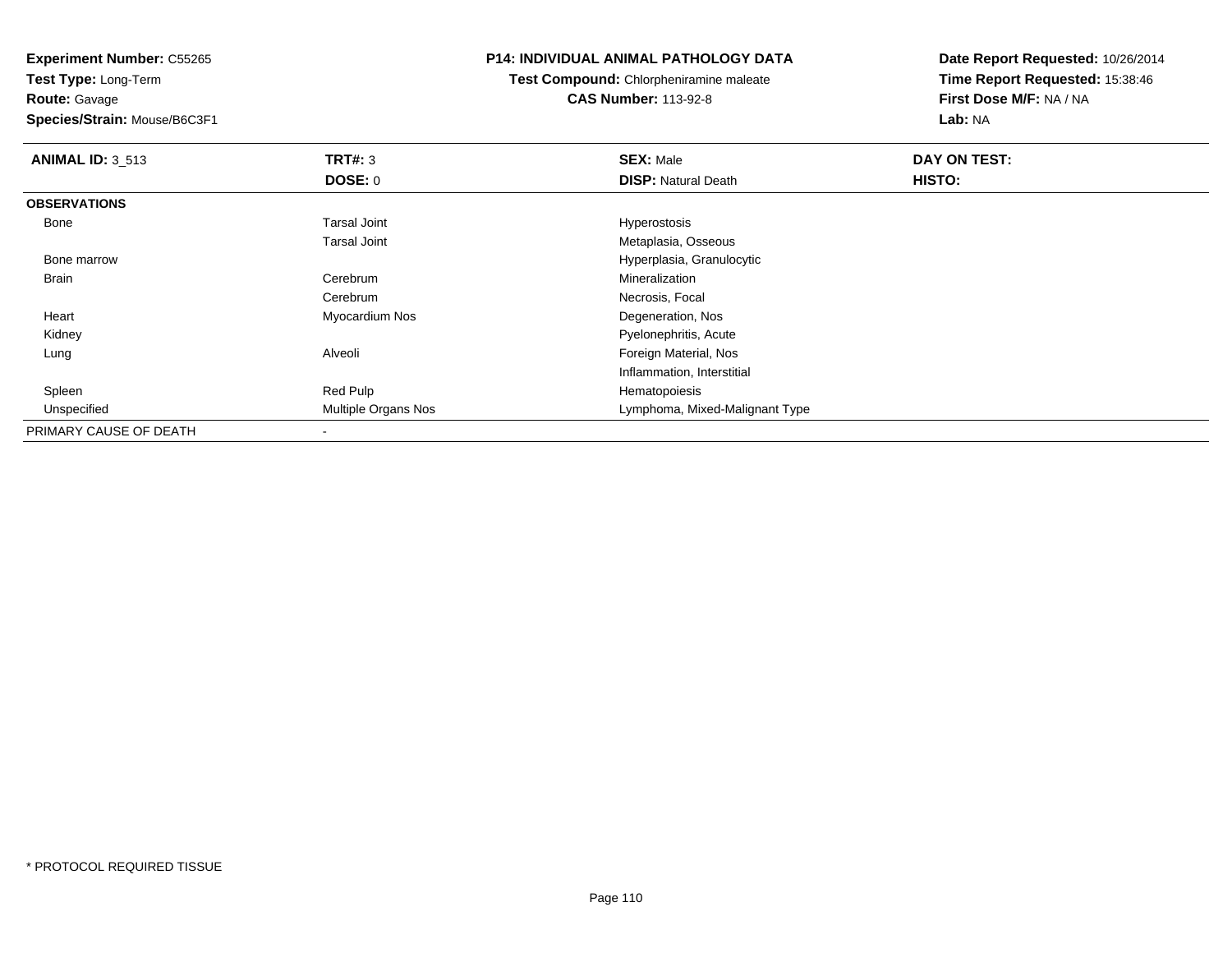**Route:** Gavage

**Species/Strain:** Mouse/B6C3F1

# **P14: INDIVIDUAL ANIMAL PATHOLOGY DATA**

**Test Compound:** Chlorpheniramine maleate**CAS Number:** 113-92-8

| <b>ANIMAL ID: 3_513</b> | TRT#: 3                    | <b>SEX: Male</b>               | DAY ON TEST: |  |
|-------------------------|----------------------------|--------------------------------|--------------|--|
|                         | <b>DOSE: 0</b>             | <b>DISP: Natural Death</b>     | HISTO:       |  |
| <b>OBSERVATIONS</b>     |                            |                                |              |  |
| Bone                    | <b>Tarsal Joint</b>        | Hyperostosis                   |              |  |
|                         | <b>Tarsal Joint</b>        | Metaplasia, Osseous            |              |  |
| Bone marrow             |                            | Hyperplasia, Granulocytic      |              |  |
| Brain                   | Cerebrum                   | Mineralization                 |              |  |
|                         | Cerebrum                   | Necrosis, Focal                |              |  |
| Heart                   | Myocardium Nos             | Degeneration, Nos              |              |  |
| Kidney                  |                            | Pyelonephritis, Acute          |              |  |
| Lung                    | Alveoli                    | Foreign Material, Nos          |              |  |
|                         |                            | Inflammation, Interstitial     |              |  |
| Spleen                  | Red Pulp                   | Hematopoiesis                  |              |  |
| Unspecified             | <b>Multiple Organs Nos</b> | Lymphoma, Mixed-Malignant Type |              |  |
| PRIMARY CAUSE OF DEATH  |                            |                                |              |  |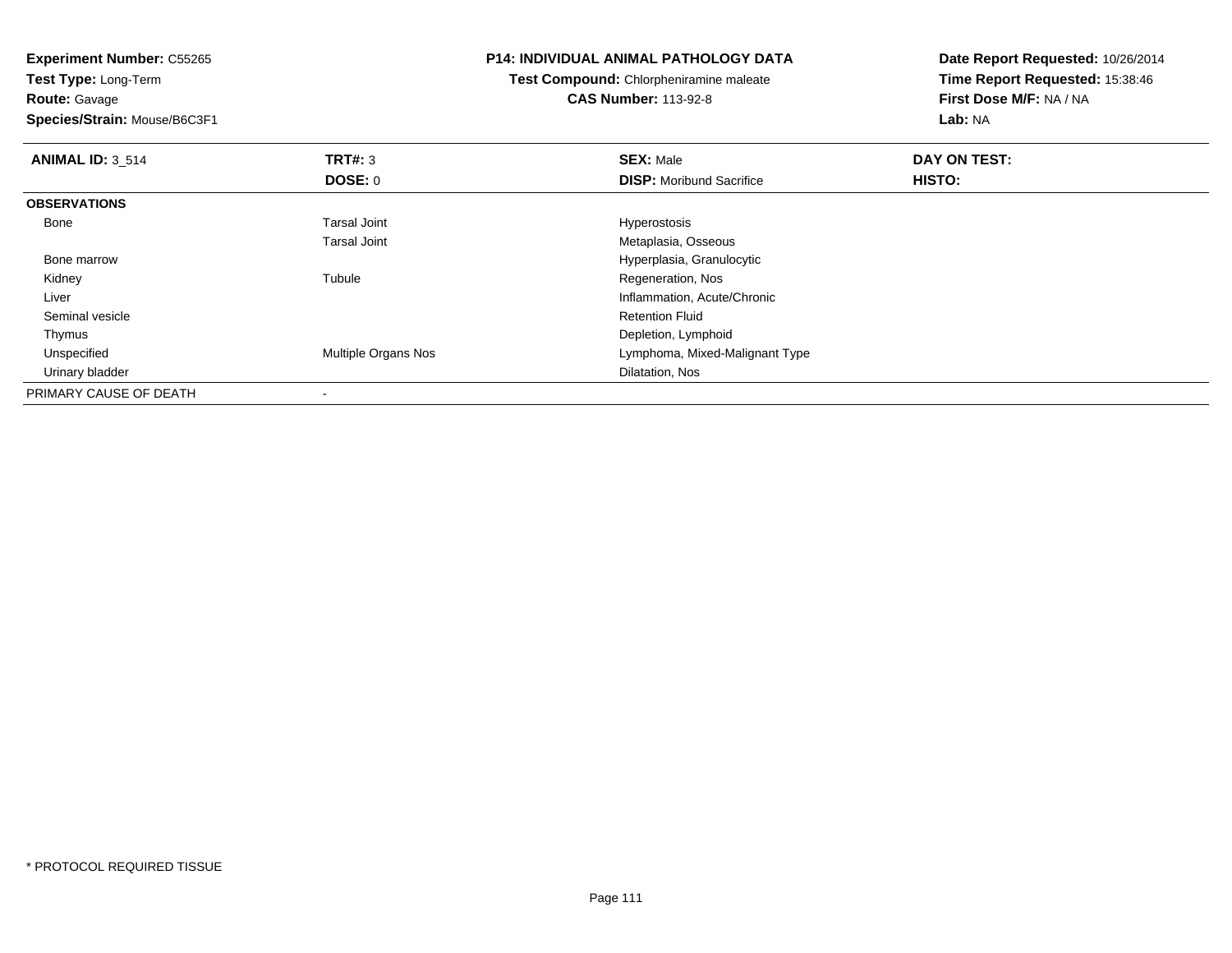**Route:** Gavage

**Species/Strain:** Mouse/B6C3F1

### **P14: INDIVIDUAL ANIMAL PATHOLOGY DATA**

**Test Compound:** Chlorpheniramine maleate**CAS Number:** 113-92-8

| <b>ANIMAL ID: 3 514</b> | TRT#: 3                    | <b>SEX: Male</b>                | DAY ON TEST: |  |
|-------------------------|----------------------------|---------------------------------|--------------|--|
|                         | <b>DOSE: 0</b>             | <b>DISP:</b> Moribund Sacrifice | HISTO:       |  |
| <b>OBSERVATIONS</b>     |                            |                                 |              |  |
| Bone                    | <b>Tarsal Joint</b>        | Hyperostosis                    |              |  |
|                         | <b>Tarsal Joint</b>        | Metaplasia, Osseous             |              |  |
| Bone marrow             |                            | Hyperplasia, Granulocytic       |              |  |
| Kidney                  | Tubule                     | Regeneration, Nos               |              |  |
| Liver                   |                            | Inflammation, Acute/Chronic     |              |  |
| Seminal vesicle         |                            | <b>Retention Fluid</b>          |              |  |
| Thymus                  |                            | Depletion, Lymphoid             |              |  |
| Unspecified             | <b>Multiple Organs Nos</b> | Lymphoma, Mixed-Malignant Type  |              |  |
| Urinary bladder         |                            | Dilatation, Nos                 |              |  |
| PRIMARY CAUSE OF DEATH  |                            |                                 |              |  |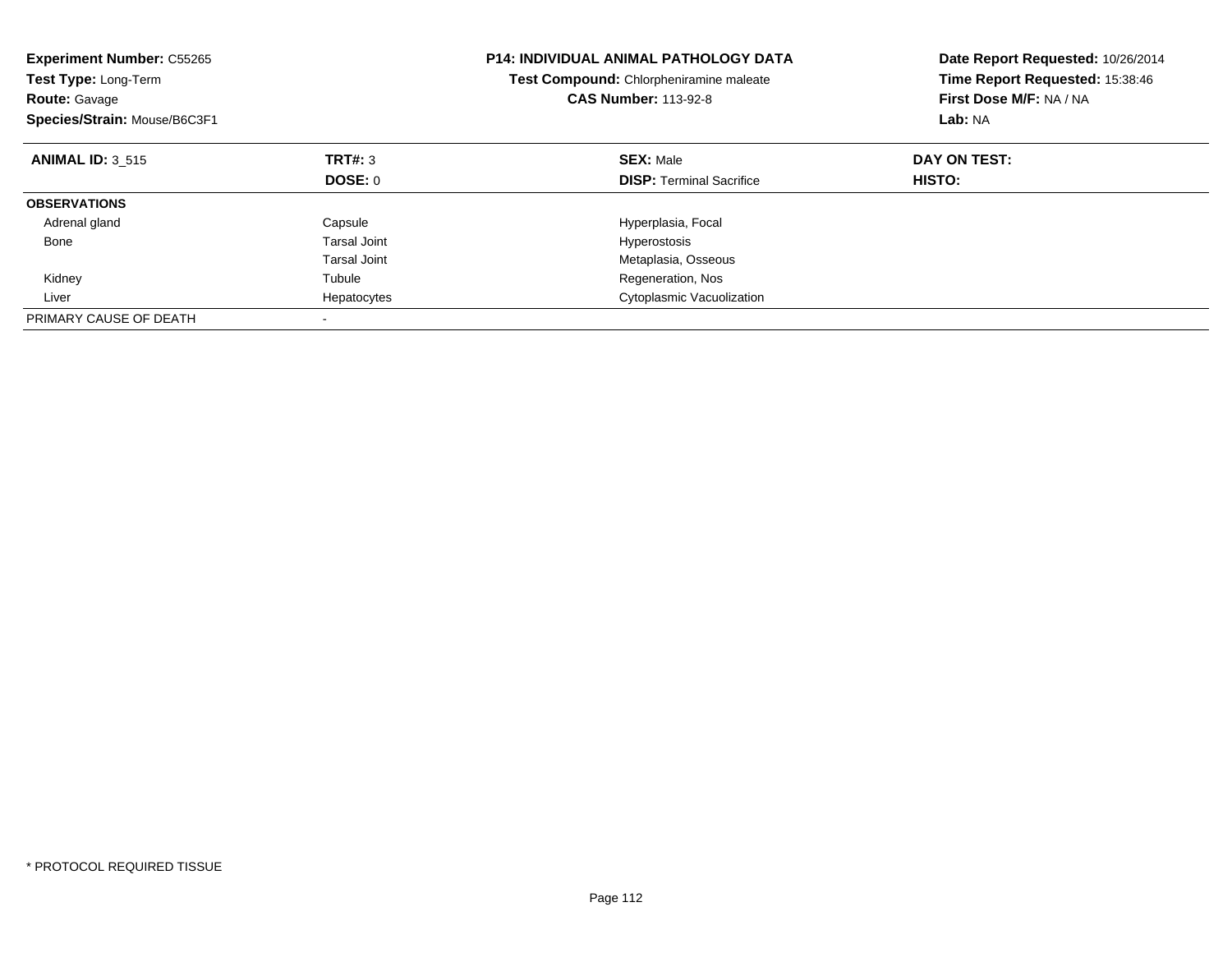| <b>Experiment Number: C55265</b><br>Test Type: Long-Term<br><b>Route: Gavage</b><br>Species/Strain: Mouse/B6C3F1 |              | <b>P14: INDIVIDUAL ANIMAL PATHOLOGY DATA</b><br>Test Compound: Chlorpheniramine maleate<br><b>CAS Number: 113-92-8</b> | Date Report Requested: 10/26/2014<br>Time Report Requested: 15:38:46<br>First Dose M/F: NA / NA<br>Lab: NA |
|------------------------------------------------------------------------------------------------------------------|--------------|------------------------------------------------------------------------------------------------------------------------|------------------------------------------------------------------------------------------------------------|
| <b>ANIMAL ID: 3 515</b>                                                                                          | TRT#: 3      | <b>SEX: Male</b>                                                                                                       | DAY ON TEST:                                                                                               |
|                                                                                                                  | DOSE: 0      | <b>DISP:</b> Terminal Sacrifice                                                                                        | <b>HISTO:</b>                                                                                              |
| <b>OBSERVATIONS</b>                                                                                              |              |                                                                                                                        |                                                                                                            |
| Adrenal gland                                                                                                    | Capsule      | Hyperplasia, Focal                                                                                                     |                                                                                                            |
| Bone                                                                                                             | Tarsal Joint | Hyperostosis                                                                                                           |                                                                                                            |
|                                                                                                                  | Tarsal Joint | Metaplasia, Osseous                                                                                                    |                                                                                                            |
| Kidney                                                                                                           | Tubule       | Regeneration, Nos                                                                                                      |                                                                                                            |
| Liver                                                                                                            | Hepatocytes  | Cytoplasmic Vacuolization                                                                                              |                                                                                                            |
| PRIMARY CAUSE OF DEATH                                                                                           |              |                                                                                                                        |                                                                                                            |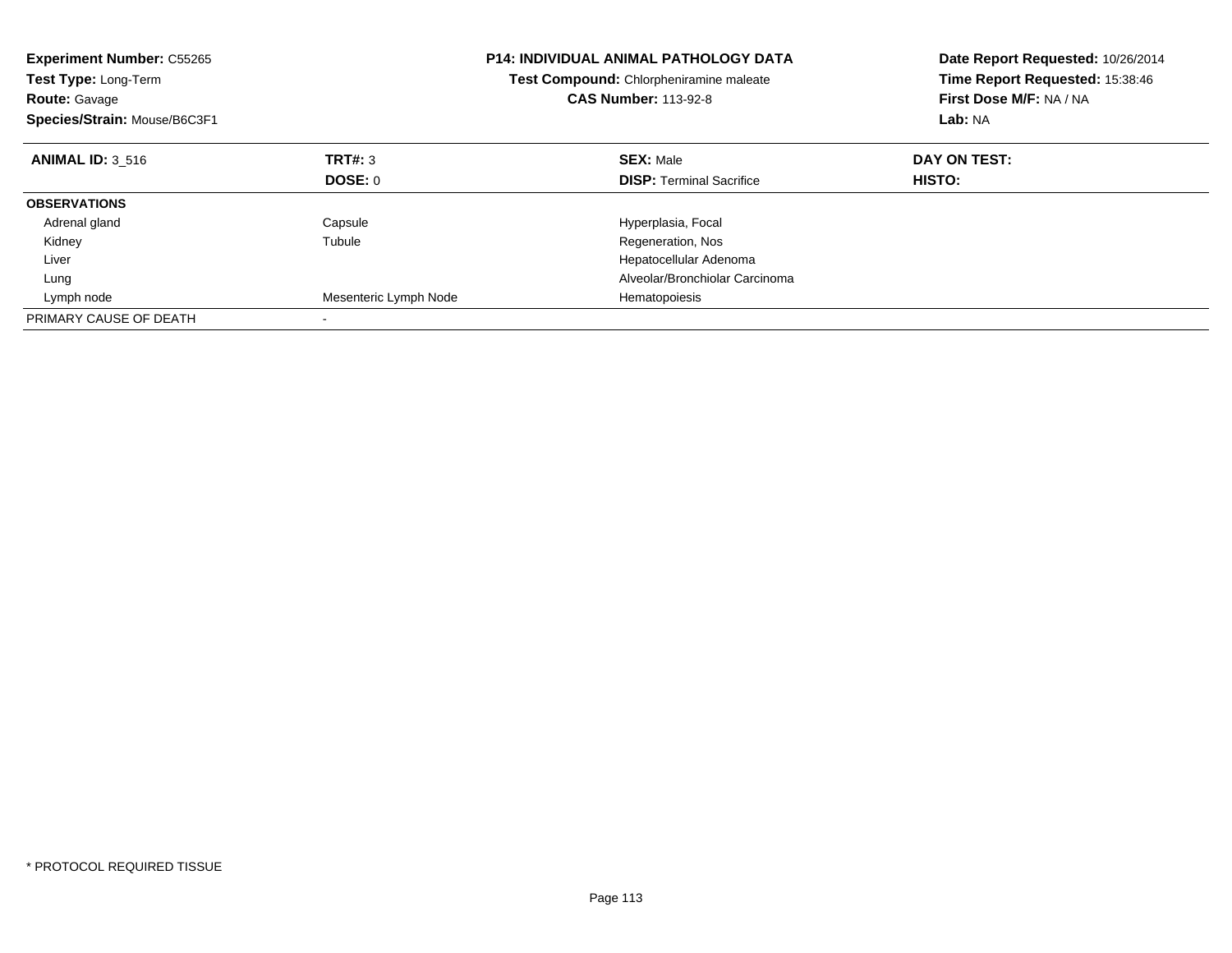| <b>Experiment Number: C55265</b><br>Test Type: Long-Term<br><b>Route: Gavage</b><br>Species/Strain: Mouse/B6C3F1 |                       | <b>P14: INDIVIDUAL ANIMAL PATHOLOGY DATA</b><br>Test Compound: Chlorpheniramine maleate<br><b>CAS Number: 113-92-8</b> | Date Report Requested: 10/26/2014<br>Time Report Requested: 15:38:46<br>First Dose M/F: NA / NA<br>Lab: NA |
|------------------------------------------------------------------------------------------------------------------|-----------------------|------------------------------------------------------------------------------------------------------------------------|------------------------------------------------------------------------------------------------------------|
| <b>ANIMAL ID: 3 516</b>                                                                                          | TRT#: 3               | <b>SEX: Male</b>                                                                                                       | DAY ON TEST:                                                                                               |
|                                                                                                                  | DOSE: 0               | <b>DISP:</b> Terminal Sacrifice                                                                                        | <b>HISTO:</b>                                                                                              |
| <b>OBSERVATIONS</b>                                                                                              |                       |                                                                                                                        |                                                                                                            |
| Adrenal gland                                                                                                    | Capsule               | Hyperplasia, Focal                                                                                                     |                                                                                                            |
| Kidney                                                                                                           | Tubule                | Regeneration, Nos                                                                                                      |                                                                                                            |
| Liver                                                                                                            |                       | Hepatocellular Adenoma                                                                                                 |                                                                                                            |
| Lung                                                                                                             |                       | Alveolar/Bronchiolar Carcinoma                                                                                         |                                                                                                            |
| Lymph node                                                                                                       | Mesenteric Lymph Node | Hematopoiesis                                                                                                          |                                                                                                            |
| PRIMARY CAUSE OF DEATH                                                                                           |                       |                                                                                                                        |                                                                                                            |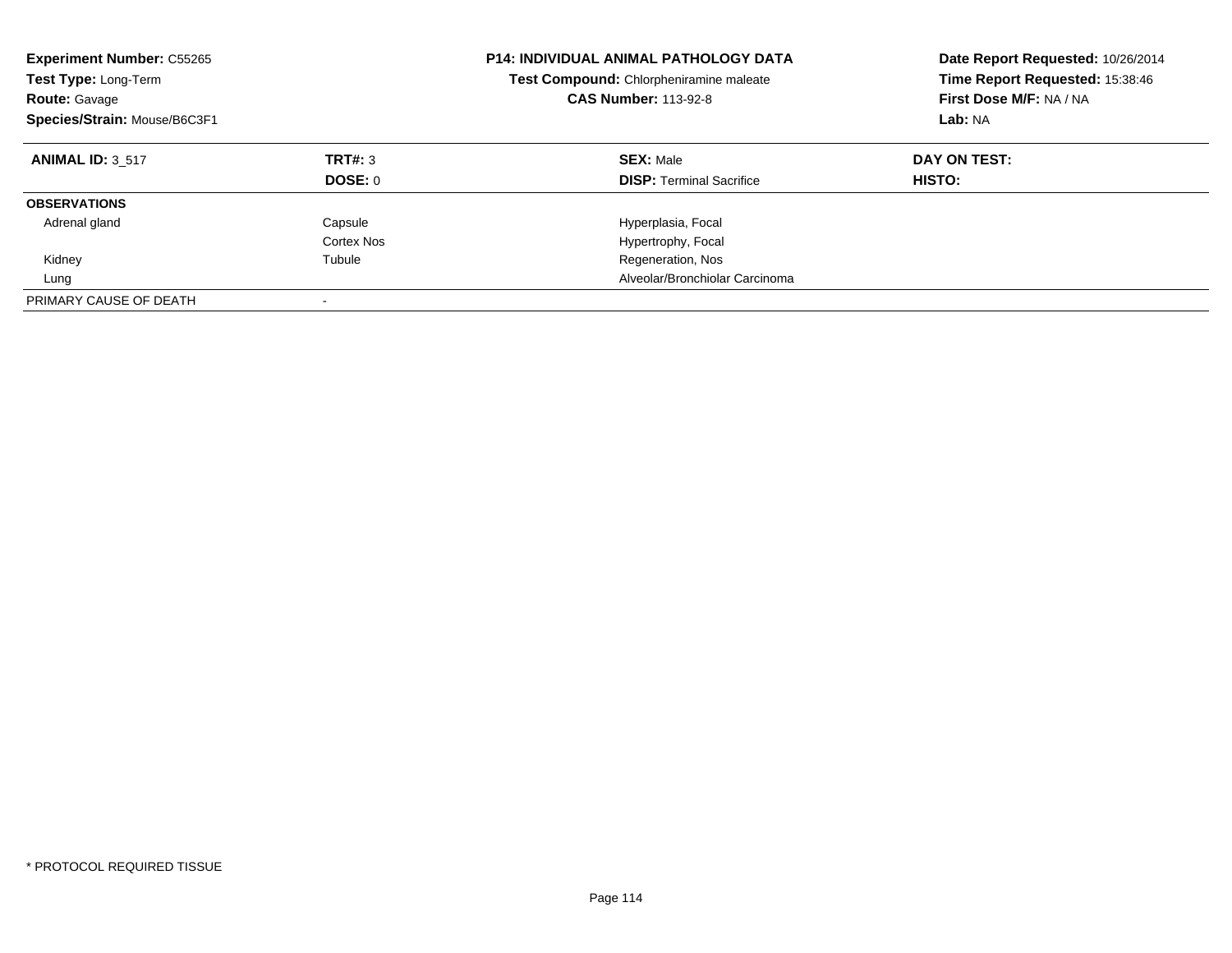| <b>Experiment Number: C55265</b><br>Test Type: Long-Term<br><b>Route: Gavage</b><br>Species/Strain: Mouse/B6C3F1 |                       | <b>P14: INDIVIDUAL ANIMAL PATHOLOGY DATA</b><br>Test Compound: Chlorpheniramine maleate<br><b>CAS Number: 113-92-8</b> | Date Report Requested: 10/26/2014<br>Time Report Requested: 15:38:46<br>First Dose M/F: NA / NA<br>Lab: NA |
|------------------------------------------------------------------------------------------------------------------|-----------------------|------------------------------------------------------------------------------------------------------------------------|------------------------------------------------------------------------------------------------------------|
| <b>ANIMAL ID: 3 517</b>                                                                                          | TRT#: 3<br>DOSE: 0    | <b>SEX: Male</b><br><b>DISP:</b> Terminal Sacrifice                                                                    | DAY ON TEST:<br>HISTO:                                                                                     |
| <b>OBSERVATIONS</b>                                                                                              |                       |                                                                                                                        |                                                                                                            |
| Adrenal gland                                                                                                    | Capsule<br>Cortex Nos | Hyperplasia, Focal<br>Hypertrophy, Focal                                                                               |                                                                                                            |
| Kidney                                                                                                           | Tubule                | Regeneration, Nos                                                                                                      |                                                                                                            |
| Lung                                                                                                             |                       | Alveolar/Bronchiolar Carcinoma                                                                                         |                                                                                                            |
| PRIMARY CAUSE OF DEATH                                                                                           |                       |                                                                                                                        |                                                                                                            |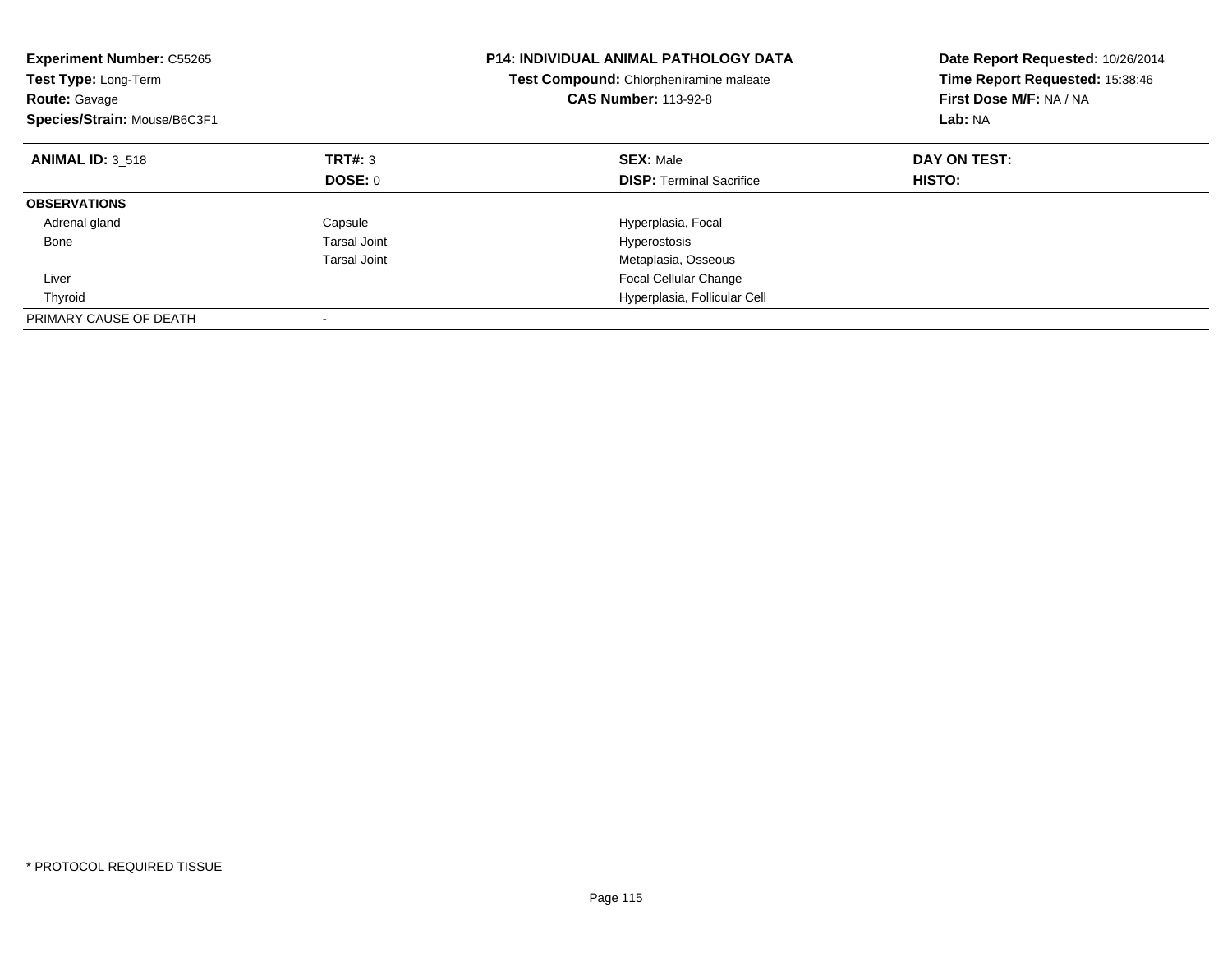| <b>Experiment Number: C55265</b><br><b>Test Type: Long-Term</b><br><b>Route: Gavage</b><br>Species/Strain: Mouse/B6C3F1 |                     | <b>P14: INDIVIDUAL ANIMAL PATHOLOGY DATA</b><br>Test Compound: Chlorpheniramine maleate<br><b>CAS Number: 113-92-8</b> | Date Report Requested: 10/26/2014<br>Time Report Requested: 15:38:46<br>First Dose M/F: NA / NA<br>Lab: NA |
|-------------------------------------------------------------------------------------------------------------------------|---------------------|------------------------------------------------------------------------------------------------------------------------|------------------------------------------------------------------------------------------------------------|
| <b>ANIMAL ID: 3 518</b>                                                                                                 | TRT#: 3             | <b>SEX: Male</b>                                                                                                       | DAY ON TEST:                                                                                               |
|                                                                                                                         | DOSE: 0             | <b>DISP:</b> Terminal Sacrifice                                                                                        | <b>HISTO:</b>                                                                                              |
| <b>OBSERVATIONS</b>                                                                                                     |                     |                                                                                                                        |                                                                                                            |
| Adrenal gland                                                                                                           | Capsule             | Hyperplasia, Focal                                                                                                     |                                                                                                            |
| Bone                                                                                                                    | <b>Tarsal Joint</b> | Hyperostosis                                                                                                           |                                                                                                            |
|                                                                                                                         | Tarsal Joint        | Metaplasia, Osseous                                                                                                    |                                                                                                            |
| Liver                                                                                                                   |                     | Focal Cellular Change                                                                                                  |                                                                                                            |
| Thyroid                                                                                                                 |                     | Hyperplasia, Follicular Cell                                                                                           |                                                                                                            |
| PRIMARY CAUSE OF DEATH                                                                                                  |                     |                                                                                                                        |                                                                                                            |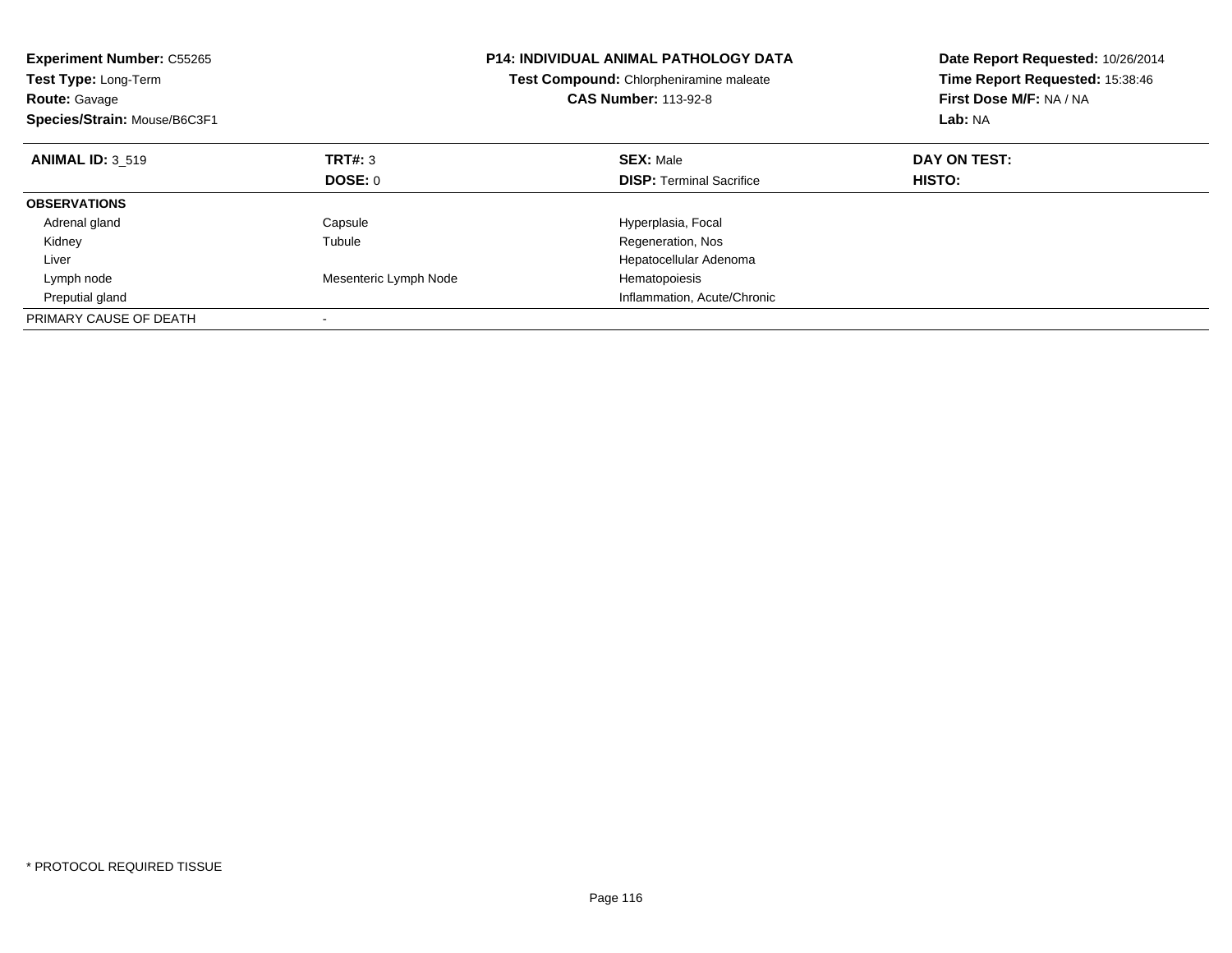| <b>Experiment Number: C55265</b><br>Test Type: Long-Term<br><b>Route: Gavage</b><br>Species/Strain: Mouse/B6C3F1 |                       | P14: INDIVIDUAL ANIMAL PATHOLOGY DATA<br>Test Compound: Chlorpheniramine maleate<br><b>CAS Number: 113-92-8</b> | Date Report Requested: 10/26/2014<br>Time Report Requested: 15:38:46<br>First Dose M/F: NA / NA<br>Lab: NA |
|------------------------------------------------------------------------------------------------------------------|-----------------------|-----------------------------------------------------------------------------------------------------------------|------------------------------------------------------------------------------------------------------------|
| <b>ANIMAL ID: 3 519</b>                                                                                          | TRT#: 3               | <b>SEX: Male</b>                                                                                                | DAY ON TEST:                                                                                               |
|                                                                                                                  | DOSE: 0               | <b>DISP:</b> Terminal Sacrifice                                                                                 | HISTO:                                                                                                     |
| <b>OBSERVATIONS</b>                                                                                              |                       |                                                                                                                 |                                                                                                            |
| Adrenal gland                                                                                                    | Capsule               | Hyperplasia, Focal                                                                                              |                                                                                                            |
| Kidney                                                                                                           | Tubule                | Regeneration, Nos                                                                                               |                                                                                                            |
| Liver                                                                                                            |                       | Hepatocellular Adenoma                                                                                          |                                                                                                            |
| Lymph node                                                                                                       | Mesenteric Lymph Node | Hematopoiesis                                                                                                   |                                                                                                            |
| Preputial gland                                                                                                  |                       | Inflammation, Acute/Chronic                                                                                     |                                                                                                            |
| PRIMARY CAUSE OF DEATH                                                                                           |                       |                                                                                                                 |                                                                                                            |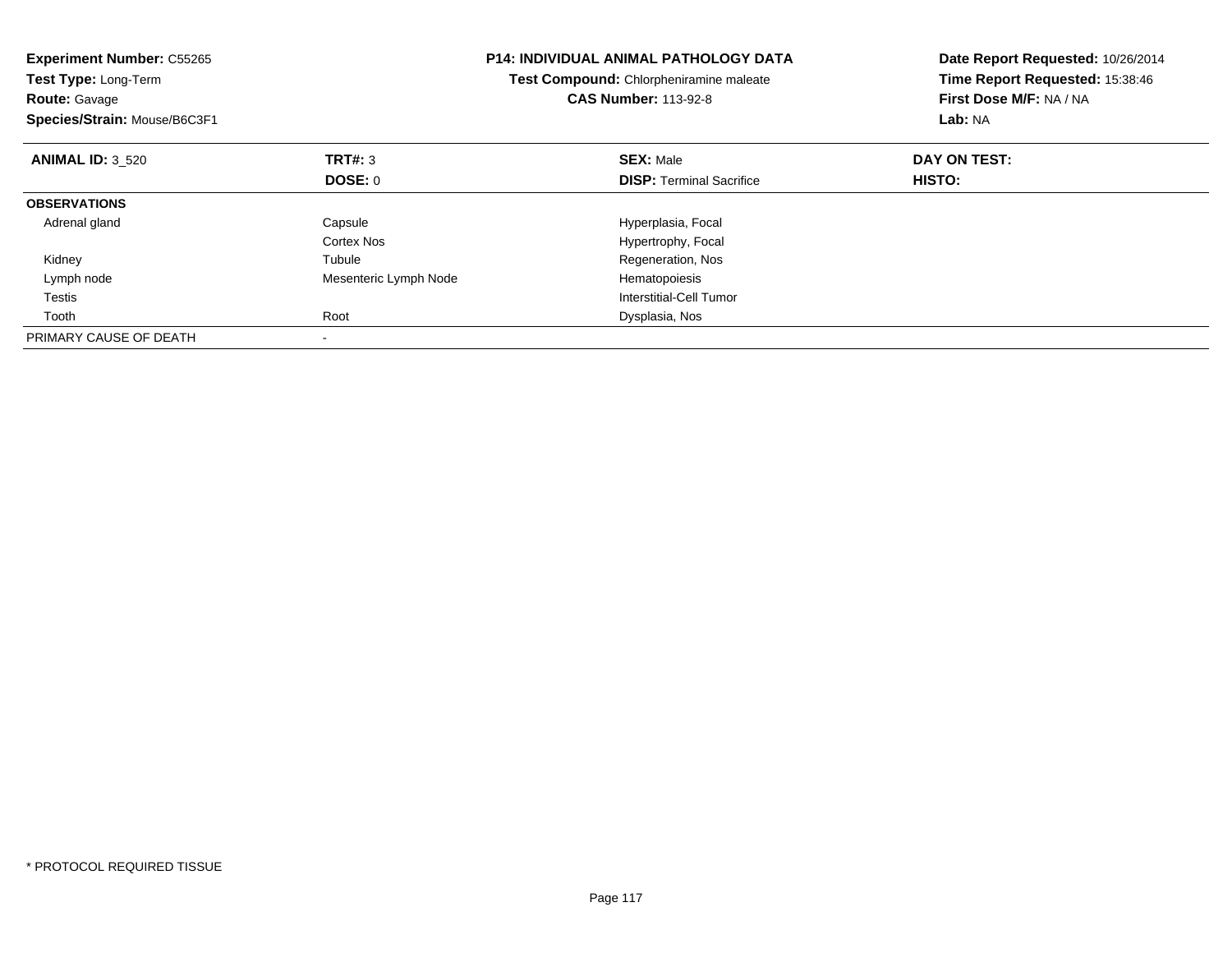| <b>Experiment Number: C55265</b><br>Test Type: Long-Term<br><b>Route: Gavage</b><br>Species/Strain: Mouse/B6C3F1 |                       | <b>P14: INDIVIDUAL ANIMAL PATHOLOGY DATA</b><br>Test Compound: Chlorpheniramine maleate<br><b>CAS Number: 113-92-8</b> | Date Report Requested: 10/26/2014<br>Time Report Requested: 15:38:46<br>First Dose M/F: NA / NA<br>Lab: NA |
|------------------------------------------------------------------------------------------------------------------|-----------------------|------------------------------------------------------------------------------------------------------------------------|------------------------------------------------------------------------------------------------------------|
| <b>ANIMAL ID: 3 520</b>                                                                                          | TRT#: 3               | <b>SEX: Male</b>                                                                                                       | DAY ON TEST:                                                                                               |
|                                                                                                                  | <b>DOSE: 0</b>        | <b>DISP:</b> Terminal Sacrifice                                                                                        | HISTO:                                                                                                     |
| <b>OBSERVATIONS</b>                                                                                              |                       |                                                                                                                        |                                                                                                            |
| Adrenal gland                                                                                                    | Capsule               | Hyperplasia, Focal                                                                                                     |                                                                                                            |
|                                                                                                                  | Cortex Nos            | Hypertrophy, Focal                                                                                                     |                                                                                                            |
| Kidney                                                                                                           | Tubule                | Regeneration, Nos                                                                                                      |                                                                                                            |
| Lymph node                                                                                                       | Mesenteric Lymph Node | Hematopoiesis                                                                                                          |                                                                                                            |
| Testis                                                                                                           |                       | Interstitial-Cell Tumor                                                                                                |                                                                                                            |
| Tooth                                                                                                            | Root                  | Dysplasia, Nos                                                                                                         |                                                                                                            |
| PRIMARY CAUSE OF DEATH                                                                                           |                       |                                                                                                                        |                                                                                                            |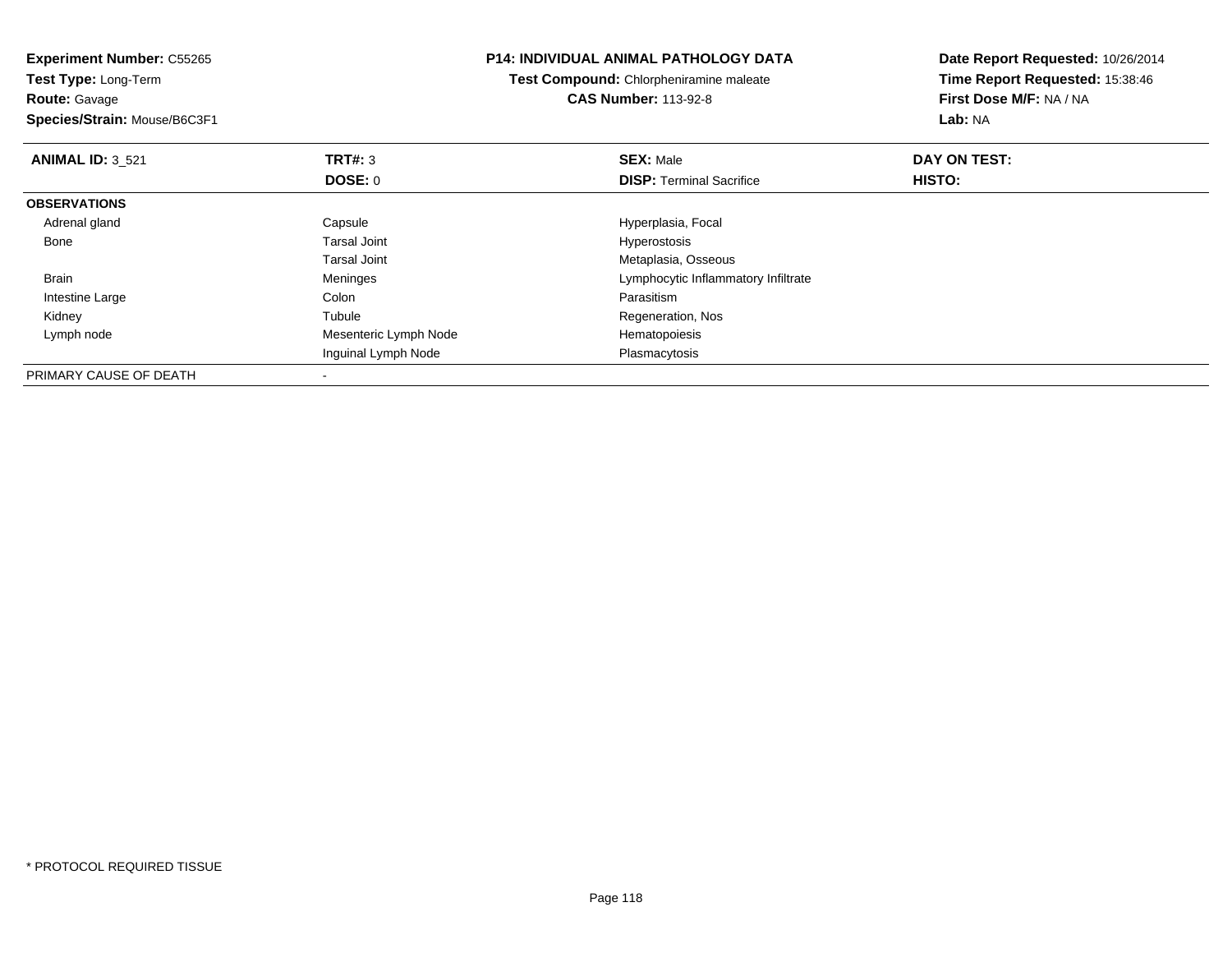**Experiment Number:** C55265**Test Type:** Long-Term**Route:** Gavage **Species/Strain:** Mouse/B6C3F1**P14: INDIVIDUAL ANIMAL PATHOLOGY DATATest Compound:** Chlorpheniramine maleate**CAS Number:** 113-92-8**Date Report Requested:** 10/26/2014**Time Report Requested:** 15:38:46**First Dose M/F:** NA / NA**Lab:** NA**ANIMAL ID:** 3\_521**TRT#:** 3 **SEX:** Male **DAY ON TEST: DOSE:** 0**DISP:** Terminal Sacrifice **HISTO: OBSERVATIONS** Adrenal glandCapsule Capsule Capsule Hyperplasia, Focal<br>
Tarsal Joint Capsule Capsule Capsule Capsule Capsule Capsule Capsule Capsule Capsule Capsule Capsule Capsule C Bone Tarsal Joint Hyperostosis Tarsal Joint Metaplasia, Osseousn and the Meninges and the Meninges and the Lymphocytic Inflammatory Infiltrate Brain Intestine Largee and the Colon Colon Colon Colon and the Parasitism Regeneration, Nos Kidney Tubule Lymph nodeMesenteric Lymph Node Hematopoiesis Inguinal Lymph Node Plasmacytosis PRIMARY CAUSE OF DEATH

-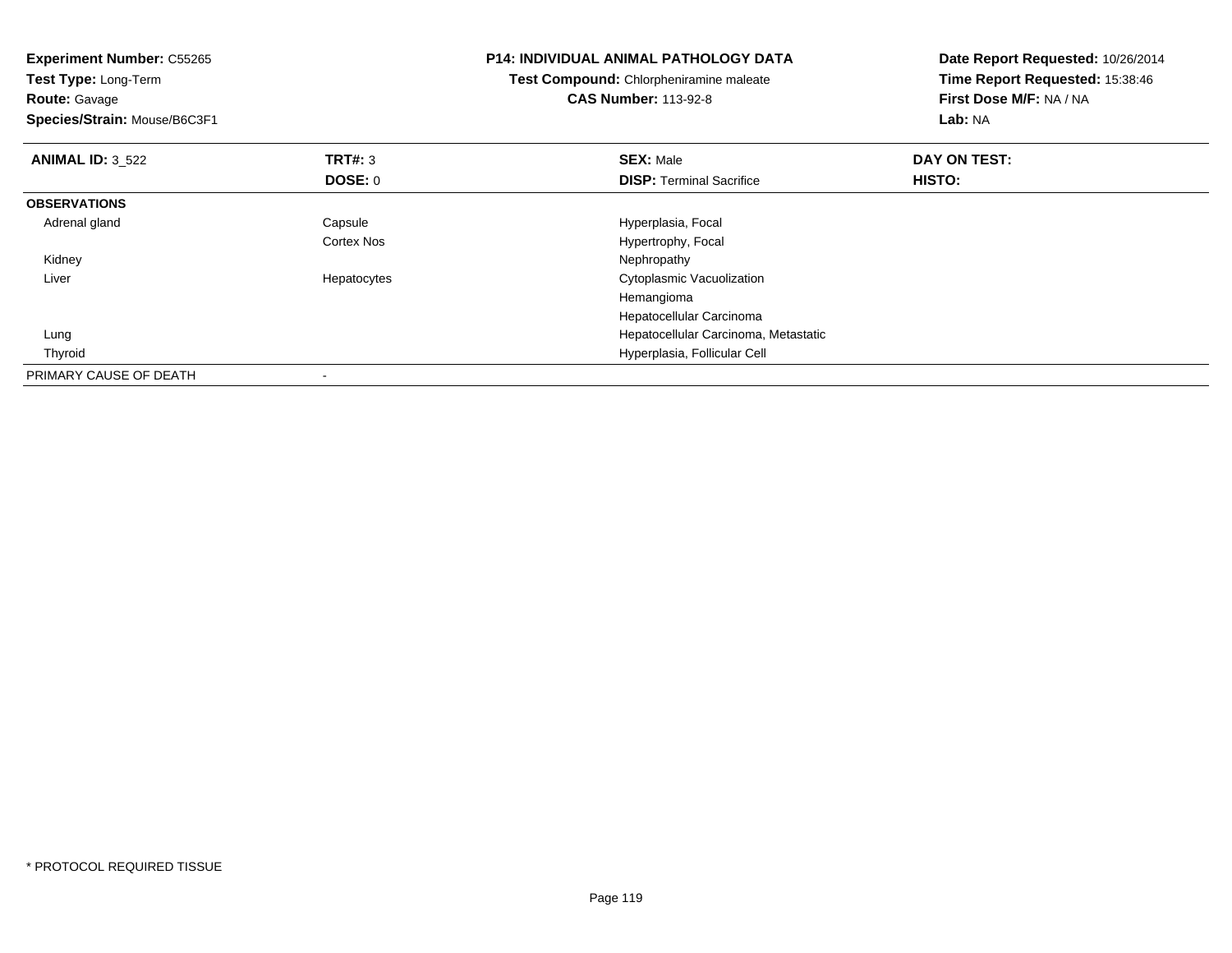| <b>Experiment Number: C55265</b><br>Test Type: Long-Term<br><b>Route: Gavage</b><br>Species/Strain: Mouse/B6C3F1 |             | <b>P14: INDIVIDUAL ANIMAL PATHOLOGY DATA</b><br>Test Compound: Chlorpheniramine maleate<br><b>CAS Number: 113-92-8</b> | Date Report Requested: 10/26/2014<br>Time Report Requested: 15:38:46<br>First Dose M/F: NA / NA<br>Lab: NA |
|------------------------------------------------------------------------------------------------------------------|-------------|------------------------------------------------------------------------------------------------------------------------|------------------------------------------------------------------------------------------------------------|
| <b>ANIMAL ID: 3 522</b>                                                                                          | TRT#: 3     | <b>SEX: Male</b>                                                                                                       | DAY ON TEST:                                                                                               |
|                                                                                                                  | DOSE: 0     | <b>DISP:</b> Terminal Sacrifice                                                                                        | HISTO:                                                                                                     |
| <b>OBSERVATIONS</b>                                                                                              |             |                                                                                                                        |                                                                                                            |
| Adrenal gland                                                                                                    | Capsule     | Hyperplasia, Focal                                                                                                     |                                                                                                            |
|                                                                                                                  | Cortex Nos  | Hypertrophy, Focal                                                                                                     |                                                                                                            |
| Kidney                                                                                                           |             | Nephropathy                                                                                                            |                                                                                                            |
| Liver                                                                                                            | Hepatocytes | Cytoplasmic Vacuolization                                                                                              |                                                                                                            |
|                                                                                                                  |             | Hemangioma                                                                                                             |                                                                                                            |
|                                                                                                                  |             | Hepatocellular Carcinoma                                                                                               |                                                                                                            |
| Lung                                                                                                             |             | Hepatocellular Carcinoma, Metastatic                                                                                   |                                                                                                            |
| Thyroid                                                                                                          |             | Hyperplasia, Follicular Cell                                                                                           |                                                                                                            |
| PRIMARY CAUSE OF DEATH                                                                                           |             |                                                                                                                        |                                                                                                            |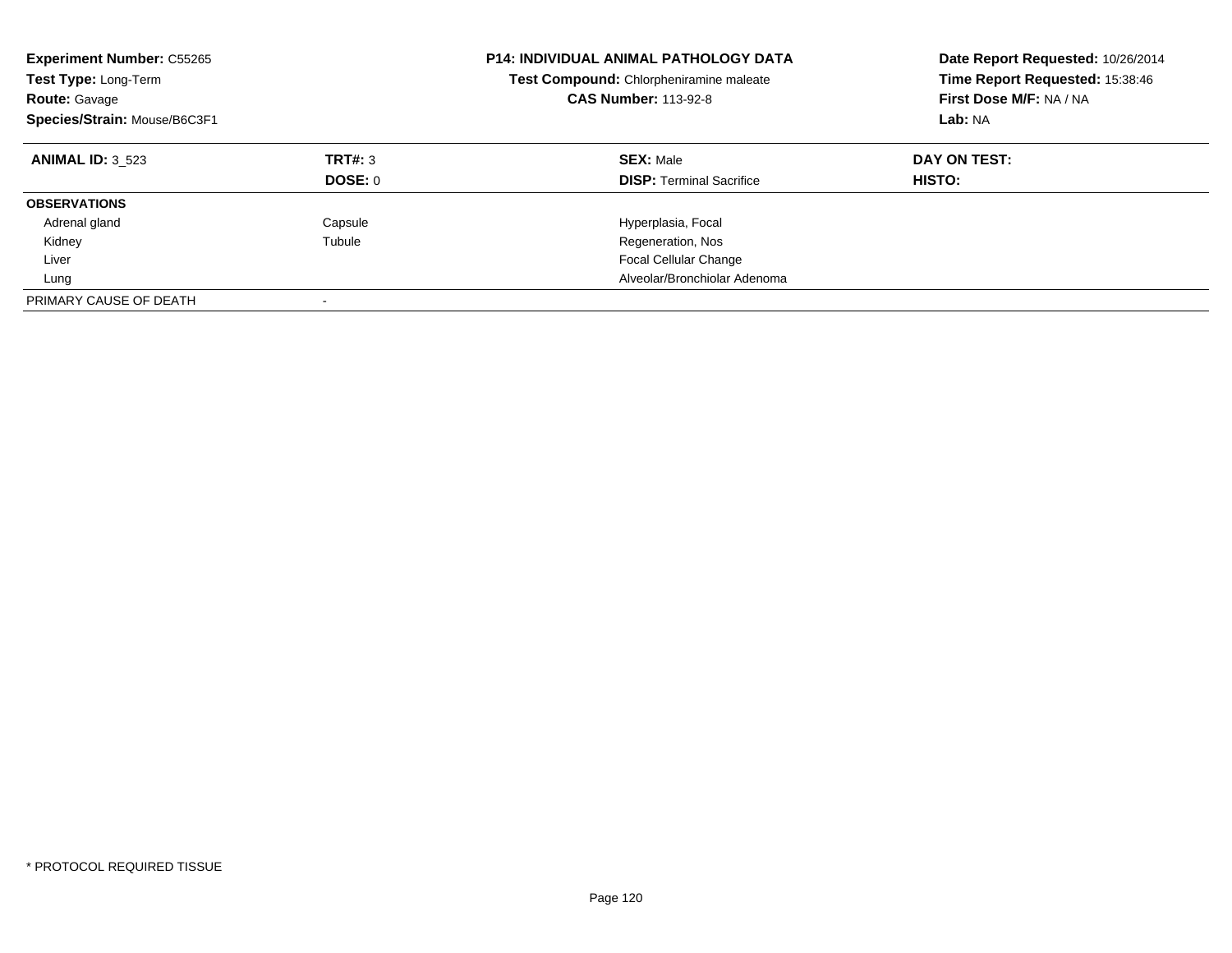| <b>Experiment Number: C55265</b><br>Test Type: Long-Term<br><b>Route: Gavage</b><br>Species/Strain: Mouse/B6C3F1 |                           | <b>P14: INDIVIDUAL ANIMAL PATHOLOGY DATA</b><br>Test Compound: Chlorpheniramine maleate<br><b>CAS Number: 113-92-8</b> | Date Report Requested: 10/26/2014<br>Time Report Requested: 15:38:46<br>First Dose M/F: NA / NA<br>Lab: NA |
|------------------------------------------------------------------------------------------------------------------|---------------------------|------------------------------------------------------------------------------------------------------------------------|------------------------------------------------------------------------------------------------------------|
| <b>ANIMAL ID: 3 523</b>                                                                                          | TRT#: 3<br><b>DOSE: 0</b> | <b>SEX: Male</b><br><b>DISP:</b> Terminal Sacrifice                                                                    | DAY ON TEST:<br><b>HISTO:</b>                                                                              |
| <b>OBSERVATIONS</b>                                                                                              |                           |                                                                                                                        |                                                                                                            |
| Adrenal gland                                                                                                    | Capsule                   | Hyperplasia, Focal                                                                                                     |                                                                                                            |
| Kidney                                                                                                           | Tubule                    | Regeneration, Nos                                                                                                      |                                                                                                            |
| Liver                                                                                                            |                           | <b>Focal Cellular Change</b>                                                                                           |                                                                                                            |
| Lung                                                                                                             |                           | Alveolar/Bronchiolar Adenoma                                                                                           |                                                                                                            |
| PRIMARY CAUSE OF DEATH                                                                                           | $\overline{\phantom{a}}$  |                                                                                                                        |                                                                                                            |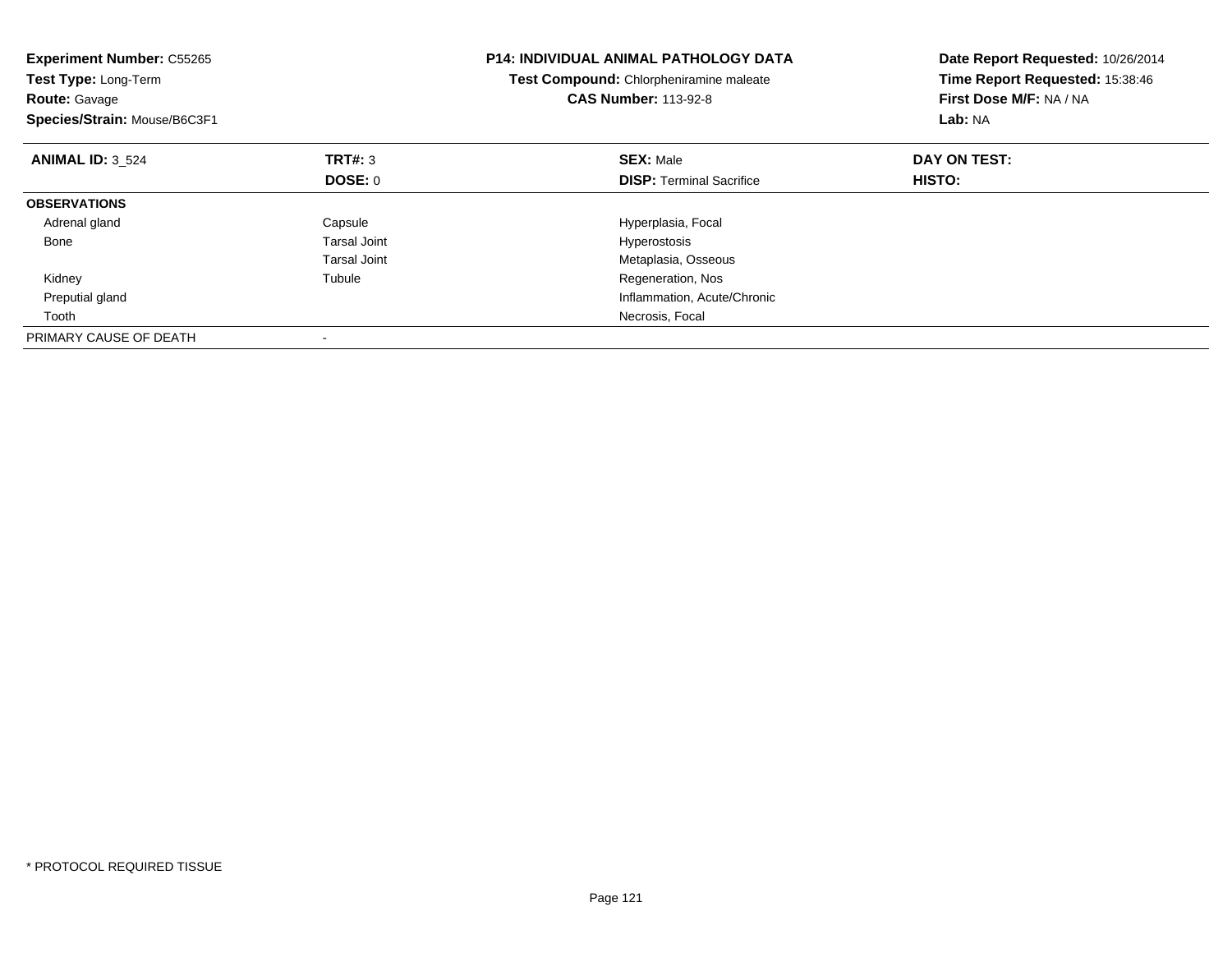| <b>Experiment Number: C55265</b><br>Test Type: Long-Term<br><b>Route: Gavage</b><br>Species/Strain: Mouse/B6C3F1 |                     | <b>P14: INDIVIDUAL ANIMAL PATHOLOGY DATA</b><br>Test Compound: Chlorpheniramine maleate<br><b>CAS Number: 113-92-8</b> | Date Report Requested: 10/26/2014<br>Time Report Requested: 15:38:46<br>First Dose M/F: NA / NA<br>Lab: NA |
|------------------------------------------------------------------------------------------------------------------|---------------------|------------------------------------------------------------------------------------------------------------------------|------------------------------------------------------------------------------------------------------------|
| <b>ANIMAL ID: 3 524</b>                                                                                          | TRT#: 3             | <b>SEX: Male</b>                                                                                                       | DAY ON TEST:                                                                                               |
|                                                                                                                  | <b>DOSE: 0</b>      | <b>DISP:</b> Terminal Sacrifice                                                                                        | <b>HISTO:</b>                                                                                              |
| <b>OBSERVATIONS</b>                                                                                              |                     |                                                                                                                        |                                                                                                            |
| Adrenal gland                                                                                                    | Capsule             | Hyperplasia, Focal                                                                                                     |                                                                                                            |
| Bone                                                                                                             | <b>Tarsal Joint</b> | Hyperostosis                                                                                                           |                                                                                                            |
|                                                                                                                  | Tarsal Joint        | Metaplasia, Osseous                                                                                                    |                                                                                                            |
| Kidney                                                                                                           | Tubule              | Regeneration, Nos                                                                                                      |                                                                                                            |
| Preputial gland                                                                                                  |                     | Inflammation, Acute/Chronic                                                                                            |                                                                                                            |
| Tooth                                                                                                            |                     | Necrosis, Focal                                                                                                        |                                                                                                            |
| PRIMARY CAUSE OF DEATH                                                                                           |                     |                                                                                                                        |                                                                                                            |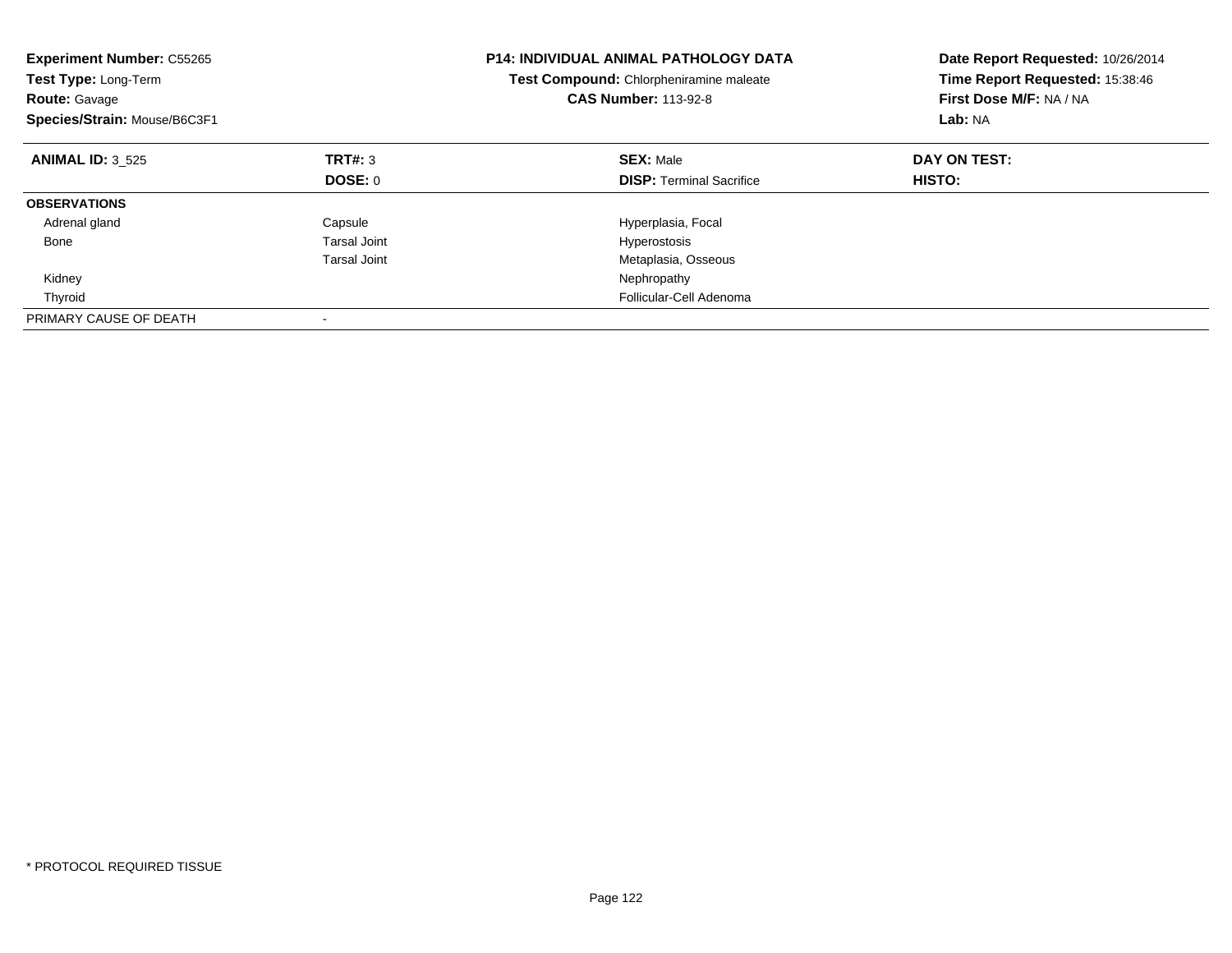| <b>Experiment Number: C55265</b><br><b>Test Type: Long-Term</b><br><b>Route: Gavage</b><br>Species/Strain: Mouse/B6C3F1 |                     | <b>P14: INDIVIDUAL ANIMAL PATHOLOGY DATA</b><br>Test Compound: Chlorpheniramine maleate<br><b>CAS Number: 113-92-8</b> | Date Report Requested: 10/26/2014<br>Time Report Requested: 15:38:46<br>First Dose M/F: NA / NA<br>Lab: NA |
|-------------------------------------------------------------------------------------------------------------------------|---------------------|------------------------------------------------------------------------------------------------------------------------|------------------------------------------------------------------------------------------------------------|
| <b>ANIMAL ID: 3 525</b>                                                                                                 | TRT#: 3             | <b>SEX: Male</b>                                                                                                       | DAY ON TEST:                                                                                               |
|                                                                                                                         | DOSE: 0             | <b>DISP:</b> Terminal Sacrifice                                                                                        | <b>HISTO:</b>                                                                                              |
| <b>OBSERVATIONS</b>                                                                                                     |                     |                                                                                                                        |                                                                                                            |
| Adrenal gland                                                                                                           | Capsule             | Hyperplasia, Focal                                                                                                     |                                                                                                            |
| Bone                                                                                                                    | <b>Tarsal Joint</b> | Hyperostosis                                                                                                           |                                                                                                            |
|                                                                                                                         | <b>Tarsal Joint</b> | Metaplasia, Osseous                                                                                                    |                                                                                                            |
| Kidney                                                                                                                  |                     | Nephropathy                                                                                                            |                                                                                                            |
| Thyroid                                                                                                                 |                     | Follicular-Cell Adenoma                                                                                                |                                                                                                            |
| PRIMARY CAUSE OF DEATH                                                                                                  |                     |                                                                                                                        |                                                                                                            |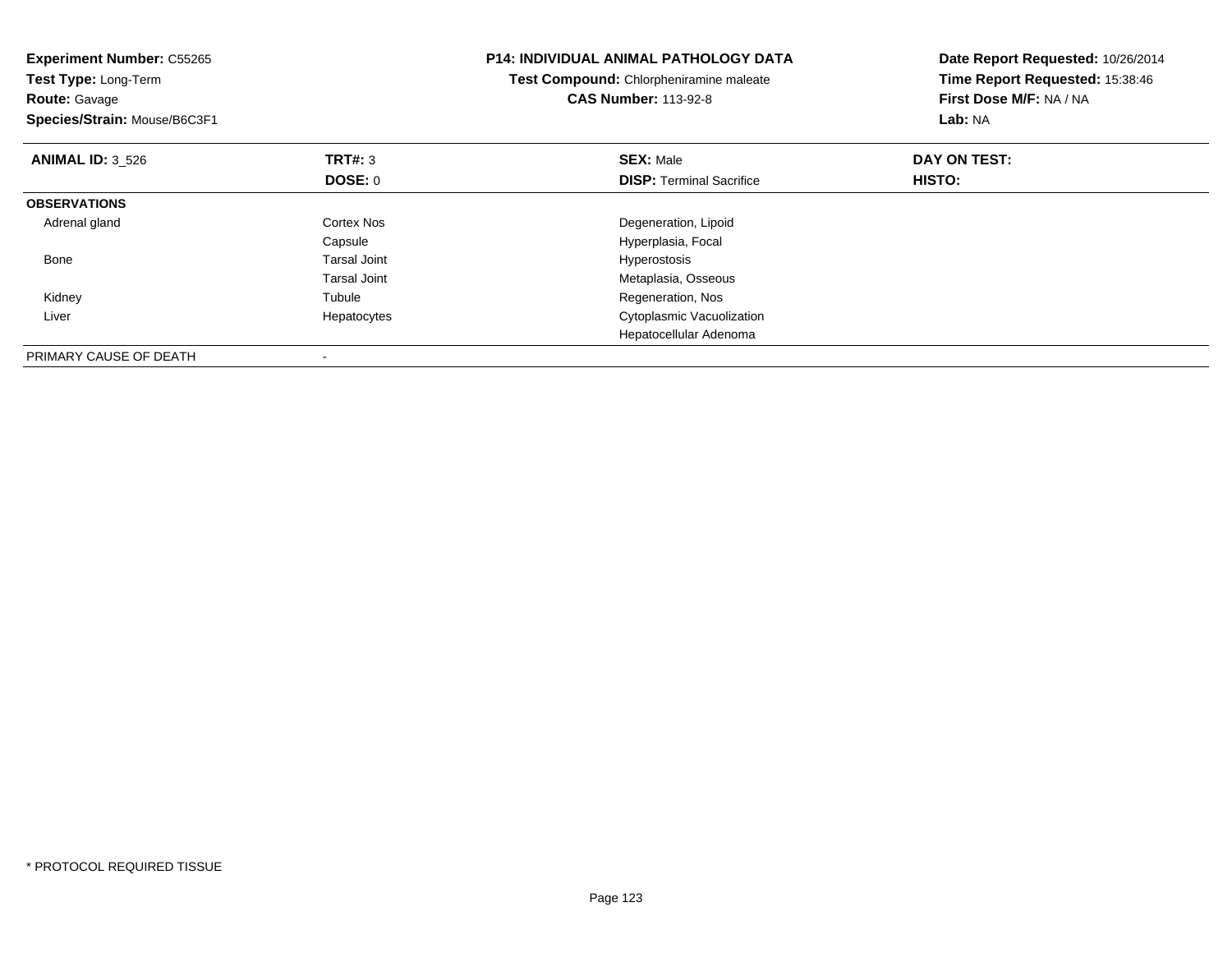| <b>Experiment Number: C55265</b><br>Test Type: Long-Term<br><b>Route: Gavage</b><br>Species/Strain: Mouse/B6C3F1 |                     | <b>P14: INDIVIDUAL ANIMAL PATHOLOGY DATA</b><br>Test Compound: Chlorpheniramine maleate<br><b>CAS Number: 113-92-8</b> | Date Report Requested: 10/26/2014<br>Time Report Requested: 15:38:46<br>First Dose M/F: NA / NA<br>Lab: NA |
|------------------------------------------------------------------------------------------------------------------|---------------------|------------------------------------------------------------------------------------------------------------------------|------------------------------------------------------------------------------------------------------------|
| <b>ANIMAL ID: 3 526</b>                                                                                          | TRT#: 3             | <b>SEX: Male</b>                                                                                                       | DAY ON TEST:                                                                                               |
|                                                                                                                  | DOSE: 0             | <b>DISP:</b> Terminal Sacrifice                                                                                        | HISTO:                                                                                                     |
| <b>OBSERVATIONS</b>                                                                                              |                     |                                                                                                                        |                                                                                                            |
| Adrenal gland                                                                                                    | <b>Cortex Nos</b>   | Degeneration, Lipoid                                                                                                   |                                                                                                            |
|                                                                                                                  | Capsule             | Hyperplasia, Focal                                                                                                     |                                                                                                            |
| Bone                                                                                                             | <b>Tarsal Joint</b> | Hyperostosis                                                                                                           |                                                                                                            |
|                                                                                                                  | <b>Tarsal Joint</b> | Metaplasia, Osseous                                                                                                    |                                                                                                            |
| Kidney                                                                                                           | Tubule              | Regeneration, Nos                                                                                                      |                                                                                                            |
| Liver                                                                                                            | Hepatocytes         | Cytoplasmic Vacuolization                                                                                              |                                                                                                            |
|                                                                                                                  |                     | Hepatocellular Adenoma                                                                                                 |                                                                                                            |
| PRIMARY CAUSE OF DEATH                                                                                           |                     |                                                                                                                        |                                                                                                            |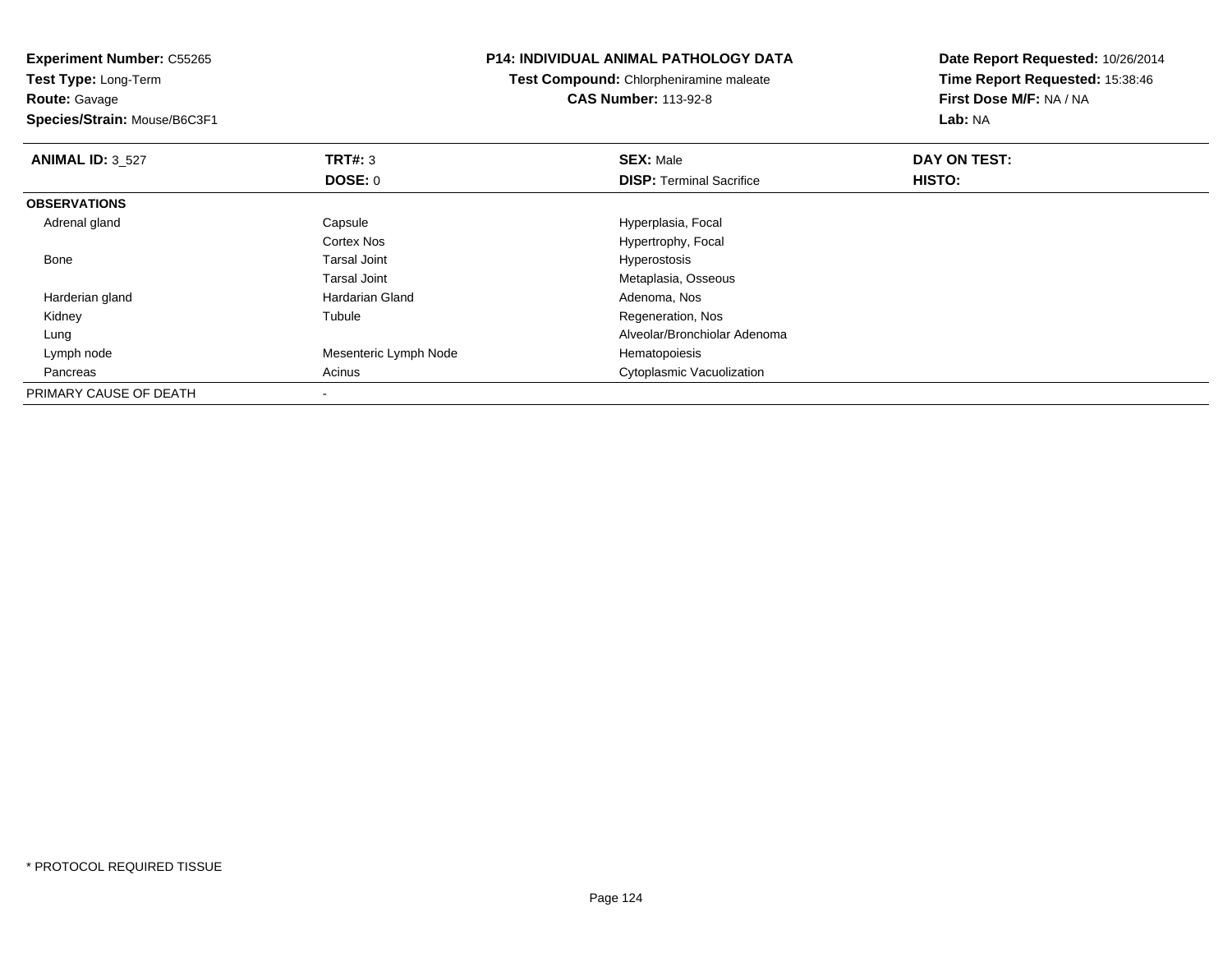**Experiment Number:** C55265**Test Type:** Long-Term**Route:** Gavage **Species/Strain:** Mouse/B6C3F1**P14: INDIVIDUAL ANIMAL PATHOLOGY DATATest Compound:** Chlorpheniramine maleate**CAS Number:** 113-92-8**Date Report Requested:** 10/26/2014**Time Report Requested:** 15:38:46**First Dose M/F:** NA / NA**Lab:** NA**ANIMAL ID:** 3\_527 **TRT#:** <sup>3</sup> **SEX:** Male **DAY ON TEST: DOSE:** 0**DISP:** Terminal Sacrifice **HISTO: OBSERVATIONS** Adrenal glandCapsule **Capsule Hyperplasia**, Focal Cortex Nos Hypertrophy, Focal Bone Tarsal Joint Hyperostosis Tarsal Joint Metaplasia, Osseous Harderian glandHardarian Gland **Adenoma**, Nos Kidney Tubule Regeneration, Nos Lung Alveolar/Bronchiolar Adenoma Lymph nodeMesenteric Lymph Node PancreasAcinus **Cytoplasmic Vacuolization** PRIMARY CAUSE OF DEATH-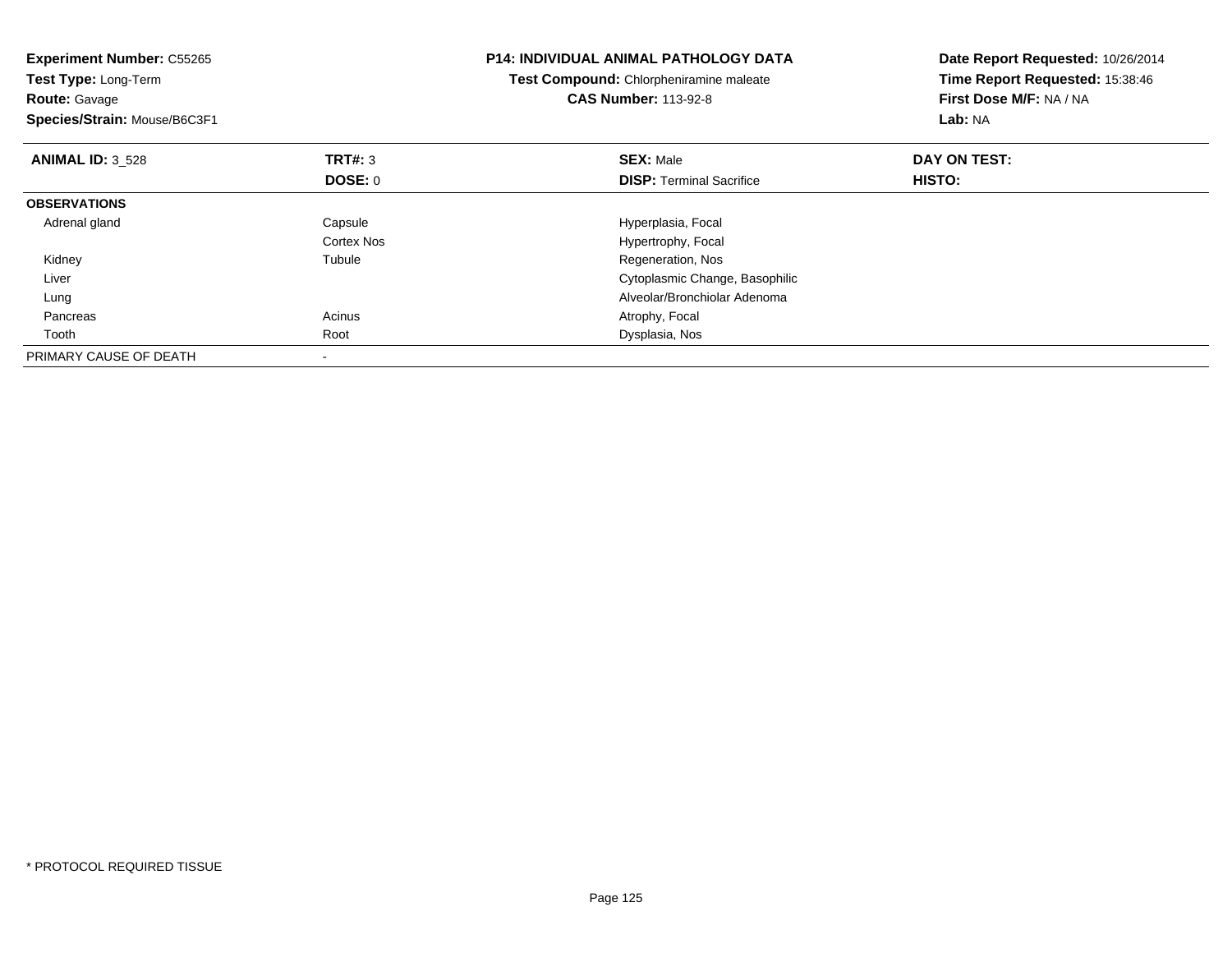| <b>P14: INDIVIDUAL ANIMAL PATHOLOGY DATA</b><br><b>Experiment Number: C55265</b><br>Test Compound: Chlorpheniramine maleate<br>Test Type: Long-Term<br><b>CAS Number: 113-92-8</b><br><b>Route: Gavage</b><br>Species/Strain: Mouse/B6C3F1 |                           | Date Report Requested: 10/26/2014<br>Time Report Requested: 15:38:46<br>First Dose M/F: NA / NA<br>Lab: NA |                        |
|--------------------------------------------------------------------------------------------------------------------------------------------------------------------------------------------------------------------------------------------|---------------------------|------------------------------------------------------------------------------------------------------------|------------------------|
| <b>ANIMAL ID: 3 528</b>                                                                                                                                                                                                                    | TRT#: 3<br><b>DOSE: 0</b> | <b>SEX: Male</b><br><b>DISP:</b> Terminal Sacrifice                                                        | DAY ON TEST:<br>HISTO: |
| <b>OBSERVATIONS</b>                                                                                                                                                                                                                        |                           |                                                                                                            |                        |
| Adrenal gland                                                                                                                                                                                                                              | Capsule<br>Cortex Nos     | Hyperplasia, Focal<br>Hypertrophy, Focal                                                                   |                        |
| Kidney                                                                                                                                                                                                                                     | Tubule                    | Regeneration, Nos                                                                                          |                        |
| Liver                                                                                                                                                                                                                                      |                           | Cytoplasmic Change, Basophilic                                                                             |                        |
| Lung                                                                                                                                                                                                                                       |                           | Alveolar/Bronchiolar Adenoma                                                                               |                        |
| Pancreas                                                                                                                                                                                                                                   | Acinus                    | Atrophy, Focal                                                                                             |                        |
| Tooth                                                                                                                                                                                                                                      | Root                      | Dysplasia, Nos                                                                                             |                        |
| PRIMARY CAUSE OF DEATH                                                                                                                                                                                                                     | $\,$                      |                                                                                                            |                        |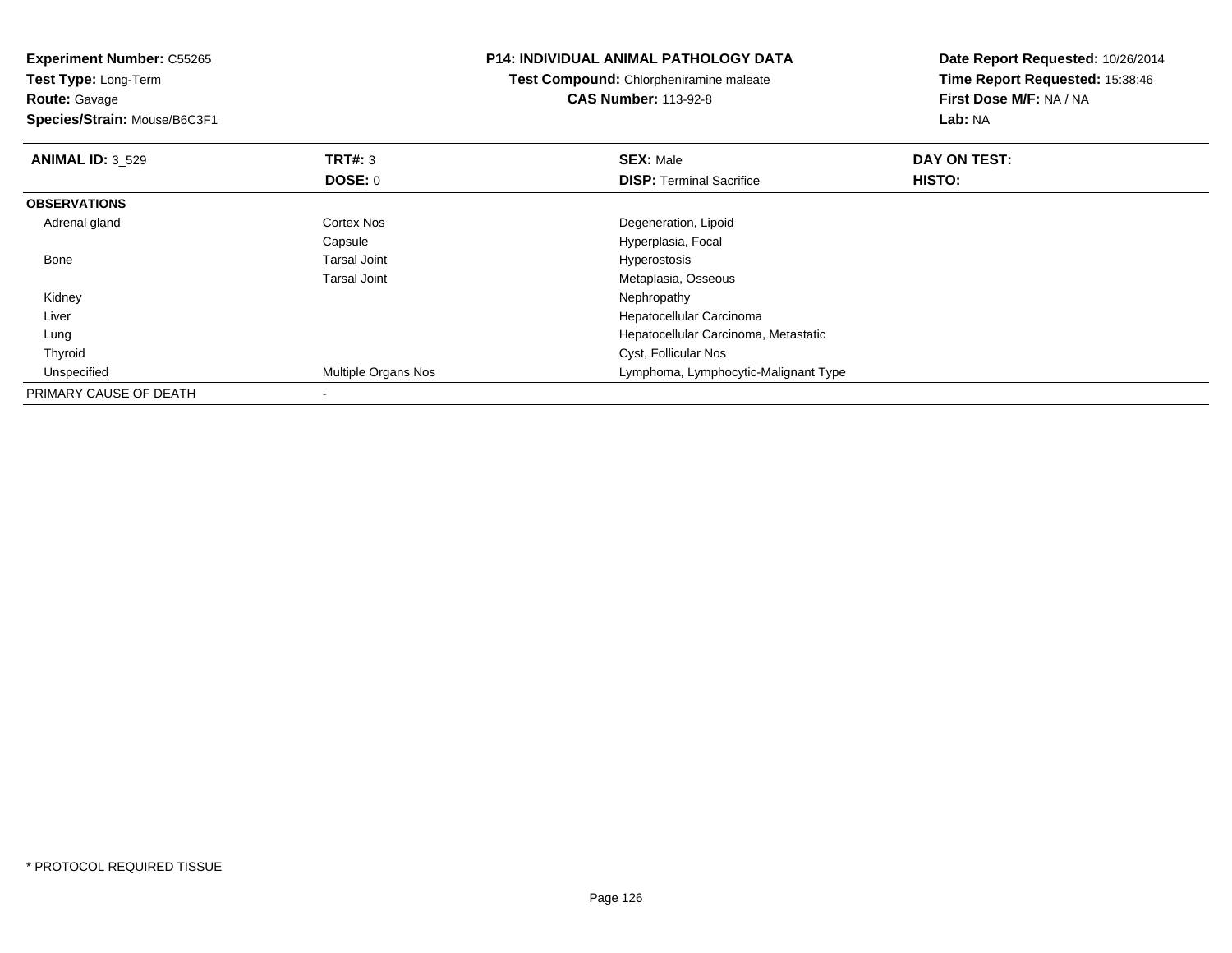| <b>Experiment Number: C55265</b><br>Test Type: Long-Term |                     | <b>P14: INDIVIDUAL ANIMAL PATHOLOGY DATA</b>   | Date Report Requested: 10/26/2014 |
|----------------------------------------------------------|---------------------|------------------------------------------------|-----------------------------------|
|                                                          |                     | <b>Test Compound:</b> Chlorpheniramine maleate | Time Report Requested: 15:38:46   |
| <b>Route: Gavage</b>                                     |                     | <b>CAS Number: 113-92-8</b>                    | First Dose M/F: NA / NA           |
| Species/Strain: Mouse/B6C3F1                             |                     |                                                | Lab: NA                           |
| <b>ANIMAL ID: 3 529</b>                                  | <b>TRT#: 3</b>      | <b>SEX: Male</b>                               | DAY ON TEST:                      |
|                                                          | DOSE: 0             | <b>DISP:</b> Terminal Sacrifice                | HISTO:                            |
| <b>OBSERVATIONS</b>                                      |                     |                                                |                                   |
| Adrenal gland                                            | Cortex Nos          | Degeneration, Lipoid                           |                                   |
|                                                          | Capsule             | Hyperplasia, Focal                             |                                   |
| Bone                                                     | <b>Tarsal Joint</b> | Hyperostosis                                   |                                   |
|                                                          | <b>Tarsal Joint</b> | Metaplasia, Osseous                            |                                   |
| Kidney                                                   |                     | Nephropathy                                    |                                   |
| Liver                                                    |                     | Hepatocellular Carcinoma                       |                                   |
| Lung                                                     |                     | Hepatocellular Carcinoma, Metastatic           |                                   |
| Thyroid                                                  |                     | Cyst, Follicular Nos                           |                                   |
| Unspecified                                              | Multiple Organs Nos | Lymphoma, Lymphocytic-Malignant Type           |                                   |
| PRIMARY CAUSE OF DEATH                                   |                     |                                                |                                   |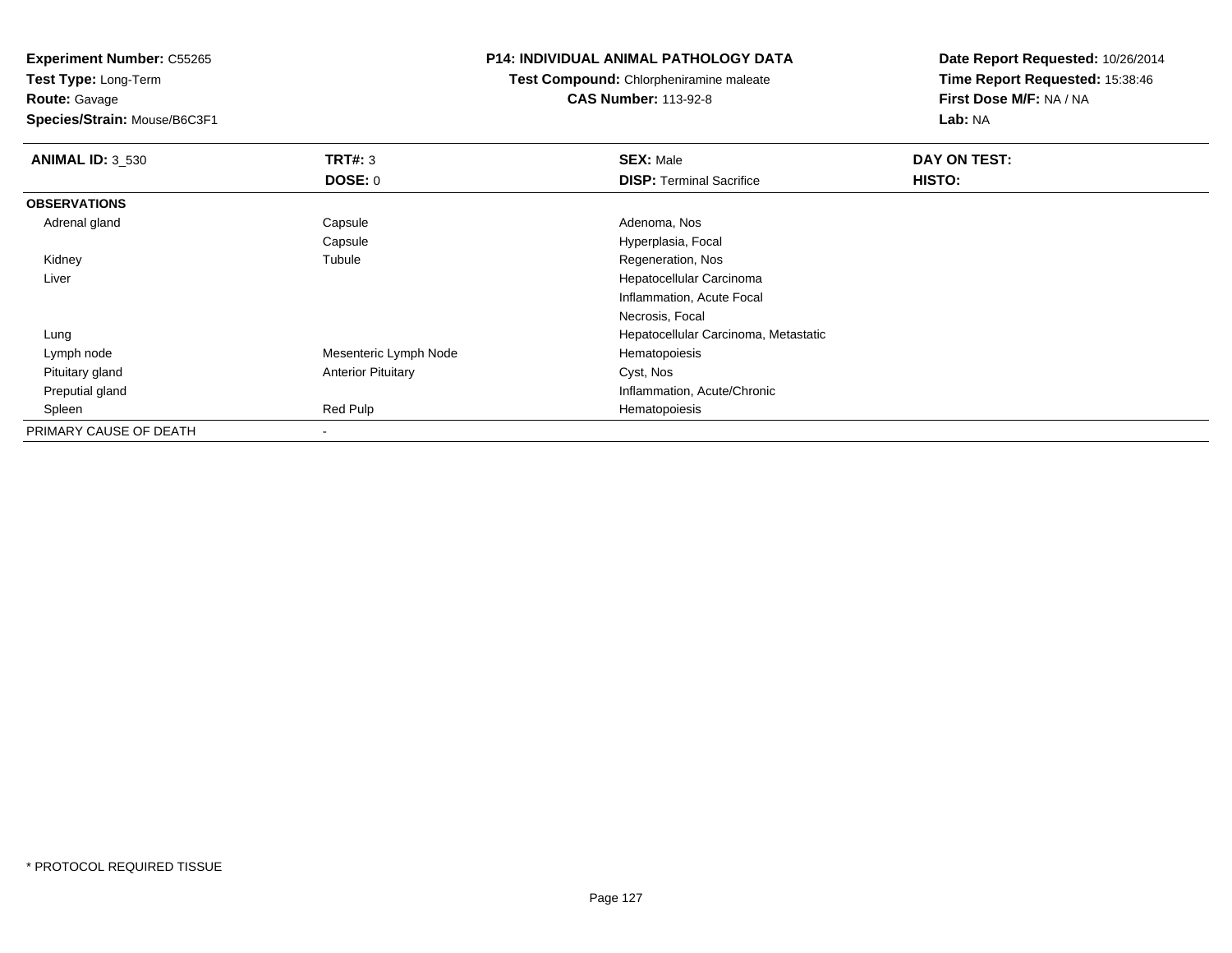**Experiment Number:** C55265

**Test Type:** Long-Term**Route:** Gavage

**Species/Strain:** Mouse/B6C3F1

#### **P14: INDIVIDUAL ANIMAL PATHOLOGY DATA**

**Test Compound:** Chlorpheniramine maleate**CAS Number:** 113-92-8

| <b>ANIMAL ID: 3_530</b> | TRT#: 3                   | <b>SEX: Male</b>                     | DAY ON TEST: |  |
|-------------------------|---------------------------|--------------------------------------|--------------|--|
|                         | DOSE: 0                   | <b>DISP: Terminal Sacrifice</b>      | HISTO:       |  |
| <b>OBSERVATIONS</b>     |                           |                                      |              |  |
| Adrenal gland           | Capsule                   | Adenoma, Nos                         |              |  |
|                         | Capsule                   | Hyperplasia, Focal                   |              |  |
| Kidney                  | Tubule                    | Regeneration, Nos                    |              |  |
| Liver                   |                           | Hepatocellular Carcinoma             |              |  |
|                         |                           | Inflammation, Acute Focal            |              |  |
|                         |                           | Necrosis, Focal                      |              |  |
| Lung                    |                           | Hepatocellular Carcinoma, Metastatic |              |  |
| Lymph node              | Mesenteric Lymph Node     | Hematopoiesis                        |              |  |
| Pituitary gland         | <b>Anterior Pituitary</b> | Cyst, Nos                            |              |  |
| Preputial gland         |                           | Inflammation, Acute/Chronic          |              |  |
| Spleen                  | Red Pulp                  | Hematopoiesis                        |              |  |
| PRIMARY CAUSE OF DEATH  |                           |                                      |              |  |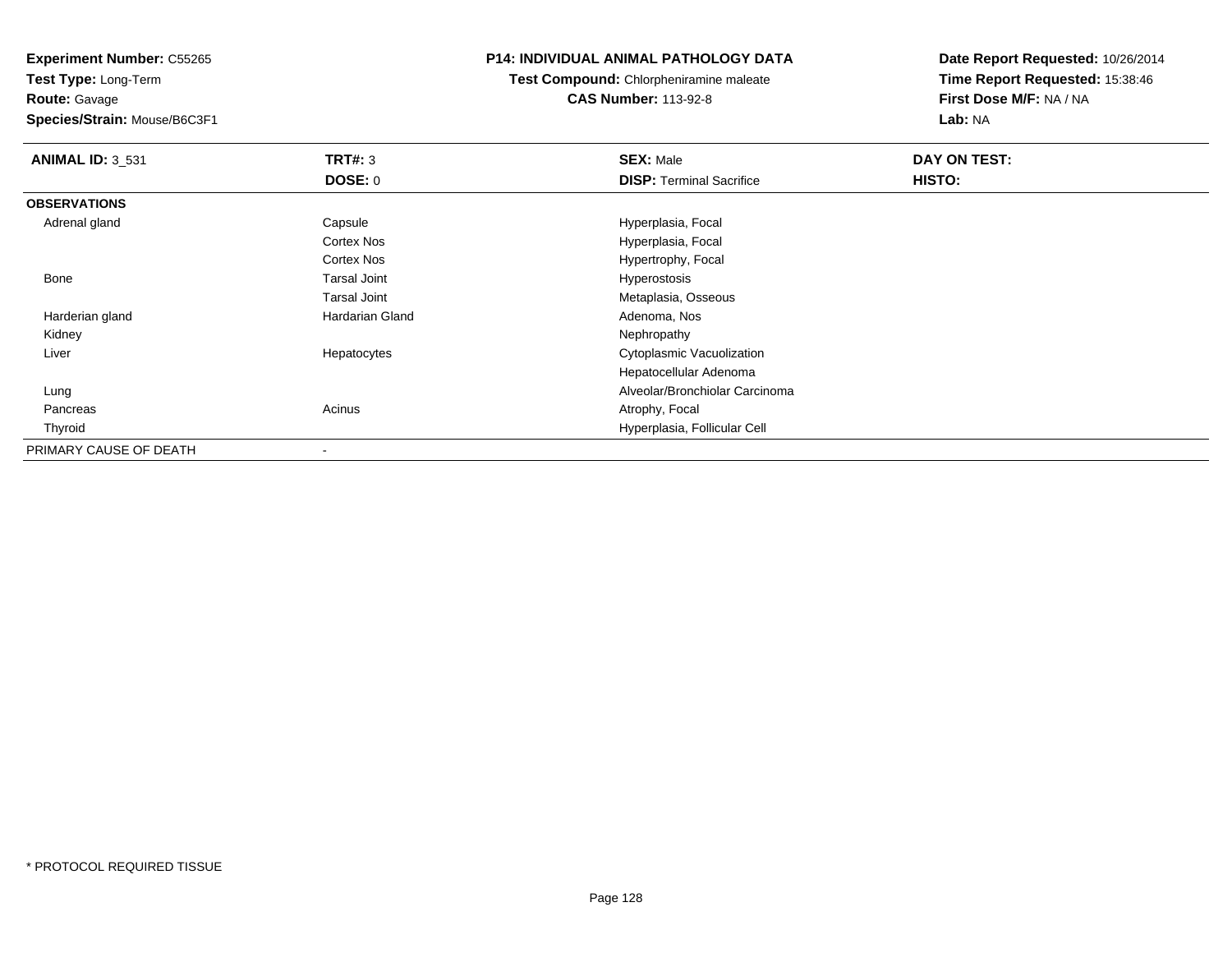**Experiment Number:** C55265

**Test Type:** Long-Term**Route:** Gavage

**Species/Strain:** Mouse/B6C3F1

# **P14: INDIVIDUAL ANIMAL PATHOLOGY DATA**

**Test Compound:** Chlorpheniramine maleate**CAS Number:** 113-92-8

| <b>ANIMAL ID: 3_531</b> | TRT#: 3             | <b>SEX: Male</b>                | DAY ON TEST: |  |
|-------------------------|---------------------|---------------------------------|--------------|--|
|                         | DOSE: 0             | <b>DISP: Terminal Sacrifice</b> | HISTO:       |  |
| <b>OBSERVATIONS</b>     |                     |                                 |              |  |
| Adrenal gland           | Capsule             | Hyperplasia, Focal              |              |  |
|                         | <b>Cortex Nos</b>   | Hyperplasia, Focal              |              |  |
|                         | <b>Cortex Nos</b>   | Hypertrophy, Focal              |              |  |
| Bone                    | <b>Tarsal Joint</b> | Hyperostosis                    |              |  |
|                         | <b>Tarsal Joint</b> | Metaplasia, Osseous             |              |  |
| Harderian gland         | Hardarian Gland     | Adenoma, Nos                    |              |  |
| Kidney                  |                     | Nephropathy                     |              |  |
| Liver                   | Hepatocytes         | Cytoplasmic Vacuolization       |              |  |
|                         |                     | Hepatocellular Adenoma          |              |  |
| Lung                    |                     | Alveolar/Bronchiolar Carcinoma  |              |  |
| Pancreas                | Acinus              | Atrophy, Focal                  |              |  |
| Thyroid                 |                     | Hyperplasia, Follicular Cell    |              |  |
| PRIMARY CAUSE OF DEATH  |                     |                                 |              |  |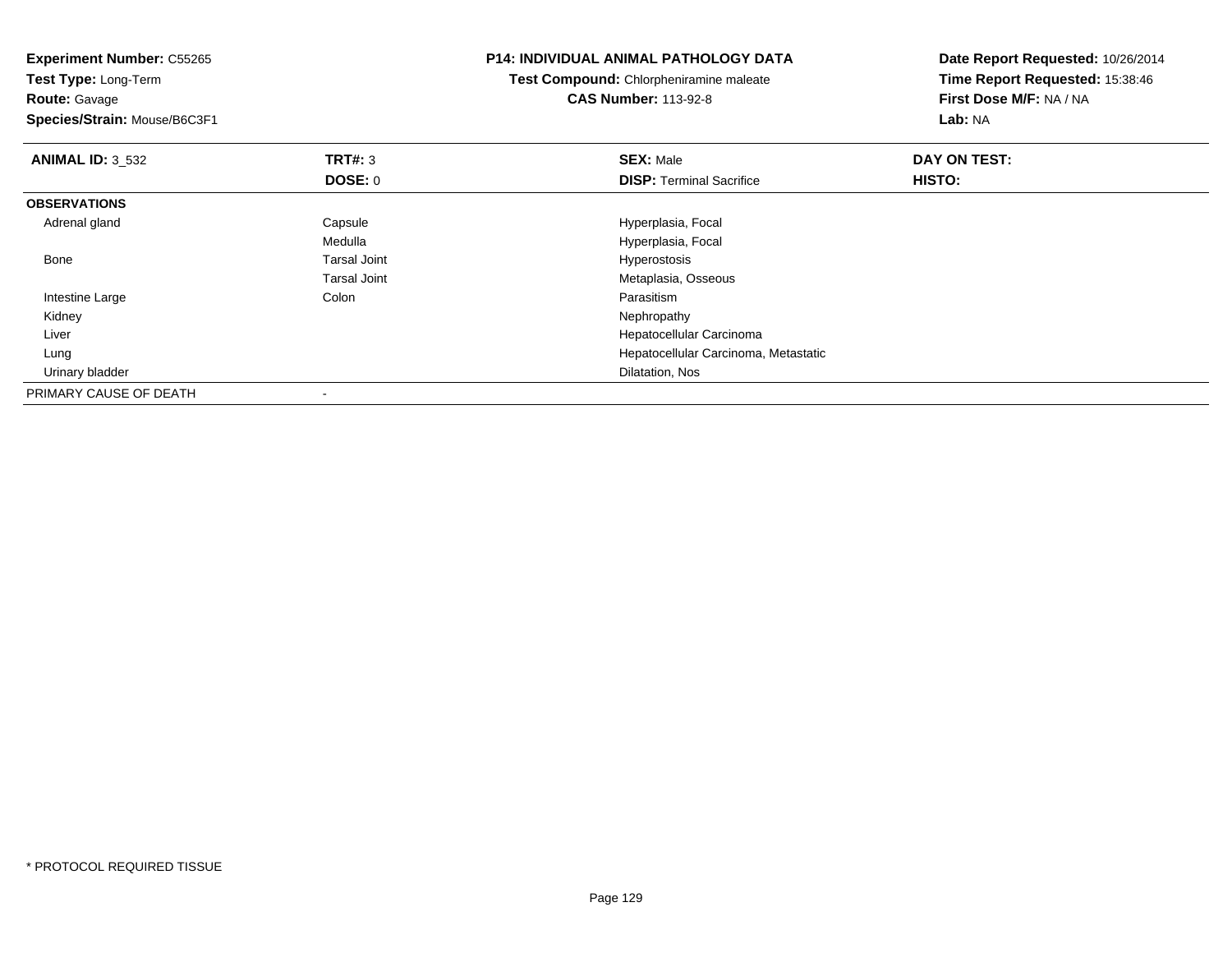**Experiment Number:** C55265**Test Type:** Long-Term**Route:** Gavage **Species/Strain:** Mouse/B6C3F1**P14: INDIVIDUAL ANIMAL PATHOLOGY DATATest Compound:** Chlorpheniramine maleate**CAS Number:** 113-92-8**Date Report Requested:** 10/26/2014**Time Report Requested:** 15:38:46**First Dose M/F:** NA / NA**Lab:** NA**ANIMAL ID:** 3\_532 **TRT#:** <sup>3</sup> **SEX:** Male **DAY ON TEST: DOSE:** 0**DISP:** Terminal Sacrifice **HISTO: OBSERVATIONS** Adrenal glandCapsule **Capsule Hyperplasia**, Focal MedullaMedulla Medulla (and the second terms of the Hyperplasia, Focal Tarsal Joint Medulla and terms of the Second Hyperostosis Bone Tarsal Joint Hyperostosis Tarsal Joint Metaplasia, Osseous Intestine Largee and the Colon Colon Colon Colon and the Parasitism Nephropathy Kidneyy the control of the control of the control of the control of the control of the control of the control of the control of the control of the control of the control of the control of the control of the control of the contro Liver Hepatocellular Carcinoma Hepatocellular Carcinoma, Metastatic Lung Urinary bladder Dilatation, NosPRIMARY CAUSE OF DEATH-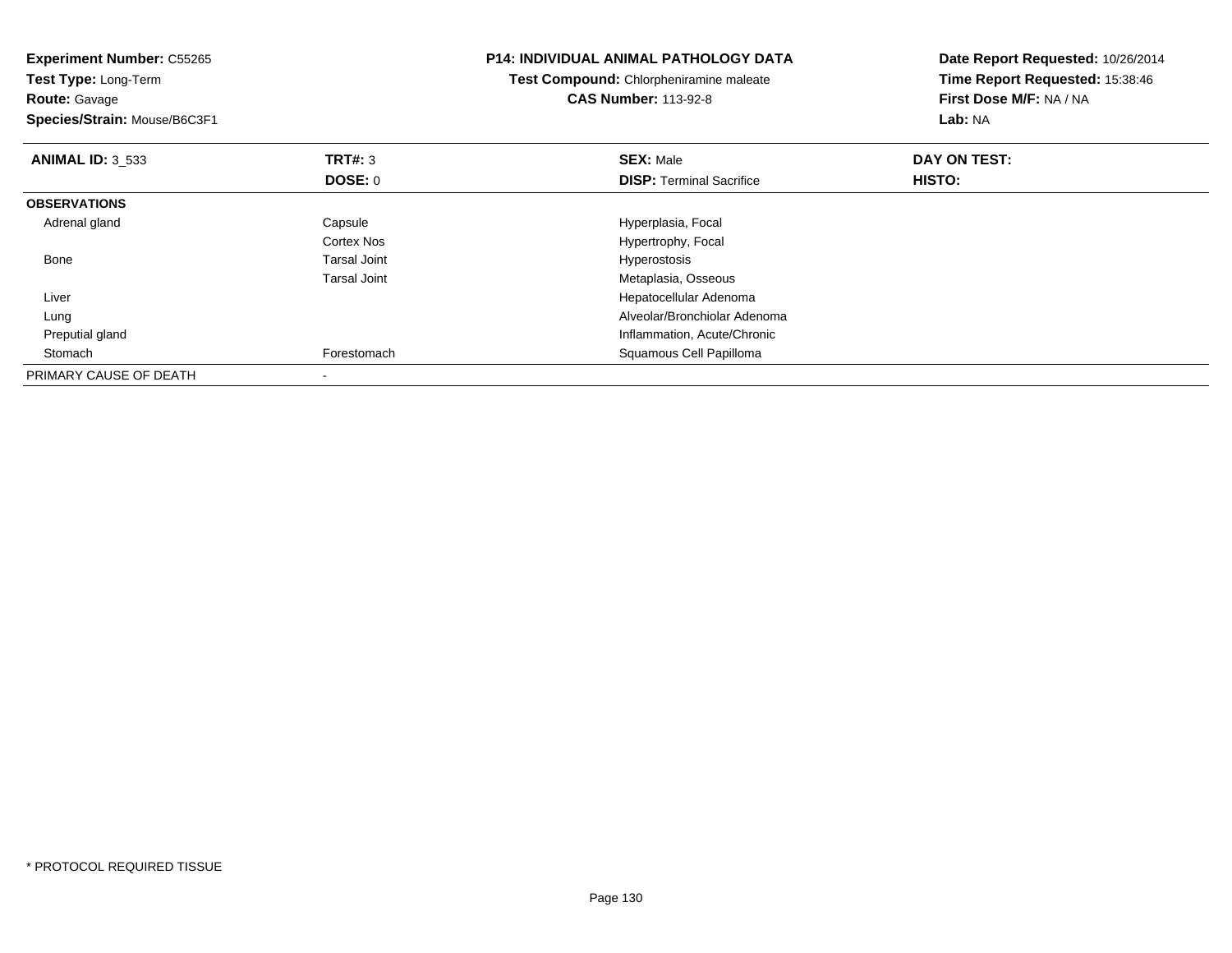| <b>Experiment Number: C55265</b><br>Test Type: Long-Term<br>Test Compound: Chlorpheniramine maleate<br><b>CAS Number: 113-92-8</b><br><b>Route: Gavage</b><br>Species/Strain: Mouse/B6C3F1 |                     | <b>P14: INDIVIDUAL ANIMAL PATHOLOGY DATA</b> | Date Report Requested: 10/26/2014<br>Time Report Requested: 15:38:46<br>First Dose M/F: NA / NA<br>Lab: NA |
|--------------------------------------------------------------------------------------------------------------------------------------------------------------------------------------------|---------------------|----------------------------------------------|------------------------------------------------------------------------------------------------------------|
| <b>ANIMAL ID: 3 533</b>                                                                                                                                                                    | <b>TRT#: 3</b>      | <b>SEX: Male</b>                             | DAY ON TEST:                                                                                               |
|                                                                                                                                                                                            | DOSE: 0             | <b>DISP:</b> Terminal Sacrifice              | <b>HISTO:</b>                                                                                              |
| <b>OBSERVATIONS</b>                                                                                                                                                                        |                     |                                              |                                                                                                            |
| Adrenal gland                                                                                                                                                                              | Capsule             | Hyperplasia, Focal                           |                                                                                                            |
|                                                                                                                                                                                            | <b>Cortex Nos</b>   | Hypertrophy, Focal                           |                                                                                                            |
| Bone                                                                                                                                                                                       | <b>Tarsal Joint</b> | Hyperostosis                                 |                                                                                                            |
|                                                                                                                                                                                            | <b>Tarsal Joint</b> | Metaplasia, Osseous                          |                                                                                                            |
| Liver                                                                                                                                                                                      |                     | Hepatocellular Adenoma                       |                                                                                                            |
| Lung                                                                                                                                                                                       |                     | Alveolar/Bronchiolar Adenoma                 |                                                                                                            |
| Preputial gland                                                                                                                                                                            |                     | Inflammation, Acute/Chronic                  |                                                                                                            |
| Stomach                                                                                                                                                                                    | Forestomach         | Squamous Cell Papilloma                      |                                                                                                            |
| PRIMARY CAUSE OF DEATH                                                                                                                                                                     |                     |                                              |                                                                                                            |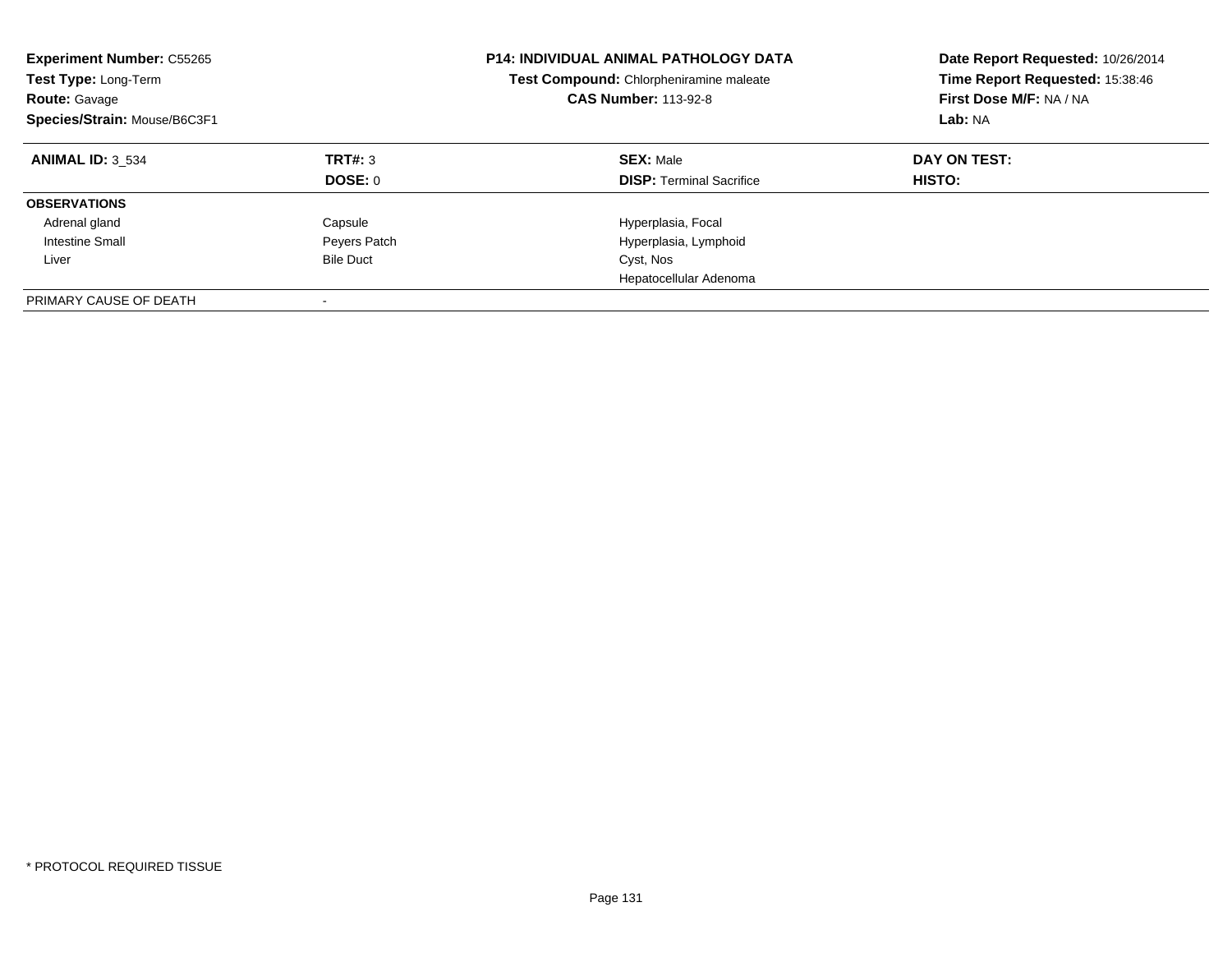| <b>Experiment Number: C55265</b><br>Test Type: Long-Term<br><b>Route: Gavage</b><br>Species/Strain: Mouse/B6C3F1 |                    | <b>P14: INDIVIDUAL ANIMAL PATHOLOGY DATA</b><br>Test Compound: Chlorpheniramine maleate<br><b>CAS Number: 113-92-8</b> |                               |
|------------------------------------------------------------------------------------------------------------------|--------------------|------------------------------------------------------------------------------------------------------------------------|-------------------------------|
| <b>ANIMAL ID: 3 534</b>                                                                                          | TRT#: 3<br>DOSE: 0 | <b>SEX: Male</b><br><b>DISP:</b> Terminal Sacrifice                                                                    | DAY ON TEST:<br><b>HISTO:</b> |
| <b>OBSERVATIONS</b>                                                                                              |                    |                                                                                                                        |                               |
| Adrenal gland                                                                                                    | Capsule            | Hyperplasia, Focal                                                                                                     |                               |
| Intestine Small                                                                                                  |                    |                                                                                                                        |                               |
|                                                                                                                  | Peyers Patch       | Hyperplasia, Lymphoid                                                                                                  |                               |
| Liver                                                                                                            | <b>Bile Duct</b>   | Cyst, Nos                                                                                                              |                               |
|                                                                                                                  |                    | Hepatocellular Adenoma                                                                                                 |                               |
| PRIMARY CAUSE OF DEATH                                                                                           |                    |                                                                                                                        |                               |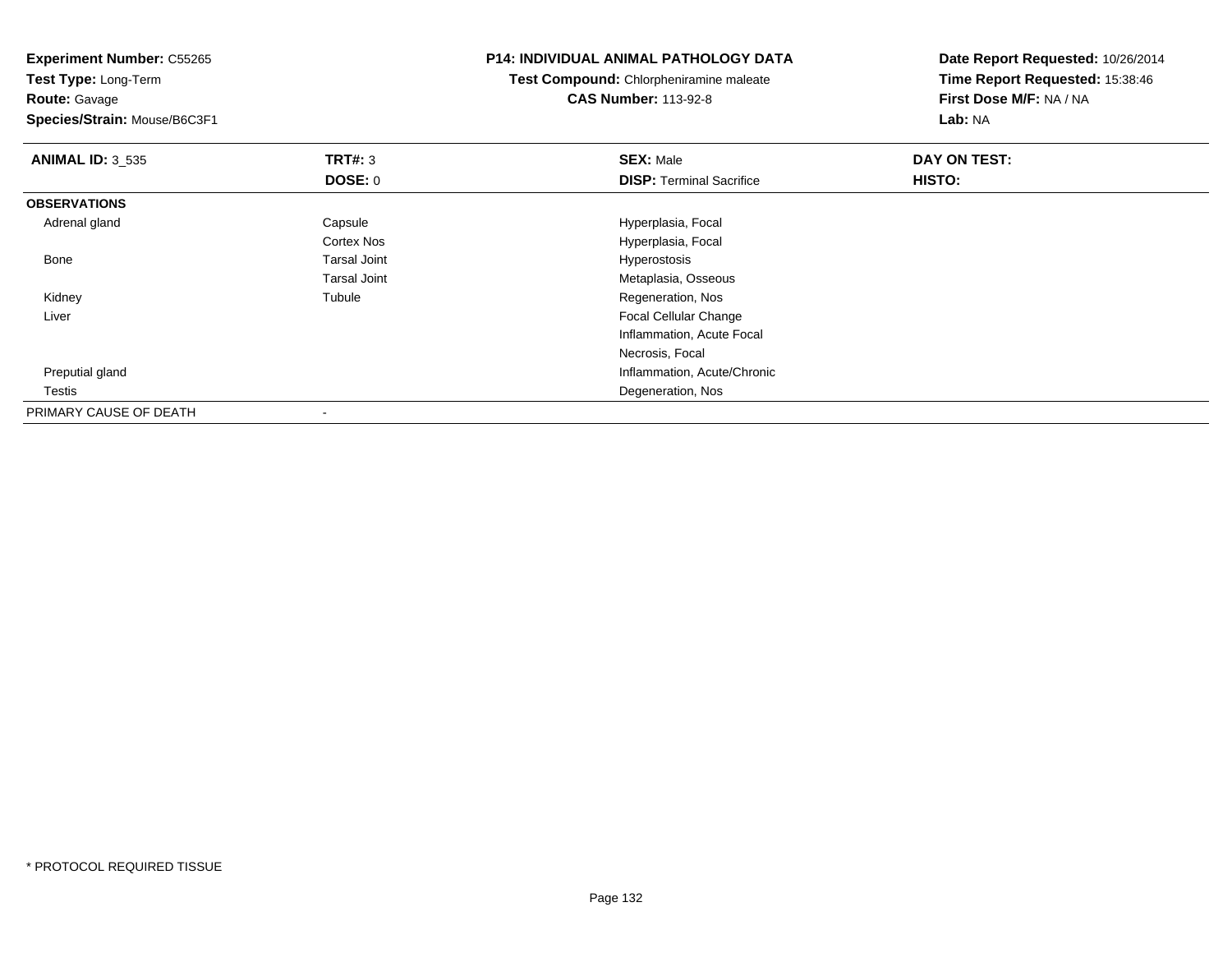**Experiment Number:** C55265**Test Type:** Long-Term**Route:** Gavage **Species/Strain:** Mouse/B6C3F1**P14: INDIVIDUAL ANIMAL PATHOLOGY DATATest Compound:** Chlorpheniramine maleate**CAS Number:** 113-92-8**Date Report Requested:** 10/26/2014**Time Report Requested:** 15:38:46**First Dose M/F:** NA / NA**Lab:** NA**ANIMAL ID:** 3\_535 **TRT#:** <sup>3</sup> **SEX:** Male **DAY ON TEST: DOSE:** 0**DISP:** Terminal Sacrifice **HISTO: OBSERVATIONS** Adrenal glandCapsule **Capsule Hyperplasia**, Focal Cortex Nos Hyperplasia, Focal Bone Tarsal Joint Hyperostosis Tarsal Joint Metaplasia, Osseous Kidneyy the contract of the contract of the contract of the contract of the contract of the contract of the contract of the contract of the contract of the contract of the contract of the contract of the contract of the contract Tubule **Tubule Regeneration, Nos**  Liver Focal Cellular Change Inflammation, Acute FocalNecrosis, Focal Preputial gland Inflammation, Acute/Chronic Testis Degeneration, Nos PRIMARY CAUSE OF DEATH

-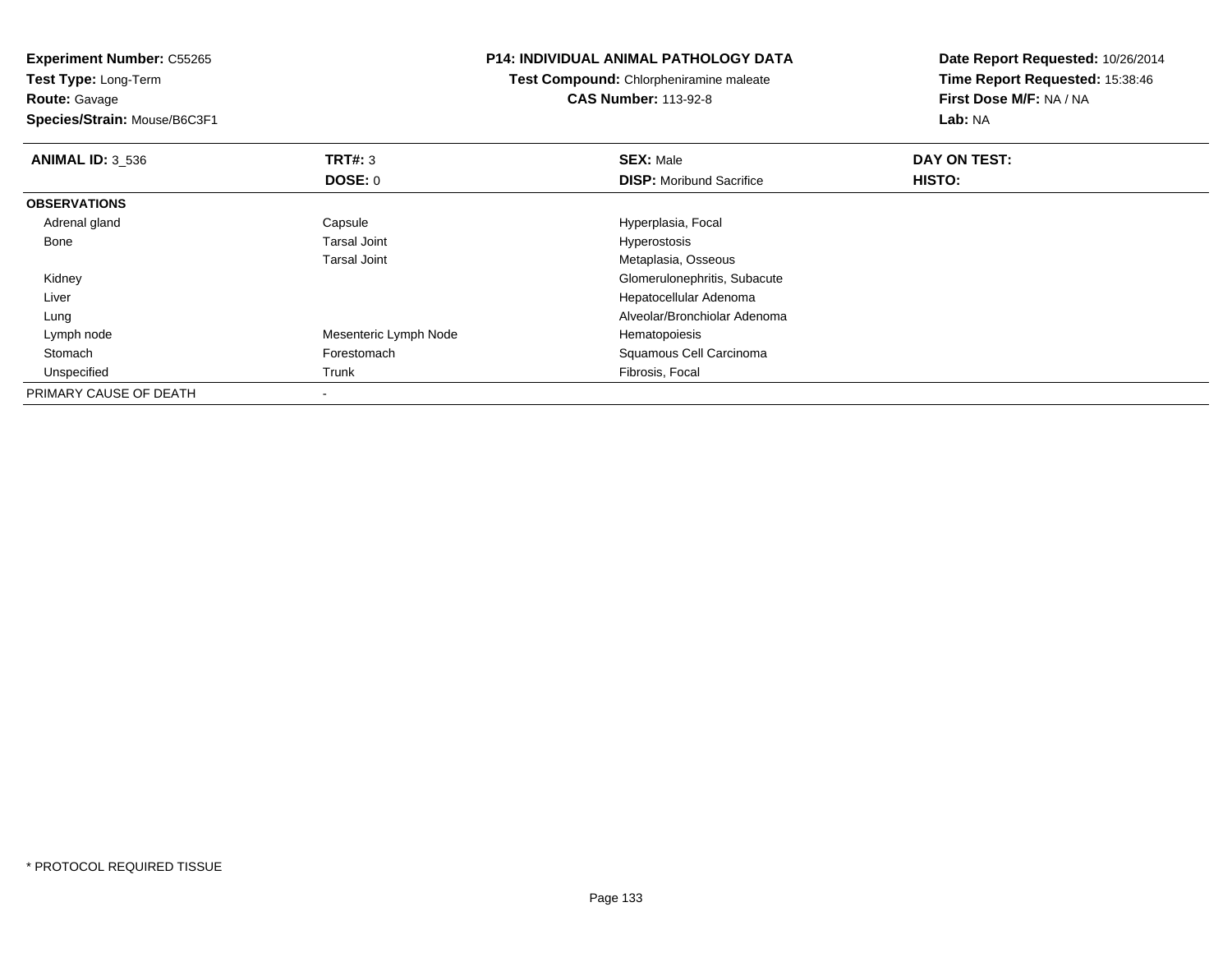**Route:** Gavage

**Species/Strain:** Mouse/B6C3F1

#### **P14: INDIVIDUAL ANIMAL PATHOLOGY DATA**

**Test Compound:** Chlorpheniramine maleate**CAS Number:** 113-92-8

| <b>ANIMAL ID: 3 536</b> | TRT#: 3               | <b>SEX: Male</b>                | DAY ON TEST: |  |
|-------------------------|-----------------------|---------------------------------|--------------|--|
|                         | <b>DOSE: 0</b>        | <b>DISP:</b> Moribund Sacrifice | HISTO:       |  |
| <b>OBSERVATIONS</b>     |                       |                                 |              |  |
| Adrenal gland           | Capsule               | Hyperplasia, Focal              |              |  |
| Bone                    | <b>Tarsal Joint</b>   | Hyperostosis                    |              |  |
|                         | <b>Tarsal Joint</b>   | Metaplasia, Osseous             |              |  |
| Kidney                  |                       | Glomerulonephritis, Subacute    |              |  |
| Liver                   |                       | Hepatocellular Adenoma          |              |  |
| Lung                    |                       | Alveolar/Bronchiolar Adenoma    |              |  |
| Lymph node              | Mesenteric Lymph Node | Hematopoiesis                   |              |  |
| Stomach                 | Forestomach           | Squamous Cell Carcinoma         |              |  |
| Unspecified             | Trunk                 | Fibrosis, Focal                 |              |  |
| PRIMARY CAUSE OF DEATH  |                       |                                 |              |  |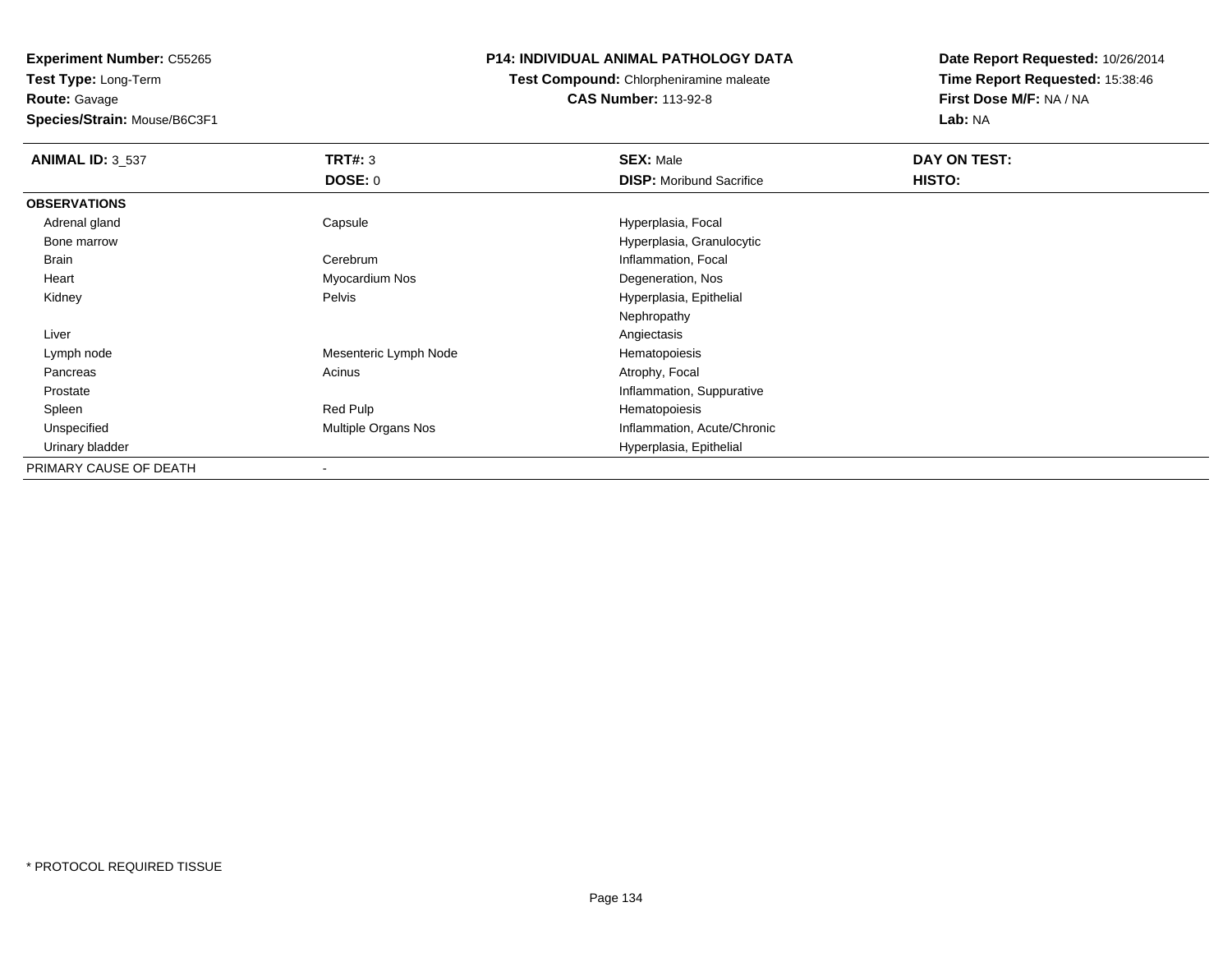**Route:** Gavage

**Species/Strain:** Mouse/B6C3F1

# **P14: INDIVIDUAL ANIMAL PATHOLOGY DATA**

**Test Compound:** Chlorpheniramine maleate**CAS Number:** 113-92-8

| <b>ANIMAL ID: 3_537</b> | TRT#: 3               | <b>SEX: Male</b>                | DAY ON TEST: |  |
|-------------------------|-----------------------|---------------------------------|--------------|--|
|                         | <b>DOSE: 0</b>        | <b>DISP:</b> Moribund Sacrifice | HISTO:       |  |
| <b>OBSERVATIONS</b>     |                       |                                 |              |  |
| Adrenal gland           | Capsule               | Hyperplasia, Focal              |              |  |
| Bone marrow             |                       | Hyperplasia, Granulocytic       |              |  |
| <b>Brain</b>            | Cerebrum              | Inflammation, Focal             |              |  |
| Heart                   | Myocardium Nos        | Degeneration, Nos               |              |  |
| Kidney                  | Pelvis                | Hyperplasia, Epithelial         |              |  |
|                         |                       | Nephropathy                     |              |  |
| Liver                   |                       | Angiectasis                     |              |  |
| Lymph node              | Mesenteric Lymph Node | Hematopoiesis                   |              |  |
| Pancreas                | Acinus                | Atrophy, Focal                  |              |  |
| Prostate                |                       | Inflammation, Suppurative       |              |  |
| Spleen                  | Red Pulp              | Hematopoiesis                   |              |  |
| Unspecified             | Multiple Organs Nos   | Inflammation, Acute/Chronic     |              |  |
| Urinary bladder         |                       | Hyperplasia, Epithelial         |              |  |
| PRIMARY CAUSE OF DEATH  |                       |                                 |              |  |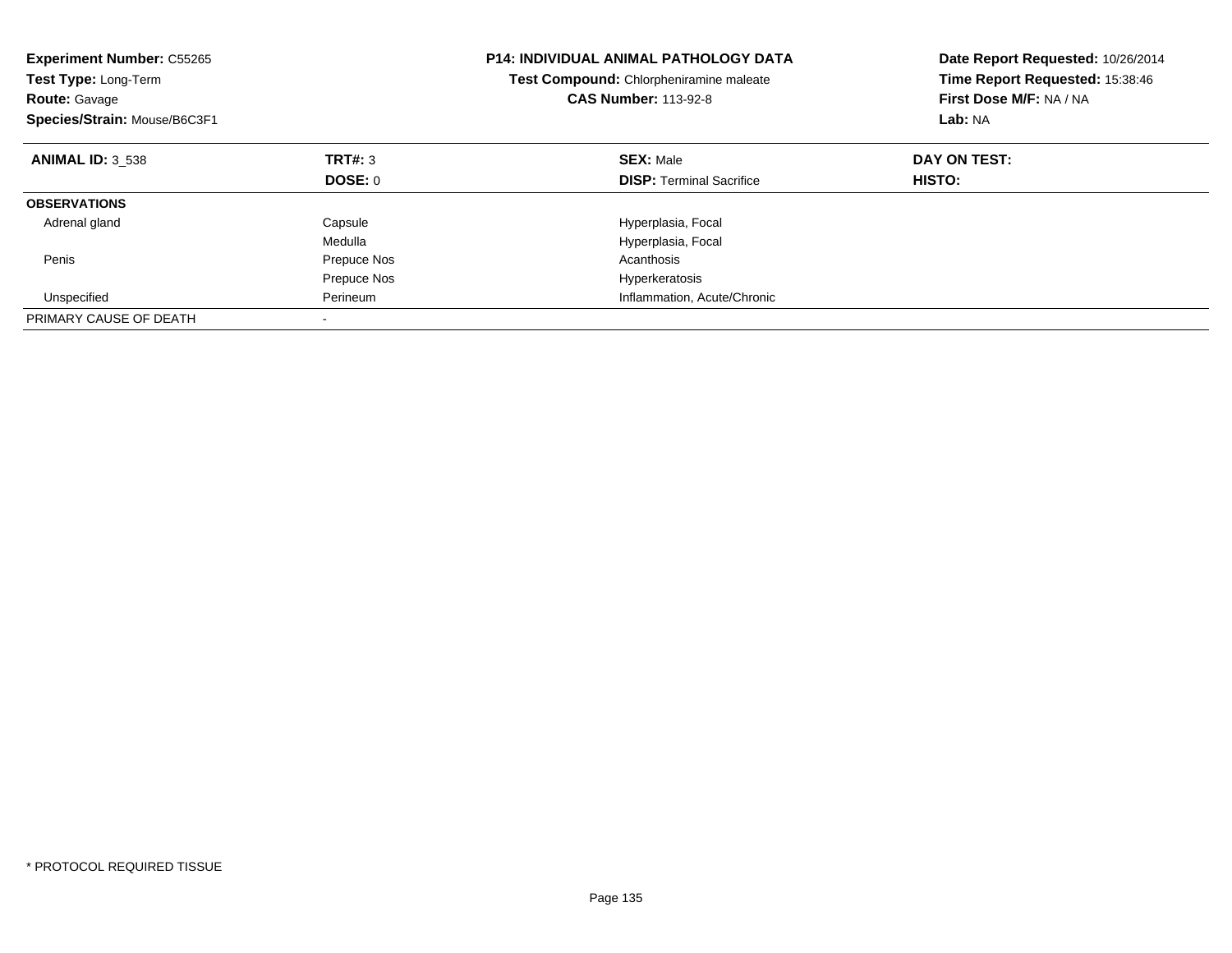| <b>Experiment Number: C55265</b><br><b>Test Type: Long-Term</b><br><b>Route: Gavage</b><br>Species/Strain: Mouse/B6C3F1 |             | <b>P14: INDIVIDUAL ANIMAL PATHOLOGY DATA</b><br><b>Test Compound: Chlorpheniramine maleate</b><br><b>CAS Number: 113-92-8</b> | Date Report Requested: 10/26/2014<br>Time Report Requested: 15:38:46<br>First Dose M/F: NA / NA<br>Lab: NA |
|-------------------------------------------------------------------------------------------------------------------------|-------------|-------------------------------------------------------------------------------------------------------------------------------|------------------------------------------------------------------------------------------------------------|
| <b>ANIMAL ID: 3 538</b>                                                                                                 | TRT#: 3     | <b>SEX: Male</b>                                                                                                              | DAY ON TEST:                                                                                               |
|                                                                                                                         | DOSE: 0     | <b>DISP:</b> Terminal Sacrifice                                                                                               | HISTO:                                                                                                     |
| <b>OBSERVATIONS</b>                                                                                                     |             |                                                                                                                               |                                                                                                            |
| Adrenal gland                                                                                                           | Capsule     | Hyperplasia, Focal                                                                                                            |                                                                                                            |
|                                                                                                                         | Medulla     | Hyperplasia, Focal                                                                                                            |                                                                                                            |
| Penis                                                                                                                   | Prepuce Nos | Acanthosis                                                                                                                    |                                                                                                            |
|                                                                                                                         | Prepuce Nos | Hyperkeratosis                                                                                                                |                                                                                                            |
| Unspecified                                                                                                             | Perineum    | Inflammation, Acute/Chronic                                                                                                   |                                                                                                            |
| PRIMARY CAUSE OF DEATH                                                                                                  |             |                                                                                                                               |                                                                                                            |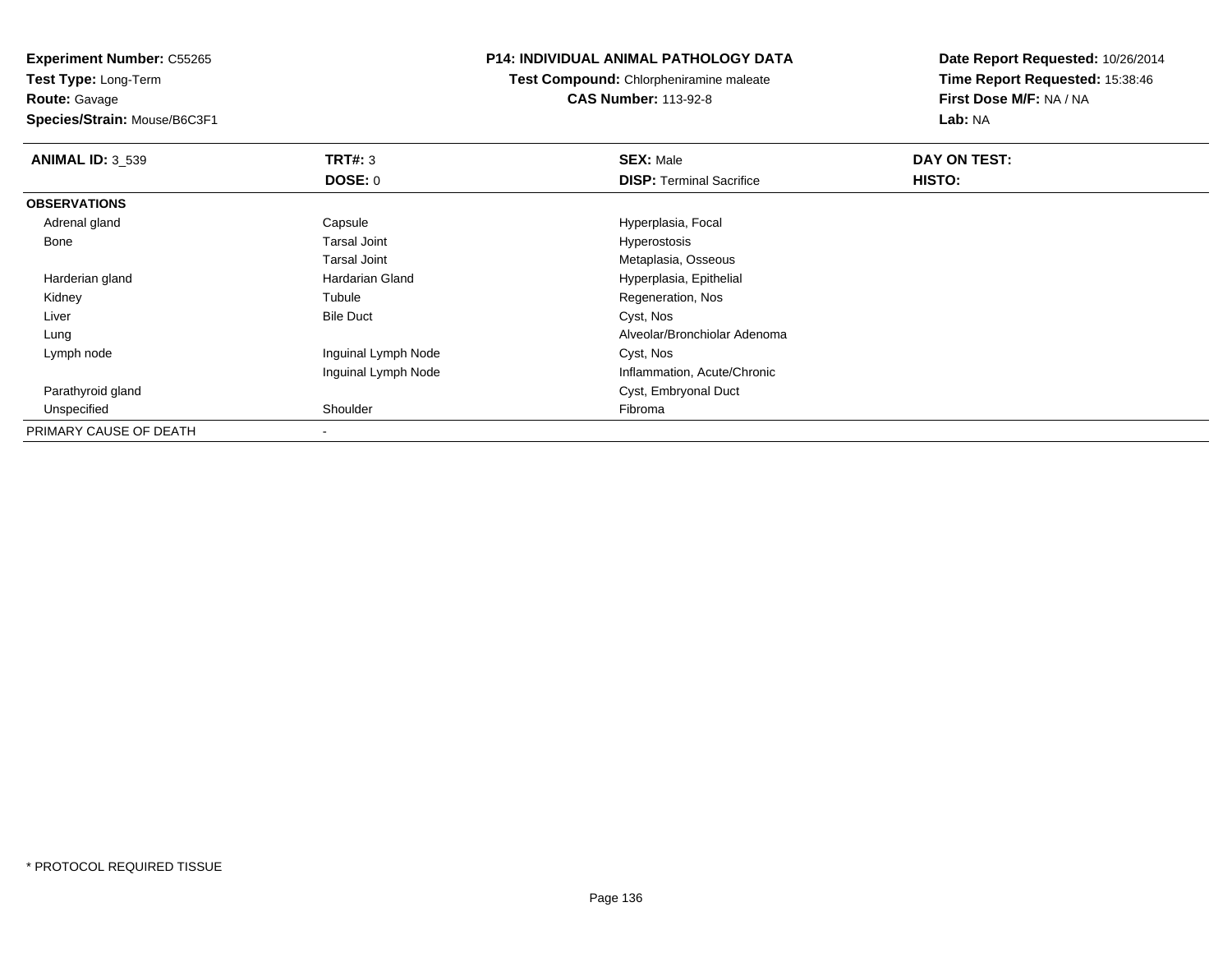**Route:** Gavage

**Species/Strain:** Mouse/B6C3F1

# **P14: INDIVIDUAL ANIMAL PATHOLOGY DATA**

**Test Compound:** Chlorpheniramine maleate**CAS Number:** 113-92-8

| <b>ANIMAL ID: 3 539</b> | TRT#: 3             | <b>SEX: Male</b>                | DAY ON TEST: |  |
|-------------------------|---------------------|---------------------------------|--------------|--|
|                         | <b>DOSE: 0</b>      | <b>DISP:</b> Terminal Sacrifice | HISTO:       |  |
| <b>OBSERVATIONS</b>     |                     |                                 |              |  |
| Adrenal gland           | Capsule             | Hyperplasia, Focal              |              |  |
| Bone                    | Tarsal Joint        | Hyperostosis                    |              |  |
|                         | Tarsal Joint        | Metaplasia, Osseous             |              |  |
| Harderian gland         | Hardarian Gland     | Hyperplasia, Epithelial         |              |  |
| Kidney                  | Tubule              | Regeneration, Nos               |              |  |
| Liver                   | <b>Bile Duct</b>    | Cyst, Nos                       |              |  |
| Lung                    |                     | Alveolar/Bronchiolar Adenoma    |              |  |
| Lymph node              | Inguinal Lymph Node | Cyst, Nos                       |              |  |
|                         | Inguinal Lymph Node | Inflammation, Acute/Chronic     |              |  |
| Parathyroid gland       |                     | Cyst, Embryonal Duct            |              |  |
| Unspecified             | Shoulder            | Fibroma                         |              |  |
| PRIMARY CAUSE OF DEATH  |                     |                                 |              |  |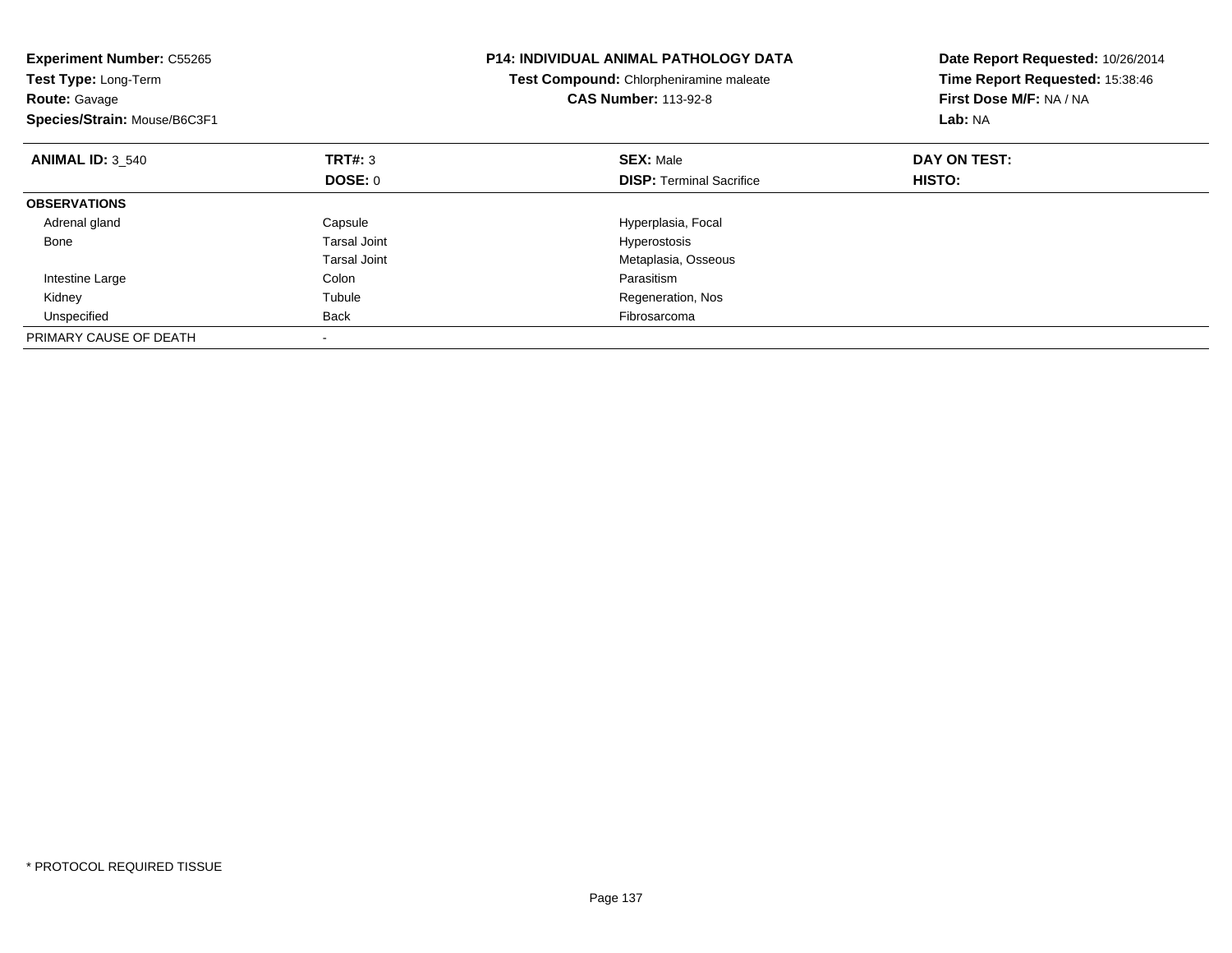| <b>Experiment Number: C55265</b><br>Test Type: Long-Term<br><b>Route: Gavage</b><br>Species/Strain: Mouse/B6C3F1 |                | <b>P14: INDIVIDUAL ANIMAL PATHOLOGY DATA</b><br>Test Compound: Chlorpheniramine maleate<br><b>CAS Number: 113-92-8</b> | Date Report Requested: 10/26/2014<br>Time Report Requested: 15:38:46<br>First Dose M/F: NA / NA<br>Lab: NA |  |
|------------------------------------------------------------------------------------------------------------------|----------------|------------------------------------------------------------------------------------------------------------------------|------------------------------------------------------------------------------------------------------------|--|
| <b>ANIMAL ID: 3 540</b>                                                                                          | TRT#: 3        | <b>SEX: Male</b>                                                                                                       | DAY ON TEST:                                                                                               |  |
|                                                                                                                  | <b>DOSE: 0</b> | <b>DISP:</b> Terminal Sacrifice                                                                                        | HISTO:                                                                                                     |  |
| <b>OBSERVATIONS</b>                                                                                              |                |                                                                                                                        |                                                                                                            |  |
| Adrenal gland                                                                                                    | Capsule        | Hyperplasia, Focal                                                                                                     |                                                                                                            |  |
| Bone                                                                                                             | Tarsal Joint   | Hyperostosis                                                                                                           |                                                                                                            |  |
|                                                                                                                  | Tarsal Joint   | Metaplasia, Osseous                                                                                                    |                                                                                                            |  |
| Intestine Large                                                                                                  | Colon          | Parasitism                                                                                                             |                                                                                                            |  |
| Kidney                                                                                                           | Tubule         | Regeneration, Nos                                                                                                      |                                                                                                            |  |
| Unspecified                                                                                                      | <b>Back</b>    | Fibrosarcoma                                                                                                           |                                                                                                            |  |
| PRIMARY CAUSE OF DEATH                                                                                           |                |                                                                                                                        |                                                                                                            |  |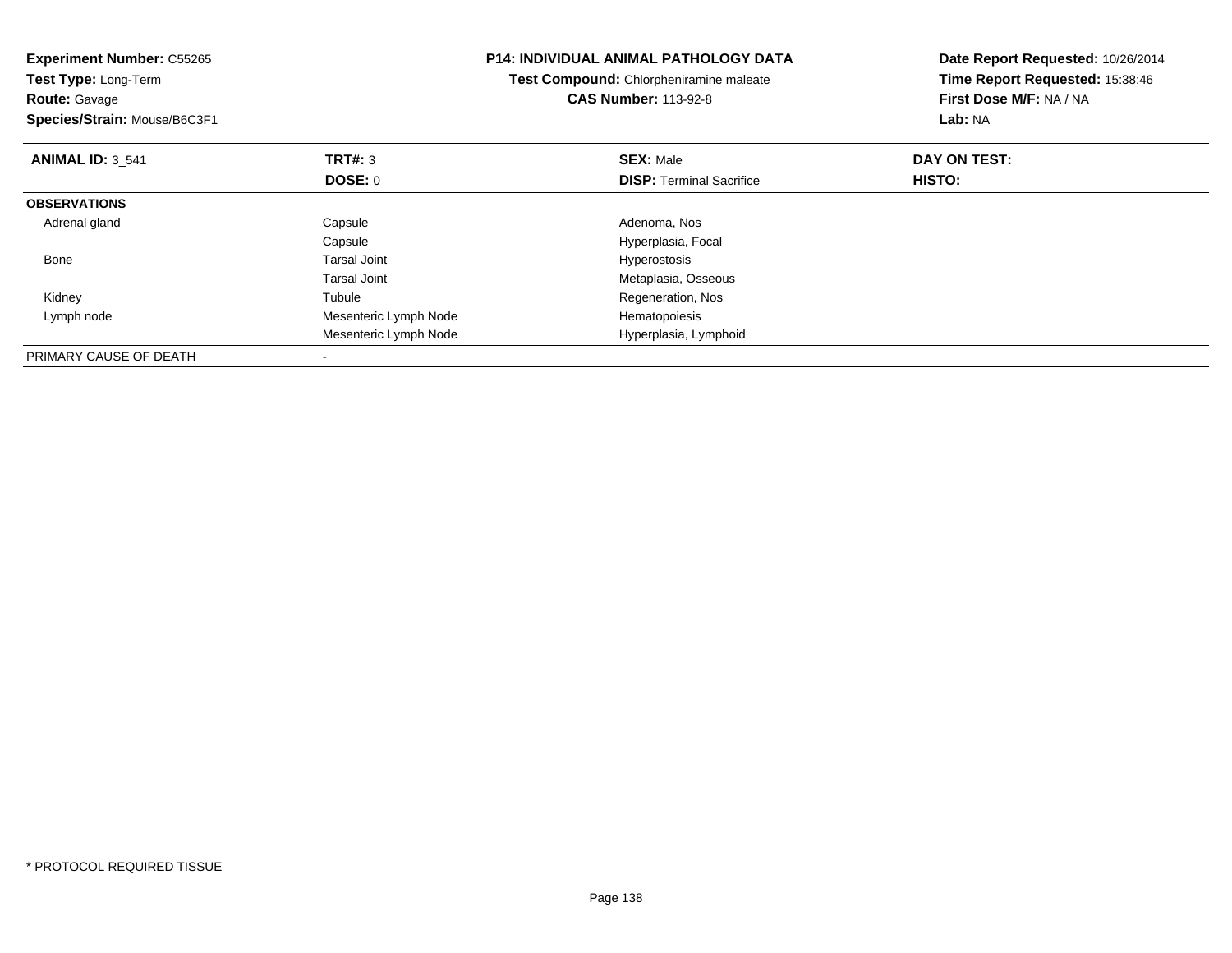| <b>Experiment Number: C55265</b><br><b>Test Type: Long-Term</b><br><b>Route: Gavage</b><br>Species/Strain: Mouse/B6C3F1 |                       | <b>P14: INDIVIDUAL ANIMAL PATHOLOGY DATA</b><br>Test Compound: Chlorpheniramine maleate<br><b>CAS Number: 113-92-8</b> | Date Report Requested: 10/26/2014<br>Time Report Requested: 15:38:46<br>First Dose M/F: NA / NA<br>Lab: NA |
|-------------------------------------------------------------------------------------------------------------------------|-----------------------|------------------------------------------------------------------------------------------------------------------------|------------------------------------------------------------------------------------------------------------|
| <b>ANIMAL ID: 3 541</b>                                                                                                 | TRT#: 3               | <b>SEX: Male</b>                                                                                                       | DAY ON TEST:                                                                                               |
|                                                                                                                         | DOSE: 0               | <b>DISP:</b> Terminal Sacrifice                                                                                        | HISTO:                                                                                                     |
| <b>OBSERVATIONS</b>                                                                                                     |                       |                                                                                                                        |                                                                                                            |
| Adrenal gland                                                                                                           | Capsule               | Adenoma, Nos                                                                                                           |                                                                                                            |
|                                                                                                                         | Capsule               | Hyperplasia, Focal                                                                                                     |                                                                                                            |
| Bone                                                                                                                    | Tarsal Joint          | Hyperostosis                                                                                                           |                                                                                                            |
|                                                                                                                         | <b>Tarsal Joint</b>   | Metaplasia, Osseous                                                                                                    |                                                                                                            |
| Kidney                                                                                                                  | Tubule                | Regeneration, Nos                                                                                                      |                                                                                                            |
| Lymph node                                                                                                              | Mesenteric Lymph Node | Hematopoiesis                                                                                                          |                                                                                                            |
|                                                                                                                         | Mesenteric Lymph Node | Hyperplasia, Lymphoid                                                                                                  |                                                                                                            |
| PRIMARY CAUSE OF DEATH                                                                                                  |                       |                                                                                                                        |                                                                                                            |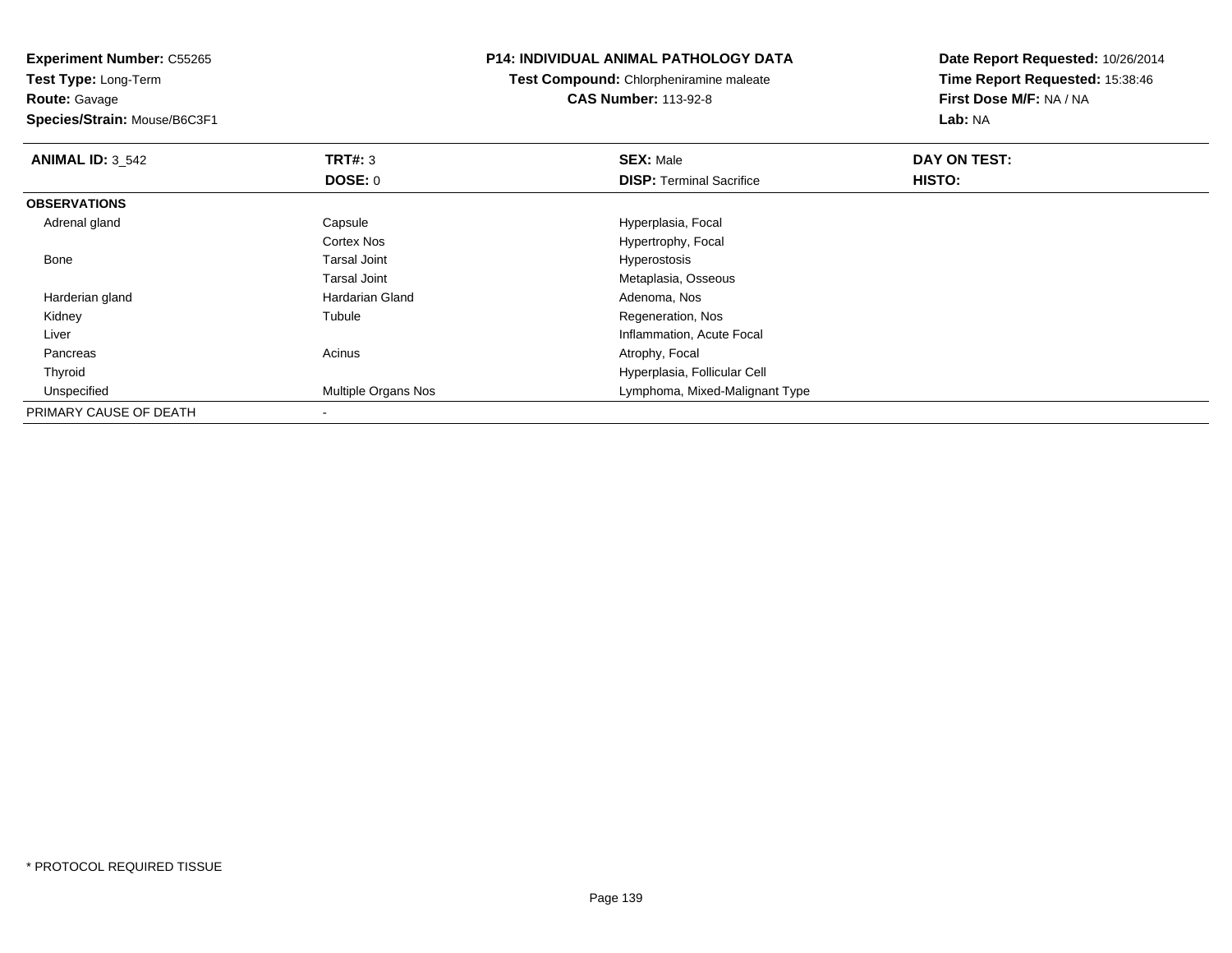**Route:** Gavage

**Species/Strain:** Mouse/B6C3F1

#### **P14: INDIVIDUAL ANIMAL PATHOLOGY DATA**

**Test Compound:** Chlorpheniramine maleate**CAS Number:** 113-92-8

| <b>ANIMAL ID: 3_542</b> | <b>TRT#: 3</b>      | <b>SEX: Male</b>                | DAY ON TEST: |  |
|-------------------------|---------------------|---------------------------------|--------------|--|
|                         | DOSE: 0             | <b>DISP: Terminal Sacrifice</b> | HISTO:       |  |
| <b>OBSERVATIONS</b>     |                     |                                 |              |  |
| Adrenal gland           | Capsule             | Hyperplasia, Focal              |              |  |
|                         | <b>Cortex Nos</b>   | Hypertrophy, Focal              |              |  |
| Bone                    | <b>Tarsal Joint</b> | Hyperostosis                    |              |  |
|                         | <b>Tarsal Joint</b> | Metaplasia, Osseous             |              |  |
| Harderian gland         | Hardarian Gland     | Adenoma, Nos                    |              |  |
| Kidney                  | Tubule              | Regeneration, Nos               |              |  |
| Liver                   |                     | Inflammation, Acute Focal       |              |  |
| Pancreas                | Acinus              | Atrophy, Focal                  |              |  |
| Thyroid                 |                     | Hyperplasia, Follicular Cell    |              |  |
| Unspecified             | Multiple Organs Nos | Lymphoma, Mixed-Malignant Type  |              |  |
| PRIMARY CAUSE OF DEATH  |                     |                                 |              |  |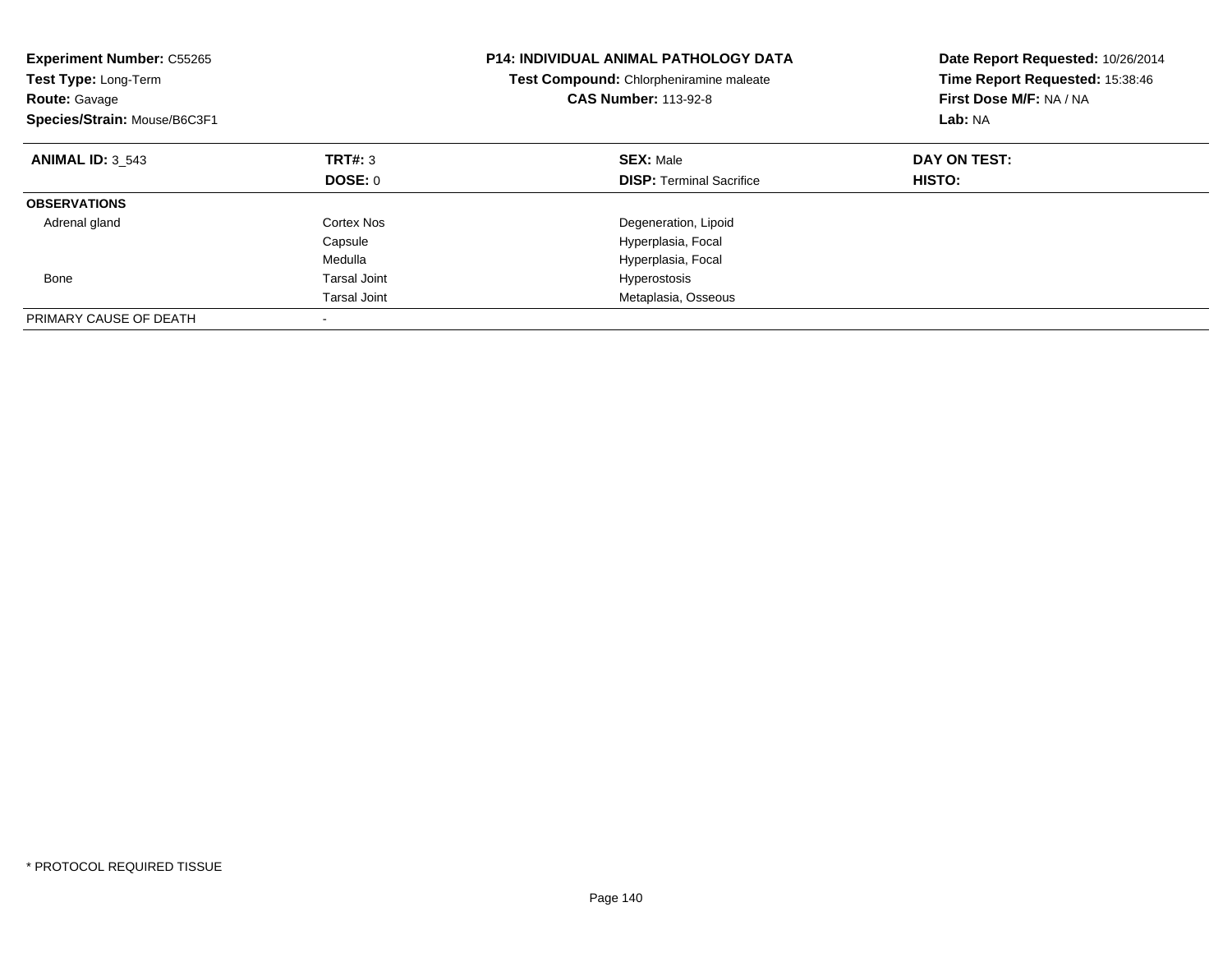| <b>Experiment Number: C55265</b><br>Test Type: Long-Term<br><b>Route: Gavage</b><br>Species/Strain: Mouse/B6C3F1 |                     | <b>P14: INDIVIDUAL ANIMAL PATHOLOGY DATA</b><br><b>Test Compound: Chlorpheniramine maleate</b><br><b>CAS Number: 113-92-8</b> | Date Report Requested: 10/26/2014<br>Time Report Requested: 15:38:46<br>First Dose M/F: NA / NA<br>Lab: NA |  |
|------------------------------------------------------------------------------------------------------------------|---------------------|-------------------------------------------------------------------------------------------------------------------------------|------------------------------------------------------------------------------------------------------------|--|
| <b>ANIMAL ID: 3 543</b>                                                                                          | TRT#: 3             | <b>SEX: Male</b>                                                                                                              | DAY ON TEST:                                                                                               |  |
|                                                                                                                  | DOSE: 0             | <b>DISP:</b> Terminal Sacrifice                                                                                               | <b>HISTO:</b>                                                                                              |  |
| <b>OBSERVATIONS</b>                                                                                              |                     |                                                                                                                               |                                                                                                            |  |
| Adrenal gland                                                                                                    | Cortex Nos          | Degeneration, Lipoid                                                                                                          |                                                                                                            |  |
|                                                                                                                  | Capsule             | Hyperplasia, Focal                                                                                                            |                                                                                                            |  |
|                                                                                                                  | Medulla             | Hyperplasia, Focal                                                                                                            |                                                                                                            |  |
| Bone                                                                                                             | <b>Tarsal Joint</b> | Hyperostosis                                                                                                                  |                                                                                                            |  |
|                                                                                                                  | <b>Tarsal Joint</b> | Metaplasia, Osseous                                                                                                           |                                                                                                            |  |
| PRIMARY CAUSE OF DEATH                                                                                           |                     |                                                                                                                               |                                                                                                            |  |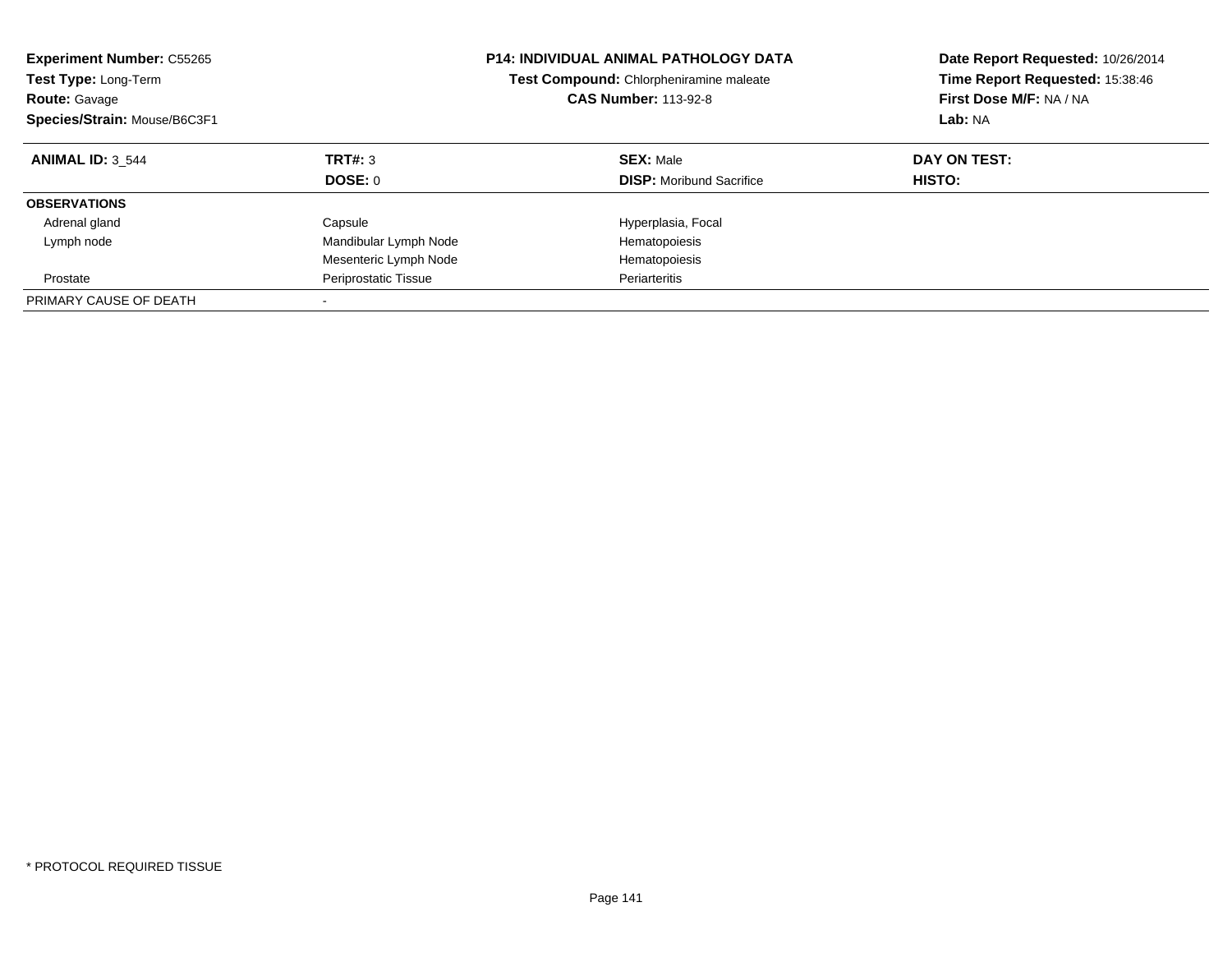| <b>Experiment Number: C55265</b><br><b>Test Type: Long-Term</b><br><b>Route: Gavage</b><br>Species/Strain: Mouse/B6C3F1 |                       | <b>P14: INDIVIDUAL ANIMAL PATHOLOGY DATA</b><br>Test Compound: Chlorpheniramine maleate<br><b>CAS Number: 113-92-8</b> | Date Report Requested: 10/26/2014<br>Time Report Requested: 15:38:46<br>First Dose M/F: NA / NA<br>Lab: NA |  |
|-------------------------------------------------------------------------------------------------------------------------|-----------------------|------------------------------------------------------------------------------------------------------------------------|------------------------------------------------------------------------------------------------------------|--|
| <b>ANIMAL ID: 3 544</b>                                                                                                 | TRT#: 3<br>DOSE: 0    | <b>SEX: Male</b><br><b>DISP:</b> Moribund Sacrifice                                                                    | DAY ON TEST:<br><b>HISTO:</b>                                                                              |  |
| <b>OBSERVATIONS</b>                                                                                                     |                       |                                                                                                                        |                                                                                                            |  |
| Adrenal gland                                                                                                           | Capsule               | Hyperplasia, Focal                                                                                                     |                                                                                                            |  |
| Lymph node                                                                                                              | Mandibular Lymph Node | Hematopoiesis                                                                                                          |                                                                                                            |  |
|                                                                                                                         | Mesenteric Lymph Node | Hematopoiesis                                                                                                          |                                                                                                            |  |
| Prostate                                                                                                                | Periprostatic Tissue  | Periarteritis                                                                                                          |                                                                                                            |  |
| PRIMARY CAUSE OF DEATH                                                                                                  |                       |                                                                                                                        |                                                                                                            |  |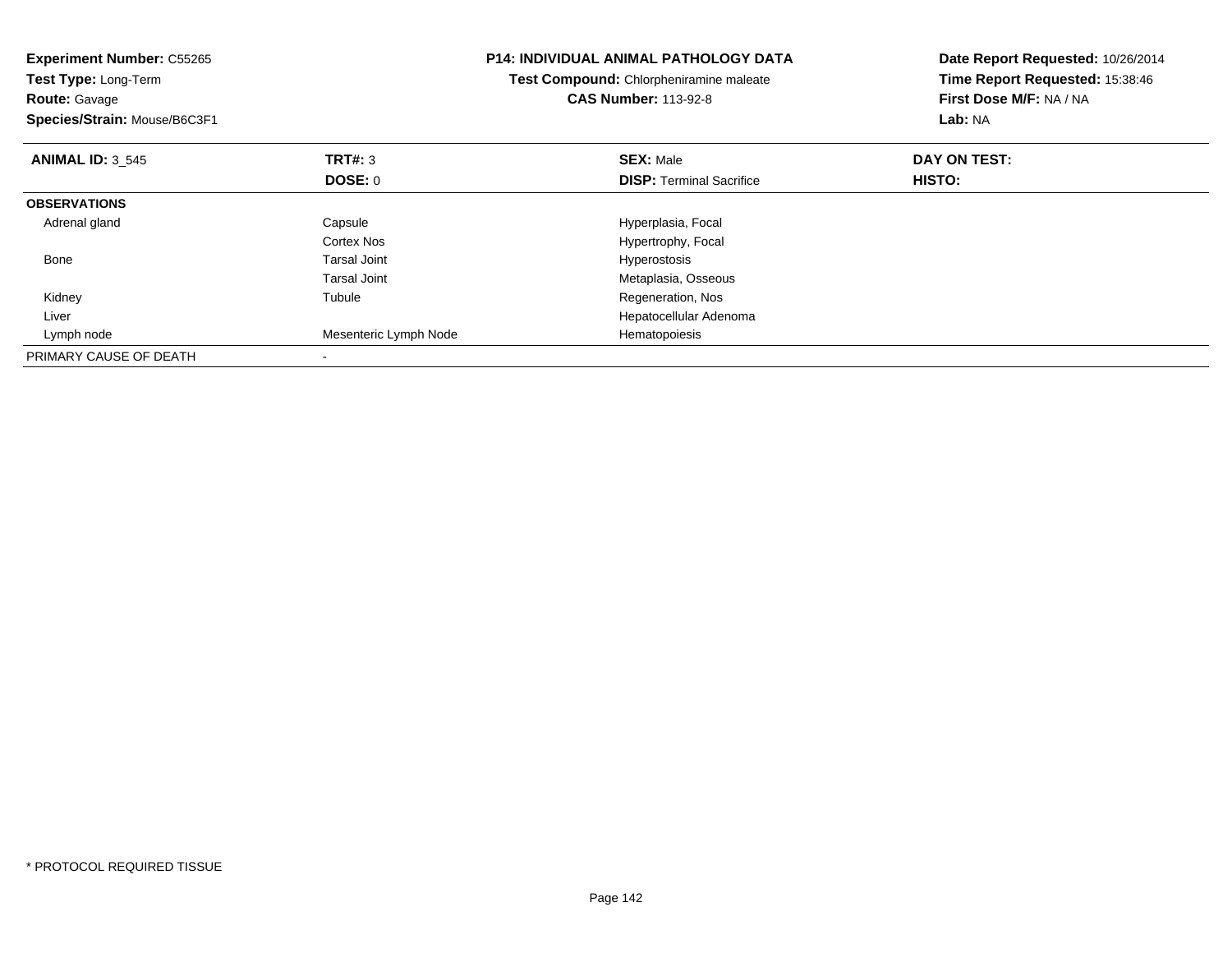| <b>Experiment Number: C55265</b><br>Test Type: Long-Term<br><b>Route: Gavage</b><br>Species/Strain: Mouse/B6C3F1 |                       | <b>P14: INDIVIDUAL ANIMAL PATHOLOGY DATA</b><br>Test Compound: Chlorpheniramine maleate<br><b>CAS Number: 113-92-8</b> | Date Report Requested: 10/26/2014<br>Time Report Requested: 15:38:46<br>First Dose M/F: NA / NA<br>Lab: NA |  |
|------------------------------------------------------------------------------------------------------------------|-----------------------|------------------------------------------------------------------------------------------------------------------------|------------------------------------------------------------------------------------------------------------|--|
| <b>ANIMAL ID: 3 545</b>                                                                                          | <b>TRT#: 3</b>        | <b>SEX: Male</b>                                                                                                       | DAY ON TEST:                                                                                               |  |
|                                                                                                                  | DOSE: 0               | <b>DISP: Terminal Sacrifice</b>                                                                                        | HISTO:                                                                                                     |  |
| <b>OBSERVATIONS</b>                                                                                              |                       |                                                                                                                        |                                                                                                            |  |
| Adrenal gland                                                                                                    | Capsule               | Hyperplasia, Focal                                                                                                     |                                                                                                            |  |
|                                                                                                                  | Cortex Nos            | Hypertrophy, Focal                                                                                                     |                                                                                                            |  |
| Bone                                                                                                             | <b>Tarsal Joint</b>   | Hyperostosis                                                                                                           |                                                                                                            |  |
|                                                                                                                  | Tarsal Joint          | Metaplasia, Osseous                                                                                                    |                                                                                                            |  |
| Kidney                                                                                                           | Tubule                | Regeneration, Nos                                                                                                      |                                                                                                            |  |
| Liver                                                                                                            |                       | Hepatocellular Adenoma                                                                                                 |                                                                                                            |  |
| Lymph node                                                                                                       | Mesenteric Lymph Node | Hematopoiesis                                                                                                          |                                                                                                            |  |
| PRIMARY CAUSE OF DEATH                                                                                           |                       |                                                                                                                        |                                                                                                            |  |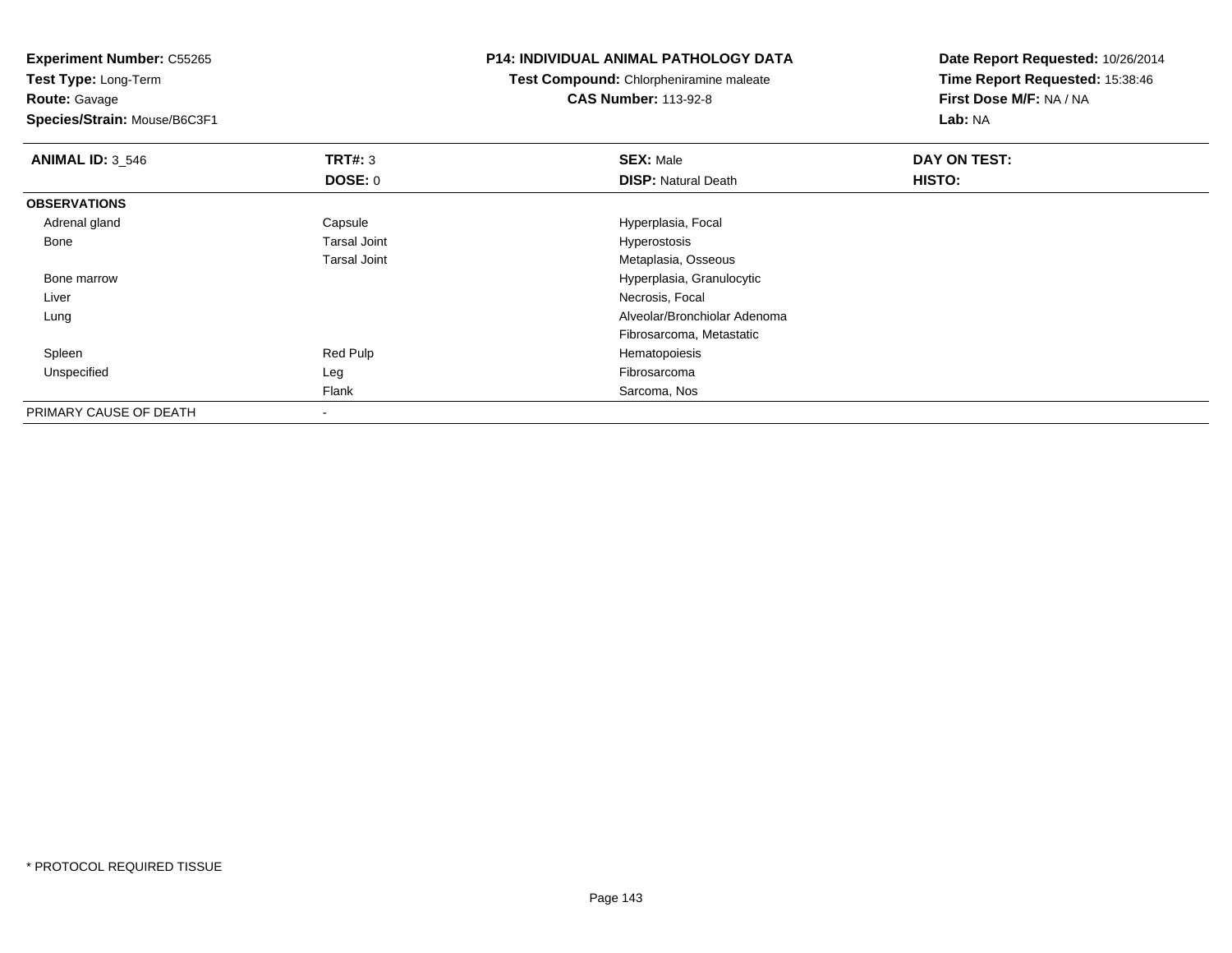**Experiment Number:** C55265

**Test Type:** Long-Term**Route:** Gavage

**Species/Strain:** Mouse/B6C3F1

#### **P14: INDIVIDUAL ANIMAL PATHOLOGY DATA**

**Test Compound:** Chlorpheniramine maleate**CAS Number:** 113-92-8

| <b>ANIMAL ID: 3_546</b> | <b>TRT#: 3</b>      | <b>SEX: Male</b>             | DAY ON TEST: |  |
|-------------------------|---------------------|------------------------------|--------------|--|
|                         | <b>DOSE: 0</b>      | <b>DISP: Natural Death</b>   | HISTO:       |  |
| <b>OBSERVATIONS</b>     |                     |                              |              |  |
| Adrenal gland           | Capsule             | Hyperplasia, Focal           |              |  |
| Bone                    | <b>Tarsal Joint</b> | Hyperostosis                 |              |  |
|                         | <b>Tarsal Joint</b> | Metaplasia, Osseous          |              |  |
| Bone marrow             |                     | Hyperplasia, Granulocytic    |              |  |
| Liver                   |                     | Necrosis, Focal              |              |  |
| Lung                    |                     | Alveolar/Bronchiolar Adenoma |              |  |
|                         |                     | Fibrosarcoma, Metastatic     |              |  |
| Spleen                  | Red Pulp            | Hematopoiesis                |              |  |
| Unspecified             | Leg                 | Fibrosarcoma                 |              |  |
|                         | Flank               | Sarcoma, Nos                 |              |  |
| PRIMARY CAUSE OF DEATH  | $\,$                |                              |              |  |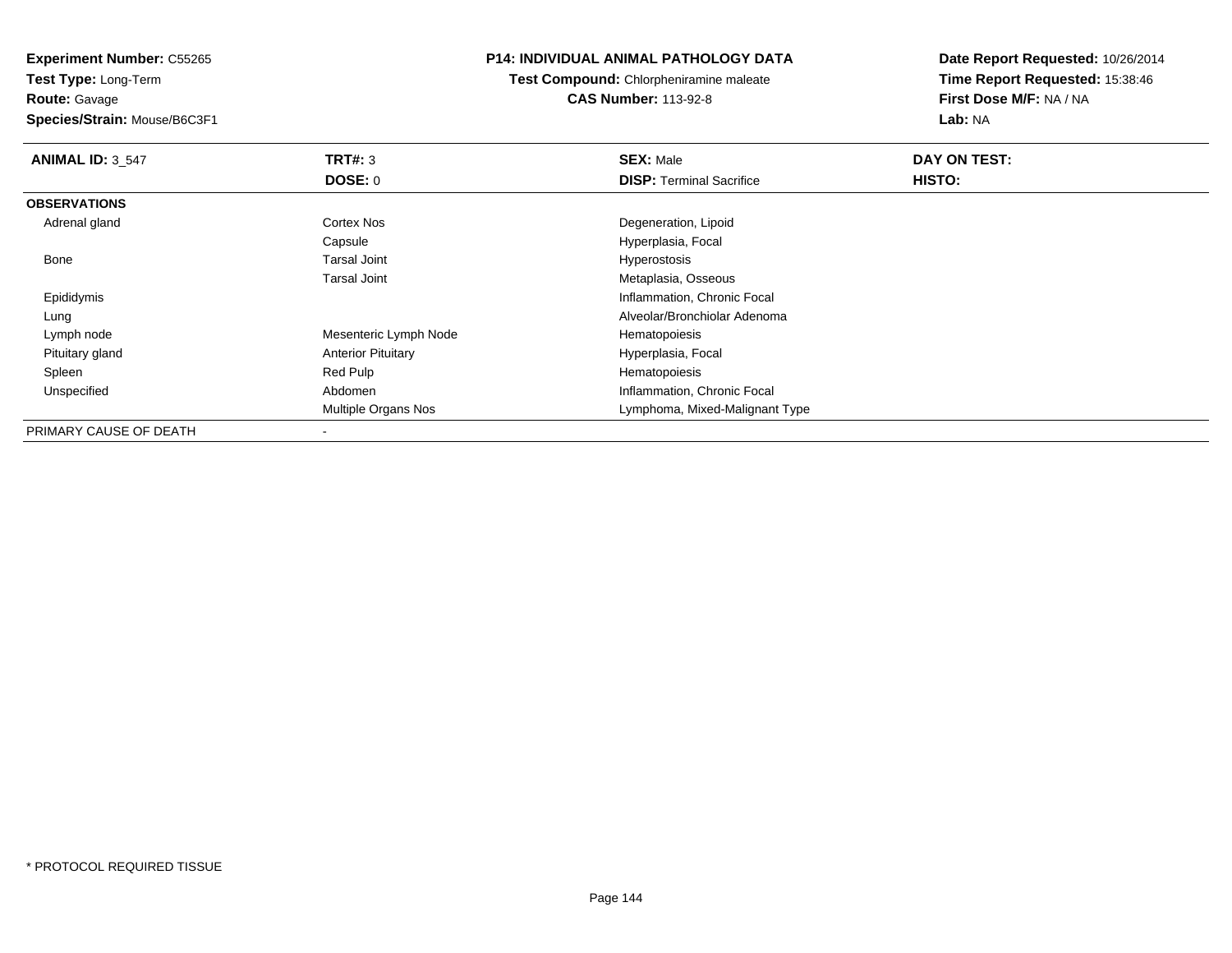**Route:** Gavage

**Species/Strain:** Mouse/B6C3F1

# **P14: INDIVIDUAL ANIMAL PATHOLOGY DATA**

**Test Compound:** Chlorpheniramine maleate**CAS Number:** 113-92-8

| <b>ANIMAL ID: 3_547</b> | TRT#: 3                    | <b>SEX: Male</b>                | DAY ON TEST: |  |
|-------------------------|----------------------------|---------------------------------|--------------|--|
|                         | <b>DOSE: 0</b>             | <b>DISP:</b> Terminal Sacrifice | HISTO:       |  |
| <b>OBSERVATIONS</b>     |                            |                                 |              |  |
| Adrenal gland           | <b>Cortex Nos</b>          | Degeneration, Lipoid            |              |  |
|                         | Capsule                    | Hyperplasia, Focal              |              |  |
| Bone                    | Tarsal Joint               | Hyperostosis                    |              |  |
|                         | <b>Tarsal Joint</b>        | Metaplasia, Osseous             |              |  |
| Epididymis              |                            | Inflammation, Chronic Focal     |              |  |
| Lung                    |                            | Alveolar/Bronchiolar Adenoma    |              |  |
| Lymph node              | Mesenteric Lymph Node      | Hematopoiesis                   |              |  |
| Pituitary gland         | <b>Anterior Pituitary</b>  | Hyperplasia, Focal              |              |  |
| Spleen                  | Red Pulp                   | Hematopoiesis                   |              |  |
| Unspecified             | Abdomen                    | Inflammation, Chronic Focal     |              |  |
|                         | <b>Multiple Organs Nos</b> | Lymphoma, Mixed-Malignant Type  |              |  |
| PRIMARY CAUSE OF DEATH  |                            |                                 |              |  |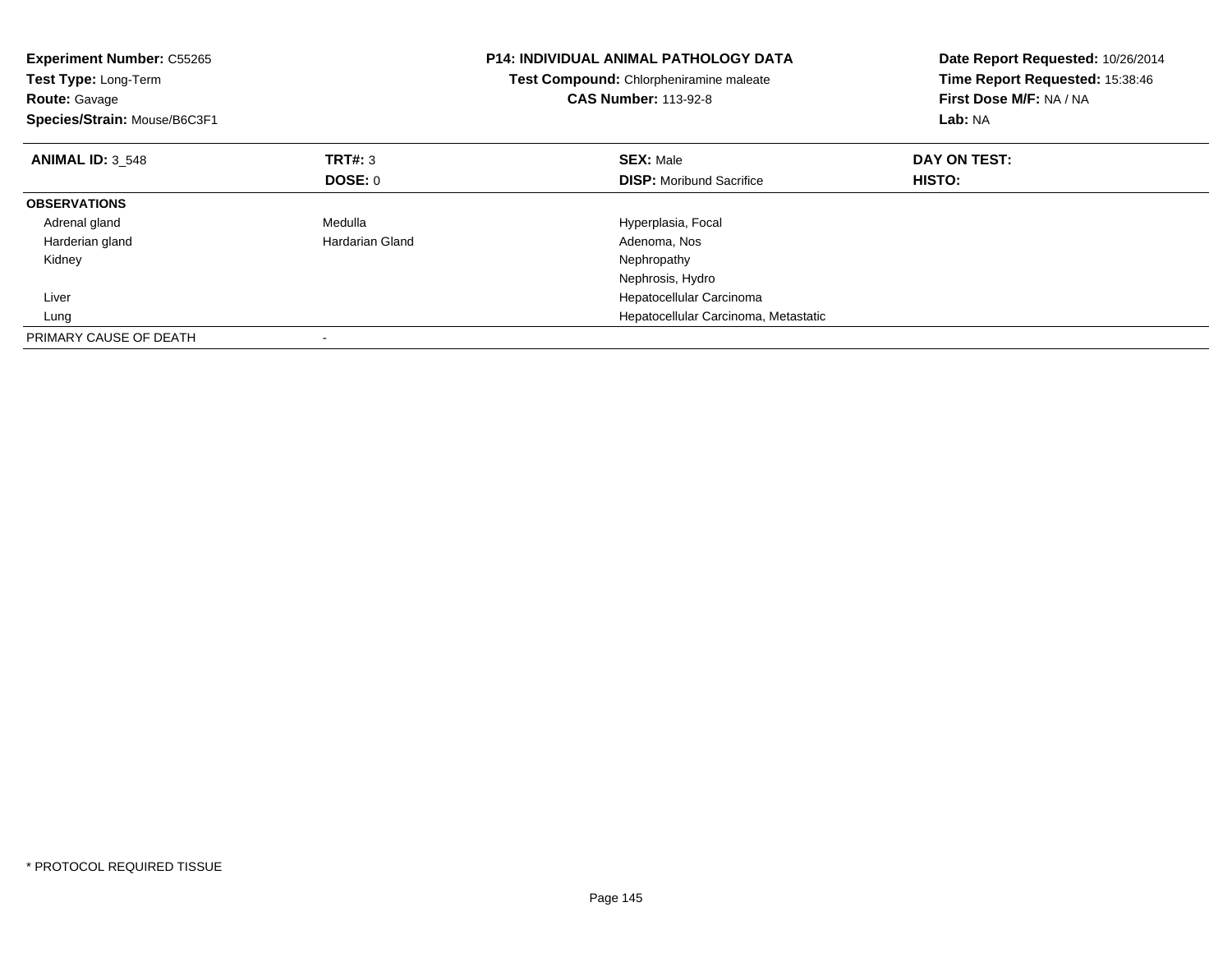| <b>Experiment Number: C55265</b><br>Test Type: Long-Term<br><b>Route: Gavage</b><br>Species/Strain: Mouse/B6C3F1 |                 | <b>P14: INDIVIDUAL ANIMAL PATHOLOGY DATA</b><br>Test Compound: Chlorpheniramine maleate<br><b>CAS Number: 113-92-8</b> | Date Report Requested: 10/26/2014<br>Time Report Requested: 15:38:46<br>First Dose M/F: NA / NA<br>Lab: NA |
|------------------------------------------------------------------------------------------------------------------|-----------------|------------------------------------------------------------------------------------------------------------------------|------------------------------------------------------------------------------------------------------------|
| <b>ANIMAL ID: 3 548</b>                                                                                          | TRT#: 3         | <b>SEX: Male</b>                                                                                                       | DAY ON TEST:                                                                                               |
|                                                                                                                  | DOSE: 0         | <b>DISP:</b> Moribund Sacrifice                                                                                        | HISTO:                                                                                                     |
| <b>OBSERVATIONS</b>                                                                                              |                 |                                                                                                                        |                                                                                                            |
| Adrenal gland                                                                                                    | Medulla         | Hyperplasia, Focal                                                                                                     |                                                                                                            |
| Harderian gland                                                                                                  | Hardarian Gland | Adenoma, Nos                                                                                                           |                                                                                                            |
| Kidney                                                                                                           |                 | Nephropathy                                                                                                            |                                                                                                            |
|                                                                                                                  |                 | Nephrosis, Hydro                                                                                                       |                                                                                                            |
| Liver                                                                                                            |                 | Hepatocellular Carcinoma                                                                                               |                                                                                                            |
| Lung                                                                                                             |                 | Hepatocellular Carcinoma, Metastatic                                                                                   |                                                                                                            |
| PRIMARY CAUSE OF DEATH                                                                                           |                 |                                                                                                                        |                                                                                                            |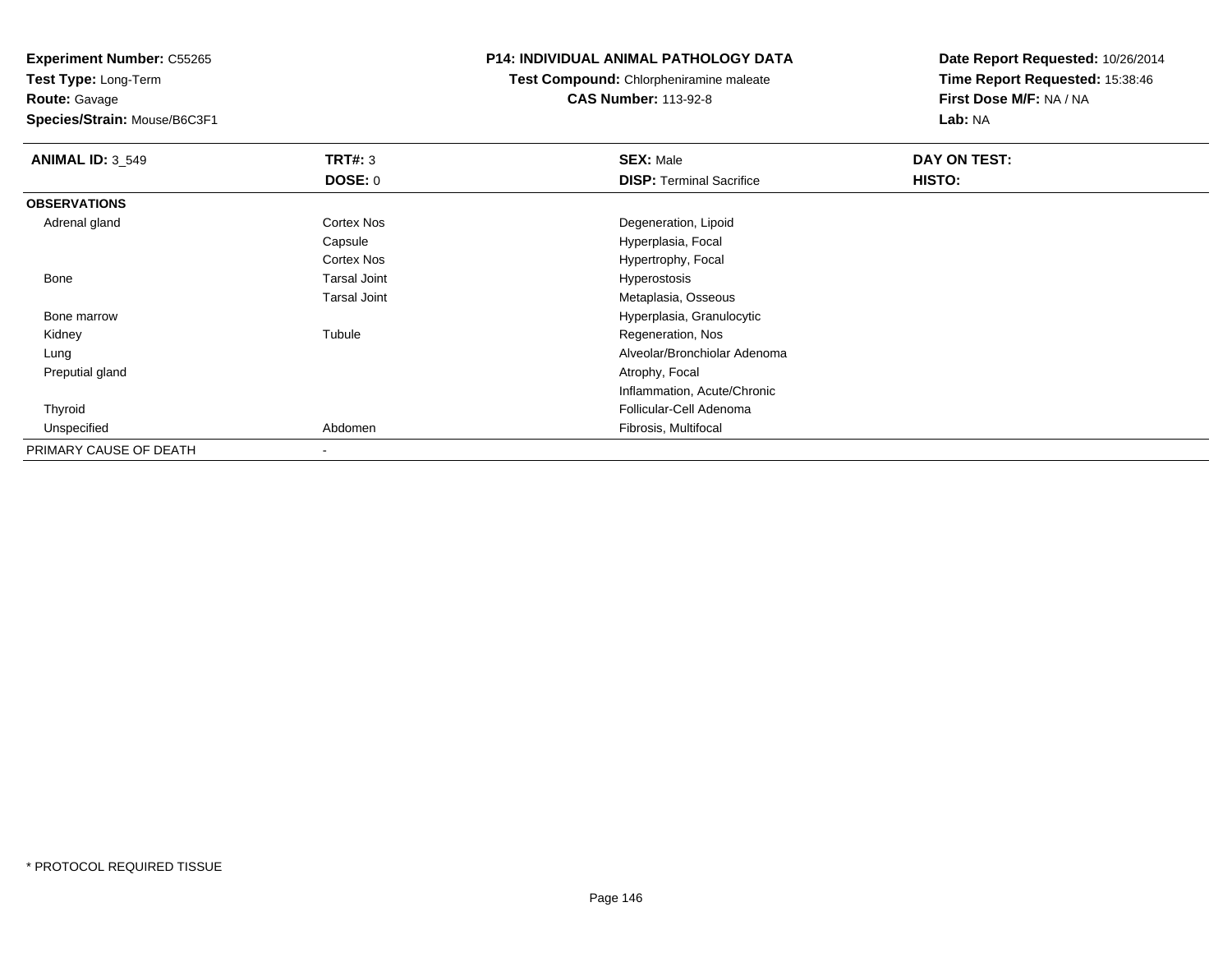**Experiment Number:** C55265

**Test Type:** Long-Term**Route:** Gavage

**Species/Strain:** Mouse/B6C3F1

## **P14: INDIVIDUAL ANIMAL PATHOLOGY DATA**

**Test Compound:** Chlorpheniramine maleate**CAS Number:** 113-92-8

**Date Report Requested:** 10/26/2014**Time Report Requested:** 15:38:46**First Dose M/F:** NA / NA**Lab:** NA

| <b>ANIMAL ID: 3 549</b> | TRT#: 3                  | <b>SEX: Male</b>                | DAY ON TEST: |
|-------------------------|--------------------------|---------------------------------|--------------|
|                         | <b>DOSE: 0</b>           | <b>DISP: Terminal Sacrifice</b> | HISTO:       |
| <b>OBSERVATIONS</b>     |                          |                                 |              |
| Adrenal gland           | Cortex Nos               | Degeneration, Lipoid            |              |
|                         | Capsule                  | Hyperplasia, Focal              |              |
|                         | Cortex Nos               | Hypertrophy, Focal              |              |
| Bone                    | <b>Tarsal Joint</b>      | Hyperostosis                    |              |
|                         | <b>Tarsal Joint</b>      | Metaplasia, Osseous             |              |
| Bone marrow             |                          | Hyperplasia, Granulocytic       |              |
| Kidney                  | Tubule                   | Regeneration, Nos               |              |
| Lung                    |                          | Alveolar/Bronchiolar Adenoma    |              |
| Preputial gland         |                          | Atrophy, Focal                  |              |
|                         |                          | Inflammation, Acute/Chronic     |              |
| Thyroid                 |                          | Follicular-Cell Adenoma         |              |
| Unspecified             | Abdomen                  | Fibrosis, Multifocal            |              |
| PRIMARY CAUSE OF DEATH  | $\overline{\phantom{a}}$ |                                 |              |